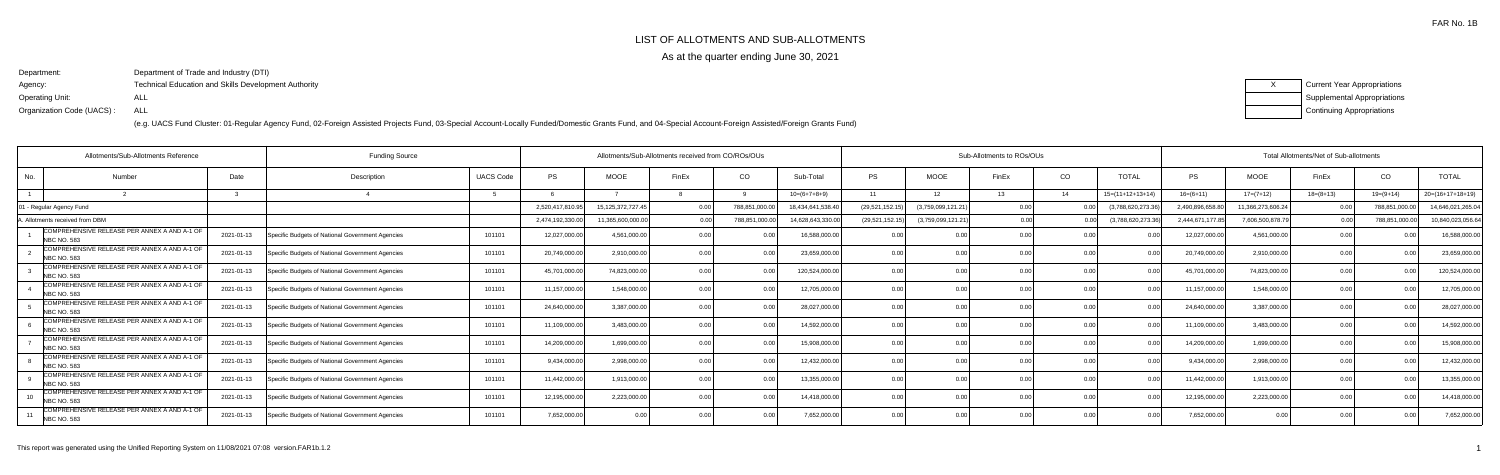# LIST OF ALLOTMENTS AND SUB-ALLOTMENTS

As at the quarter ending June 30, 2021

Department:Agency:Operating Unit:Organization Code (UACS) :Department of Trade and Industry (DTI)Technical Education and Skills Development AuthorityALLALL

|  | Current Year Appropriations        |
|--|------------------------------------|
|  | <b>Supplemental Appropriations</b> |
|  | <b>Continuing Appropriations</b>   |

|           | Allotments/Sub-Allotments Reference                                |            | <b>Funding Source</b>                            |                  | Allotments/Sub-Allotments received from CO/ROs/OUs |                   |       |               |                   | Sub-Allotments to ROs/OUs |                   |       |      |                    | Total Allotments/Net of Sub-allotments |                   |             |               |                    |  |
|-----------|--------------------------------------------------------------------|------------|--------------------------------------------------|------------------|----------------------------------------------------|-------------------|-------|---------------|-------------------|---------------------------|-------------------|-------|------|--------------------|----------------------------------------|-------------------|-------------|---------------|--------------------|--|
| No.       | Number                                                             | Date       | Description                                      | <b>UACS Code</b> | <b>PS</b>                                          | <b>MOOE</b>       | FinEx | CO            | Sub-Total         | PS                        | <b>MOOE</b>       | FinEx | CO   | <b>TOTAL</b>       | <b>PS</b>                              | <b>MOOE</b>       | FinEx       | CO            | <b>TOTAL</b>       |  |
|           |                                                                    |            |                                                  |                  |                                                    |                   |       |               | $10=(6+7+8+9)$    | 11                        | 12 <sup>7</sup>   | 13    | 14   | $15=(11+12+13+14)$ | $16=(6+11)$                            | $17=(7+12)$       | $18=(8+13)$ | $19=(9+14)$   | $20=(16+17+18+19)$ |  |
|           | 1 - Regular Agency Fund                                            |            |                                                  |                  | 2,520,417,810.95                                   | 15,125,372,727.45 |       | 788,851,000.0 | 18,434,641,538.4  | (29, 521, 152.1)          | (3,759,099,121.21 |       |      | (3,788,620,273.36  | 2,490,896,658.                         | 11,366,273,606.24 |             | 788,851,000.0 | 14,646,021,265.04  |  |
|           | Allotments received from DBM                                       |            |                                                  |                  | 2,474,192,330.00                                   | 1,365,600,000.00  |       | 788,851,000.  | 14,628,643,330.00 | (29, 521, 152.15)         | (3,759,099,121.21 |       | 0.00 | (3,788,620,273.3   | 2,444,671,177                          | 7,606,500,878.7   |             | 788,851,000.0 | 10,840,023,056.64  |  |
|           | COMPREHENSIVE RELEASE PER ANNEX A AND A-1 OF<br><b>NBC NO. 583</b> | 2021-01-13 | Specific Budgets of National Government Agencies | 101101           | 12,027,000.00                                      | 4,561,000.00      |       |               | 16,588,000.00     | 0.00                      | 0.00              |       | 0.00 |                    | 12,027,000.0                           | 4,561,000.00      | 0.00        |               | 16,588,000.00      |  |
|           | COMPREHENSIVE RELEASE PER ANNEX A AND A-1 OF<br><b>NBC NO. 583</b> | 2021-01-13 | Specific Budgets of National Government Agencies | 101101           | 20,749,000.00                                      | 2,910,000.00      |       | 0.00          | 23,659,000.00     | 0.00                      | 0 <sub>0</sub>    |       |      |                    | 20,749,000.0                           | 2,910,000.00      | 0.00        | 0.OC          | 23,659,000.00      |  |
|           | COMPREHENSIVE RELEASE PER ANNEX A AND A-1 OF<br><b>NBC NO. 583</b> | 2021-01-13 | Specific Budgets of National Government Agencies | 101101           | 45,701,000.00                                      | 74,823,000.00     |       | 0.00          | 120,524,000.00    | 0.00                      | 0.00              |       | 0.00 |                    | 45,701,000.0                           | 74,823,000.0      | 0.00        | 0.00          | 120,524,000.00     |  |
|           | COMPREHENSIVE RELEASE PER ANNEX A AND A-1 OF<br><b>NBC NO. 583</b> | 2021-01-13 | Specific Budgets of National Government Agencies | 101101           | 11,157,000.00                                      | 1,548,000.00      |       |               | 12,705,000.00     | 0.00                      | 0.00              |       | 0.00 |                    | 11,157,000.0                           | 1,548,000.00      | 0.00        |               | 12,705,000.00      |  |
|           | COMPREHENSIVE RELEASE PER ANNEX A AND A-1 OF<br><b>NBC NO. 583</b> | 2021-01-13 | Specific Budgets of National Government Agencies | 101101           | 24,640,000.00                                      | 3,387,000.00      |       |               | 28,027,000.00     | 0.00                      | 0.00              |       |      |                    | 24,640,000.                            | 3,387,000.00      | 0.00        |               | 28,027,000.00      |  |
|           | COMPREHENSIVE RELEASE PER ANNEX A AND A-1 OF<br><b>NBC NO. 583</b> | 2021-01-13 | Specific Budgets of National Government Agencies | 101101           | 11,109,000.00                                      | 3,483,000.00      |       |               | 14,592,000.00     |                           | 0.00              |       | 0.00 |                    | 11,109,000.0                           | 3,483,000.00      |             |               | 14,592,000.00      |  |
|           | COMPREHENSIVE RELEASE PER ANNEX A AND A-1 OF<br><b>NBC NO. 583</b> | 2021-01-13 | Specific Budgets of National Government Agencies | 101101           | 14,209,000.00                                      | 1.699.000.00      |       | 0.00          | 15,908,000.00     | 0.00                      | 0.00              |       | 0.00 | 0.00               | 14,209,000.0                           | 1,699,000.00      | 0.00        | 0.00          | 15,908,000.00      |  |
|           | COMPREHENSIVE RELEASE PER ANNEX A AND A-1 OF<br><b>NBC NO. 583</b> | 2021-01-13 | Specific Budgets of National Government Agencies | 101101           | 9,434,000.00                                       | 2,998,000.00      |       |               | 12,432,000.00     | 0.00                      | 0.00              |       | 0.00 |                    | 9,434,000.0                            | 2,998,000.00      | 0.00        |               | 12,432,000.00      |  |
|           | COMPREHENSIVE RELEASE PER ANNEX A AND A-1 OF<br>NBC NO. 583        | 2021-01-13 | Specific Budgets of National Government Agencies | 101101           | 11,442,000.00                                      | 1,913,000.0       |       |               | 13,355,000.00     | 0 <sub>0</sub>            | 0 <sub>0</sub>    |       |      |                    | 11,442,000.                            | 1,913,000.00      | 0.00        |               | 13,355,000.00      |  |
| $10^{-1}$ | COMPREHENSIVE RELEASE PER ANNEX A AND A-1 OF<br><b>NBC NO. 583</b> | 2021-01-13 | Specific Budgets of National Government Agencies | 101101           | 12,195,000.00                                      | 2,223,000.00      |       | 0.00          | 14,418,000.00     | 0.00                      | 0.00              |       | 0.00 | 0.00               | 12,195,000.0                           | 2,223,000.00      | 0.00        | 0.00          | 14,418,000.00      |  |
|           | COMPREHENSIVE RELEASE PER ANNEX A AND A-1 OF<br><b>NBC NO. 583</b> | 2021-01-13 | Specific Budgets of National Government Agencies | 101101           | 7,652,000.00                                       |                   |       |               | 7,652,000.00      |                           | 0.00              |       | 0.00 |                    | 7,652,000.00                           | 0.0(              | 0.00        | 0.00          | 7,652,000.00       |  |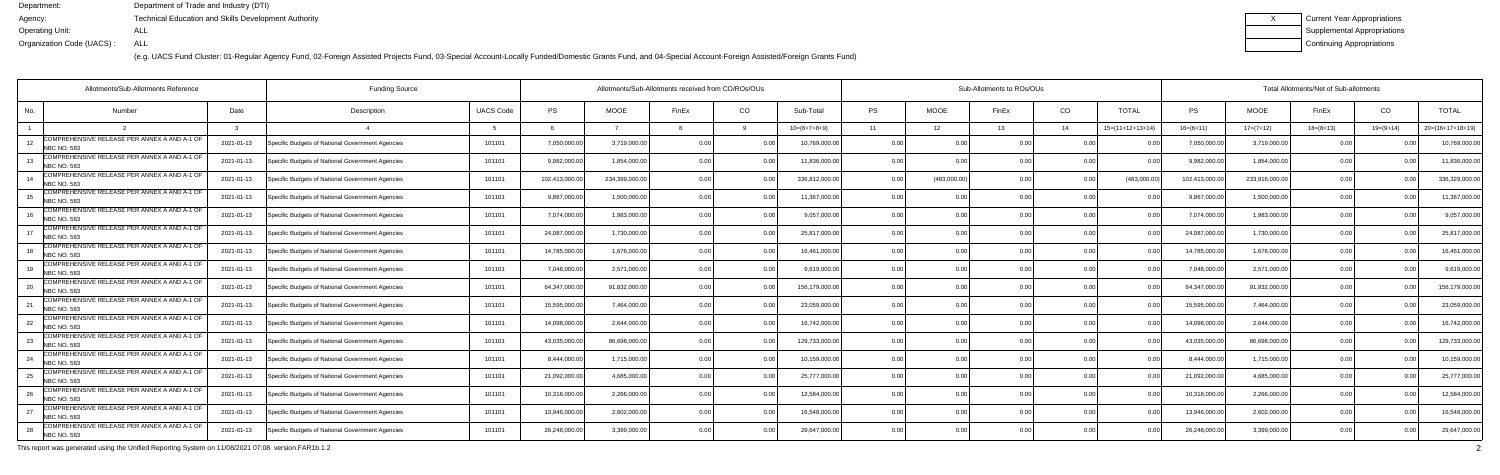(e.g. UACS Fund Cluster: 01-Regular Agency Fund, 02-Foreign Assisted Projects Fund, 03-Special Account-Locally Funded/Domestic Grants Fund, and 04-Special Account-Foreign Assisted/Foreign Grants Fund)

| <b>Current Year Appropriations</b> |
|------------------------------------|
| <b>Supplemental Appropriations</b> |
| Continuing Appropriations          |

|     | Allotments/Sub-Allotments Reference                                |            |                                                  | Allotments/Sub-Allotments received from CO/ROs/OUs |                |               |                | Sub-Allotments to ROs/OUs |                |                |                 |                |                | Total Allotments/Net of Sub-allotments |              |                |             |             |                    |  |
|-----|--------------------------------------------------------------------|------------|--------------------------------------------------|----------------------------------------------------|----------------|---------------|----------------|---------------------------|----------------|----------------|-----------------|----------------|----------------|----------------------------------------|--------------|----------------|-------------|-------------|--------------------|--|
| No. | Number                                                             | Date       | Description                                      | <b>UACS Code</b>                                   | <b>PS</b>      | <b>MOOE</b>   | FinEx          | CO                        | Sub-Total      | <b>PS</b>      | <b>MOOE</b>     | FinEx          | CO             | <b>TOTAL</b>                           | <b>PS</b>    | <b>MOOE</b>    | FinEx       | CO          | <b>TOTAL</b>       |  |
|     |                                                                    |            |                                                  |                                                    |                |               |                |                           | $10=(6+7+8+9)$ | 11             | 12 <sup>2</sup> | 13             | 14             | $15=(11+12+13+14)$                     | $16=(6+11)$  | $17=(7+12)$    | $18=(8+13)$ | $19=(9+14)$ | $20=(16+17+18+19)$ |  |
| 12  | COMPREHENSIVE RELEASE PER ANNEX A AND A-1 OF<br><b>NBC NO. 583</b> | 2021-01-13 | Specific Budgets of National Government Agencies | 101101                                             | 7,050,000.00   | 3,719,000.0   | 0 <sub>0</sub> |                           | 10,769,000.00  | 0.00           |                 | 0.00           | 0.00           |                                        | 7,050,000.   | 3,719,000.00   | 0.00        |             | 10,769,000.00      |  |
| 13  | COMPREHENSIVE RELEASE PER ANNEX A AND A-1 OF<br>NBC NO. 583        | 2021-01-13 | Specific Budgets of National Government Agencies | 101101                                             | 9,982,000.00   | 1.854.000.0   | 0.00           | 0.00                      | 11,836,000.00  | 0.00           | 0.00            |                | 0.00           | 0 <sub>0</sub>                         | 9,982,000.0  | 1,854,000.00   | 0.00        | 0.00        | 11,836,000.00      |  |
| 14  | COMPREHENSIVE RELEASE PER ANNEX A AND A-1 OF<br>NBC NO. 583        | 2021-01-13 | Specific Budgets of National Government Agencies | 101101                                             | 102,413,000.00 | 234,399,000.0 | 0.00           | 0.00                      | 336,812,000.00 | 0.00           | (483,000.00)    | 0.00           | 0.00           | (483,000.00)                           | 102,413,000. | 233,916,000.00 | 0.00        |             | 336,329,000.00     |  |
|     | COMPREHENSIVE RELEASE PER ANNEX A AND A-1 OF<br><b>NBC NO. 583</b> | 2021-01-13 | Specific Budgets of National Government Agencies | 101101                                             | 9,867,000.00   | 1,500,000.0   | ი იი           |                           | 11,367,000.00  | 0.00           | 0.0(            |                | 0.00           |                                        | 9,867,000.   | 1,500,000.00   | 0.00        | 0.00        | 11,367,000.00      |  |
|     | COMPREHENSIVE RELEASE PER ANNEX A AND A-1 OF<br><b>NBC NO. 583</b> | 2021-01-13 | Specific Budgets of National Government Agencies | 101101                                             | 7,074,000.00   | 1.983.000.0   | ი იი           | 0.00                      | 9,057,000.00   | 0.00           | 0.00            |                | 0.00           |                                        | 7,074,000.0  | 1,983,000.00   | 0.00        | 0.00        | 9,057,000.00       |  |
| 17  | COMPREHENSIVE RELEASE PER ANNEX A AND A-1 OF<br><b>NBC NO. 583</b> | 2021-01-13 | Specific Budgets of National Government Agencies | 101101                                             | 24,087,000.00  | 1,730,000.0   | 0.00           | 0.00                      | 25,817,000.00  | 0.00           | 0.00            | 0 <sub>0</sub> | 0.00           |                                        | 24,087,000.0 | 1,730,000.00   | 0.00        | 0.00        | 25,817,000.00      |  |
|     | COMPREHENSIVE RELEASE PER ANNEX A AND A-1 OF<br>NBC NO. 583        | 2021-01-13 | Specific Budgets of National Government Agencies | 101101                                             | 14,785,000.00  | 1,676,000.0   | 0.00           |                           | 16,461,000.00  | 0.00           | 0.00            |                | 0.00           |                                        | 14,785,000.  | 1,676,000.00   | 0.00        |             | 16,461,000.00      |  |
| 19  | COMPREHENSIVE RELEASE PER ANNEX A AND A-1 OF<br><b>NBC NO. 583</b> | 2021-01-13 | Specific Budgets of National Government Agencies | 101101                                             | 7,048,000.00   | 2,571,000.0   | 0.00           |                           | 9,619,000.00   | 0.00           | 0.00            |                | 0.0            |                                        | 7,048,000.0  | 2,571,000.00   | 0.00        | 0.OC        | 9,619,000.00       |  |
|     | COMPREHENSIVE RELEASE PER ANNEX A AND A-1 OF<br>NBC NO. 583        | 2021-01-13 | Specific Budgets of National Government Agencies | 101101                                             | 64,347,000.00  | 91,832,000.0  | 0.00           | 0.00                      | 156,179,000.00 | 0.00           | 0.00            |                | 0.00           |                                        | 64,347,000.0 | 91,832,000.00  | 0.00        | 0.00        | 156,179,000.00     |  |
|     | COMPREHENSIVE RELEASE PER ANNEX A AND A-1 OF<br><b>NBC NO. 583</b> | 2021-01-13 | Specific Budgets of National Government Agencies | 101101                                             | 15,595,000.00  | 7,464,000.0   | 0.00           | 0.00                      | 23,059,000.00  | 0.00           | 0.0(            |                | 0.00           |                                        | 15,595,000.  | 7,464,000.00   | 0.00        |             | 23,059,000.00      |  |
| 22  | COMPREHENSIVE RELEASE PER ANNEX A AND A-1 OF<br><b>NBC NO. 583</b> | 2021-01-13 | Specific Budgets of National Government Agencies | 101101                                             | 14,098,000.00  | 2,644,000.0   | 0 <sub>0</sub> |                           | 16,742,000.00  | 0 <sub>0</sub> | 0.0(            |                | 0.00           |                                        | 14,098,000.  | 2,644,000.00   | 0.00        | 0.OC        | 16,742,000.00      |  |
| 23  | COMPREHENSIVE RELEASE PER ANNEX A AND A-1 OF<br><b>NBC NO. 583</b> | 2021-01-13 | Specific Budgets of National Government Agencies | 101101                                             | 43,035,000.00  | 86.698.000.0  | 0.00           | 0.00                      | 129,733,000.00 | 0.00           | 0.00            |                | 0.00           |                                        | 43,035,000.  | 86,698,000.00  | 0.00        | 0.00        | 129,733,000.00     |  |
| 24  | COMPREHENSIVE RELEASE PER ANNEX A AND A-1 OF<br><b>NBC NO. 583</b> | 2021-01-13 | Specific Budgets of National Government Agencies | 101101                                             | 8,444,000.00   | 1,715,000.0   | 0.00           | 0.00                      | 10,159,000.00  | 0.00           | 0.00            | 0.00           | 0.00           |                                        | 8,444,000.0  | 1,715,000.00   | 0.00        | 0.00        | 10,159,000.00      |  |
|     | COMPREHENSIVE RELEASE PER ANNEX A AND A-1 OF<br><b>NBC NO. 583</b> | 2021-01-13 | Specific Budgets of National Government Agencies | 101101                                             | 21,092,000.00  | 4,685,000.0   | n nn           |                           | 25,777,000.00  | 0 <sub>0</sub> | 0.00            |                | 0.00           |                                        | 21,092,000.0 | 4,685,000.0    | 0.00        |             | 25,777,000.00      |  |
|     | COMPREHENSIVE RELEASE PER ANNEX A AND A-1 OF<br><b>NBC NO. 583</b> | 2021-01-13 | Specific Budgets of National Government Agencies | 101101                                             | 10,318,000.00  | 2,266,000.0   | 0.00           | 0.OC                      | 12,584,000.00  | 0.00           | 0.00            |                | 0.00           |                                        | 10,318,000.0 | 2,266,000.00   | 0.00        | 0.00        | 12,584,000.00      |  |
| 27  | COMPREHENSIVE RELEASE PER ANNEX A AND A-1 OF<br><b>NBC NO. 583</b> | 2021-01-13 | Specific Budgets of National Government Agencies | 101101                                             | 13,946,000.00  | 2,602,000.0   | 0.00           | 0.00                      | 16,548,000.00  | 0.00           | 0.00            | 0.00           | 0.00           | 0.00                                   | 13,946,000.0 | 2,602,000.00   | 0.00        | 0.00        | 16,548,000.00      |  |
|     | COMPREHENSIVE RELEASE PER ANNEX A AND A-1 OF<br>NBC NO. 583        | 2021-01-13 | Specific Budgets of National Government Agencies | 101101                                             | 26,248,000.00  | 3,399,000.0   |                | 0.OC                      | 29,647,000.00  |                | 0.0(            |                | 0 <sub>0</sub> |                                        | 26,248,000.0 | 3,399,000.00   | 0.00        |             | 29,647,000.00      |  |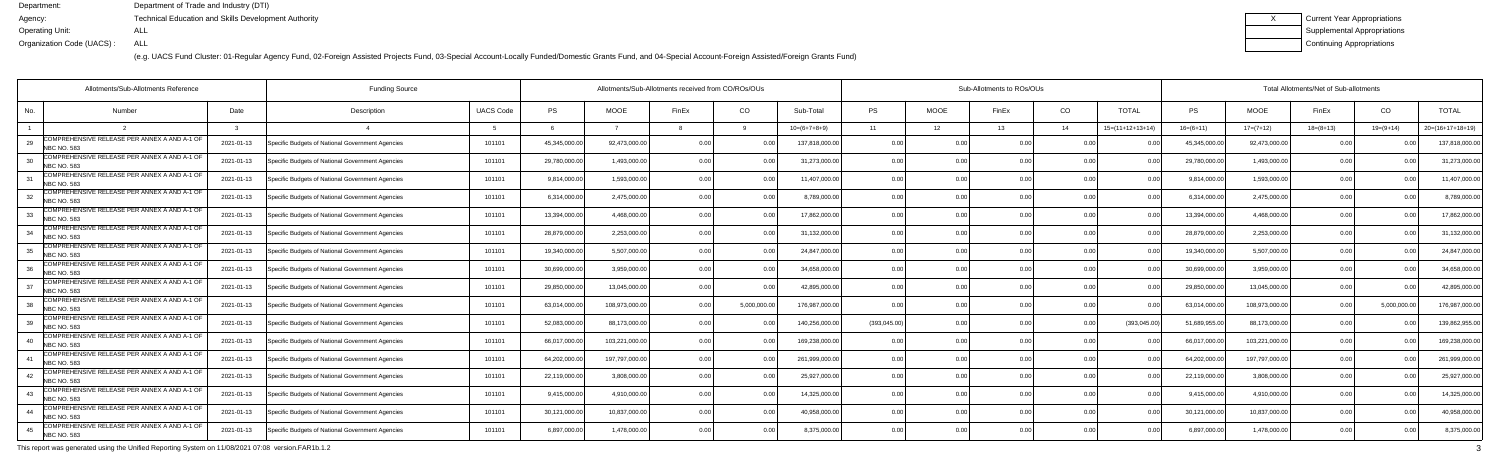(e.g. UACS Fund Cluster: 01-Regular Agency Fund, 02-Foreign Assisted Projects Fund, 03-Special Account-Locally Funded/Domestic Grants Fund, and 04-Special Account-Foreign Assisted/Foreign Grants Fund)

| Current Year Appropriations |
|-----------------------------|
| Supplemental Appropriations |
| Continuing Appropriations   |

|                    | Allotments/Sub-Allotments Reference          | <b>Funding Source</b> | Allotments/Sub-Allotments received from CO/ROs/OUs |                  |               |                |                |                | Sub-Allotments to ROs/OUs |                |             |       |                |                    | Total Allotments/Net of Sub-allotments |                |             |                |                    |  |
|--------------------|----------------------------------------------|-----------------------|----------------------------------------------------|------------------|---------------|----------------|----------------|----------------|---------------------------|----------------|-------------|-------|----------------|--------------------|----------------------------------------|----------------|-------------|----------------|--------------------|--|
| No.                | Number                                       | Date                  | Description                                        | <b>UACS Code</b> | <b>PS</b>     | <b>MOOE</b>    | FinEx          | CO             | Sub-Total                 | <b>PS</b>      | <b>MOOE</b> | FinEx | CO             | <b>TOTAL</b>       | PS                                     | <b>MOOE</b>    | FinEx       | CO             | <b>TOTAL</b>       |  |
|                    |                                              |                       |                                                    |                  | -6            |                |                |                | $10=(6+7+8+9)$            | 11             | 12          | 13    | 14             | $15=(11+12+13+14)$ | $16= (6+11)$                           | $17=(7+12)$    | $18=(8+13)$ | $19=(9+14)$    | $20=(16+17+18+19)$ |  |
| NBC NO. 583        | COMPREHENSIVE RELEASE PER ANNEX A AND A-1 OF | 2021-01-13            | Specific Budgets of National Government Agencies   | 101101           | 45,345,000.00 | 92,473,000.0   | 0.00           |                | 137,818,000.00            | 0.00           | ი ი         | 0.OC  | 0.00           |                    | 45,345,000.0                           | 92,473,000.0   | 0 Q         |                | 137,818,000.0      |  |
| <b>NBC NO. 583</b> | COMPREHENSIVE RELEASE PER ANNEX A AND A-1 OF | 2021-01-13            | Specific Budgets of National Government Agencies   | 101101           | 29,780,000.00 | 1.493.000.0    | 0 <sub>0</sub> | 0 <sub>0</sub> | 31,273,000.00             | 0.00           | 0.00        |       | 0.00           |                    | 29,780,000.0                           | 1,493,000.0    | 0.00        |                | 31,273,000.0       |  |
| <b>NBC NO. 583</b> | COMPREHENSIVE RELEASE PER ANNEX A AND A-1 OF | 2021-01-13            | Specific Budgets of National Government Agencies   | 101101           | 9,814,000.00  | 1,593,000.0    | 0 <sub>0</sub> | 0.00           | 11,407,000.00             | 0.00           | 0.00        |       | 0.00           | 0 <sub>0</sub>     | 9,814,000.0                            | 1,593,000.00   | 0.00        |                | 11,407,000.0       |  |
| <b>NBC NO. 583</b> | COMPREHENSIVE RELEASE PER ANNEX A AND A-1 OF | 2021-01-13            | Specific Budgets of National Government Agencies   | 101101           | 6,314,000.00  | 2,475,000.0    | 0 <sub>0</sub> | 0.00           | 8,789,000.0               | 0.00           | 0.00        |       | 0.00           |                    | 6,314,000.0                            | 2,475,000.0    | 0.00        |                | 8,789,000.0        |  |
| <b>NBC NO. 583</b> | COMPREHENSIVE RELEASE PER ANNEX A AND A-1 OF | 2021-01-13            | Specific Budgets of National Government Agencies   | 101101           | 13,394,000.00 | 4.468.000.0    | 0 <sub>0</sub> | n n            | 17,862,000.00             | 0.00           | 0.00        |       | 0.00           |                    | 13,394,000.0                           | 4,468,000.00   | 0.00        |                | 17,862,000.0       |  |
| <b>NBC NO. 583</b> | COMPREHENSIVE RELEASE PER ANNEX A AND A-1 OF | 2021-01-13            | Specific Budgets of National Government Agencies   | 101101           | 28,879,000.00 | 2,253,000.0    | 0.00           | 0.00           | 31,132,000.00             | 0.00           | 0.00        | 0.OC  | 0.00           | 0 <sub>0</sub>     | 28,879,000.0                           | 2,253,000.00   | 0.00        | 0 <sub>0</sub> | 31,132,000.0       |  |
| <b>NBC NO. 583</b> | COMPREHENSIVE RELEASE PER ANNEX A AND A-1 OF | 2021-01-13            | Specific Budgets of National Government Agencies   | 101101           | 19,340,000.00 | 5,507,000.0    | 0 <sub>0</sub> |                | 24,847,000.00             | 0.00           | 0.00        |       | 0.00           |                    | 19,340,000.0                           | 5,507,000.0    | 0.00        |                | 24,847,000.0       |  |
| <b>NBC NO. 583</b> | COMPREHENSIVE RELEASE PER ANNEX A AND A-1 OF | 2021-01-13            | Specific Budgets of National Government Agencies   | 101101           | 30,699,000.00 | 3,959,000.0    | 0 <sub>0</sub> |                | 34,658,000.00             | 0.00           | 0.00        |       | 0.00           |                    | 30,699,000.0                           | 3,959,000.00   | 0.00        | 0 <sub>0</sub> | 34,658,000.0       |  |
| <b>NBC NO. 583</b> | COMPREHENSIVE RELEASE PER ANNEX A AND A-1 OF | 2021-01-13            | Specific Budgets of National Government Agencies   | 101101           | 29,850,000.00 | 13.045.000.0   | 0 <sub>0</sub> | 0 <sub>0</sub> | 42,895,000.00             | 0.00           | 0.00        |       | 0.00           | 0 <sub>0</sub>     | 29,850,000.0                           | 13,045,000.0   | 0.00        | 0 <sub>0</sub> | 42,895,000.0       |  |
| <b>NBC NO. 583</b> | COMPREHENSIVE RELEASE PER ANNEX A AND A-1 OF | 2021-01-13            | Specific Budgets of National Government Agencies   | 101101           | 63,014,000.00 | 108,973,000.0  | 0 <sub>0</sub> | 5,000,000.     | 176,987,000.00            | 0.00           | 0.00        |       | 0.00           |                    | 63,014,000.0                           | 108,973,000.00 | 0.00        | 5,000,000.00   | 176,987,000.0      |  |
| <b>NBC NO. 583</b> | COMPREHENSIVE RELEASE PER ANNEX A AND A-1 OF | 2021-01-13            | Specific Budgets of National Government Agencies   | 101101           | 52,083,000.00 | 88,173,000.0   | 0 <sub>0</sub> |                | 140,256,000.0             | (393,045.00)   | 0.00        |       | 0.00           | (393,045.00)       | 51,689,955.0                           | 88,173,000.00  | 0.0         |                | 139,862,955.0      |  |
| <b>NBC NO. 583</b> | COMPREHENSIVE RELEASE PER ANNEX A AND A-1 OF | 2021-01-13            | Specific Budgets of National Government Agencies   | 101101           | 66,017,000.00 | 103,221,000.00 | 0 <sub>0</sub> |                | 169,238,000.0             | 0.00           | 0.00        |       | 0.00           |                    | 66,017,000.0                           | 103,221,000.00 | 0.00        |                | 169,238,000.0      |  |
| <b>NBC NO. 583</b> | COMPREHENSIVE RELEASE PER ANNEX A AND A-1 OF | 2021-01-13            | Specific Budgets of National Government Agencies   | 101101           | 64,202,000.00 | 197,797,000.00 | 0 <sub>0</sub> | 0.00           | 261,999,000.00            | 0.00           | 0.00        | 0.OC  | 0.00           | 0 <sub>0</sub>     | 64,202,000.0                           | 197,797,000.00 | 0.00        |                | 261,999,000.0      |  |
| <b>NBC NO. 583</b> | COMPREHENSIVE RELEASE PER ANNEX A AND A-1 OF | 2021-01-13            | Specific Budgets of National Government Agencies   | 101101           | 22,119,000.00 | 3.808.000.0    | 0 <sub>0</sub> |                | 25,927,000.0              | 0.0            | 0.00        |       | 0.00           |                    | 22,119,000.0                           | 3,808,000.0    | 0.00        |                | 25,927,000.0       |  |
| <b>NBC NO. 583</b> | COMPREHENSIVE RELEASE PER ANNEX A AND A-1 OF | 2021-01-13            | Specific Budgets of National Government Agencies   | 101101           | 9,415,000.00  | 4,910,000.0    | 0 <sub>0</sub> | 0 <sub>0</sub> | 14,325,000.00             | 0.00           | 0.00        |       | 0.00           | 0 <sub>0</sub>     | 9,415,000.0                            | 4,910,000.00   | 0.00        |                | 14,325,000.0       |  |
| <b>NBC NO. 583</b> | COMPREHENSIVE RELEASE PER ANNEX A AND A-1 OF | 2021-01-13            | Specific Budgets of National Government Agencies   | 101101           | 30,121,000.00 | 10,837,000.0   | 0.00           | 0.00           | 40,958,000.00             | 0.00           | 0.00        | 0.OC  | 0.00           | 0.00               | 30,121,000.0                           | 10,837,000.00  | 0.00        | 0.00           | 40,958,000.0       |  |
| <b>NBC NO. 583</b> | COMPREHENSIVE RELEASE PER ANNEX A AND A-1 OF | 2021-01-13            | Specific Budgets of National Government Agencies   | 101101           | 6,897,000.00  | 1,478,000.0    |                | 0 <sub>0</sub> | 8,375,000.00              | 0 <sub>0</sub> | 0.00        |       | 0 <sub>0</sub> |                    | 6,897,000.0                            | 1,478,000.00   | 0.00        |                | 8,375,000.0        |  |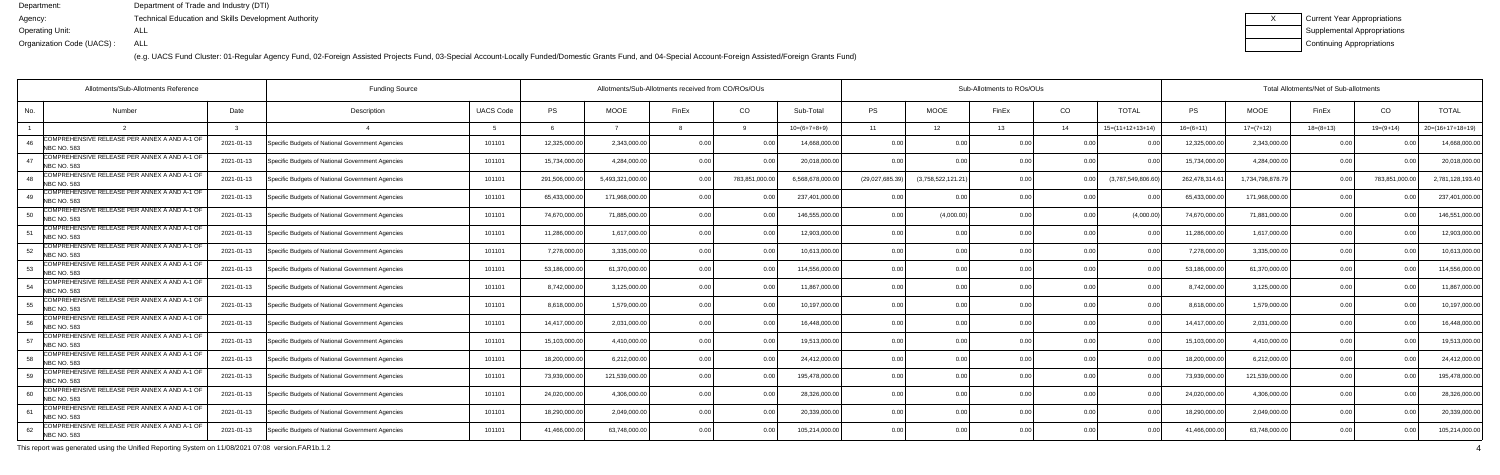(e.g. UACS Fund Cluster: 01-Regular Agency Fund, 02-Foreign Assisted Projects Fund, 03-Special Account-Locally Funded/Domestic Grants Fund, and 04-Special Account-Foreign Assisted/Foreign Grants Fund)

| <b>Current Year Appropriations</b> |
|------------------------------------|
| <b>Supplemental Appropriations</b> |
| Continuing Appropriations          |

|                   | Allotments/Sub-Allotments Reference                                |            |                                                  | Allotments/Sub-Allotments received from CO/ROs/OUs |                |                 |                | Sub-Allotments to ROs/OUs |                 |                 |                    |                |        | Total Allotments/Net of Sub-allotments |               |                 |             |               |                    |  |
|-------------------|--------------------------------------------------------------------|------------|--------------------------------------------------|----------------------------------------------------|----------------|-----------------|----------------|---------------------------|-----------------|-----------------|--------------------|----------------|--------|----------------------------------------|---------------|-----------------|-------------|---------------|--------------------|--|
| No.               | Number                                                             | Date       | Description                                      | <b>UACS Code</b>                                   | <b>PS</b>      | <b>MOOE</b>     | FinEx          | CO                        | Sub-Total       | <b>PS</b>       | <b>MOOE</b>        | FinEx          | CO     | <b>TOTAL</b>                           | <b>PS</b>     | <b>MOOE</b>     | FinEx       | CO            | <b>TOTAL</b>       |  |
|                   |                                                                    |            |                                                  |                                                    |                |                 |                |                           | $10=(6+7+8+9)$  | 11              | 12 <sup>°</sup>    | 13             | 14     | $15=(11+12+13+14)$                     | $16=(6+11)$   | $17=(7+12)$     | $18=(8+13)$ | $19=(9+14)$   | $20=(16+17+18+19)$ |  |
| NBC NO. 583       | COMPREHENSIVE RELEASE PER ANNEX A AND A-1 OF                       | 2021-01-13 | Specific Budgets of National Government Agencies | 101101                                             | 12,325,000.00  | 2,343,000.0     | 0.00           |                           | 14,668,000.00   | 0.00            |                    | n n            |        |                                        | 12,325,000.   | 2,343,000.0     | 0.00        | 0 O           | 14,668,000.00      |  |
|                   | COMPREHENSIVE RELEASE PER ANNEX A AND A-1 OF<br><b>NBC NO. 583</b> | 2021-01-13 | Specific Budgets of National Government Agencies | 101101                                             | 15,734,000.00  | 4,284,000.0     | 0.00           | 0.00                      | 20,018,000.00   | 0.00            | 0.0(               |                | 0.00   |                                        | 15,734,000.0  | 4,284,000.00    | 0.00        | 0.00          | 20,018,000.00      |  |
| 48                | COMPREHENSIVE RELEASE PER ANNEX A AND A-1 OF<br>NBC NO. 583        | 2021-01-13 | Specific Budgets of National Government Agencies | 101101                                             | 291,506,000.00 | 5,493,321,000.0 |                | 783,851,000.00            | 6,568,678,000.0 | (29,027,685.39) | (3,758,522,121.21) | 0.00           |        | (3,787,549,806.6)                      | 262,478,314.6 | 1,734,798,878.7 | 0.00        | 783,851,000.0 | 2,781,128,193.40   |  |
| 49                | COMPREHENSIVE RELEASE PER ANNEX A AND A-1 OF<br><b>NBC NO. 583</b> | 2021-01-13 | Specific Budgets of National Government Agencies | 101101                                             | 65,433,000.0   | 171,968,000.0   | 0 00           |                           | 237,401,000.00  | 0.00            | 0.0(               |                | 0.00   |                                        | 65,433,000.   | 171,968,000.00  | 0.00        |               | 237,401,000.00     |  |
| 50                | COMPREHENSIVE RELEASE PER ANNEX A AND A-1 OF<br><b>NBC NO. 583</b> | 2021-01-13 | Specific Budgets of National Government Agencies | 101101                                             | 74,670,000.00  | 71,885,000.0    | 0.00           | 0.OC                      | 146,555,000.00  | 0.00            | (4,000.00)         |                | 0.00   | (4,000.00)                             | 74,670,000.0  | 71,881,000.00   | 0.00        | 0.00          | 146,551,000.00     |  |
| 51                | COMPREHENSIVE RELEASE PER ANNEX A AND A-1 OF<br><b>NBC NO. 583</b> | 2021-01-13 | Specific Budgets of National Government Agencies | 101101                                             | 11,286,000.00  | 1,617,000.0     | 0.00           | 0.00                      | 12,903,000.00   | 0.00            | 0.00               |                | 0.00   |                                        | 11,286,000.0  | 1,617,000.00    | 0.00        | 0.00          | 12,903,000.00      |  |
| 52                | COMPREHENSIVE RELEASE PER ANNEX A AND A-1 OF<br><b>NBC NO. 583</b> | 2021-01-13 | Specific Budgets of National Government Agencies | 101101                                             | 7,278,000.00   | 3.335.000.0     | 0 00           | 0.00                      | 10,613,000.00   | 0.00            | 0.00               |                | 0.00   |                                        | 7,278,000.0   | 3,335,000.00    | 0.00        | 0.OC          | 10,613,000.00      |  |
| 53<br>NBC NO. 583 | COMPREHENSIVE RELEASE PER ANNEX A AND A-1 OF                       | 2021-01-13 | Specific Budgets of National Government Agencies | 101101                                             | 53,186,000.00  | 61,370,000.0    | 0.00           |                           | 114,556,000.00  | 0.00            | 0.00               |                | 0.00   |                                        | 53,186,000.   | 61,370,000.00   | 0.00        | 0.OC          | 114,556,000.00     |  |
| 54                | COMPREHENSIVE RELEASE PER ANNEX A AND A-1 OF<br>NBC NO. 583        | 2021-01-13 | Specific Budgets of National Government Agencies | 101101                                             | 8,742,000.00   | 3,125,000.0     | 0.00           | 0.00                      | 11,867,000.00   | 0.00            | 0.00               |                | 0.00   | 0.00                                   | 8,742,000.0   | 3,125,000.00    | 0.00        | 0.00          | 11,867,000.00      |  |
| 55                | OMPREHENSIVE RELEASE PER ANNEX A AND A-1 OF<br><b>NBC NO. 583</b>  | 2021-01-13 | Specific Budgets of National Government Agencies | 101101                                             | 8,618,000.00   | 1,579,000.0     | 0.00           | 0.00                      | 10,197,000.00   | 0.00            | 0.00               | 0 <sub>0</sub> | 0.00   |                                        | 8,618,000.    | 1,579,000.00    | 0.00        | 0.OC          | 10,197,000.00      |  |
| 56                | COMPREHENSIVE RELEASE PER ANNEX A AND A-1 OF<br><b>NBC NO. 583</b> | 2021-01-13 | Specific Budgets of National Government Agencies | 101101                                             | 14,417,000.00  | 2,031,000.0     | 0.00           |                           | 16,448,000.00   | 0 <sub>0</sub>  | 0.0(               |                | 0.00   |                                        | 14,417,000.   | 2,031,000.00    | 0.00        | 0.OC          | 16,448,000.00      |  |
| 57                | COMPREHENSIVE RELEASE PER ANNEX A AND A-1 OF<br>NBC NO. 583        | 2021-01-13 | Specific Budgets of National Government Agencies | 101101                                             | 15,103,000.00  | 4,410,000.00    | 0.00           | 0.00                      | 19,513,000.00   | 0.00            | 0.00               |                | 0.00   |                                        | 15,103,000.0  | 4,410,000.00    | 0.00        | 0.00          | 19,513,000.00      |  |
| 58                | COMPREHENSIVE RELEASE PER ANNEX A AND A-1 OF<br><b>NBC NO. 583</b> | 2021-01-13 | Specific Budgets of National Government Agencies | 101101                                             | 18,200,000.00  | 6,212,000.0     | 0.00           | 0.00                      | 24,412,000.00   | 0.00            | 0.00               | n no           | 0.00   |                                        | 18,200,000.0  | 6,212,000.00    | 0.00        | 0.00          | 24,412,000.00      |  |
| 59                | COMPREHENSIVE RELEASE PER ANNEX A AND A-1 OF<br><b>NBC NO. 583</b> | 2021-01-13 | Specific Budgets of National Government Agencies | 101101                                             | 73,939,000.00  | 121,539,000.0   | n nr           |                           | 195,478,000.00  | 0 <sub>0</sub>  | 0.00               |                | 0.00   |                                        | 73,939,000.   | 121,539,000.00  | 0.00        |               | 195,478,000.00     |  |
| 60<br>NBC NO. 583 | COMPREHENSIVE RELEASE PER ANNEX A AND A-1 OF                       | 2021-01-13 | Specific Budgets of National Government Agencies | 101101                                             | 24,020,000.00  | 4,306,000.0     | 0 <sub>0</sub> |                           | 28,326,000.00   | 0.00            | 0.00               |                | 0.00   |                                        | 24,020,000.0  | 4,306,000.00    | 0.00        | 0.OC          | 28,326,000.00      |  |
| 61                | COMPREHENSIVE RELEASE PER ANNEX A AND A-1 OF<br>NBC NO. 583        | 2021-01-13 | Specific Budgets of National Government Agencies | 101101                                             | 18,290,000.00  | 2.049.000.0     | 0.00           | 0.00                      | 20,339,000.00   | 0.00            | 0.00               |                | 0.00   | 0.00                                   | 18,290,000.0  | 2,049,000.00    | 0.00        | 0.00          | 20,339,000.00      |  |
| 62<br>NBC NO. 583 | COMPREHENSIVE RELEASE PER ANNEX A AND A-1 OF                       | 2021-01-13 | Specific Budgets of National Government Agencies | 101101                                             | 41,466,000.00  | 63,748,000.0    |                | 0.00                      | 105,214,000.00  | 0 <sub>0</sub>  | 0.00               |                | . 0 OC |                                        | 41,466,000.   | 63,748,000.00   | 0.00        |               | 105,214,000.00     |  |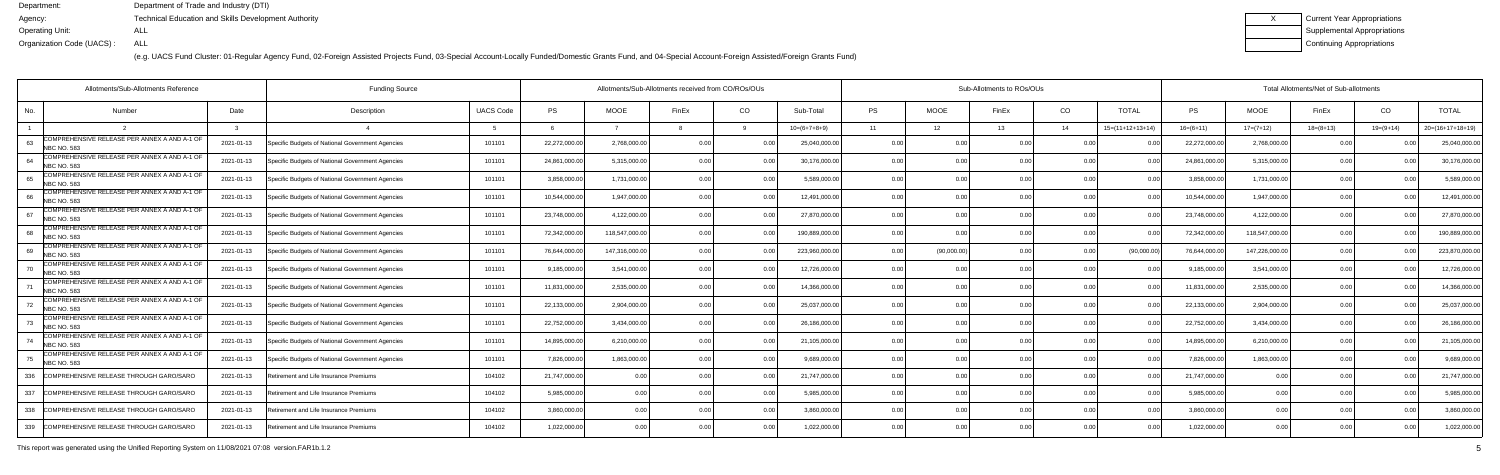(e.g. UACS Fund Cluster: 01-Regular Agency Fund, 02-Foreign Assisted Projects Fund, 03-Special Account-Locally Funded/Domestic Grants Fund, and 04-Special Account-Foreign Assisted/Foreign Grants Fund)

| Current Year Appropriations |
|-----------------------------|
| Supplemental Appropriations |
| Continuing Appropriations   |

|     | Allotments/Sub-Allotments Reference<br><b>Funding Source</b>       |            |                                                  |                  |               |                | Allotments/Sub-Allotments received from CO/ROs/OUs |                |                | Sub-Allotments to ROs/OUs |             |       |      |                    |               | Total Allotments/Net of Sub-allotments |             |                |                    |  |  |  |
|-----|--------------------------------------------------------------------|------------|--------------------------------------------------|------------------|---------------|----------------|----------------------------------------------------|----------------|----------------|---------------------------|-------------|-------|------|--------------------|---------------|----------------------------------------|-------------|----------------|--------------------|--|--|--|
| No. | Number                                                             | Date       | Description                                      | <b>UACS Code</b> | <b>PS</b>     | <b>MOOE</b>    | FinEx                                              | CO             | Sub-Total      | PS                        | <b>MOOE</b> | FinEx | CO.  | <b>TOTAL</b>       | PS            | <b>MOOE</b>                            | FinEx       | CO             | <b>TOTAL</b>       |  |  |  |
|     |                                                                    |            |                                                  |                  | - 6           |                |                                                    |                | $10=(6+7+8+9)$ | 11                        | 12          | 13    | 14   | $15=(11+12+13+14)$ | $16=(6+11)$   | $17=(7+12)$                            | $18=(8+13)$ | $19=(9+14)$    | $20=(16+17+18+19)$ |  |  |  |
|     | COMPREHENSIVE RELEASE PER ANNEX A AND A-1 OF<br><b>NBC NO. 583</b> | 2021-01-13 | Specific Budgets of National Government Agencies | 101101           | 22,272,000.00 | 2,768,000.00   |                                                    |                | 25,040,000.00  | 0.00                      | 0.00        |       | 0.00 |                    | 22,272,000.0  | 2,768,000.00                           | 0.00        |                | 25,040,000.00      |  |  |  |
|     | COMPREHENSIVE RELEASE PER ANNEX A AND A-1 OF<br><b>NBC NO. 583</b> | 2021-01-13 | Specific Budgets of National Government Agencies | 101101           | 24,861,000.00 | 5,315,000.0    | 0 <sub>0</sub>                                     |                | 30,176,000.00  | 0.00                      | 0.00        |       | 0.00 |                    | 24,861,000.0  | 5,315,000.00                           | 0.00        |                | 30,176,000.0       |  |  |  |
|     | COMPREHENSIVE RELEASE PER ANNEX A AND A-1 OF<br>NBC NO. 583        | 2021-01-13 | Specific Budgets of National Government Agencies | 101101           | 3,858,000.00  | 1,731,000.00   | 0.00                                               | 0.00           | 5,589,000.00   | 0.00                      | 0.00        |       | 0.00 | 0.0                | 3,858,000.0   | 1,731,000.00                           | 0.00        |                | 5,589,000.0        |  |  |  |
|     | COMPREHENSIVE RELEASE PER ANNEX A AND A-1 OF<br><b>NBC NO. 583</b> | 2021-01-13 | Specific Budgets of National Government Agencies | 101101           | 10,544,000.00 | 1,947,000.00   | 0.OC                                               | 0.0            | 12,491,000.00  | 0.00                      | 0.00        | 0.00  | 0.00 | 0.0                | 10,544,000.0  | 1,947,000.00                           | 0.00        |                | 12,491,000.0       |  |  |  |
|     | COMPREHENSIVE RELEASE PER ANNEX A AND A-1 OF<br><b>NBC NO. 583</b> | 2021-01-13 | Specific Budgets of National Government Agencies | 101101           | 23,748,000.00 | 4,122,000.00   |                                                    |                | 27,870,000.00  | 0.00                      | 0.00        |       | 0.00 |                    | 23,748,000.   | 4,122,000.00                           | 0.00        |                | 27,870,000.0       |  |  |  |
| 68  | COMPREHENSIVE RELEASE PER ANNEX A AND A-1 OF<br>NBC NO. 583        | 2021-01-13 | Specific Budgets of National Government Agencies | 101101           | 72,342,000.00 | 118,547,000.00 | 0 <sub>0</sub>                                     |                | 190,889,000.00 | 0.00                      | 0.00        |       | 0.00 |                    | 72,342,000.   | 118,547,000.00                         | 0.00        |                | 190,889,000.       |  |  |  |
| 69  | COMPREHENSIVE RELEASE PER ANNEX A AND A-1 OF<br><b>NBC NO. 583</b> | 2021-01-13 | Specific Budgets of National Government Agencies | 101101           | 76,644,000.00 | 147,316,000.00 | n nr                                               | 0 <sub>0</sub> | 223,960,000.00 | 0.00                      | (90,000.00) |       | 0.00 | (90,000.00)        | 76,644,000.0  | 147,226,000.00                         | 0.00        |                | 223,870,000.00     |  |  |  |
|     | COMPREHENSIVE RELEASE PER ANNEX A AND A-1 OF<br><b>NBC NO. 583</b> | 2021-01-13 | Specific Budgets of National Government Agencies | 101101           | 9,185,000.00  | 3,541,000.00   | n n                                                |                | 12,726,000.00  | 0.00                      | 0.00        | n nr  | 0.00 |                    | 9,185,000.0   | 3,541,000.00                           | 0.00        |                | 12,726,000.00      |  |  |  |
|     | COMPREHENSIVE RELEASE PER ANNEX A AND A-1 OF<br><b>NBC NO. 583</b> | 2021-01-13 | Specific Budgets of National Government Agencies | 101101           | 11,831,000.00 | 2,535,000.0    | 0 <sub>0</sub>                                     |                | 14,366,000.00  | 0.00                      | 0.00        |       | 0.00 |                    | 11,831,000.0  | 2,535,000.00                           | 0.00        |                | 14,366,000.0       |  |  |  |
|     | COMPREHENSIVE RELEASE PER ANNEX A AND A-1 OF<br><b>NBC NO. 583</b> | 2021-01-13 | Specific Budgets of National Government Agencies | 101101           | 22,133,000.00 | 2,904,000.0    | n n                                                |                | 25,037,000.00  | 0.00                      | 0.00        |       | 0.00 |                    | 22,133,000.0  | 2,904,000.00                           | 0.00        |                | 25,037,000.0       |  |  |  |
|     | COMPREHENSIVE RELEASE PER ANNEX A AND A-1 OF<br><b>NBC NO. 583</b> | 2021-01-13 | Specific Budgets of National Government Agencies | 101101           | 22,752,000.00 | 3,434,000.0    | 0 <sub>0</sub>                                     | 0.00           | 26,186,000.00  | 0.00                      | 0.00        |       | 0.00 |                    | 22,752,000.00 | 3,434,000.00                           | 0.00        |                | 26,186,000.0       |  |  |  |
|     | COMPREHENSIVE RELEASE PER ANNEX A AND A-1 OF<br><b>NBC NO. 583</b> | 2021-01-13 | Specific Budgets of National Government Agencies | 101101           | 14,895,000.00 | 6,210,000.00   | 0.OC                                               | 0.0            | 21,105,000.00  | 0.00                      | 0.00        | n nr  | 0.00 |                    | 14,895,000.   | 6,210,000.00                           | 0.00        |                | 21,105,000.0       |  |  |  |
|     | COMPREHENSIVE RELEASE PER ANNEX A AND A-1 OF<br><b>NBC NO. 583</b> | 2021-01-13 | Specific Budgets of National Government Agencies | 101101           | 7,826,000.00  | 1,863,000.0    |                                                    | 0.0            | 9,689,000.00   | 0.00                      | 0.00        |       | 0.00 |                    | 7,826,000.    | 1,863,000.00                           | 0.00        |                | 9,689,000.0        |  |  |  |
| 336 | COMPREHENSIVE RELEASE THROUGH GARO/SARC                            | 2021-01-13 | etirement and Life Insurance Premiums            | 104102           | 21,747,000.00 | 0.0            | 0.0                                                | 0 <sub>0</sub> | 21,747,000.00  | 0.00                      | 0.00        | n nr  | 0.00 |                    | 21,747,000.00 | 0.00                                   | 0.00        |                | 21,747,000.00      |  |  |  |
| 337 | COMPREHENSIVE RELEASE THROUGH GARO/SARC                            | 2021-01-13 | Retirement and Life Insurance Premiums           | 104102           | 5,985,000.00  | 0.00           | 0 <sub>0</sub>                                     | 0.00           | 5,985,000.00   | 0.00                      | 0.00        | 0.00  | 0.00 |                    | 5,985,000.00  | 0.00                                   | 0.00        |                | 5,985,000.00       |  |  |  |
| 338 | COMPREHENSIVE RELEASE THROUGH GARO/SARO                            | 2021-01-13 | Retirement and Life Insurance Premiums           | 104102           | 3,860,000.00  | 0.00           |                                                    | . በ በ          | 3,860,000.00   | 0.00                      | 0.00        |       | 0.00 |                    | 3,860,000.00  | 0.00                                   | 0.00        |                | 3,860,000.0        |  |  |  |
|     | 339 COMPREHENSIVE RELEASE THROUGH GARO/SARO                        | 2021-01-13 | Retirement and Life Insurance Premiums           | 104102           | 1,022,000.00  | 0.00           |                                                    | 0.00           | 1,022,000.00   | 0.00                      | 0.00        |       | 0.00 |                    | 1,022,000.00  | 0.00                                   | 0.00        | 0 <sub>0</sub> | 1,022,000.00       |  |  |  |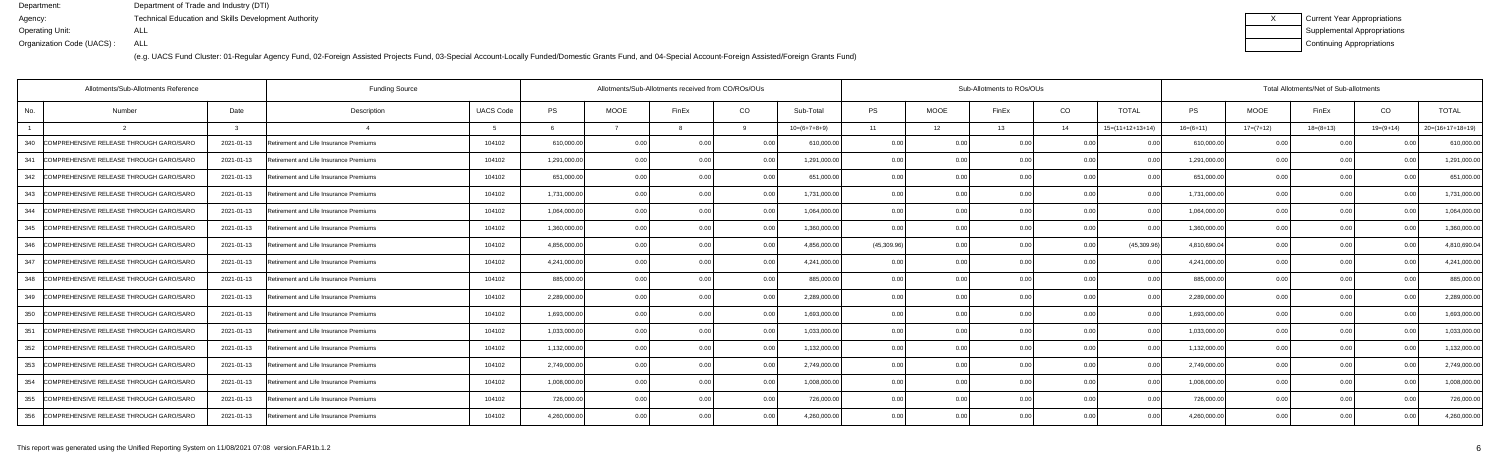(e.g. UACS Fund Cluster: 01-Regular Agency Fund, 02-Foreign Assisted Projects Fund, 03-Special Account-Locally Funded/Domestic Grants Fund, and 04-Special Account-Foreign Assisted/Foreign Grants Fund)

| Current Year Appropriations |
|-----------------------------|
| Supplemental Appropriations |
| Continuing Appropriations   |

|     | Allotments/Sub-Allotments Reference     |            | <b>Funding Source</b>                  |                  | Allotments/Sub-Allotments received from CO/ROs/OUs |             |                |      |                |             | Sub-Allotments to ROs/OUs |       |                |                    |              |             | Total Allotments/Net of Sub-allotments |                |                    |  |  |  |
|-----|-----------------------------------------|------------|----------------------------------------|------------------|----------------------------------------------------|-------------|----------------|------|----------------|-------------|---------------------------|-------|----------------|--------------------|--------------|-------------|----------------------------------------|----------------|--------------------|--|--|--|
| No. | Number                                  | Date       | Description                            | <b>UACS Code</b> | <b>PS</b>                                          | <b>MOOE</b> | FinEx          | CO   | Sub-Total      | <b>PS</b>   | <b>MOOE</b>               | FinEx | CO             | <b>TOTAL</b>       | PS           | <b>MOOE</b> | FinEx                                  | CO             | <b>TOTAL</b>       |  |  |  |
|     |                                         |            |                                        |                  |                                                    |             |                |      | $10=(6+7+8+9)$ | 11          | 12                        | 13    | 14             | $15=(11+12+13+14)$ | $16=(6+11)$  | $17=(7+12)$ | $18=(8+13)$                            | $19=(9+14)$    | $20=(16+17+18+19)$ |  |  |  |
| 340 | COMPREHENSIVE RELEASE THROUGH GARO/SARO | 2021-01-13 | Retirement and Life Insurance Premiums | 104102           | 610,000.00                                         | 0.00        | 0.00           | 0.00 | 610,000.00     | 0.00        | 0.00                      | 0.00  | 0.0(           |                    | 610,000.00   | 0.00        | 0.00                                   |                | 610,000.00         |  |  |  |
| 341 | COMPREHENSIVE RELEASE THROUGH GARO/SARO | 2021-01-13 | Retirement and Life Insurance Premiums | 104102           | 1,291,000.00                                       | 0.00        | 0.0            | 0.00 | 1,291,000.00   | 0.00        | 0.00                      |       | 0.00           |                    | 1,291,000.00 | 0.00        | 0.00                                   |                | 1,291,000.00       |  |  |  |
| 342 | COMPREHENSIVE RELEASE THROUGH GARO/SARO | 2021-01-13 | Retirement and Life Insurance Premiums | 104102           | 651,000.00                                         | 0.00        | 0 <sub>0</sub> | 0.00 | 651,000.00     | 0.00        | 0.00                      | ስ ስበ  | 0.00           | 00                 | 651,000.00   | 0.00        | 0.00                                   |                | 651,000.0          |  |  |  |
| 343 | COMPREHENSIVE RELEASE THROUGH GARO/SARO | 2021-01-13 | Retirement and Life Insurance Premiums | 104102           | 1,731,000.00                                       | 0.00        | 0 <sub>0</sub> | 0.00 | 1,731,000.00   | 0.00        | 0.00                      | 0.00  | 0.00           | 0.00               | 1,731,000.00 | 0.00        | 0.00                                   | 0 <sub>0</sub> | 1,731,000.00       |  |  |  |
| 344 | COMPREHENSIVE RELEASE THROUGH GARO/SARO | 2021-01-13 | Retirement and Life Insurance Premiums | 104102           | 1,064,000.00                                       | 0.00        |                | 0.00 | 1,064,000.00   | 0.00        | 0.00                      |       | 0.0(           |                    | 1,064,000.00 | 0.00        | 0.00                                   |                | 1,064,000.00       |  |  |  |
| 345 | COMPREHENSIVE RELEASE THROUGH GARO/SARO | 2021-01-13 | Retirement and Life Insurance Premiums | 104102           | 1,360,000.00                                       | 0.00        |                | 0 Q  | 1,360,000.00   | 0.00        | 0.00                      | ስ ስ   | 0.0(           | 00                 | 1,360,000.00 | 0.00        | 0.00                                   |                | 1,360,000.0        |  |  |  |
| 346 | COMPREHENSIVE RELEASE THROUGH GARO/SARO | 2021-01-13 | Retirement and Life Insurance Premiums | 104102           | 4,856,000.00                                       | 0.00        |                | 0.00 | 4,856,000.00   | (45,309.96) | 0.00                      |       | 0.00           | (45,309.96)        | 4,810,690.04 | 0.00        | 0.00                                   |                | 4,810,690.0        |  |  |  |
| 347 | COMPREHENSIVE RELEASE THROUGH GARO/SARO | 2021-01-13 | Retirement and Life Insurance Premiums | 104102           | 4,241,000.00                                       | 0.00        |                | 0.00 | 4,241,000.00   | 0.00        | 0.00                      |       | 0.0(           |                    | 4,241,000.00 | 0.00        | 0.00                                   |                | 4,241,000.00       |  |  |  |
| 348 | COMPREHENSIVE RELEASE THROUGH GARO/SARO | 2021-01-13 | Retirement and Life Insurance Premiums | 104102           | 885,000.00                                         | 0.00        | 0 <sub>0</sub> | 0.00 | 885,000.00     | 0.00        | 0.00                      |       | 0.0(           | $\Omega$           | 885,000.00   | 0.00        | 0.00                                   |                | 885,000.0          |  |  |  |
| 349 | COMPREHENSIVE RELEASE THROUGH GARO/SARO | 2021-01-13 | Retirement and Life Insurance Premiums | 104102           | 2,289,000.00                                       | 0.00        |                | 0.00 | 2,289,000.00   | 0.00        | 0.00                      |       | 0.00           | 0.00               | 2,289,000.00 | 0.00        | 0.00                                   |                | 2,289,000.00       |  |  |  |
| 350 | COMPREHENSIVE RELEASE THROUGH GARO/SARO | 2021-01-13 | Retirement and Life Insurance Premiums | 104102           | 1,693,000.00                                       | 0.00        |                | 0.00 | 1,693,000.00   | 0.00        | 0.00                      |       | 0.0(           |                    | 1,693,000.00 | 0.00        | 0.00                                   |                | 1,693,000.0        |  |  |  |
| 351 | COMPREHENSIVE RELEASE THROUGH GARO/SARO | 2021-01-13 | Retirement and Life Insurance Premiums | 104102           | 1,033,000.00                                       | 0.00        |                | 0.00 | 1,033,000.00   | 0.00        | 0.00                      |       | 0.0(           | 00                 | 1,033,000.00 | 0.00        | 0.00                                   |                | 1,033,000.0        |  |  |  |
| 352 | COMPREHENSIVE RELEASE THROUGH GARO/SARO | 2021-01-13 | Retirement and Life Insurance Premiums | 104102           | 1,132,000.00                                       | 0.00        |                | 0.00 | 1,132,000.00   | 0.00        | 0.00                      |       | 0.00           | 0.00               | 1,132,000.00 | 0.00        | 0.00                                   |                | 1,132,000.00       |  |  |  |
| 353 | COMPREHENSIVE RELEASE THROUGH GARO/SARO | 2021-01-13 | Retirement and Life Insurance Premiums | 104102           | 2,749,000.00                                       | 0.00        |                | 0.00 | 2,749,000.00   | 0.00        | 0.00                      |       | 0.00           |                    | 2,749,000.00 | 0.00        | 0.00                                   |                | 2,749,000.00       |  |  |  |
| 354 | COMPREHENSIVE RELEASE THROUGH GARO/SARO | 2021-01-13 | Retirement and Life Insurance Premiums | 104102           | 1,008,000.00                                       | 0.00        | 0 <sub>0</sub> | 0.00 | 1,008,000.00   | 0.00        | 0.00                      |       | 0 <sub>0</sub> | $\Omega$           | 1,008,000.00 | 0.00        | 0.00                                   |                | 1,008,000.0        |  |  |  |
| 355 | COMPREHENSIVE RELEASE THROUGH GARO/SARO | 2021-01-13 | Retirement and Life Insurance Premiums | 104102           | 726,000.00                                         | 0.00        |                | 0.00 | 726,000.00     | 0.00        | 0.00                      |       | 0.00           | 0.00               | 726,000.00   | 0.00        | 0.00                                   |                | 726,000.00         |  |  |  |
| 356 | COMPREHENSIVE RELEASE THROUGH GARO/SARO | 2021-01-13 | Retirement and Life Insurance Premiums | 104102           | 4,260,000.00                                       | 0.00        |                | 0.00 | 4,260,000.00   | 0.00        | 0.00                      | 0.00  | 0.00           | 0 U                | 4,260,000.00 | 0.00        | 0.00                                   |                | 4,260,000.00       |  |  |  |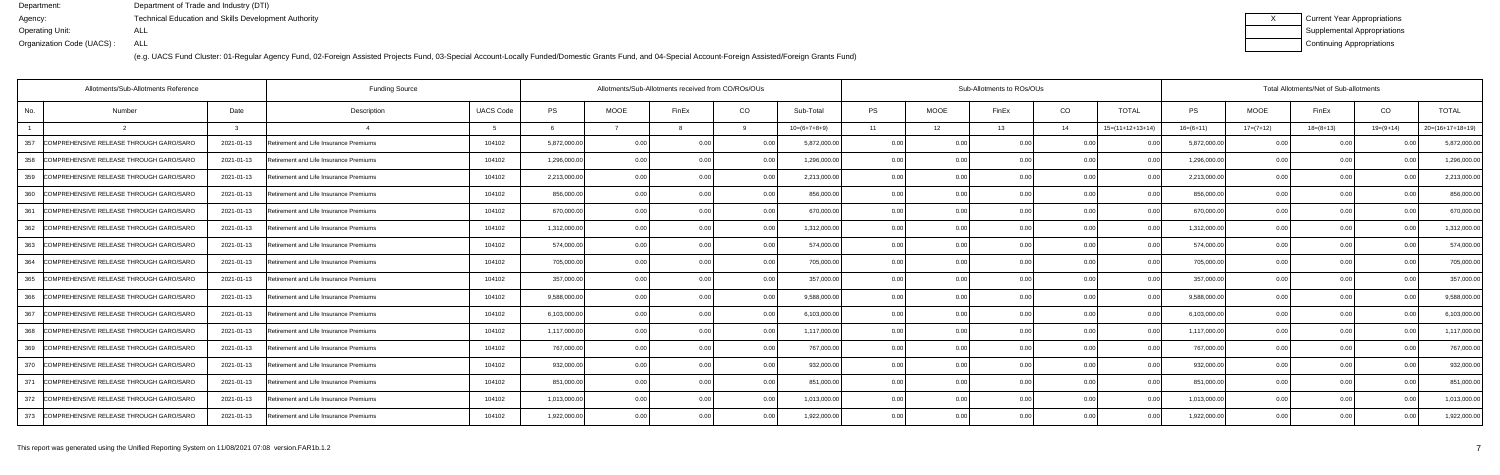| <b>Current Year Appropriations</b> |
|------------------------------------|
| <b>Supplemental Appropriations</b> |
| Continuing Appropriations          |

|     | Allotments/Sub-Allotments Reference         |            | <b>Funding Source</b>                  | Allotments/Sub-Allotments received from CO/ROs/OUs |              | Sub-Allotments to ROs/OUs |                |      |                |           |             | Total Allotments/Net of Sub-allotments |                |                    |              |             |             |             |                    |
|-----|---------------------------------------------|------------|----------------------------------------|----------------------------------------------------|--------------|---------------------------|----------------|------|----------------|-----------|-------------|----------------------------------------|----------------|--------------------|--------------|-------------|-------------|-------------|--------------------|
| No. | Number                                      | Date       | Description                            | <b>UACS Code</b>                                   | <b>PS</b>    | <b>MOOE</b>               | FinEx          | CO   | Sub-Total      | <b>PS</b> | <b>MOOE</b> | FinEx                                  | CO             | <b>TOTAL</b>       | PS           | <b>MOOE</b> | FinEx       | CO          | <b>TOTAL</b>       |
|     |                                             |            |                                        |                                                    |              |                           |                |      | $10=(6+7+8+9)$ | 11        | 12          | 13                                     | 14             | $15=(11+12+13+14)$ | $16=(6+11)$  | $17=(7+12)$ | $18=(8+13)$ | $19=(9+14)$ | $20=(16+17+18+19)$ |
| 357 | COMPREHENSIVE RELEASE THROUGH GARO/SARO     | 2021-01-13 | Retirement and Life Insurance Premiums | 104102                                             | 5,872,000.00 | 0.00                      | 0.00           | 0.00 | 5,872,000.00   | 0.00      | 0.00        | 0.00                                   | 0.0(           |                    | 5,872,000.00 | 0.00        | 0.00        |             | 5,872,000.00       |
| 358 | COMPREHENSIVE RELEASE THROUGH GARO/SARO     | 2021-01-13 | Retirement and Life Insurance Premiums | 104102                                             | 1,296,000.00 | 0.00                      | 0.0            | 0.00 | 1,296,000.00   | 0.00      | 0.00        |                                        | 0.00           |                    | 1,296,000.00 | 0.00        | 0.00        |             | 1,296,000.00       |
| 359 | COMPREHENSIVE RELEASE THROUGH GARO/SARO     | 2021-01-13 | Retirement and Life Insurance Premiums | 104102                                             | 2,213,000.00 | 0.00                      | 0 <sub>0</sub> | 0.00 | 2,213,000.00   | 0.00      | 0.00        | ስ ስበ                                   | 0.00           | 00                 | 2,213,000.00 | 0.00        | 0.00        |             | 2,213,000.0        |
| 360 | COMPREHENSIVE RELEASE THROUGH GARO/SARO     | 2021-01-13 | Retirement and Life Insurance Premiums | 104102                                             | 856,000.00   | 0.00                      | 0 <sub>0</sub> | 0.00 | 856,000.00     | 0.00      | 0.00        | 0.00                                   | 0.00           | 0.00               | 856,000.00   | 0.00        | 0.00        |             | 856,000.00         |
| 361 | COMPREHENSIVE RELEASE THROUGH GARO/SARO     | 2021-01-13 | Retirement and Life Insurance Premiums | 104102                                             | 670,000.00   | 0.00                      |                | 0.00 | 670,000.00     | 0.00      | 0.00        |                                        | 0.0(           |                    | 670,000.00   | 0.00        | 0.00        |             | 670,000.00         |
| 362 | COMPREHENSIVE RELEASE THROUGH GARO/SARO     | 2021-01-13 | Retirement and Life Insurance Premiums | 104102                                             | 1,312,000.00 | 0.00                      |                | 0.00 | 1,312,000.00   | 0.00      | 0.00        |                                        | 0.0(           |                    | 1,312,000.00 | 0.00        | 0.00        |             | 1,312,000.0        |
|     | 363 COMPREHENSIVE RELEASE THROUGH GARO/SARO | 2021-01-13 | Retirement and Life Insurance Premiums | 104102                                             | 574,000.00   | 0.00                      |                | 0.00 | 574,000.00     | 0.00      | 0.00        |                                        | 0.00           | 0.00               | 574,000.00   | 0.00        | 0.00        |             | 574,000.00         |
| 364 | COMPREHENSIVE RELEASE THROUGH GARO/SARO     | 2021-01-13 | Retirement and Life Insurance Premiums | 104102                                             | 705,000.00   | 0.00                      |                | 0.00 | 705,000.00     | 0.00      | 0.00        |                                        | 0.0(           |                    | 705,000.00   | 0.00        | 0.00        |             | 705,000.00         |
| 365 | COMPREHENSIVE RELEASE THROUGH GARO/SARO     | 2021-01-13 | Retirement and Life Insurance Premiums | 104102                                             | 357,000.00   | 0.00                      | n ni           | 0.00 | 357,000.00     | 0.00      | 0.00        |                                        | 0.0(           | $\Omega$           | 357,000.00   | 0.00        | 0.00        |             | 357,000.0          |
| 366 | COMPREHENSIVE RELEASE THROUGH GARO/SARO     | 2021-01-13 | Retirement and Life Insurance Premiums | 104102                                             | 9,588,000.00 | 0.00                      |                | 0.00 | 9,588,000.00   | 0.00      | 0.00        |                                        | 0.00           | 0.00               | 9,588,000.00 | 0.00        | 0.00        |             | 9,588,000.0        |
| 367 | COMPREHENSIVE RELEASE THROUGH GARO/SARO     | 2021-01-13 | Retirement and Life Insurance Premiums | 104102                                             | 6,103,000.00 | 0.00                      |                | 0.00 | 6,103,000.00   | 0.00      | 0.00        |                                        | 0.0(           |                    | 6,103,000.00 | 0.00        | 0.00        |             | 6,103,000.0        |
| 368 | COMPREHENSIVE RELEASE THROUGH GARO/SARO     | 2021-01-13 | Retirement and Life Insurance Premiums | 104102                                             | 1,117,000.00 | 0.00                      |                | 0.00 | 1,117,000.00   | 0.00      | 0.00        |                                        | 0.0(           | 00                 | 1,117,000.00 | 0.00        | 0.00        |             | 1,117,000.0        |
| 369 | COMPREHENSIVE RELEASE THROUGH GARO/SARO     | 2021-01-13 | Retirement and Life Insurance Premiums | 104102                                             | 767,000.00   | 0.00                      |                | 0.00 | 767,000.00     | 0.00      | 0.00        |                                        | 0.00           | 0.00               | 767,000.00   | 0.00        | 0.00        |             | 767,000.00         |
| 370 | COMPREHENSIVE RELEASE THROUGH GARO/SARO     | 2021-01-13 | Retirement and Life Insurance Premiums | 104102                                             | 932,000.00   | 0.00                      |                | 0.00 | 932,000.00     | 0.00      | 0.00        |                                        | 0.00           |                    | 932,000.00   | 0.00        | 0.00        |             | 932,000.00         |
| 371 | COMPREHENSIVE RELEASE THROUGH GARO/SARO     | 2021-01-13 | Retirement and Life Insurance Premiums | 104102                                             | 851,000.00   | 0.00                      |                | 0.00 | 851,000.00     | 0.00      | 0.00        |                                        | 0 <sub>0</sub> | $\Omega$           | 851,000.00   | 0.00        | 0.00        |             | 851,000.0          |
| 372 | COMPREHENSIVE RELEASE THROUGH GARO/SARO     | 2021-01-13 | Retirement and Life Insurance Premiums | 104102                                             | 1,013,000.00 | 0.00                      |                | 0.00 | 1,013,000.00   | 0.00      | 0.00        |                                        | 0.00           | 0.00               | 1,013,000.00 | 0.00        | 0.00        |             | 1,013,000.00       |
|     | 373 COMPREHENSIVE RELEASE THROUGH GARO/SARO | 2021-01-13 | Retirement and Life Insurance Premiums | 104102                                             | 1,922,000.00 | 0.00                      |                | 0.00 | 1,922,000.00   | 0.00      | 0.00        | 0.00                                   | 0.00           | 0 U                | 1,922,000.00 | 0.00        | 0.00        |             | 1,922,000.00       |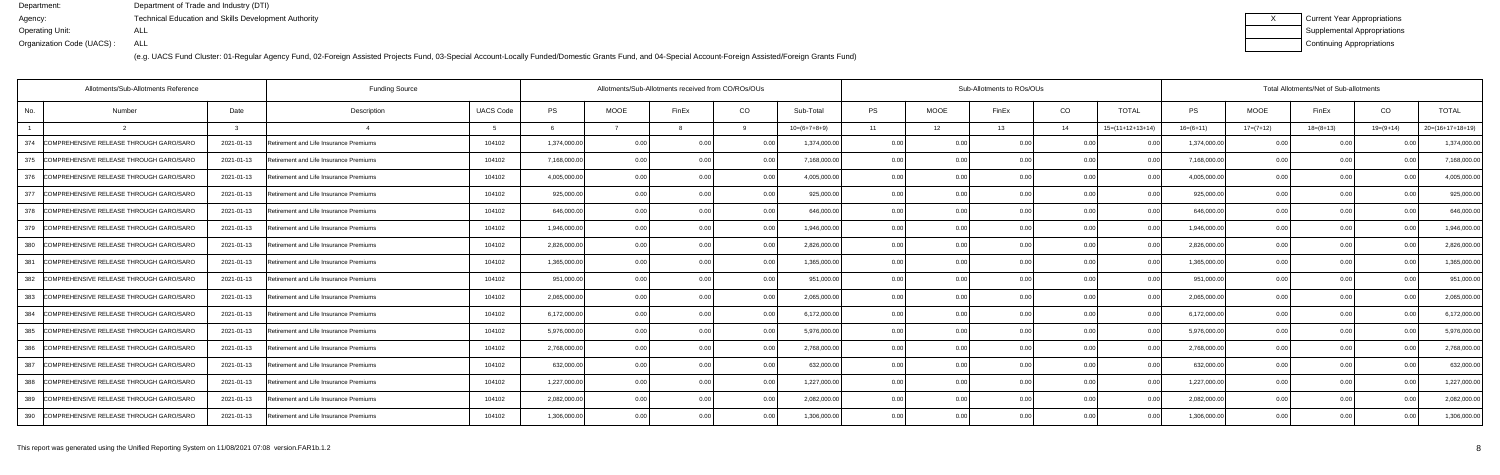(e.g. UACS Fund Cluster: 01-Regular Agency Fund, 02-Foreign Assisted Projects Fund, 03-Special Account-Locally Funded/Domestic Grants Fund, and 04-Special Account-Foreign Assisted/Foreign Grants Fund)

| Current Year Appropriations |
|-----------------------------|
| Supplemental Appropriations |
| Continuing Appropriations   |

|     | Allotments/Sub-Allotments Reference     |              | <b>Funding Source</b>                  | Allotments/Sub-Allotments received from CO/ROs/OUs |              |             |                | Sub-Allotments to ROs/OUs |                |           |             |       |                | Total Allotments/Net of Sub-allotments |              |             |             |                |                    |  |
|-----|-----------------------------------------|--------------|----------------------------------------|----------------------------------------------------|--------------|-------------|----------------|---------------------------|----------------|-----------|-------------|-------|----------------|----------------------------------------|--------------|-------------|-------------|----------------|--------------------|--|
| No. | Number                                  | Date         | Description                            | <b>UACS Code</b>                                   | <b>PS</b>    | <b>MOOE</b> | FinEx          | CO                        | Sub-Total      | <b>PS</b> | <b>MOOE</b> | FinEx | CO             | <b>TOTAL</b>                           | PS           | <b>MOOE</b> | FinEx       | CO             | <b>TOTAL</b>       |  |
|     |                                         | $\mathbf{r}$ |                                        | -5                                                 |              |             |                |                           | $10=(6+7+8+9)$ | 11        | 12          | 13    | 14             | $15=(11+12+13+14)$                     | $16=(6+11)$  | $17=(7+12)$ | $18=(8+13)$ | $19=(9+14)$    | $20=(16+17+18+19)$ |  |
| 374 | COMPREHENSIVE RELEASE THROUGH GARO/SARO | 2021-01-13   | Retirement and Life Insurance Premiums | 104102                                             | 1,374,000.00 | 0.00        | 0 <sub>0</sub> | 0.00                      | 1,374,000.00   | 0.00      | 0.00        | 0.00  | 0.0(           |                                        | 1,374,000.00 | 0.00        | 0.00        |                | 1,374,000.00       |  |
| 375 | COMPREHENSIVE RELEASE THROUGH GARO/SARO | 2021-01-13   | Retirement and Life Insurance Premiums | 104102                                             | 7,168,000.00 | 0.00        | 0.00           | 0.00                      | 7,168,000.00   | 0.00      | 0.00        |       | 0.00           |                                        | 7,168,000.00 | 0.00        | 0.00        |                | 7,168,000.0        |  |
| 376 | COMPREHENSIVE RELEASE THROUGH GARO/SARO | 2021-01-13   | Retirement and Life Insurance Premiums | 104102                                             | 4,005,000.00 | 0.00        | 0 <sub>0</sub> | 0.00                      | 4,005,000.00   | 0.00      | 0.00        | 0.00  | 0.00           | 0.00                                   | 4,005,000.00 | 0.00        | 0.00        | 0 <sub>0</sub> | 4,005,000.0        |  |
| 377 | COMPREHENSIVE RELEASE THROUGH GARO/SARO | 2021-01-13   | Retirement and Life Insurance Premiums | 104102                                             | 925,000.00   | 0.00        | 0 <sub>0</sub> | 0.00                      | 925,000.00     | 0.00      | 0.00        | 0.00  | 0.00           | 0.00                                   | 925,000.00   | 0.00        | 0.00        | 0 <sub>0</sub> | 925,000.00         |  |
| 378 | COMPREHENSIVE RELEASE THROUGH GARO/SARO | 2021-01-13   | Retirement and Life Insurance Premiums | 104102                                             | 646,000.00   | 0.00        |                | 0.00                      | 646,000.00     | 0.00      | 0.00        |       | 0.00           |                                        | 646,000.00   | 0.00        | 0.00        |                | 646,000.0          |  |
| 379 | COMPREHENSIVE RELEASE THROUGH GARO/SARO | 2021-01-13   | Retirement and Life Insurance Premiums | 104102                                             | 1,946,000.00 | 0.00        | 0 <sub>0</sub> | 0.00                      | 1,946,000.00   | 0.00      | 0.00        | 0.00  | 0.00           | 0.00                                   | 1,946,000.00 | 0.00        | 0.00        | 0 <sub>0</sub> | 1,946,000.0        |  |
| 380 | COMPREHENSIVE RELEASE THROUGH GARO/SARO | 2021-01-13   | Retirement and Life Insurance Premiums | 104102                                             | 2,826,000.00 | 0.00        | 0.00           | 0.00                      | 2,826,000.00   | 0.00      | 0.00        | 0.00  | 0.00           | 0.00                                   | 2,826,000.00 | 0.00        | 0.00        | 0.00           | 2,826,000.00       |  |
| 381 | COMPREHENSIVE RELEASE THROUGH GARO/SARO | 2021-01-13   | Retirement and Life Insurance Premiums | 104102                                             | 1,365,000.00 | 0.00        | 0 <sub>0</sub> | 0.00                      | 1,365,000.00   | 0.00      | 0.00        |       | 0.00           |                                        | 1,365,000.00 | 0.00        | 0.00        |                | 1,365,000.00       |  |
| 382 | COMPREHENSIVE RELEASE THROUGH GARO/SARO | 2021-01-13   | Retirement and Life Insurance Premiums | 104102                                             | 951,000.00   | 0.00        | 0 <sub>0</sub> | 0.00                      | 951.000.00     | 0.00      | 0.00        | 0.00  | 0.00           | 0.00                                   | 951,000.00   | 0.00        | 0.00        |                | 951,000.0          |  |
| 383 | COMPREHENSIVE RELEASE THROUGH GARO/SARO | 2021-01-13   | Retirement and Life Insurance Premiums | 104102                                             | 2,065,000.00 | 0.00        | 0 OC           | 0.00                      | 2,065,000.00   | 0.00      | 0.00        | 0.00  | 0.00           | 0.00                                   | 2,065,000.00 | 0.00        | 0.00        | n nr           | 2,065,000.00       |  |
| 384 | COMPREHENSIVE RELEASE THROUGH GARO/SARO | 2021-01-13   | Retirement and Life Insurance Premiums | 104102                                             | 6,172,000.00 | 0.00        |                | 0.00                      | 6,172,000.00   | 0.00      | 0.00        |       | 0.0(           |                                        | 6,172,000.00 | 0.00        | 0.00        |                | 6,172,000.00       |  |
| 385 | COMPREHENSIVE RELEASE THROUGH GARO/SARO | 2021-01-13   | Retirement and Life Insurance Premiums | 104102                                             | 5,976,000.00 | 0.00        | 0 <sub>0</sub> | 0.00                      | 5,976,000.00   | 0.00      | 0.00        |       | 0.0(           |                                        | 5,976,000.00 | 0.00        | 0.00        |                | 5,976,000.0        |  |
| 386 | COMPREHENSIVE RELEASE THROUGH GARO/SARO | 2021-01-13   | Retirement and Life Insurance Premiums | 104102                                             | 2,768,000.00 | 0.00        |                | 0.00                      | 2,768,000.00   | 0.00      | 0.00        |       | 0.00           |                                        | 2,768,000.00 | 0.00        | 0.00        |                | 2,768,000.00       |  |
| 387 | COMPREHENSIVE RELEASE THROUGH GARO/SARO | 2021-01-13   | Retirement and Life Insurance Premiums | 104102                                             | 632,000.00   | 0.00        |                | 0.00                      | 632,000.00     | 0.00      | 0.00        |       | 0.00           |                                        | 632,000.00   | 0.00        | 0.00        |                | 632,000.00         |  |
| 388 | COMPREHENSIVE RELEASE THROUGH GARO/SARO | 2021-01-13   | Retirement and Life Insurance Premiums | 104102                                             | 1,227,000.00 | 0.00        | 0 <sub>0</sub> | . O OO                    | 1,227,000.00   | 0.00      | 0.00        |       | 0 <sub>0</sub> | $\Omega$                               | 1,227,000.00 | 0.00        | 0.00        |                | 1,227,000.0        |  |
| 389 | COMPREHENSIVE RELEASE THROUGH GARO/SARO | 2021-01-13   | Retirement and Life Insurance Premiums | 104102                                             | 2,082,000.00 | 0.00        |                | 0.00                      | 2,082,000.00   | 0.00      | 0.00        |       | 0.00           | 0.00                                   | 2,082,000.00 | 0.00        | 0.00        |                | 2,082,000.00       |  |
| 390 | COMPREHENSIVE RELEASE THROUGH GARO/SARO | 2021-01-13   | Retirement and Life Insurance Premiums | 104102                                             | 1,306,000.00 | 0.00        |                | 0.00                      | 1.306.000.00   | 0.00      | 0.00        |       | 0.00           |                                        | 1.306.000.00 | 0.00        | 0.00        |                | 1,306,000.00       |  |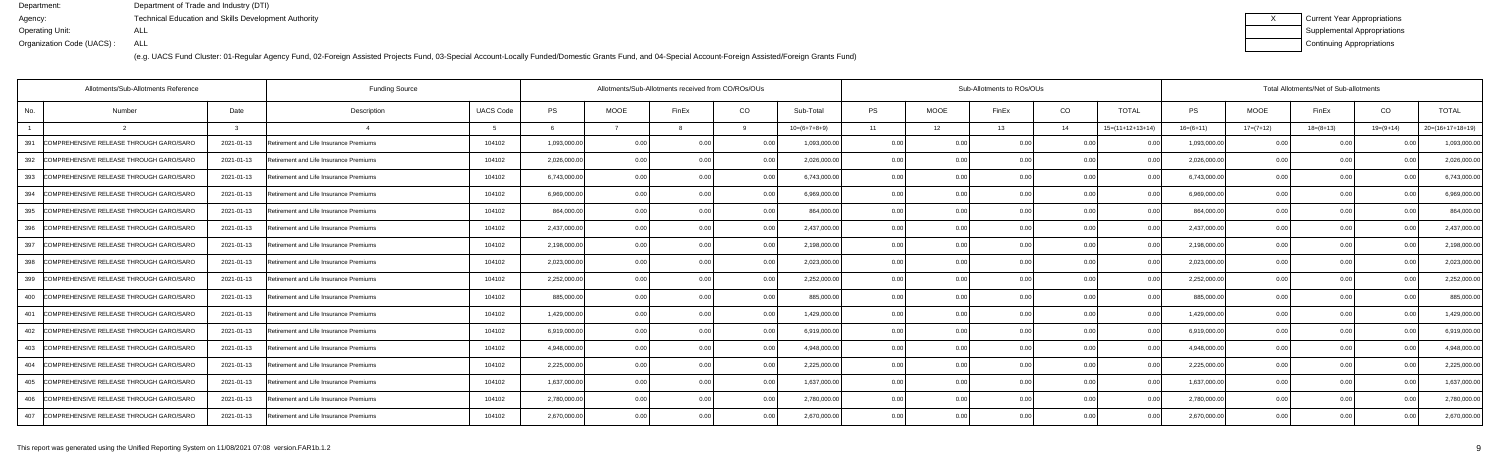(e.g. UACS Fund Cluster: 01-Regular Agency Fund, 02-Foreign Assisted Projects Fund, 03-Special Account-Locally Funded/Domestic Grants Fund, and 04-Special Account-Foreign Assisted/Foreign Grants Fund)

| Current Year Appropriations |
|-----------------------------|
| Supplemental Appropriations |
| Continuing Appropriations   |

|     | Allotments/Sub-Allotments Reference         |              | <b>Funding Source</b>                  |                  |              | Allotments/Sub-Allotments received from CO/ROs/OUs |                |                |                | Sub-Allotments to ROs/OUs |                |       |                |                    |              | Total Allotments/Net of Sub-allotments |             |                |                    |  |  |  |
|-----|---------------------------------------------|--------------|----------------------------------------|------------------|--------------|----------------------------------------------------|----------------|----------------|----------------|---------------------------|----------------|-------|----------------|--------------------|--------------|----------------------------------------|-------------|----------------|--------------------|--|--|--|
| No. | Number                                      | Date         | Description                            | <b>UACS Code</b> | <b>PS</b>    | <b>MOOE</b>                                        | FinEx          | CO             | Sub-Total      | <b>PS</b>                 | <b>MOOE</b>    | FinEx | CO             | <b>TOTAL</b>       | PS           | <b>MOOE</b>                            | FinEx       | CO             | <b>TOTAL</b>       |  |  |  |
|     |                                             | $\mathbf{r}$ |                                        | - 5              |              |                                                    |                |                | $10=(6+7+8+9)$ | 11                        | 12             | 13    | 14             | $15=(11+12+13+14)$ | $16=(6+11)$  | $17=(7+12)$                            | $18=(8+13)$ | $19=(9+14)$    | $20=(16+17+18+19)$ |  |  |  |
| 391 | COMPREHENSIVE RELEASE THROUGH GARO/SARO     | 2021-01-13   | Retirement and Life Insurance Premiums | 104102           | 1,093,000.00 | 0.00                                               | 0 <sub>0</sub> | 0.00           | 1,093,000.00   | 0.00                      | 0 <sub>0</sub> | 0.00  | 0.0(           |                    | 1,093,000.00 | 0.00                                   | 0.00        |                | 1,093,000.00       |  |  |  |
| 392 | COMPREHENSIVE RELEASE THROUGH GARO/SARO     | 2021-01-13   | Retirement and Life Insurance Premiums | 104102           | 2,026,000.00 | 0.00                                               | 0.00           | 0.00           | 2,026,000.00   | 0.00                      | 0.00           |       | 0.00           |                    | 2,026,000.00 | 0.00                                   | 0.00        |                | 2,026,000.0        |  |  |  |
| 393 | COMPREHENSIVE RELEASE THROUGH GARO/SARO     | 2021-01-13   | Retirement and Life Insurance Premiums | 104102           | 6,743,000.00 | 0.00                                               | 0 <sub>0</sub> | 0.00           | 6,743,000.00   | 0.00                      | 0.00           | 0.00  | 0.00           | 0.00               | 6,743,000.00 | 0.00                                   | 0.00        |                | 6,743,000.0        |  |  |  |
| 394 | COMPREHENSIVE RELEASE THROUGH GARO/SARO     | 2021-01-13   | Retirement and Life Insurance Premiums | 104102           | 6,969,000.00 | 0.00                                               | 0 <sub>0</sub> | 0.00           | 6,969,000.00   | 0.00                      | 0.00           | 0.00  | 0.00           | 0.00               | 6,969,000.00 | 0.00                                   | 0.00        | 0 <sub>0</sub> | 6.969.000.0        |  |  |  |
| 395 | COMPREHENSIVE RELEASE THROUGH GARO/SARO     | 2021-01-13   | Retirement and Life Insurance Premiums | 104102           | 864,000.00   | 0.00                                               |                | 0.00           | 864,000.00     | 0.00                      | 0.00           |       | 0.00           |                    | 864,000.00   | 0.00                                   | 0.00        |                | 864,000.0          |  |  |  |
| 396 | COMPREHENSIVE RELEASE THROUGH GARO/SARO     | 2021-01-13   | Retirement and Life Insurance Premiums | 104102           | 2,437,000.00 | 0.00                                               | 0 <sub>0</sub> | 0.00           | 2,437,000.00   | 0.00                      | 0.00           | 0.00  | 0.00           | 0.00               | 2,437,000.00 | 0.00                                   | 0.00        | 0 <sub>0</sub> | 2,437,000.0        |  |  |  |
| 397 | COMPREHENSIVE RELEASE THROUGH GARO/SARO     | 2021-01-13   | Retirement and Life Insurance Premiums | 104102           | 2,198,000.00 | 0.00                                               | 0.00           | 0.00           | 2,198,000.00   | 0.00                      | 0.00           | 0.00  | 0.00           | 0.00               | 2,198,000.00 | 0.00                                   | 0.00        | 0.00           | 2,198,000.00       |  |  |  |
| 398 | COMPREHENSIVE RELEASE THROUGH GARO/SARO     | 2021-01-13   | Retirement and Life Insurance Premiums | 104102           | 2,023,000.00 | 0.00                                               | 0 <sub>0</sub> | 0.00           | 2,023,000.00   | 0.00                      | 0.00           |       | 0.00           |                    | 2,023,000.00 | 0.00                                   | 0.00        |                | 2,023,000.00       |  |  |  |
| 399 | COMPREHENSIVE RELEASE THROUGH GARO/SARO     | 2021-01-13   | Retirement and Life Insurance Premiums | 104102           | 2,252,000.00 | 0.00                                               | 0 <sub>0</sub> | 0.00           | 2,252,000.00   | 0.00                      | 0.00           | 0.00  | 0.00           | 00                 | 2,252,000.00 | 0.00                                   | 0.00        |                | 2,252,000.0        |  |  |  |
| 400 | COMPREHENSIVE RELEASE THROUGH GARO/SARO     | 2021-01-13   | Retirement and Life Insurance Premiums | 104102           | 885,000.00   | 0.00                                               | 0 OC           | 0.00           | 885,000.00     | 0.00                      | 0.00           | 0.00  | 0.00           | 0.00               | 885,000.00   | 0.00                                   | 0.00        |                | 885,000.00         |  |  |  |
| 401 | COMPREHENSIVE RELEASE THROUGH GARO/SARO     | 2021-01-13   | Retirement and Life Insurance Premiums | 104102           | 1,429,000.00 | 0.00                                               |                | 0.00           | 1,429,000.00   | 0.00                      | 0.00           |       | 0.0(           |                    | 1,429,000.00 | 0.00                                   | 0.00        |                | 1,429,000.00       |  |  |  |
| 402 | COMPREHENSIVE RELEASE THROUGH GARO/SARO     | 2021-01-13   | Retirement and Life Insurance Premiums | 104102           | 6,919,000.00 | 0.00                                               | 0 <sub>0</sub> | 0 Q            | 6,919,000.00   | 0.00                      | 0.00           |       | 0.0(           |                    | 6,919,000.00 | 0.00                                   | 0.00        |                | 6,919,000.0        |  |  |  |
|     | 403 COMPREHENSIVE RELEASE THROUGH GARO/SARO | 2021-01-13   | Retirement and Life Insurance Premiums | 104102           | 4.948.000.00 | 0.00                                               |                | 0.00           | 4,948,000.00   | 0.00                      | 0.00           |       | 0.00           |                    | 4,948,000.00 | 0.00                                   | 0.00        |                | 4,948,000.00       |  |  |  |
| 404 | COMPREHENSIVE RELEASE THROUGH GARO/SARO     | 2021-01-13   | Retirement and Life Insurance Premiums | 104102           | 2,225,000.00 | 0.00                                               |                | 0 <sub>0</sub> | 2,225,000.00   | 0.00                      | 0.00           |       | 0.00           |                    | 2,225,000.00 | 0.00                                   | 0.00        |                | 2,225,000.00       |  |  |  |
| 405 | COMPREHENSIVE RELEASE THROUGH GARO/SARO     | 2021-01-13   | Retirement and Life Insurance Premiums | 104102           | 1,637,000.00 | 0.00                                               | $\cap$ $\cap$  | 0.00           | 1,637,000.00   | 0.00                      | 0.00           |       | 0 <sub>0</sub> | $\Omega$           | 1,637,000.00 | 0.00                                   | 0.00        |                | 1,637,000.0        |  |  |  |
| 406 | COMPREHENSIVE RELEASE THROUGH GARO/SARO     | 2021-01-13   | Retirement and Life Insurance Premiums | 104102           | 2,780,000.00 | 0.00                                               |                | 0.00           | 2,780,000.00   | 0.00                      | 0.00           |       | 0.00           | 0.00               | 2,780,000.00 | 0.00                                   | 0.00        |                | 2,780,000.00       |  |  |  |
| 407 | COMPREHENSIVE RELEASE THROUGH GARO/SARO     | 2021-01-13   | Retirement and Life Insurance Premiums | 104102           | 2,670,000.00 | 0.00                                               |                | 0.00           | 2,670,000.00   | 0.00                      | 0.00           |       | 0.00           |                    | 2,670,000.00 | 0.00                                   | 0.00        |                | 2,670,000.00       |  |  |  |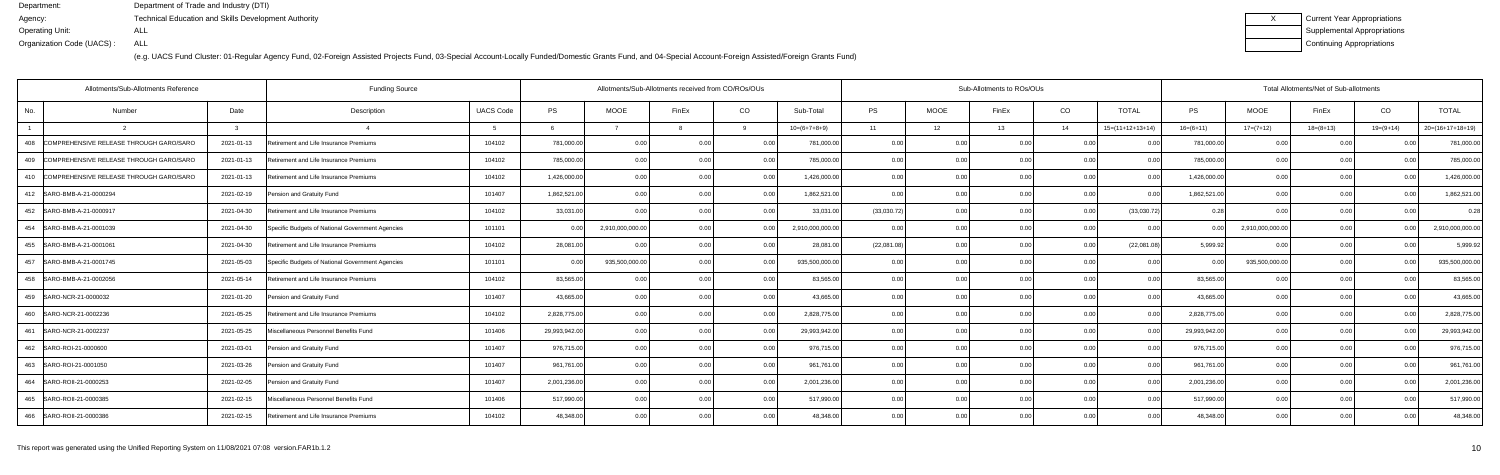| Current Year Appropriations |
|-----------------------------|
| Supplemental Appropriations |
| Continuing Appropriations   |

|                | Allotments/Sub-Allotments Reference         |            |                                                  |                  | Allotments/Sub-Allotments received from CO/ROs/OUs |                  |                |                |                  | Sub-Allotments to ROs/OUs |             |                | Total Allotments/Net of Sub-allotments |                    |                |                  |             |                |                    |
|----------------|---------------------------------------------|------------|--------------------------------------------------|------------------|----------------------------------------------------|------------------|----------------|----------------|------------------|---------------------------|-------------|----------------|----------------------------------------|--------------------|----------------|------------------|-------------|----------------|--------------------|
| No.            | Number                                      | Date       | Description                                      | <b>UACS Code</b> | <b>PS</b>                                          | <b>MOOE</b>      | FinEx          | CO             | Sub-Total        | PS                        | <b>MOOE</b> | FinEx          | CO                                     | <b>TOTAL</b>       | <b>PS</b>      | <b>MOOE</b>      | FinEx       | CO             | <b>TOTAL</b>       |
| $\overline{1}$ |                                             |            |                                                  |                  |                                                    |                  |                |                | $10=(6+7+8+9)$   | 11                        | 12          | 13             | 14                                     | $15=(11+12+13+14)$ | $16=(6+11)$    | $17=(7+12)$      | $18=(8+13)$ | $19=(9+14)$    | $20=(16+17+18+19)$ |
| 408            | COMPREHENSIVE RELEASE THROUGH GARO/SARO     | 2021-01-13 | Retirement and Life Insurance Premiums           | 104102           | 781,000.00                                         | 0.00             | 0.00           | 0.00           | 781,000.00       | 0.00                      | 0.00        | 0.00           | 0.00                                   | 0.00               | 781,000.00     | 0.00             | 0.00        | 0.00           | 781,000.0          |
| 409            | COMPREHENSIVE RELEASE THROUGH GARO/SARO     | 2021-01-13 | Retirement and Life Insurance Premiums           | 104102           | 785,000.00                                         | 0.00             |                | 0.00           | 785,000.00       | 0.00                      | 0.00        |                | 0 <sub>0</sub>                         |                    | 785,000.0      | 0.00             | 0.00        |                | 785,000.0          |
|                | 410 COMPREHENSIVE RELEASE THROUGH GARO/SARO | 2021-01-13 | Retirement and Life Insurance Premiums           | 104102           | 1,426,000.00                                       | 0.00             | 0 0            | 0 <sub>0</sub> | 1,426,000.00     | 0.00                      | 0.00        |                | 0 <sub>0</sub>                         | 0.00               | 1,426,000.00   | 0.00             | 0.00        | 0.00           | 1,426,000.0        |
|                | 412 SARO-BMB-A-21-0000294                   | 2021-02-19 | Pension and Gratuity Fund                        | 101407           | 1,862,521.00                                       | 0.00             |                | 0.00           | 1,862,521.00     | 0.00                      | 0.00        | 0.00           | 0.00                                   | 0.00               | 1,862,521.00   | 0.00             | 0.00        | 0.00           | 1,862,521.0        |
| 452            | SARO-BMB-A-21-0000917                       | 2021-04-30 | Retirement and Life Insurance Premiums           | 104102           | 33,031.00                                          | 0 <sub>0</sub>   |                | 0.0            | 33,031.00        | (33,030.72)               | 0.00        |                | 0 <sub>0</sub>                         | (33,030.72)        | 0.28           |                  | 0.00        |                | 0.28               |
|                | 454 SARO-BMB-A-21-0001039                   | 2021-04-30 | Specific Budgets of National Government Agencies | 101101           | 0.00                                               | 2,910,000,000.00 | 0 <sub>0</sub> | 0 <sub>0</sub> | 2,910,000,000.00 | 0.00                      | 0.00        | 0 OC           | 0.00                                   | 0.00               | 0.0(           | 2,910,000,000.00 | 0.00        | 0.00           | 2,910,000,000.0    |
|                | 455   SARO-BMB-A-21-0001061                 | 2021-04-30 | Retirement and Life Insurance Premiums           | 104102           | 28,081.00                                          | 0.00             | n nn           | 0.00           | 28,081.00        | (22,081.08)               | 0.00        | 0.00           | 0.00                                   | (22,081.08)        | 5,999.92       | 0 <sub>0</sub>   | 0.00        | 0.00           | 5,999.92           |
| 457            | SARO-BMB-A-21-0001745                       | 2021-05-03 | Specific Budgets of National Government Agencies | 101101           | 0.00                                               | 935,500,000.00   | 0 U            | 0 <sub>0</sub> | 935,500,000.00   | 0.00                      | 0.00        | 0 <sub>0</sub> | 0.00                                   | 0 <sub>0</sub>     | 0 <sub>0</sub> | 935,500,000.00   | 0.00        |                | 935,500,000.0      |
|                | 458 SARO-BMB-A-21-0002056                   | 2021-05-14 | Retirement and Life Insurance Premiums           | 104102           | 83,565.00                                          | 0.00             | 0 <sub>0</sub> | 0.00           | 83.565.00        | 0.00                      | 0.00        | 0.00           | 0.00                                   | 0.00               | 83.565.00      | 0.00             | 0.00        | 0.00           | 83,565.0           |
|                | 459 SARO-NCR-21-0000032                     | 2021-01-20 | Pension and Gratuity Fund                        | 101407           | 43,665.00                                          | 0.00             | 0.00           | 0.00           | 43.665.00        | 0.00                      | 0.00        | 0.00           | 0.00                                   | 0.00               | 43,665.00      | 0.00             | 0.00        | 0.00           | 43,665.0           |
| 460            | SARO-NCR-21-0002236                         | 2021-05-25 | Retirement and Life Insurance Premiums           | 104102           | 2,828,775.00                                       | 0.00             |                | 0.00           | 2,828,775.00     | 0.00                      | 0.00        | 0 <sub>0</sub> | 0.00                                   | 0 <sub>0</sub>     | 2,828,775.00   | 0.00             | 0.00        |                | 2,828,775.0        |
| 461            | SARO-NCR-21-0002237                         | 2021-05-25 | Miscellaneous Personnel Benefits Fund            | 101406           | 29,993,942.00                                      | 0.00             | 0 <sub>0</sub> | 0.00           | 29,993,942.00    | 0.00                      | 0.00        | 0 QC           | 0 <sub>0</sub>                         | 0.00               | 29,993,942.00  | 0.00             | 0.00        | 0 <sub>0</sub> | 29,993,942.0       |
|                | 462 SARO-ROI-21-0000600                     | 2021-03-01 | Pension and Gratuity Fund                        | 101407           | 976,715.00                                         | 0.00             | 0.00           | 0.00           | 976,715.00       | 0.00                      | 0.00        | 0.00           | 0.00                                   | 0.00               | 976,715.00     | 0.00             | 0.00        | 0.00           | 976,715.00         |
|                | 463 SARO-ROI-21-0001050                     | 2021-03-26 | Pension and Gratuity Fund                        | 101407           | 961,761.00                                         | 0.00             |                | 0.00           | 961,761.00       | 0.00                      | 0.00        | 0 <sub>0</sub> | 0.00                                   |                    | 961,761.00     | 0.00             | 0.00        |                | 961,761.0          |
|                | 464   SARO-ROII-21-0000253                  | 2021-02-05 | Pension and Gratuity Fund                        | 101407           | 2,001,236.00                                       | 0.00             | 0 <sub>0</sub> | 0.00           | 2,001,236.00     | 0.00                      | 0.00        | n nr           | 0.00                                   | 0.00               | 2,001,236.00   | 0.00             | 0.00        | 0.00           | 2,001,236.0        |
|                | 465 SARO-ROII-21-0000385                    | 2021-02-15 | Miscellaneous Personnel Benefits Fund            | 101406           | 517,990.00                                         | 0.00             | 0.00           | 0.00           | 517,990.00       | 0.00                      | 0.00        | 0.00           | 0.00                                   | 0.00               | 517,990.00     | 0.00             | 0.00        | 0.00           | 517,990.0          |
|                | 466 SARO-ROII-21-0000386                    | 2021-02-15 | Retirement and Life Insurance Premiums           | 104102           | 48,348.00                                          | 0.00             |                | 0.00           | 48,348.00        | 0.00                      | 0.00        |                | 0.00                                   |                    | 48,348.0       | 0.0              | 0.00        |                | 48,348.0           |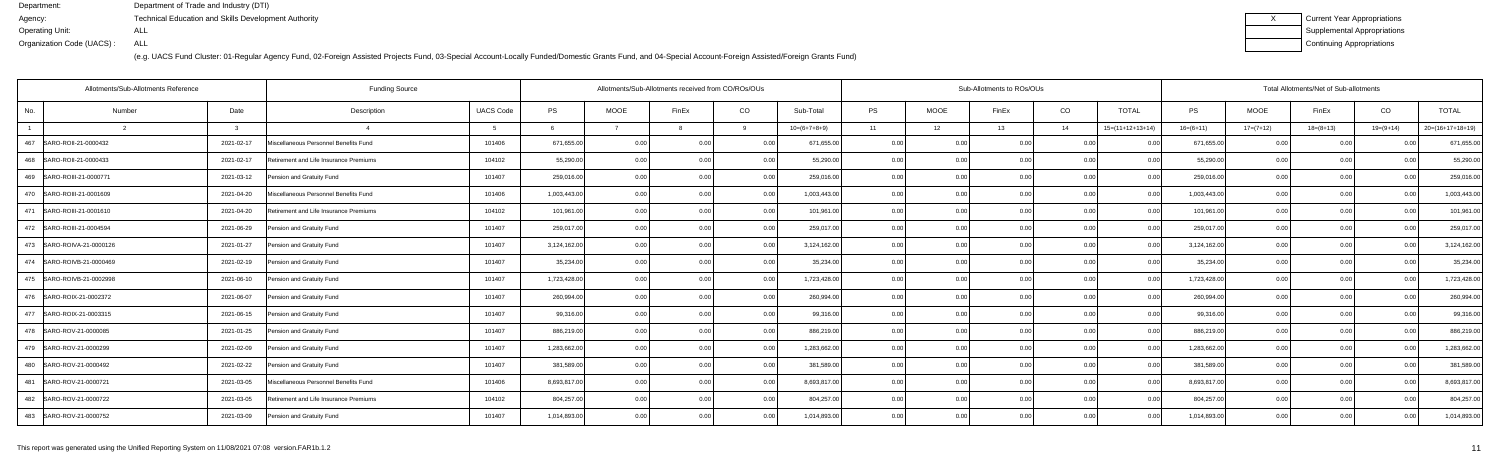| Current Year Appropriations |
|-----------------------------|
| Supplemental Appropriations |
| Continuing Appropriations   |

|     | Allotments/Sub-Allotments Reference |              | <b>Funding Source</b>                  | Allotments/Sub-Allotments received from CO/ROs/OUs |              |             |                |              |                | Sub-Allotments to ROs/OUs |             |       |      |                    |              | Total Allotments/Net of Sub-allotments |             |                |                    |  |  |  |
|-----|-------------------------------------|--------------|----------------------------------------|----------------------------------------------------|--------------|-------------|----------------|--------------|----------------|---------------------------|-------------|-------|------|--------------------|--------------|----------------------------------------|-------------|----------------|--------------------|--|--|--|
| No. | Number                              | Date         | Description                            | <b>UACS Code</b>                                   | <b>PS</b>    | <b>MOOE</b> | FinEx          | CO           | Sub-Total      | <b>PS</b>                 | <b>MOOE</b> | FinEx | CO   | <b>TOTAL</b>       | <b>PS</b>    | <b>MOOE</b>                            | FinEx       | CO             | <b>TOTAL</b>       |  |  |  |
|     | $\overline{2}$                      | $\mathbf{R}$ |                                        | $5^{\circ}$                                        |              |             |                | $\mathsf{Q}$ | $10=(6+7+8+9)$ | 11                        | 12          | 13    | 14   | $15=(11+12+13+14)$ | $16=(6+11)$  | $17=(7+12)$                            | $18=(8+13)$ | $19=(9+14)$    | $20=(16+17+18+19)$ |  |  |  |
| 467 | SARO-ROII-21-0000432                | 2021-02-17   | Miscellaneous Personnel Benefits Fund  | 101406                                             | 671,655.00   | 0.00        | 0.00           | 0.00         | 671,655.00     | 0.00                      | 0.00        | 0.00  | 0.00 |                    | 671,655.00   | 0.00                                   | 0.00        |                | 671,655.00         |  |  |  |
| 468 | SARO-ROII-21-0000433                | 2021-02-17   | Retirement and Life Insurance Premiums | 104102                                             | 55,290.00    | 0.00        | 0.00           | 0.00         | 55,290.00      | 0.00                      | 0.00        | 0.00  | 0.00 | 0 <sub>0</sub>     | 55,290.00    | 0.00                                   | 0.00        |                | 55,290.00          |  |  |  |
|     | 469   SARO-ROIII-21-0000771         | 2021-03-12   | Pension and Gratuity Fund              | 101407                                             | 259,016.00   | 0.00        | 0 <sub>0</sub> | 0.00         | 259,016.00     | 0.00                      | 0.00        | 0.00  | 0.00 | 0.00               | 259,016.00   | 0.00                                   | 0.00        | 0 <sub>0</sub> | 259,016.00         |  |  |  |
|     | 470 SARO-ROIII-21-0001609           | 2021-04-20   | Miscellaneous Personnel Benefits Fund  | 101406                                             | 1,003,443.00 | 0.00        | 0.00           | 0.00         | 1,003,443.00   | 0.00                      | 0.00        | 0.00  | 0.00 | 0.00               | 1,003,443.00 | 0.00                                   | 0.00        | 0.00           | 1,003,443.00       |  |  |  |
| 471 | SARO-ROIII-21-0001610               | 2021-04-20   | Retirement and Life Insurance Premiums | 104102                                             | 101,961.00   | 0.00        | 0 <sub>0</sub> | 0.00         | 101,961.00     | 0.00                      | 0.00        | 0.00  | 0.00 |                    | 101,961.00   | 0.00                                   | 0.00        |                | 101,961.0          |  |  |  |
|     | 472 SARO-ROIII-21-0004594           | 2021-06-29   | Pension and Gratuity Fund              | 101407                                             | 259,017.00   | 0.00        | 0.00           | 0.00         | 259,017.00     | 0.00                      | 0.00        | 0.00  | 0.00 | 0.00               | 259,017.00   | 0.00                                   | 0.00        | 0.00           | 259,017.00         |  |  |  |
|     | 473 SARO-ROIVA-21-0000126           | 2021-01-27   | Pension and Gratuity Fund              | 101407                                             | 3,124,162.00 | 0.00        | 0.00           | 0.00         | 3,124,162.00   | 0.00                      | 0.00        | 0.00  | 0.00 | 0.00               | 3,124,162.00 | 0.00                                   | 0.00        | 0.00           | 3,124,162.00       |  |  |  |
|     | 474   SARO-ROIVB-21-0000469         | 2021-02-19   | Pension and Gratuity Fund              | 101407                                             | 35,234.00    | 0.00        | 0 <sub>0</sub> | 0.00         | 35,234.00      | 0.00                      | 0.00        | 0.00  | 0.00 | $\Omega$           | 35,234.00    | 0.00                                   | 0.00        |                | 35,234.00          |  |  |  |
|     | 475   SARO-ROIVB-21-0002998         | 2021-06-10   | Pension and Gratuity Fund              | 101407                                             | 1,723,428.00 | 0.00        | 0.00           | 0.00         | 1,723,428.00   | 0.00                      | 0.00        | 0.00  | 0.00 | 0.00               | 1,723,428.00 | 0.00                                   | 0.00        | 0 <sub>0</sub> | 1,723,428.00       |  |  |  |
|     | 476   SARO-ROIX-21-0002372          | 2021-06-07   | Pension and Gratuity Fund              | 101407                                             | 260,994.00   | 0.00        | 0.00           | 0.00         | 260,994.00     | 0.00                      | 0.00        | 0.00  | 0.00 | 0.00               | 260,994.00   | 0.00                                   | 0.00        | n nr           | 260,994.00         |  |  |  |
|     | 477 SARO-ROIX-21-0003315            | 2021-06-15   | Pension and Gratuity Fund              | 101407                                             | 99,316.00    | 0.00        | 0 <sub>0</sub> | 0.00         | 99,316.00      | 0.00                      | 0.00        | 0.00  | 0.00 | 00                 | 99,316.00    | 0.00                                   | 0.00        |                | 99,316.00          |  |  |  |
|     | 478 SARO-ROV-21-0000085             | 2021-01-25   | Pension and Gratuity Fund              | 101407                                             | 886,219.00   | 0.00        | 0.00           | 0.00         | 886,219.00     | 0.00                      | 0.00        | 0.00  | 0.00 | 0 <sub>0</sub>     | 886,219.00   | 0.00                                   | 0.00        |                | 886,219.00         |  |  |  |
|     | 479 SARO-ROV-21-0000299             | 2021-02-09   | Pension and Gratuity Fund              | 101407                                             | 1,283,662.00 | 0.00        | 0 QC           | 0.00         | 1,283,662.00   | 0.00                      | 0.00        |       | 0.00 | 0.00               | 1,283,662.00 | 0.00                                   | 0.00        |                | 1,283,662.00       |  |  |  |
|     | 480 SARO-ROV-21-0000492             | 2021-02-22   | Pension and Gratuity Fund              | 101407                                             | 381,589.00   | 0.00        | 0 <sub>0</sub> | 0.00         | 381,589.00     | 0.00                      | 0.00        |       | 0.00 |                    | 381,589.00   | 0.00                                   | 0.00        |                | 381,589.00         |  |  |  |
| 481 | SARO-ROV-21-0000721                 | 2021-03-05   | Miscellaneous Personnel Benefits Fund  | 101406                                             | 8,693,817.00 | 0.00        | 0 <sub>0</sub> | 0.OO         | 8,693,817.00   | 0.00                      | 0.00        |       | 0.00 | $\Omega$           | 8,693,817.00 | 0.00                                   | 0.00        |                | 8,693,817.0        |  |  |  |
|     | 482 SARO-ROV-21-0000722             | 2021-03-05   | Retirement and Life Insurance Premiums | 104102                                             | 804,257.00   | 0.00        |                | 0.00         | 804,257.00     | 0.00                      | 0.00        |       | 0.00 | 0.00               | 804,257.00   | 0.00                                   | 0.00        |                | 804,257.00         |  |  |  |
|     | 483 SARO-ROV-21-0000752             | 2021-03-09   | Pension and Gratuity Fund              | 101407                                             | 1,014,893.00 | 0.00        |                | 0.00         | 1,014,893.00   | 0.00                      | 0.00        | 0.00  | 0.00 | 0.00               | 1,014,893.00 | 0.00                                   | 0.00        |                | 1,014,893.00       |  |  |  |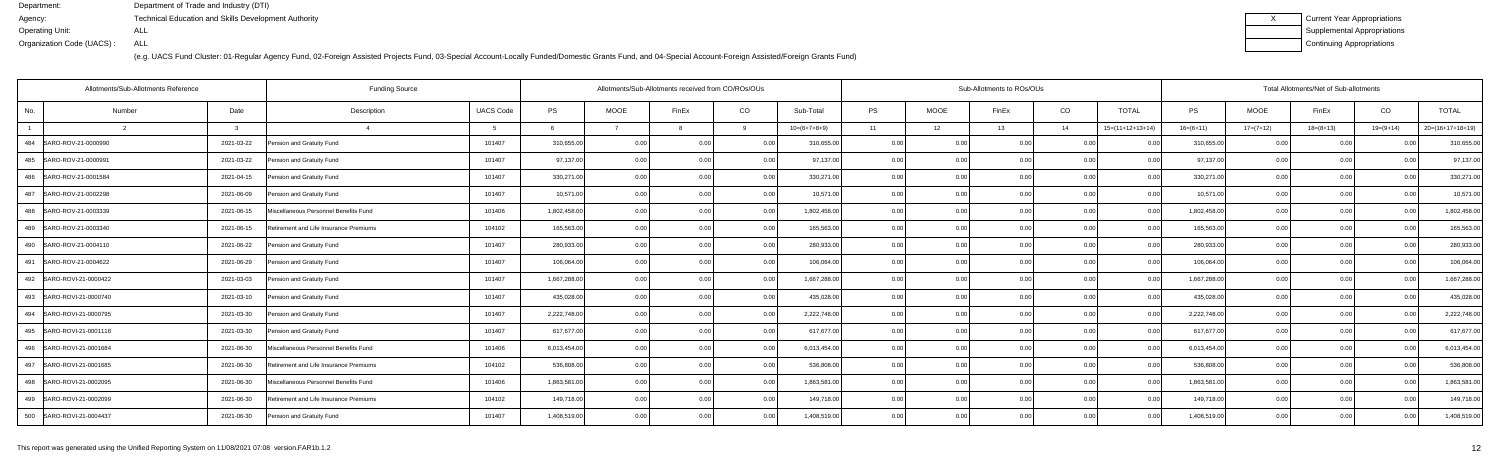| Current Year Appropriations |
|-----------------------------|
| Supplemental Appropriations |
| Continuing Appropriations   |

|                | Allotments/Sub-Allotments Reference      | <b>Funding Source</b>                  | Allotments/Sub-Allotments received from CO/ROs/OUs |              |             |                |      | Sub-Allotments to ROs/OUs |           |                |       |      |                    | Total Allotments/Net of Sub-allotments |             |             |                            |                    |  |  |
|----------------|------------------------------------------|----------------------------------------|----------------------------------------------------|--------------|-------------|----------------|------|---------------------------|-----------|----------------|-------|------|--------------------|----------------------------------------|-------------|-------------|----------------------------|--------------------|--|--|
| No.            | Number<br>Date                           | Description                            | <b>UACS Code</b>                                   | <b>PS</b>    | <b>MOOE</b> | FinEx          | CO   | Sub-Total                 | <b>PS</b> | <b>MOOE</b>    | FinEx | CO   | <b>TOTAL</b>       | <b>PS</b>                              | <b>MOOE</b> | FinEx       | CO                         | <b>TOTAL</b>       |  |  |
| $\overline{1}$ |                                          |                                        |                                                    |              |             |                |      | $10=(6+7+8+9)$            | 11        | 12             | 13    | 14   | $15=(11+12+13+14)$ | $16=(6+11)$                            | $17=(7+12)$ | $18=(8+13)$ | $19=(9+14)$                | $20=(16+17+18+19)$ |  |  |
|                | 484 SARO-ROV-21-0000990<br>2021-03-22    | Pension and Gratuity Fund              | 101407                                             | 310,655.00   | 0.00        | 0.00           | 0.00 | 310,655.00                | 0.00      | 0.00           | 0.00  | 0.00 | 00                 | 310,655.00                             | 0.00        | 0.00        |                            | 310,655.00         |  |  |
| 485            | SARO-ROV-21-0000991<br>2021-03-22        | Pension and Gratuity Fund              | 101407                                             | 97,137.00    | 0.00        | 0 <sub>0</sub> | 0.00 | 97,137.00                 | 0.00      | 0.00           |       | 0.00 |                    | 97,137.00                              | 0.00        | 0.00        |                            | 97,137.00          |  |  |
| 486            | SARO-ROV-21-0001584<br>2021-04-15        | Pension and Gratuity Fund              | 101407                                             | 330,271.00   | 0.00        | 0 <sub>0</sub> | 0.00 | 330,271.00                | 0.00      | 0 <sub>0</sub> | 0.00  | 0.00 | 0.00               | 330,271.00                             | 0.00        | 0.00        |                            | 330,271.0          |  |  |
|                | 487 SARO-ROV-21-0002298<br>2021-06-09    | Pension and Gratuity Fund              | 101407                                             | 10,571.00    | 0.00        | 0 <sub>0</sub> | 0.00 | 10,571.00                 | 0.00      | 0.00           | 0.00  | 0.00 | 0.00               | 10,571.00                              | 0.00        | 0.00        | 0 <sub>0</sub>             | 10,571.00          |  |  |
| 488            | SARO-ROV-21-0003339<br>2021-06-15        | Miscellaneous Personnel Benefits Fund  | 101406                                             | 1,802,458.00 | 0.00        |                | 0.00 | 1,802,458.00              | 0.00      | 0 <sub>0</sub> |       | 0.00 |                    | 1,802,458.00                           | 0.00        | 0.00        |                            | 1,802,458.00       |  |  |
|                | 489 SARO-ROV-21-0003340<br>2021-06-15    | Retirement and Life Insurance Premiums | 104102                                             | 165,563.00   | 0.00        | 0 <sub>0</sub> | 0.00 | 165,563.00                | 0.00      | 0 <sub>0</sub> | ስ ስበ  | 0.00 |                    | 165,563.00                             | 0.00        | 0.00        |                            | 165,563.0          |  |  |
|                | 490 SARO-ROV-21-0004110<br>2021-06-22    | Pension and Gratuity Fund              | 101407                                             | 280,933.00   | 0.00        | 0 <sub>0</sub> | 0.00 | 280,933.00                | 0.00      | 0.00           | በ በበ  | 0.00 | 0.00               | 280,933.00                             | 0.00        | 0.00        |                            | 280,933.00         |  |  |
| 491            | SARO-ROV-21-0004622<br>2021-06-29        | Pension and Gratuity Fund              | 101407                                             | 106,064.00   | 0.00        |                | 0.00 | 106,064.00                | 0.00      | 0.00           |       | 0.00 |                    | 106,064.00                             | 0.00        | 0.00        |                            | 106,064.0          |  |  |
| 492            | SARO-ROVI-21-0000422<br>2021-03-03       | Pension and Gratuity Fund              | 101407                                             | 1,667,288.00 | 0.00        | 0 <sub>0</sub> | 0.00 | 1,667,288.00              | 0.00      | 0.00           | 0.00  | 0.00 | 0.00               | 1,667,288.00                           | 0.00        | 0.00        |                            | 1,667,288.00       |  |  |
|                | 2021-03-10<br>493 SARO-ROVI-21-0000740   | Pension and Gratuity Fund              | 101407                                             | 435,028.00   | 0.00        | 0 <sub>0</sub> | 0.00 | 435,028.00                | 0.00      | 0.00           | 0.00  | 0.00 | 0.00               | 435,028.00                             | 0.00        | 0.00        |                            | 435,028.00         |  |  |
| 494            | SARO-ROVI-21-0000795<br>2021-03-30       | Pension and Gratuity Fund              | 101407                                             | 2,222,748.00 | 0.00        | 0 <sub>0</sub> | 0.00 | 2,222,748.00              | 0.00      | 0.00           |       | 0.00 |                    | 2,222,748.00                           | 0.00        | 0.00        |                            | 2,222,748.00       |  |  |
| 495            | SARO-ROVI-21-0001116<br>2021-03-30       | Pension and Gratuity Fund              | 101407                                             | 617,677.00   | 0.00        | 0.00           | 0.00 | 617,677.00                | 0.00      | 0.00           | 0.00  | 0.00 | 0.00               | 617,677.00                             | 0.00        | 0.00        |                            | 617,677.00         |  |  |
|                | 496   SARO-ROVI-21-0001684<br>2021-06-30 | Miscellaneous Personnel Benefits Fund  | 101406                                             | 6,013,454.00 | 0.00        | 0.00           | 0.00 | 6,013,454.00              | 0.00      | 0.00           | 0.00  | 0.00 | 0.00               | 6,013,454.00                           | 0.00        | 0.00        | 0 <sub>0</sub>             | 6,013,454.0        |  |  |
| 497            | SARO-ROVI-21-0001685<br>2021-06-30       | Retirement and Life Insurance Premiums | 104102                                             | 536,808.00   | 0.00        | 0.0(           | 0.00 | 536,808.00                | 0.00      | 0.00           | 0.00  | 0.00 |                    | 536,808.00                             | 0.00        | 0.00        |                            | 536,808.00         |  |  |
| 498            | SARO-ROVI-21-0002095<br>2021-06-30       | Miscellaneous Personnel Benefits Fund  | 101406                                             | 1,863,581.00 | 0.00        | 0.00           | 0.00 | 1,863,581.00              | 0.00      | 0.00           | 0.00  | 0.00 | 0.00               | 1,863,581.00                           | 0.00        | 0.00        | 0 <sup>0<sup>c</sup></sup> | 1,863,581.0        |  |  |
|                | 499 SARO-ROVI-21-0002099<br>2021-06-30   | Retirement and Life Insurance Premiums | 104102                                             | 149,718.00   | 0.00        | 0.00           | 0.00 | 149,718.00                | 0.00      | 0.00           | 0.00  | 0.00 | 0.00               | 149,718.00                             | 0.00        | 0.00        | 0.00                       | 149,718.00         |  |  |
|                | 500 SARO-ROVI-21-0004437<br>2021-06-30   | Pension and Gratuity Fund              | 101407                                             | 1,408,519.00 | 0.00        | 0 <sub>0</sub> | 0.00 | 1,408,519.00              | 0.00      | 0.00           | 0.00  | 0.00 | 0.00               | 1,408,519.00                           | 0.00        | 0.00        | 0 <sub>0</sub>             | 1,408,519.00       |  |  |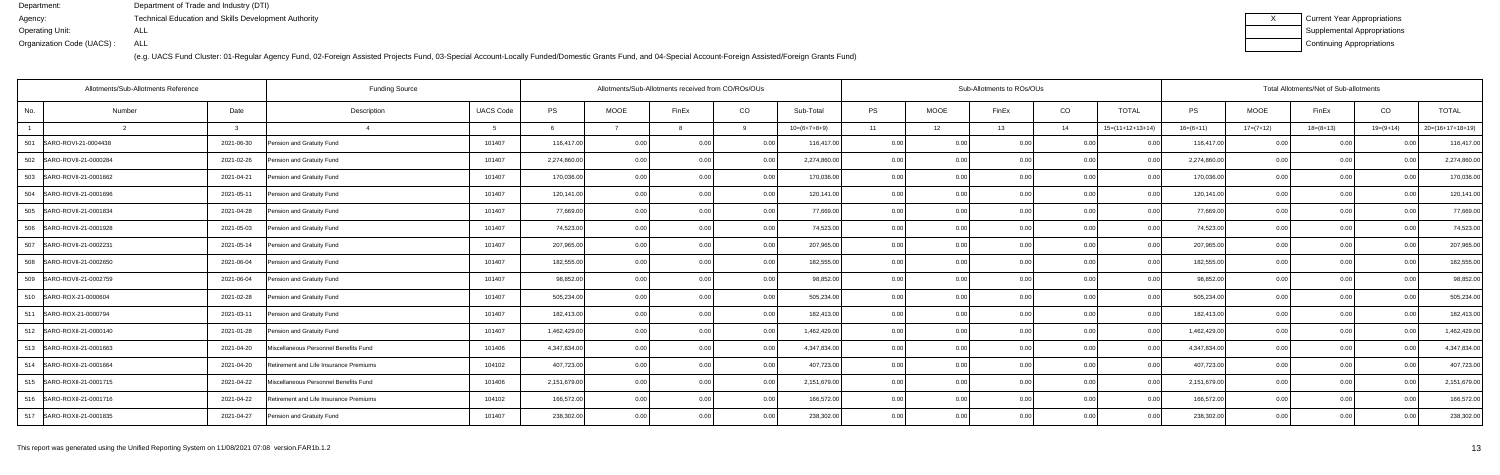| Current Year Appropriations |
|-----------------------------|
| Supplemental Appropriations |
| Continuing Appropriations   |

|                | <b>Funding Source</b><br>Allotments/Sub-Allotments Reference |  |                                        |                  |              | Allotments/Sub-Allotments received from CO/ROs/OUs |                |      |                | Sub-Allotments to ROs/OUs |                |       |      |                    |              | Total Allotments/Net of Sub-allotments |             |                            |                    |  |  |  |
|----------------|--------------------------------------------------------------|--|----------------------------------------|------------------|--------------|----------------------------------------------------|----------------|------|----------------|---------------------------|----------------|-------|------|--------------------|--------------|----------------------------------------|-------------|----------------------------|--------------------|--|--|--|
| No.            | Number<br>Date                                               |  | Description                            | <b>UACS Code</b> | <b>PS</b>    | <b>MOOE</b>                                        | FinEx          | CO   | Sub-Total      | <b>PS</b>                 | <b>MOOE</b>    | FinEx | CO   | <b>TOTAL</b>       | <b>PS</b>    | <b>MOOE</b>                            | FinEx       | CO                         | <b>TOTAL</b>       |  |  |  |
| $\overline{1}$ |                                                              |  |                                        |                  |              |                                                    |                |      | $10=(6+7+8+9)$ | 11                        | 12             | 13    | 14   | $15=(11+12+13+14)$ | $16=(6+11)$  | $17=(7+12)$                            | $18=(8+13)$ | $19=(9+14)$                | $20=(16+17+18+19)$ |  |  |  |
| 501            | SARO-ROVI-21-0004438<br>2021-06-30                           |  | Pension and Gratuity Fund              | 101407           | 116,417.00   | 0.00                                               | 0.00           | 0.00 | 116,417.00     | 0.00                      | 0.00           | 0.00  | 0.00 | - N N              | 116,417.00   | 0.00                                   | 0.00        |                            | 116,417.00         |  |  |  |
| 502            | SARO-ROVII-21-0000284<br>2021-02-26                          |  | Pension and Gratuity Fund              | 101407           | 2,274,860.00 | 0.00                                               | 0 <sub>0</sub> | 0.00 | 2,274,860.00   | 0.00                      | 0.00           |       | 0.00 |                    | 2,274,860.00 | 0.00                                   | 0.00        |                            | 2,274,860.00       |  |  |  |
|                | 503 SARO-ROVII-21-0001662<br>2021-04-21                      |  | Pension and Gratuity Fund              | 101407           | 170,036.00   | 0.00                                               | 0 <sub>0</sub> | 0.00 | 170,036.00     | 0.00                      | 0 <sub>0</sub> | 0.00  | 0.00 | 0.00               | 170,036.00   | 0.00                                   | 0.00        |                            | 170,036.0          |  |  |  |
|                | 504   SARO-ROVII-21-0001696<br>2021-05-11                    |  | Pension and Gratuity Fund              | 101407           | 120,141.00   | 0.00                                               | 0 <sub>0</sub> | 0.00 | 120,141.00     | 0.00                      | 0.00           | 0.00  | 0.00 | 0.00               | 120,141.00   | 0.00                                   | 0.00        | 0 <sub>0</sub>             | 120,141.00         |  |  |  |
| 505            | SARO-ROVII-21-0001834<br>2021-04-28                          |  | Pension and Gratuity Fund              | 101407           | 77,669.00    | 0.00                                               |                | 0.00 | 77,669.00      | 0.00                      | 0 <sub>0</sub> |       | 0.00 |                    | 77,669.00    | 0.00                                   | 0.00        |                            | 77,669.00          |  |  |  |
|                | 506   SARO-ROVII-21-0001928<br>2021-05-03                    |  | Pension and Gratuity Fund              | 101407           | 74,523.00    | 0.00                                               | 0 <sub>0</sub> | 0.00 | 74,523.00      | 0.00                      | 0 <sub>0</sub> | 0.00  | 0.00 | 0.00               | 74,523.00    | 0.00                                   | 0.00        |                            | 74,523.00          |  |  |  |
|                | 507 SARO-ROVII-21-0002231<br>2021-05-14                      |  | Pension and Gratuity Fund              | 101407           | 207,965.00   | 0.00                                               | 0 <sub>0</sub> | 0.00 | 207,965.00     | 0.00                      | 0.00           | በ በበ  | 0.00 | 0.00               | 207,965.00   | 0.00                                   | 0.00        |                            | 207,965.00         |  |  |  |
| 508            | SARO-ROVII-21-0002650<br>2021-06-04                          |  | Pension and Gratuity Fund              | 101407           | 182,555.00   | 0.00                                               | 0 <sub>0</sub> | 0.00 | 182,555.00     | 0.00                      | 0.00           |       | 0.00 |                    | 182,555.00   | 0.00                                   | 0.00        |                            | 182,555.00         |  |  |  |
| 509            | SARO-ROVII-21-0002759<br>2021-06-04                          |  | Pension and Gratuity Fund              | 101407           | 98,852.00    | 0.00                                               | 0 <sub>0</sub> | 0.00 | 98,852.00      | 0.00                      | 0.00           | 0.00  | 0.00 | 0.00               | 98,852.00    | 0.00                                   | 0.00        |                            | 98,852.0           |  |  |  |
|                | 510 SARO-ROX-21-0000604<br>2021-02-28                        |  | Pension and Gratuity Fund              | 101407           | 505,234.00   | 0.00                                               | 0 <sub>0</sub> | 0.00 | 505,234.00     | 0.00                      | 0.00           | 0.00  | 0.00 | 0.00               | 505,234.00   | 0.00                                   | 0.00        | 0.00                       | 505,234.00         |  |  |  |
| 511            | SARO-ROX-21-0000794<br>2021-03-11                            |  | Pension and Gratuity Fund              | 101407           | 182,413.00   | 0.00                                               | 0 <sub>0</sub> | 0.00 | 182,413.00     | 0.00                      | 0.00           |       | 0.00 |                    | 182,413.00   | 0.00                                   | 0.00        |                            | 182,413.00         |  |  |  |
|                | 512 SARO-ROXII-21-0000140<br>2021-01-28                      |  | Pension and Gratuity Fund              | 101407           | 1,462,429.00 | 0.00                                               | 0.00           | 0.00 | 1,462,429.00   | 0.00                      | 0.00           | 0.00  | 0.00 | 0.00               | 1,462,429.00 | 0.00                                   | 0.00        | 0 <sub>0</sub>             | 1,462,429.00       |  |  |  |
|                | 513 SARO-ROXII-21-0001663<br>2021-04-20                      |  | Miscellaneous Personnel Benefits Fund  | 101406           | 4,347,834.00 | 0.00                                               | 0.00           | 0.00 | 4,347,834.00   | 0.00                      | 0.00           | 0.00  | 0.00 | 0.00               | 4,347,834.00 | 0.00                                   | 0.00        | 0.00                       | 4,347,834.00       |  |  |  |
|                | 514 SARO-ROXII-21-0001664<br>2021-04-20                      |  | Retirement and Life Insurance Premiums | 104102           | 407,723.00   | 0.00                                               | 0.0(           | 0.00 | 407,723.00     | 0.00                      | 0.00           | 0.00  | 0.00 |                    | 407,723.00   | 0.00                                   | 0.00        |                            | 407,723.00         |  |  |  |
|                | 515   SARO-ROXII-21-0001715<br>2021-04-22                    |  | Miscellaneous Personnel Benefits Fund  | 101406           | 2,151,679.00 | 0.00                                               | 0.00           | 0.00 | 2,151,679.00   | 0.00                      | 0.00           | 0.00  | 0.00 | n nn               | 2,151,679.00 | 0.00                                   | 0.00        | 0 <sup>0<sup>c</sup></sup> | 2,151,679.00       |  |  |  |
|                | 2021-04-22<br>516   SARO-ROXII-21-0001716                    |  | Retirement and Life Insurance Premiums | 104102           | 166,572.00   | 0.00                                               | 0.00           | 0.00 | 166,572.00     | 0.00                      | 0.00           | 0.00  | 0.00 | 0.00               | 166,572.00   | 0.00                                   | 0.00        | 0 <sub>0</sub>             | 166,572.00         |  |  |  |
|                | 517 SARO-ROXII-21-0001835<br>2021-04-27                      |  | Pension and Gratuity Fund              | 101407           | 238,302.00   | 0.00                                               | 0 <sub>0</sub> | 0.00 | 238,302.00     | 0.00                      | 0.00           | 0.00  | 0.00 | 0.00               | 238,302.00   | 0.00                                   | 0.00        | 0 <sup>0<sup>c</sup></sup> | 238,302.00         |  |  |  |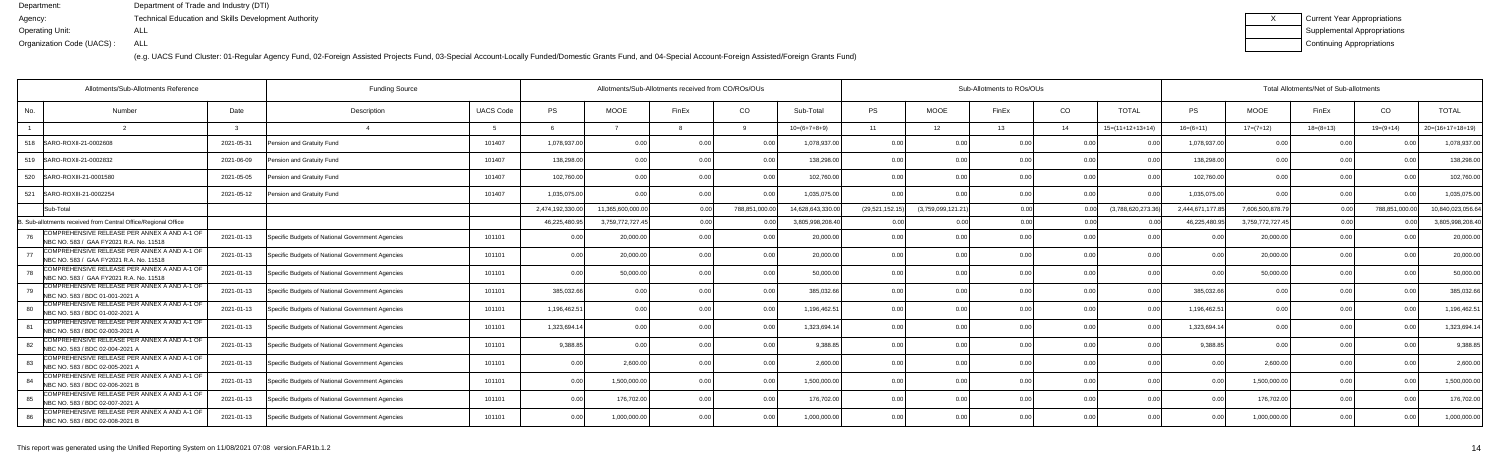| Current Year Appropriations |
|-----------------------------|
| Supplemental Appropriations |
| Continuing Appropriations   |

| Allotments/Sub-Allotments Reference                                                           |                                                                | Allotments/Sub-Allotments received from CO/ROs/OUs |                  |                   |                |                |                   | Sub-Allotments to ROs/OUs |                    |       | Total Allotments/Net of Sub-allotments |                            |                 |                  |             |                |                    |
|-----------------------------------------------------------------------------------------------|----------------------------------------------------------------|----------------------------------------------------|------------------|-------------------|----------------|----------------|-------------------|---------------------------|--------------------|-------|----------------------------------------|----------------------------|-----------------|------------------|-------------|----------------|--------------------|
| Number<br>No.                                                                                 | Date<br>Description                                            | <b>UACS Code</b>                                   | PS               | <b>MOOE</b>       | FinEx          | CO.            | Sub-Total         | <b>PS</b>                 | <b>MOOE</b>        | FinEx | CO                                     | <b>TOTAL</b>               | <b>PS</b>       | <b>MOOE</b>      | FinEx       | CO             | <b>TOTAL</b>       |
|                                                                                               |                                                                |                                                    |                  |                   |                |                | $10=(6+7+8+9)$    | 11                        | 12 <sup>7</sup>    | 13    | 14                                     | $15=(11+12+13+14)$         | $16= (6+11)$    | $17=(7+12)$      | $18=(8+13)$ | $19=(9+14)$    | $20=(16+17+18+19)$ |
| 518   SARO-ROXII-21-0002608                                                                   | 2021-05-31<br>Pension and Gratuity Fund                        | 101407                                             | 1,078,937.00     | 0.00              | 0.00           | 0.00           | 1,078,937.00      | 0.00                      | 0.00               | 0.00  | 0.00                                   | 0 <sub>0</sub>             | 1,078,937.00    | 0.00             | 0 Q         | 0.00           | 1,078,937.0        |
| 519   SARO-ROXII-21-0002832                                                                   | 2021-06-09<br>Pension and Gratuity Fund                        | 101407                                             | 138,298.00       | 0.00              |                | 0.00           | 138,298.0         | 0.00                      | 0.00               |       | 0.00                                   |                            | 138,298.00      | 0.0              | 0.0         |                | 138,298.0          |
| 520<br>SARO-ROXIII-21-0001580                                                                 | Pension and Gratuity Fund<br>2021-05-05                        | 101407                                             | 102,760.00       | 0.00              |                | 0.00           | 102,760.00        | 0.00                      | 0.00               |       | 0.00                                   | 0 <sup>0<sup>c</sup></sup> | 102,760.00      | 0.00             | 0 Q         |                | 102,760.0          |
| 521<br>SARO-ROXIII-21-0002254                                                                 | 2021-05-12<br>Pension and Gratuity Fund                        | 101407                                             | 1,035,075.00     | 0.00              | 0.00           | 0.00           | 1,035,075.00      | 0.00                      | 0.00               | 0.00  | 0.00                                   | 0 <sub>0</sub>             | 1,035,075.00    | 0.00             | 0.00        | 0.00           | 1,035,075.0        |
| Sub-Total                                                                                     |                                                                |                                                    | 2,474,192,330.00 | 11.365.600.000.00 | 0.00           | 788,851,000.00 | 14.628.643.330.00 | (29,521,152.15            | (3,759,099,121.21) | 0.00  | 0.00                                   | (3,788,620,273.36)         | 2.444.671.177.8 | 7.606.500.878.7  | 0.00        | 788.851.000.00 | 10,840,023,056.6   |
| Sub-allotments received from Central Office/Regional Office                                   |                                                                |                                                    | 46,225,480.95    | 3,759,772,727.45  | 0.OC           |                | 3,805,998,208.40  | 0.0                       |                    | 0.00  | 0 <sub>0</sub>                         |                            | 46,225,480.9    | 3,759,772,727.45 | 0.00        |                | 3,805,998,208.4    |
| COMPREHENSIVE RELEASE PER ANNEX A AND A-1 OF<br>NBC NO. 583 / GAA FY2021 R.A. No. 11518       | Specific Budgets of National Government Agencies<br>2021-01-13 | 101101                                             | 0.00             | 20,000.00         | 0 <sub>0</sub> |                | 20,000.00         | 0.00                      | 0.00               |       | 0.00                                   | 0 <sup>0<sup>c</sup></sup> |                 | 20,000.0         | 0.00        |                | 20,000.0           |
| COMPREHENSIVE RELEASE PER ANNEX A AND A-1 OF<br>77<br>NBC NO. 583 / GAA FY2021 R.A. No. 11518 | Specific Budgets of National Government Agencies<br>2021-01-13 | 101101                                             | 0.00             | 20,000.00         | 0.00           | 0.00           | 20,000.00         | 0.00                      | 0.00               | 0.00  | 0.00                                   | 0.00                       | 0.00            | 20,000.00        | 0.00        | 0.00           | 20,000.0           |
| COMPREHENSIVE RELEASE PER ANNEX A AND A-1 OF<br>NBC NO. 583 / GAA FY2021 R.A. No. 11518       | 2021-01-13<br>Specific Budgets of National Government Agencies | 101101                                             | 0.00             | 50,000.00         | 0.00           | 0.00           | 50,000.00         | 0.00                      | 0.00               | n nr  | 0.00                                   | 0.00                       | 0 <sub>0</sub>  | 50,000.00        | 0.00        | 0.00           | 50,000.0           |
| COMPREHENSIVE RELEASE PER ANNEX A AND A-1 OF<br>NBC NO. 583 / BDC 01-001-2021 A               | 2021-01-13<br>Specific Budgets of National Government Agencies | 101101                                             | 385,032.66       | 0.00              |                | 0.00           | 385.032.66        | 0.00                      | 0.00               |       | 0.00                                   |                            | 385,032.66      |                  | 0 Q         |                | 385,032.6          |
| COMPREHENSIVE RELEASE PER ANNEX A AND A-1 OF<br>RO.<br>NBC NO. 583 / BDC 01-002-2021 A        | Specific Budgets of National Government Agencies<br>2021-01-13 | 101101                                             | 1,196,462.51     | 0.00              |                | 0 <sub>0</sub> | 1,196,462.5       | 0.00                      | 0.00               |       | 0.00                                   |                            | 1,196,462.5     | 0.0              | 0 Q         |                | 1,196,462.5        |
| COMPREHENSIVE RELEASE PER ANNEX A AND A-1 OF<br>81<br>NBC NO. 583 / BDC 02-003-2021 A         | Specific Budgets of National Government Agencies<br>2021-01-13 | 101101                                             | 1,323,694.14     | 0.00              |                |                | 1,323,694.14      | 0.00                      | 0.00               |       | 0.00                                   | 0 <sup>0<sup>c</sup></sup> | 1,323,694.14    | 0.00             | 0.00        |                | 1,323,694.1        |
| COMPREHENSIVE RELEASE PER ANNEX A AND A-1 OF<br>82<br>NBC NO. 583 / BDC 02-004-2021 A         | 2021-01-13<br>Specific Budgets of National Government Agencies | 101101                                             | 9.388.85         | 0.00              |                | 0 <sub>0</sub> | 9.388.85          | 0.00                      | 0.00               |       | 0.00                                   | 0.00                       | 9.388.8         | 0 <sub>0</sub>   | 0.00        |                | 9,388.8            |
| COMPREHENSIVE RELEASE PER ANNEX A AND A-1 OF<br>83<br>NBC NO. 583 / BDC 02-005-2021 A         | Specific Budgets of National Government Agencies<br>2021-01-13 | 101101                                             | 0.00             | 2,600.00          | 0.00           | 0.00           | 2,600.00          | 0.00                      | 0.00               |       | 0.00                                   | 0.00                       | 0.00            | 2,600.00         | 0.00        | 0.00           | 2,600.00           |
| COMPREHENSIVE RELEASE PER ANNEX A AND A-1 OF<br>84<br>NBC NO. 583 / BDC 02-006-2021 B         | 2021-01-13<br>Specific Budgets of National Government Agencies | 101101                                             | 0.00             | 1.500.000.00      | 0.00           | 0.00           | 1.500.000.00      | 0.00                      | 0.00               | 0.00  | 0.00                                   | 0.00                       | 0.00            | 1,500,000.0      | 0.00        | 0.00           | 1,500,000.0        |
| COMPREHENSIVE RELEASE PER ANNEX A AND A-1 OF<br>85<br>NBC NO. 583 / BDC 02-007-2021 A         | 2021-01-13<br>Specific Budgets of National Government Agencies | 101101                                             | 0.00             | 176,702.00        | 0 <sub>0</sub> | 0.00           | 176,702.00        | 0.00                      | 0.00               |       | 0.00                                   | 0.00                       | 0 <sub>0</sub>  | 176,702.00       | 0.00        |                | 176,702.0          |
| COMPREHENSIVE RELEASE PER ANNEX A AND A-1 OF<br>NBC NO. 583 / BDC 02-008-2021 B               | Specific Budgets of National Government Agencies<br>2021-01-13 | 101101                                             | 0.00             | 1,000,000.0       |                | 0 <sub>0</sub> | 1,000,000.00      | 0 <sub>0</sub>            | 0.00               |       | 0.00                                   | 0 <sup>0<sup>c</sup></sup> | n nr            | 1,000,000.0      | 0.00        |                | 1,000,000.0        |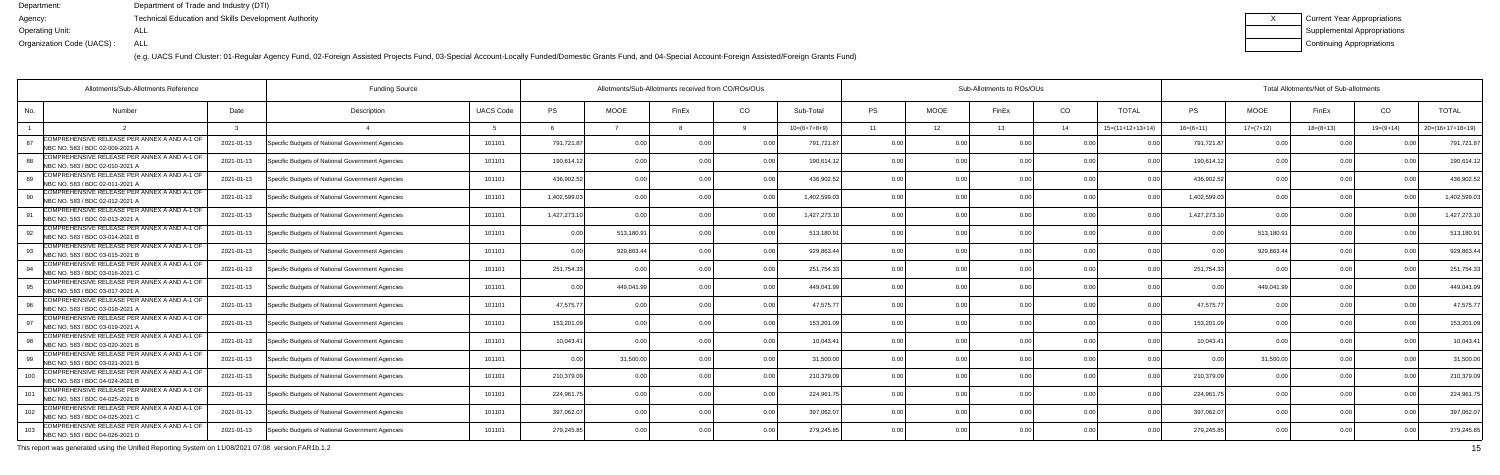(e.g. UACS Fund Cluster: 01-Regular Agency Fund, 02-Foreign Assisted Projects Fund, 03-Special Account-Locally Funded/Domestic Grants Fund, and 04-Special Account-Foreign Assisted/Foreign Grants Fund)

| Current Year Appropriations |
|-----------------------------|
| Supplemental Appropriations |
| Continuing Appropriations   |

|     | Allotments/Sub-Allotments Reference                                             | <b>Funding Source</b> |                                                  |                  | Allotments/Sub-Allotments received from CO/ROs/OUs |                |       | Sub-Allotments to ROs/OUs |                |           |                |                |                | Total Allotments/Net of Sub-allotments |              |             |             |                |                    |
|-----|---------------------------------------------------------------------------------|-----------------------|--------------------------------------------------|------------------|----------------------------------------------------|----------------|-------|---------------------------|----------------|-----------|----------------|----------------|----------------|----------------------------------------|--------------|-------------|-------------|----------------|--------------------|
| No. | Number                                                                          | Date                  | Description                                      | <b>UACS Code</b> | <b>PS</b>                                          | <b>MOOE</b>    | FinEx | CO                        | Sub-Total      | <b>PS</b> | <b>MOOE</b>    | FinEx          | CO             | <b>TOTAL</b>                           | PS           | <b>MOOE</b> | FinEx       | CO             | <b>TOTAL</b>       |
|     |                                                                                 |                       |                                                  |                  |                                                    |                |       |                           | $10=(6+7+8+9)$ | 11        | 12             | 13             | 14             | $15=(11+12+13+14)$                     | $16=(6+11)$  | $17=(7+12)$ | $18=(8+13)$ | $19=(9+14)$    | $20=(16+17+18+19)$ |
| 87  | COMPREHENSIVE RELEASE PER ANNEX A AND A-1 OF<br>NBC NO. 583 / BDC 02-009-2021 A | 2021-01-13            | Specific Budgets of National Government Agencies | 101101           | 791,721.87                                         | 0.00           |       | 0 O                       | 791,721.87     | 0.00      | 0 OC           | n nr           | 0 <sub>0</sub> |                                        | 791,721.87   | 0.00        | 0 O         |                | 791,721.8          |
|     | COMPREHENSIVE RELEASE PER ANNEX A AND A-1 OF<br>NBC NO. 583 / BDC 02-010-2021 A | 2021-01-13            | Specific Budgets of National Government Agencies | 101101           | 190,614.12                                         | 0.00           |       | 0.00                      | 190,614.12     | 0.00      | 0.00           |                | 0.00           | 0 <sub>0</sub>                         | 190,614.12   | 0.00        | 0.00        |                | 190,614.1          |
| 89  | COMPREHENSIVE RELEASE PER ANNEX A AND A-1 OF<br>NBC NO. 583 / BDC 02-011-2021 A | 2021-01-13            | Specific Budgets of National Government Agencies | 101101           | 436,902.52                                         | 0.00           |       | 0.00                      | 436.902.52     | 0.00      | 0.00           |                | 0.00           | n n                                    | 436,902.52   | 0.00        | 0.00        |                | 436,902.5          |
|     | COMPREHENSIVE RELEASE PER ANNEX A AND A-1 OF<br>NBC NO. 583 / BDC 02-012-2021 A | 2021-01-13            | Specific Budgets of National Government Agencies | 101101           | 1,402,599.03                                       | 0.00           |       | 0.0                       | 1,402,599.0    | 0.00      | 0.00           |                | 0.00           |                                        | 1,402,599.03 | 0.00        | 0.00        |                | 1,402,599.0        |
|     | COMPREHENSIVE RELEASE PER ANNEX A AND A-1 OF<br>NBC NO. 583 / BDC 02-013-2021 A | 2021-01-13            | Specific Budgets of National Government Agencies | 101101           | 1,427,273.10                                       | 0.00           |       | 0.00                      | 1,427,273.10   | 0.00      | 0.00           |                | 0 <sub>0</sub> | n n                                    | 1,427,273.10 | 0.00        | 0.00        |                | 1,427,273.1        |
| 92. | COMPREHENSIVE RELEASE PER ANNEX A AND A-1 OF<br>NBC NO. 583 / BDC 03-014-2021 B | 2021-01-13            | Specific Budgets of National Government Agencies | 101101           | 0.00                                               | 513,180.91     |       | 0.00                      | 513,180.9      | 0.00      | 0.00           | 0 <sub>0</sub> | 0.00           | 0.00                                   | 0.00         | 513,180.91  | 0.00        | 0 <sub>0</sub> | 513,180.9          |
|     | COMPREHENSIVE RELEASE PER ANNEX A AND A-1 OF<br>NBC NO. 583 / BDC 03-015-2021 B | 2021-01-13            | Specific Budgets of National Government Agencies | 101101           | 0.00                                               | 929,863.44     |       | 0.00                      | 929,863.44     | 0.00      | 0.00           |                | 0.00           |                                        | $\cap$       | 929,863.44  | 0.00        |                | 929,863.4          |
|     | COMPREHENSIVE RELEASE PER ANNEX A AND A-1 OF<br>NBC NO. 583 / BDC 03-016-2021 C | 2021-01-13            | Specific Budgets of National Government Agencies | 101101           | 251,754.33                                         | $\cap$ $\cap$  |       | 0 <sub>0</sub>            | 251,754.33     | 0.00      | 0.00           |                | 0 <sub>0</sub> | 0 <sub>0</sub>                         | 251,754.33   | 0.00        | 0.00        |                | 251,754.3          |
|     | COMPREHENSIVE RELEASE PER ANNEX A AND A-1 OF<br>NBC NO. 583 / BDC 03-017-2021 A | 2021-01-13            | Specific Budgets of National Government Agencies | 101101           | 0.00                                               | 449,041.99     |       | 0.00                      | 449,041.99     | 0.00      | 0.00           |                | 0.00           | 0.00                                   | 0.00         | 449.041.99  | 0.00        |                | 449,041.           |
|     | COMPREHENSIVE RELEASE PER ANNEX A AND A-1 OF<br>NBC NO. 583 / BDC 03-018-2021 / | 2021-01-13            | Specific Budgets of National Government Agencies | 101101           | 47,575.77                                          | 0.00           |       | 0.00                      | 47,575.7       | 0.00      | 0.00           | n nr           | 0.00           |                                        | 47,575.7     | 0.00        | 0.00        |                | 47,575.7           |
| Q7  | COMPREHENSIVE RELEASE PER ANNEX A AND A-1 OF<br>NBC NO. 583 / BDC 03-019-2021 A | 2021-01-13            | Specific Budgets of National Government Agencies | 101101           | 153,201.09                                         | 0 <sub>0</sub> |       | 0 O                       | 153,201.09     | 0.00      | 0.00           |                | 0 <sub>0</sub> |                                        | 153,201.0    | 0.00        | 0.00        |                | 153,201.           |
|     | COMPREHENSIVE RELEASE PER ANNEX A AND A-1 OF<br>NBC NO. 583 / BDC 03-020-2021 B | 2021-01-13            | Specific Budgets of National Government Agencies | 101101           | 10.043.41                                          | 0.00           |       | 0.00                      | 10.043.4       | 0.00      | 0.00           |                | 0.00           |                                        | 10.043.41    | 0.00        | 0.00        |                | 10,043.4           |
| 99  | COMPREHENSIVE RELEASE PER ANNEX A AND A-1 OF<br>NBC NO. 583 / BDC 03-021-2021 B | 2021-01-13            | Specific Budgets of National Government Agencies | 101101           | 0.00                                               | 31,500.00      |       | 0.00                      | 31.500.00      | 0.00      | 0.00           | 0 <sub>0</sub> | 0.00           | 0.00                                   | 0.00         | 31,500.00   | 0.00        |                | 31,500.00          |
| 100 | COMPREHENSIVE RELEASE PER ANNEX A AND A-1 OF<br>NBC NO. 583 / BDC 04-024-2021 B | 2021-01-13            | Specific Budgets of National Government Agencies | 101101           | 210,379.09                                         | 0 <sub>0</sub> |       | 0.00                      | 210,379.09     | 0.00      | 0.00           |                | 0 <sub>0</sub> |                                        | 210,379.09   | 0.00        | 0.00        |                | 210,379.0          |
| 101 | COMPREHENSIVE RELEASE PER ANNEX A AND A-1 OF<br>NBC NO. 583 / BDC 04-025-2021 B | 2021-01-13            | Specific Budgets of National Government Agencies | 101101           | 224,961.75                                         | 0.00           |       | 0.00                      | 224,961.7      | 0.00      | 0.00           |                | 0.00           | 0 <sub>0</sub>                         | 224,961.7    | 0.00        | 0.00        |                | 224,961.           |
| 102 | COMPREHENSIVE RELEASE PER ANNEX A AND A-1 OF<br>NBC NO. 583 / BDC 04-025-2021 C | 2021-01-13            | Specific Budgets of National Government Agencies | 101101           | 397,062.07                                         | 0.00           |       | 0.00                      | 397,062.07     | 0.00      | 0.00           | 0.00           | 0.00           | 0.00                                   | 397,062.07   | 0.00        | 0.00        | 0 <sub>0</sub> | 397,062.07         |
| 103 | COMPREHENSIVE RELEASE PER ANNEX A AND A-1 OF<br>NBC NO. 583 / BDC 04-026-2021 D | 2021-01-13            | Specific Budgets of National Government Agencies | 101101           | 279,245.85                                         | 0.00           |       | 0.00                      | 279,245.85     | 0.00      | 0 <sub>0</sub> |                | 0 <sub>0</sub> |                                        | 279,245.85   | 0.00        | 0.00        |                | 279,245.8          |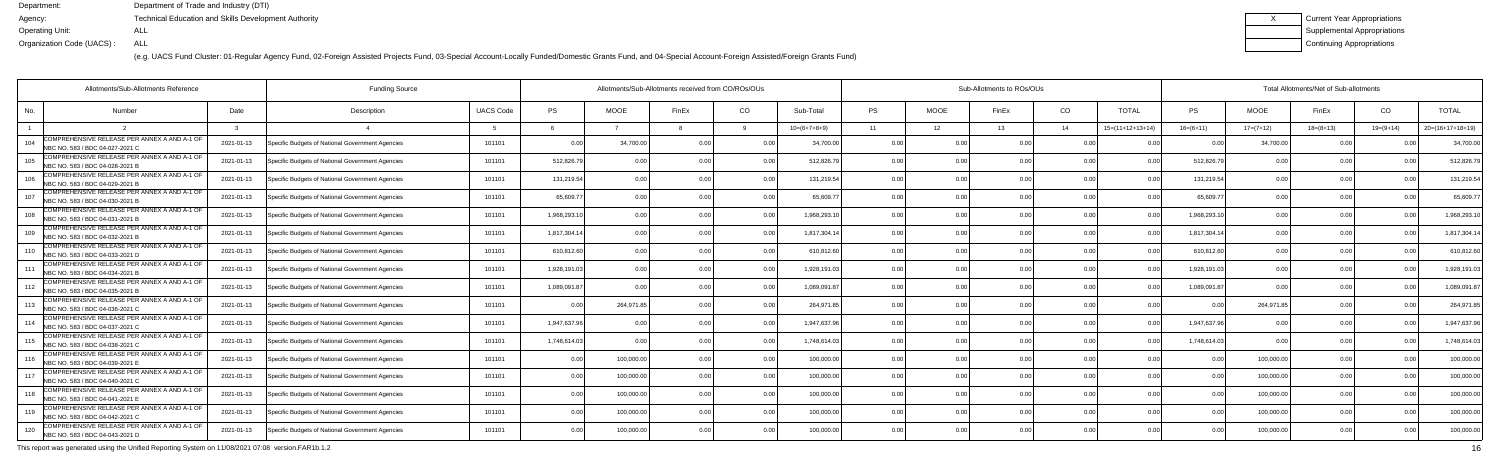(e.g. UACS Fund Cluster: 01-Regular Agency Fund, 02-Foreign Assisted Projects Fund, 03-Special Account-Locally Funded/Domestic Grants Fund, and 04-Special Account-Foreign Assisted/Foreign Grants Fund)

| Current Year Appropriations |
|-----------------------------|
| Supplemental Appropriations |
| Continuing Appropriations   |

|     | Allotments/Sub-Allotments Reference                                              |            |                                                  |                  | Allotments/Sub-Allotments received from CO/ROs/OUs |                |       | Sub-Allotments to ROs/OUs |                |           |             |                |                | Total Allotments/Net of Sub-allotments |              |             |             |                |                    |
|-----|----------------------------------------------------------------------------------|------------|--------------------------------------------------|------------------|----------------------------------------------------|----------------|-------|---------------------------|----------------|-----------|-------------|----------------|----------------|----------------------------------------|--------------|-------------|-------------|----------------|--------------------|
| No. | <b>Number</b>                                                                    | Date       | Description                                      | <b>UACS Code</b> | <b>PS</b>                                          | <b>MOOE</b>    | FinEx | CO                        | Sub-Total      | <b>PS</b> | <b>MOOE</b> | FinEx          | CO.            | <b>TOTAL</b>                           | PS           | <b>MOOE</b> | FinEx       | CO             | <b>TOTAL</b>       |
|     |                                                                                  |            |                                                  |                  |                                                    |                |       |                           | $10=(6+7+8+9)$ | 11        | 12          | 13             | - 14           | $15=(11+12+13+14)$                     | $16=(6+11)$  | $17=(7+12)$ | $18=(8+13)$ | $19=(9+14)$    | $20=(16+17+18+19)$ |
| 104 | COMPREHENSIVE RELEASE PER ANNEX A AND A-1 OF<br>NBC NO. 583 / BDC 04-027-2021 C  | 2021-01-13 | Specific Budgets of National Government Agencies | 101101           | 0.00                                               | 34,700.0       | 0 0   | 0.0                       | 34.700.00      | 0.00      | 0.00        |                | 0 <sub>0</sub> |                                        | 0 Q          | 34,700.00   | 0.00        |                | 34,700.0           |
| 105 | COMPREHENSIVE RELEASE PER ANNEX A AND A-1 OF<br>NBC NO. 583 / BDC 04-028-2021 B  | 2021-01-13 | Specific Budgets of National Government Agencies | 101101           | 512,826.79                                         | 0.00           |       | 0.00                      | 512,826.7      | 0.00      | 0.00        |                | 0.00           | 0.0(                                   | 512,826.79   | 0.00        | 0.00        | 0 <sub>0</sub> | 512,826.7          |
| 106 | COMPREHENSIVE RELEASE PER ANNEX A AND A-1 OF<br>NBC NO. 583 / BDC 04-029-2021 B  | 2021-01-13 | Specific Budgets of National Government Agencies | 101101           | 131,219.54                                         | 0.00           |       | 0.00                      | 131,219.54     | 0.00      | 0.00        |                | 0.00           | 0 <sub>0</sub>                         | 131,219.54   | 0.00        | 0.00        |                | 131,219.54         |
| 107 | COMPREHENSIVE RELEASE PER ANNEX A AND A-1 OF<br>NBC NO. 583 / BDC 04-030-2021 B  | 2021-01-13 | Specific Budgets of National Government Agencies | 101101           | 65,609.7                                           | 0.00           |       | 0.0                       | 65,609.7       | 0.00      | 0.00        |                | 0.00           |                                        | 65,609.7     | 0.00        | 0.00        |                | 65,609.7           |
| 108 | COMPREHENSIVE RELEASE PER ANNEX A AND A-1 OF<br>NBC NO. 583 / BDC 04-031-2021 B  | 2021-01-13 | Specific Budgets of National Government Agencies | 101101           | 1,968,293.10                                       | 0.00           |       | 0.00                      | 1,968,293.1    | 0.00      | 0.00        |                | 0.00           | 0.0(                                   | 1,968,293.1  | 0.00        | 0.00        |                | 1,968,293.         |
| 109 | COMPREHENSIVE RELEASE PER ANNEX A AND A-1 OF<br>NBC NO. 583 / BDC 04-032-2021 B  | 2021-01-13 | Specific Budgets of National Government Agencies | 101101           | 1.817.304.14                                       | 0.00           |       | 0.00                      | 1.817.304.14   | 0.00      | 0.00        |                | 0.00           |                                        | 1,817,304.1  | 0.00        | 0.00        |                | 1,817,304.14       |
|     | COMPREHENSIVE RELEASE PER ANNEX A AND A-1 OF<br>NBC NO. 583 / BDC 04-033-2021 D  | 2021-01-13 | Specific Budgets of National Government Agencies | 101101           | 610,812.60                                         | 0.00           |       | 0.00                      | 610,812.60     | 0.00      | 0.00        |                | 0.00           |                                        | 610,812.6    | 0.00        | 0.00        |                | 610,812.6          |
| 111 | COMPREHENSIVE RELEASE PER ANNEX A AND A-1 OF<br>NBC NO. 583 / BDC 04-034-2021 B  | 2021-01-13 | Specific Budgets of National Government Agencies | 101101           | 1,928,191.03                                       | 0.00           |       | <u>ሰ</u>                  | 1,928,191.03   | 0.00      | 0.00        |                | 0 <sub>0</sub> |                                        | 1,928,191.03 | 0.00        | 0.00        |                | 1,928,191.         |
|     | COMPREHENSIVE RELEASE PER ANNEX A AND A-1 OF<br>NBC NO. 583 / BDC 04-035-2021 B  | 2021-01-13 | Specific Budgets of National Government Agencies | 101101           | 1,089,091.87                                       | 0.00           |       | 0.00                      | 1,089,091.87   | 0.00      | 0.00        |                | 0.00           | 0.0(                                   | 1,089,091.87 | 0.00        | 0.00        |                | 1,089,091.         |
|     | COMPREHENSIVE RELEASE PER ANNEX A AND A-1 OF<br>NBC NO. 583 / BDC 04-036-2021 C  | 2021-01-13 | Specific Budgets of National Government Agencies | 101101           | 0.00                                               | 264,971.85     |       | 0.00                      | 264,971.85     | 0.00      | 0.00        | 0 <sub>0</sub> | 0.00           | 0.00                                   | 0.0          | 264,971.85  | 0.00        |                | 264,971.           |
|     | COMPREHENSIVE RELEASE PER ANNEX A AND A-1 OF<br>INBC NO. 583 / BDC 04-037-2021 C | 2021-01-13 | Specific Budgets of National Government Agencies | 101101           | 1,947,637.96                                       | 0.0            |       | 0.0                       | 1.947.637.96   | 0.00      | 0.00        |                | 0.00           |                                        | 1.947.637.9  | 0.00        | 0.00        |                | 1,947,637.9        |
| 115 | COMPREHENSIVE RELEASE PER ANNEX A AND A-1 OF<br>NBC NO. 583 / BDC 04-038-2021 C  | 2021-01-13 | Specific Budgets of National Government Agencies | 101101           | 1,748,614.03                                       | 0 <sub>0</sub> |       | 0.00                      | 1.748.614.03   | 0.00      | 0.00        |                | 0.00           | . N Q                                  | 1,748,614.03 | 0.00        | 0.00        |                | 1,748,614.0        |
| 116 | COMPREHENSIVE RELEASE PER ANNEX A AND A-1 OF<br>NBC NO. 583 / BDC 04-039-2021 B  | 2021-01-13 | Specific Budgets of National Government Agencies | 101101           | 0.00                                               | 100,000.00     |       | 0.00                      | 100,000.00     | 0.00      | 0.00        | n nr           | 0.00           | 0.00                                   | . N O        | 100,000.00  | 0.00        |                | 100,000.00         |
|     | COMPREHENSIVE RELEASE PER ANNEX A AND A-1 OF<br>NBC NO. 583 / BDC 04-040-2021 C  | 2021-01-13 | Specific Budgets of National Government Agencies | 101101           | 0.00                                               | 100,000.0      |       | 0.0                       | 100,000.00     | 0.00      | 0.00        |                | 0.00           |                                        |              | 100,000.00  | 0.00        |                | 100,000.00         |
| 118 | COMPREHENSIVE RELEASE PER ANNEX A AND A-1 OF<br>NBC NO. 583 / BDC 04-041-2021 E  | 2021-01-13 | Specific Budgets of National Government Agencies | 101101           | 0.00                                               | 100.000.0      |       | 0.00                      | 100,000.00     | 0.00      | 0.00        |                | 0.00           | 0 <sub>0</sub>                         |              | 100,000.00  | 0.00        |                | 100,000.0          |
| 119 | COMPREHENSIVE RELEASE PER ANNEX A AND A-1 OF<br>NBC NO. 583 / BDC 04-042-2021 C  | 2021-01-13 | Specific Budgets of National Government Agencies | 101101           | 0.00                                               | 100,000.00     |       | 0.00                      | 100,000.00     | 0.00      | 0.00        | 0.00           | 0.00           | 0.00                                   | 0.00         | 100,000.00  | 0.00        | 0 <sub>0</sub> | 100,000.00         |
| 120 | COMPREHENSIVE RELEASE PER ANNEX A AND A-1 OF<br>NBC NO. 583 / BDC 04-043-2021 D  | 2021-01-13 | Specific Budgets of National Government Agencies | 101101           | 0.00                                               | 100,000.00     |       | 0.00                      | 100,000.00     | n n       | 0.00        |                | 0 <sub>0</sub> |                                        |              | 100,000.00  | 0.00        |                | 100,000.00         |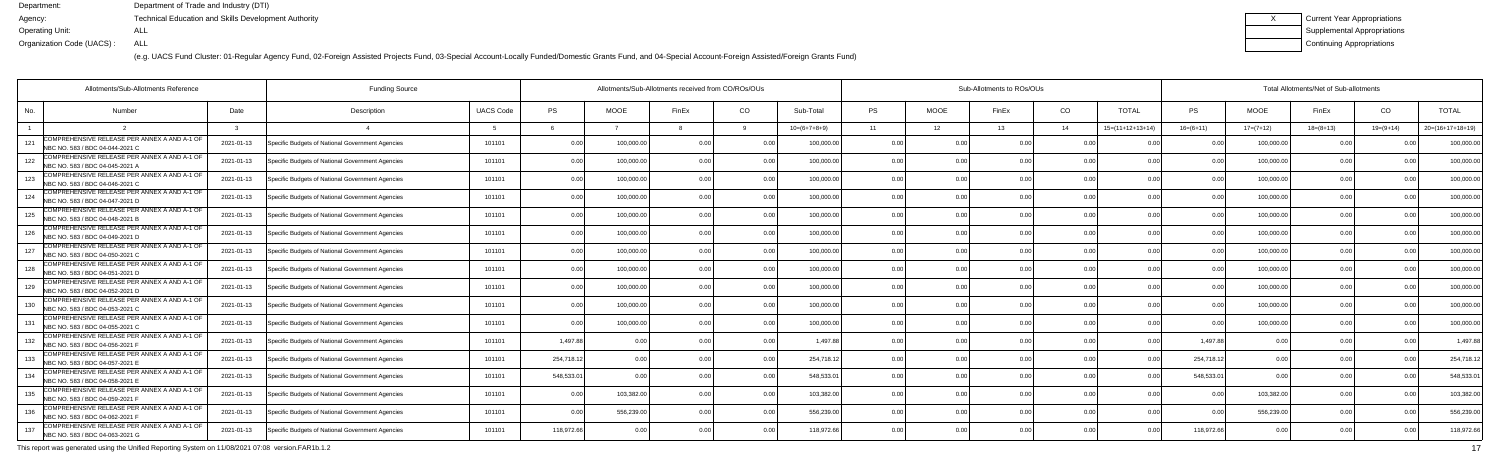(e.g. UACS Fund Cluster: 01-Regular Agency Fund, 02-Foreign Assisted Projects Fund, 03-Special Account-Locally Funded/Domestic Grants Fund, and 04-Special Account-Foreign Assisted/Foreign Grants Fund)

| Current Year Appropriations        |
|------------------------------------|
| <b>Supplemental Appropriations</b> |
| Continuing Appropriations          |

| Allotments/Sub-Allotments Reference                                                    |            |                                                  |                  | Allotments/Sub-Allotments received from CO/ROs/OUs |             |                |                |                | Sub-Allotments to ROs/OUs |             |       | Total Allotments/Net of Sub-allotments |                    |                |             |             |                |                    |
|----------------------------------------------------------------------------------------|------------|--------------------------------------------------|------------------|----------------------------------------------------|-------------|----------------|----------------|----------------|---------------------------|-------------|-------|----------------------------------------|--------------------|----------------|-------------|-------------|----------------|--------------------|
| No.<br><b>Number</b>                                                                   | Date       | Description                                      | <b>UACS Code</b> | PS                                                 | <b>MOOE</b> | FinEx          | CO             | Sub-Total      | <b>PS</b>                 | <b>MOOE</b> | FinEx | CO                                     | <b>TOTAL</b>       | <b>PS</b>      | <b>MOOE</b> | FinEx       | CO             | <b>TOTAL</b>       |
|                                                                                        |            |                                                  |                  |                                                    |             |                |                | $10=(6+7+8+9)$ | 11                        | 12          | 13    | 14                                     | $15=(11+12+13+14)$ | $16=(6+11)$    | $17=(7+12)$ | $18=(8+13)$ | $19=(9+14)$    | $20=(16+17+18+19)$ |
| COMPREHENSIVE RELEASE PER ANNEX A AND A-1 OF<br>121<br>NBC NO. 583 / BDC 04-044-2021 C | 2021-01-13 | Specific Budgets of National Government Agencies | 101101           | 0.00                                               | 100,000.0   | 0 <sub>0</sub> |                | 100,000.00     | 0.00                      | 0 O         | 0.00  | 0 <sub>0</sub>                         |                    |                | 100,000.0   | n n         |                | 100,000.0          |
| COMPREHENSIVE RELEASE PER ANNEX A AND A-1 OF<br>122<br>NBC NO. 583 / BDC 04-045-2021 A | 2021-01-13 | Specific Budgets of National Government Agencies | 101101           | 0.00                                               | 100.000.0   | 0 <sub>0</sub> | 0.00           | 100,000.00     | 0.00                      | 0.00        |       | 0.00                                   | 0.00               | 0 <sub>0</sub> | 100,000.00  | 0.00        | 0.00           | 100,000.0          |
| COMPREHENSIVE RELEASE PER ANNEX A AND A-1 OF<br>123<br>NBC NO. 583 / BDC 04-046-2021 C | 2021-01-13 | Specific Budgets of National Government Agencies | 101101           | 0.00                                               | 100,000.00  | 0 <sub>0</sub> | 0.00           | 100,000.00     | 0.00                      | 0.00        |       | 0.00                                   | 0.00               | 0 <sub>0</sub> | 100,000.00  | 0.00        |                | 100,000.0          |
| COMPREHENSIVE RELEASE PER ANNEX A AND A-1 OF<br>124<br>NBC NO. 583 / BDC 04-047-2021 D | 2021-01-13 | Specific Budgets of National Government Agencies | 101101           | 0.00                                               | 100,000.0   |                | 0.00           | 100,000.0      | 0.00                      | 0.00        |       | 0.00                                   | 0 <sub>0</sub>     | 0 <sub>0</sub> | 100,000.0   | 0.00        |                | 100,000.0          |
| COMPREHENSIVE RELEASE PER ANNEX A AND A-1 OF<br>125<br>NBC NO. 583 / BDC 04-048-2021 B | 2021-01-13 | Specific Budgets of National Government Agencies | 101101           | 0.00                                               | 100.000.00  |                | 0.00           | 100.000.00     | 0.00                      | 0.00        |       | 0.00                                   | 0.00               | 0 <sub>0</sub> | 100,000.00  | 0.00        |                | 100,000.0          |
| COMPREHENSIVE RELEASE PER ANNEX A AND A-1 OF<br>126<br>NBC NO. 583 / BDC 04-049-2021 D | 2021-01-13 | Specific Budgets of National Government Agencies | 101101           | 0.00                                               | 100.000.00  | 0 <sub>0</sub> | 0.00           | 100,000.00     | 0.00                      | 0.00        | 0.00  | 0.00                                   | 0.00               | 0 <sub>0</sub> | 100,000.00  | 0.00        | 0.00           | 100,000.0          |
| COMPREHENSIVE RELEASE PER ANNEX A AND A-1 OF<br>127<br>NBC NO. 583 / BDC 04-050-2021 C | 2021-01-13 | Specific Budgets of National Government Agencies | 101101           | 0.00                                               | 100,000.0   |                | 0.00           | 100,000.00     | 0.00                      | 0.00        |       | 0.00                                   |                    | n n            | 100,000.0   | 0.00        |                | 100,000.0          |
| COMPREHENSIVE RELEASE PER ANNEX A AND A-1 OF<br>128<br>NBC NO. 583 / BDC 04-051-2021 D | 2021-01-13 | Specific Budgets of National Government Agencies | 101101           | 0.00                                               | 100.000.0   |                | 0 <sub>0</sub> | 100,000.00     | 0.00                      | 0.00        |       | 0 <sub>0</sub>                         | 0.00               |                | 100,000.00  | 0.00        | $\cap$ $\cap$  | 100,000.0          |
| COMPREHENSIVE RELEASE PER ANNEX A AND A-1 OF<br>129<br>NBC NO. 583 / BDC 04-052-2021 D | 2021-01-13 | Specific Budgets of National Government Agencies | 101101           | 0.00                                               | 100,000.0   | n n            | 0.00           | 100,000.00     | 0.00                      | 0.00        | 0.OC  | 0.00                                   | 0.00               | 0 <sub>0</sub> | 100.000.00  | 0.00        | 0.00           | 100,000.0          |
| COMPREHENSIVE RELEASE PER ANNEX A AND A-1 OF<br>130<br>NBC NO. 583 / BDC 04-053-2021 C | 2021-01-13 | Specific Budgets of National Government Agencies | 101101           | 0.00                                               | 100,000.00  | n n            | 0.00           | 100,000.00     | 0.00                      | 0.00        | n nr  | 0.00                                   | 0.00               | 0 <sub>0</sub> | 100,000.00  | 0.00        |                | 100,000.0          |
| COMPREHENSIVE RELEASE PER ANNEX A AND A-1 OF<br>131<br>NBC NO. 583 / BDC 04-055-2021 C | 2021-01-13 | Specific Budgets of National Government Agencies | 101101           | 0.00                                               | 100.000.0   |                | 0 <sub>0</sub> | 100,000.00     | 0.00                      | 0.00        |       | 0 <sub>0</sub>                         | 0 <sub>0</sub>     | 0 <sub>0</sub> | 100,000.00  | -0.00       |                | 100,000.0          |
| COMPREHENSIVE RELEASE PER ANNEX A AND A-1 OF<br>132<br>NBC NO. 583 / BDC 04-056-2021 F | 2021-01-13 | Specific Budgets of National Government Agencies | 101101           | 1.497.88                                           | 0.00        |                | 0.00           | 1.497.8        | 0.00                      | 0.00        |       | 0.00                                   | 0.00               | 1.497.8        |             | 0.00        |                | 1,497.88           |
| COMPREHENSIVE RELEASE PER ANNEX A AND A-1 OF<br>133<br>NBC NO. 583 / BDC 04-057-2021 E | 2021-01-13 | Specific Budgets of National Government Agencies | 101101           | 254,718.12                                         | 0.00        |                | 0.00           | 254,718.12     | 0.00                      | 0.00        | n nr  | 0.00                                   | 0.00               | 254,718.12     | 0.00        | 0.00        | 0.00           | 254,718.1          |
| COMPREHENSIVE RELEASE PER ANNEX A AND A-1 OF<br>134<br>NBC NO. 583 / BDC 04-058-2021 E | 2021-01-13 | Specific Budgets of National Government Agencies | 101101           | 548,533.01                                         | . O O       |                | 0.00           | 548.533.0      | 0.00                      | 0.00        |       | 0 <sub>0</sub>                         |                    | 548,533.0      |             | <u>በ በበ</u> |                | 548,533.0          |
| COMPREHENSIVE RELEASE PER ANNEX A AND A-1 OF<br>135<br>NBC NO. 583 / BDC 04-059-2021 F | 2021-01-13 | Specific Budgets of National Government Agencies | 101101           | 0.00                                               | 103,382.00  |                | 0.00           | 103,382.00     | 0.00                      | 0.00        |       | 0 <sub>0</sub>                         | 0.00               | 0 <sub>0</sub> | 103,382.0   | 0.00        | 0 <sub>0</sub> | 103,382.0          |
| COMPREHENSIVE RELEASE PER ANNEX A AND A-1 OF<br>136<br>NBC NO. 583 / BDC 04-062-2021 F | 2021-01-13 | Specific Budgets of National Government Agencies | 101101           | 0.00                                               | 556,239.00  | 0.00           | 0.00           | 556,239.00     | 0.00                      | 0.00        | 0.00  | 0.00                                   | 0.00               | 0.0(           | 556,239.00  | 0.00        | 0.00           | 556,239.0          |
| COMPREHENSIVE RELEASE PER ANNEX A AND A-1 OF<br>137<br>NBC NO. 583 / BDC 04-063-2021 G | 2021-01-13 | Specific Budgets of National Government Agencies | 101101           | 118,972.66                                         | 0.00        |                | 0.00           | 118,972.66     | 0 <sub>0</sub>            | 0.00        |       | 0 <sub>0</sub>                         |                    | 118,972.6      |             | 0.00        |                | 118,972.6          |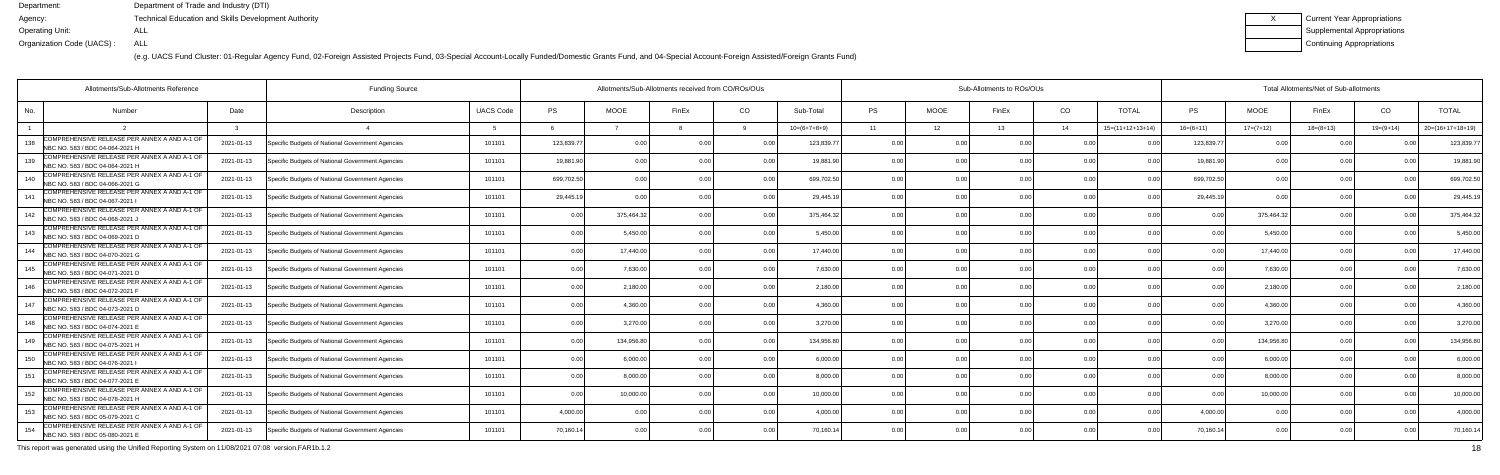(e.g. UACS Fund Cluster: 01-Regular Agency Fund, 02-Foreign Assisted Projects Fund, 03-Special Account-Locally Funded/Domestic Grants Fund, and 04-Special Account-Foreign Assisted/Foreign Grants Fund)

| Current Year Appropriations |
|-----------------------------|
| Supplemental Appropriations |
| Continuing Appropriations   |

| Allotments/Sub-Allotments Reference                                                    |            |                                                  |                  | Allotments/Sub-Allotments received from CO/ROs/OUs |             |                |                |                | Sub-Allotments to ROs/OUs |             |       | Total Allotments/Net of Sub-allotments |                    |                |                |             |               |                    |
|----------------------------------------------------------------------------------------|------------|--------------------------------------------------|------------------|----------------------------------------------------|-------------|----------------|----------------|----------------|---------------------------|-------------|-------|----------------------------------------|--------------------|----------------|----------------|-------------|---------------|--------------------|
| No.<br>Number                                                                          | Date       | Description                                      | <b>UACS Code</b> | PS                                                 | <b>MOOE</b> | FinEx          | CO             | Sub-Total      | <b>PS</b>                 | <b>MOOE</b> | FinEx | CO                                     | <b>TOTAL</b>       | <b>PS</b>      | <b>MOOE</b>    | FinEx       | CO            | <b>TOTAL</b>       |
|                                                                                        |            |                                                  |                  |                                                    |             |                |                | $10=(6+7+8+9)$ | 11                        | 12          | 13    | 14                                     | $15=(11+12+13+14)$ | $16=(6+11)$    | $17=(7+12)$    | $18=(8+13)$ | $19=(9+14)$   | $20=(16+17+18+19)$ |
| COMPREHENSIVE RELEASE PER ANNEX A AND A-1 OF<br>138<br>NBC NO. 583 / BDC 04-064-2021 H | 2021-01-13 | Specific Budgets of National Government Agencies | 101101           | 123,839.77                                         | 0.00        | n n            |                | 123,839.7      | 0.00                      | 0 O         | 0.OC  | 0 <sub>0</sub>                         |                    | 123,839.7      | 0.00           |             |               | 123,839.7          |
| COMPREHENSIVE RELEASE PER ANNEX A AND A-1 OF<br>139<br>NBC NO. 583 / BDC 04-064-2021 H | 2021-01-13 | Specific Budgets of National Government Agencies | 101101           | 19,881.90                                          | 0.00        |                | 0.00           | 19,881.90      | 0.00                      | 0.00        |       | 0.00                                   |                    | 19,881.9       | 0.00           | 0.00        | 0.00          | 19,881.9           |
| COMPREHENSIVE RELEASE PER ANNEX A AND A-1 OF<br>NBC NO. 583 / BDC 04-066-2021 G        | 2021-01-13 | Specific Budgets of National Government Agencies | 101101           | 699,702.50                                         | 0.00        |                | 0.00           | 699,702.50     | 0.00                      | 0.00        |       | 0.00                                   | 0.00               | 699,702.50     | 0.00           | 0.00        |               | 699,702.5          |
| COMPREHENSIVE RELEASE PER ANNEX A AND A-1 OF<br>141<br>NBC NO. 583 / BDC 04-067-2021   | 2021-01-13 | Specific Budgets of National Government Agencies | 101101           | 29,445.19                                          | 0.00        |                | 0.00           | 29,445.1       | 0.00                      | 0.00        |       | 0.00                                   |                    | 29,445.1       | 0.0            | 0.00        |               | 29,445.            |
| COMPREHENSIVE RELEASE PER ANNEX A AND A-1 OF<br>142<br>NBC NO. 583 / BDC 04-068-2021 J | 2021-01-13 | Specific Budgets of National Government Agencies | 101101           | 0.00                                               | 375,464.32  |                | 0.00           | 375,464.32     | 0.00                      | 0.00        |       | 0 <sub>0</sub>                         | 0.00               | n n            | 375,464.32     | 0.00        |               | 375,464.3          |
| COMPREHENSIVE RELEASE PER ANNEX A AND A-1 OF<br>143<br>NBC NO. 583 / BDC 04-069-2021 D | 2021-01-13 | Specific Budgets of National Government Agencies | 101101           | 0.00                                               | 5,450.00    | 0 <sub>0</sub> | 0.00           | 5.450.00       | 0.00                      | 0.00        | 0.00  | 0.00                                   | 0.00               | 0 <sub>0</sub> | 5,450.00       | 0.00        | 0.00          | 5,450.00           |
| COMPREHENSIVE RELEASE PER ANNEX A AND A-1 OF<br>NBC NO. 583 / BDC 04-070-2021 G        | 2021-01-13 | Specific Budgets of National Government Agencies | 101101           | 0.00                                               | 17,440.00   |                | 0.00           | 17,440.00      | 0.00                      | 0.00        |       | 0.00                                   |                    | $\Omega$       | 17,440.00      | 0.00        |               | 17,440.0           |
| COMPREHENSIVE RELEASE PER ANNEX A AND A-1 OF<br>145<br>NBC NO. 583 / BDC 04-071-2021 D | 2021-01-13 | Specific Budgets of National Government Agencies | 101101           | 0.00                                               | 7,630.0     |                | 0.00           | 7.630.00       | 0.00                      | 0.00        |       | 0 <sub>0</sub>                         | 0.00               | 0 <sub>0</sub> | 7.630.00       | 0.00        | 0.00          | 7,630.0            |
| COMPREHENSIVE RELEASE PER ANNEX A AND A-1 OF<br>146<br>NBC NO. 583 / BDC 04-072-2021 F | 2021-01-13 | Specific Budgets of National Government Agencies | 101101           | 0.00                                               | 2,180.00    | 0 <sub>0</sub> | 0.00           | 2,180.00       | 0.00                      | 0.00        | 0.OC  | 0.00                                   | 0.00               | 0 <sub>0</sub> | 2,180.00       | 0.00        | 0.00          | 2,180.00           |
| COMPREHENSIVE RELEASE PER ANNEX A AND A-1 OF<br>NBC NO. 583 / BDC 04-073-2021 D        | 2021-01-13 | Specific Budgets of National Government Agencies | 101101           | 0.00                                               | 4,360.00    | n n            | 0.00           | 4.360.00       | 0.00                      | 0.00        | n nr  | 0.00                                   | 0.00               | 0 <sub>0</sub> | 4,360.00       | 0.00        |               | 4,360.0            |
| COMPREHENSIVE RELEASE PER ANNEX A AND A-1 OF<br>148<br>NBC NO. 583 / BDC 04-074-2021 E | 2021-01-13 | Specific Budgets of National Government Agencies | 101101           | 0.00                                               | 3,270.00    | n n            | 0 <sub>0</sub> | 3,270.00       | 0.00                      | 0.00        |       | 0 <sub>0</sub>                         | n no               |                | 3,270.00       | 0.00        | $\cap$ $\cap$ | 3,270.00           |
| COMPREHENSIVE RELEASE PER ANNEX A AND A-1 OF<br>149<br>NBC NO. 583 / BDC 04-075-2021 H | 2021-01-13 | Specific Budgets of National Government Agencies | 101101           | 0.00                                               | 134.956.80  |                | 0.00           | 134.956.80     | 0.00                      | 0.00        |       | 0.00                                   | 0.00               | 0 <sub>0</sub> | 134.956.80     | 0.00        |               | 134,956.8          |
| COMPREHENSIVE RELEASE PER ANNEX A AND A-1 OF<br>150<br>NBC NO. 583 / BDC 04-076-2021 I | 2021-01-13 | Specific Budgets of National Government Agencies | 101101           | 0.00                                               | 6,000.00    |                | 0.00           | 6.000.00       | 0.00                      | 0.00        | n nr  | 0.00                                   | 0.00               | $\cap$ $\cap$  | 6,000.00       | 0.00        | 0.00          | 6,000.0            |
| COMPREHENSIVE RELEASE PER ANNEX A AND A-1 OF<br>151<br>NBC NO. 583 / BDC 04-077-2021 E | 2021-01-13 | Specific Budgets of National Government Agencies | 101101           | 0.00                                               | 8,000.0     |                | 0.00           | 8.000.0        | 0.00                      | 0.00        |       | 0 <sub>0</sub>                         |                    |                | 8,000.0        | <u>በ በበ</u> |               | 8,000.0            |
| COMPREHENSIVE RELEASE PER ANNEX A AND A-1 OF<br>152<br>NBC NO. 583 / BDC 04-078-2021 H | 2021-01-13 | Specific Budgets of National Government Agencies | 101101           | 0.00                                               | 10.000.00   |                | 0.00           | 10,000.00      | 0.00                      | 0.00        |       | 0 <sub>0</sub>                         | 0.00               | 0 <sub>0</sub> | 10,000.00      | 0.00        | 0.00          | 10,000.0           |
| COMPREHENSIVE RELEASE PER ANNEX A AND A-1 OF<br>153<br>NBC NO. 583 / BDC 05-079-2021 C | 2021-01-13 | Specific Budgets of National Government Agencies | 101101           | 4,000.00                                           | 0.00        | 0 <sub>0</sub> | 0.00           | 4.000.00       | 0.00                      | 0.00        | 0.00  | 0.00                                   | 0.00               | 4.000.00       | 0.00           | 0.00        | 0.00          | 4,000.00           |
| COMPREHENSIVE RELEASE PER ANNEX A AND A-1 OF<br>154<br>NBC NO. 583 / BDC 05-080-2021 E | 2021-01-13 | Specific Budgets of National Government Agencies | 101101           | 70,160.14                                          | 0.00        |                | 0.00           | 70,160.14      | 0 <sub>0</sub>            | 0.00        |       | 0 <sub>0</sub>                         |                    | 70,160.1       | 0 <sub>0</sub> | 0.00        |               | 70,160.14          |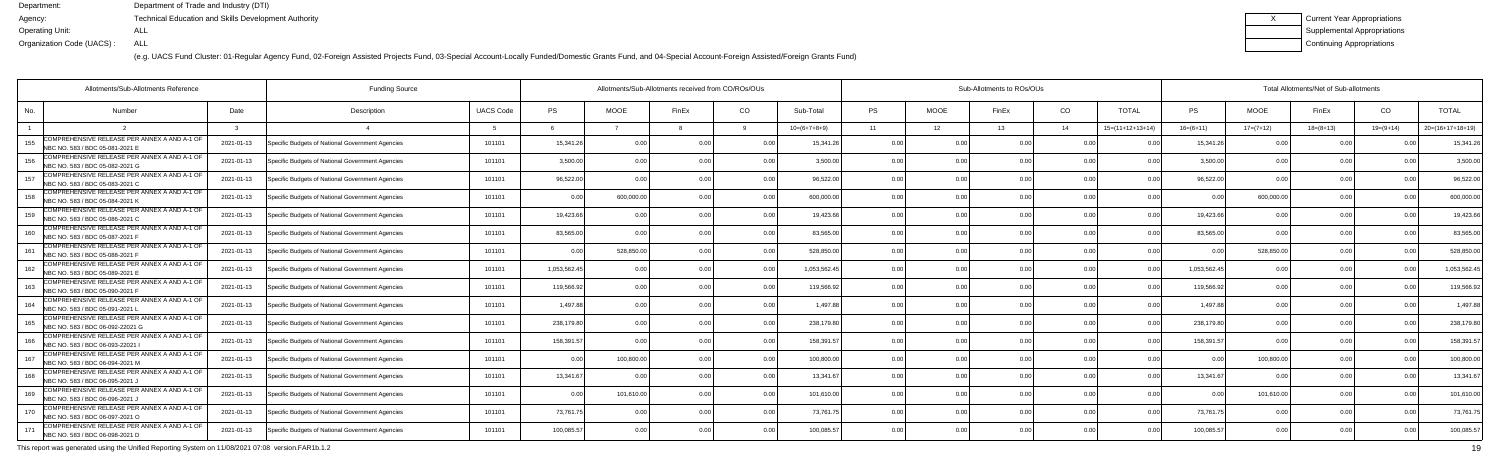(e.g. UACS Fund Cluster: 01-Regular Agency Fund, 02-Foreign Assisted Projects Fund, 03-Special Account-Locally Funded/Domestic Grants Fund, and 04-Special Account-Foreign Assisted/Foreign Grants Fund)

| Current Year Appropriations |
|-----------------------------|
| Supplemental Appropriations |
| Continuing Appropriations   |

| Allotments/Sub-Allotments Reference                                                     |            |                                                  |                  | Allotments/Sub-Allotments received from CO/ROs/OUs |             |                |                |                | Sub-Allotments to ROs/OUs |             |       | Total Allotments/Net of Sub-allotments |                            |                |                |                |                |                    |
|-----------------------------------------------------------------------------------------|------------|--------------------------------------------------|------------------|----------------------------------------------------|-------------|----------------|----------------|----------------|---------------------------|-------------|-------|----------------------------------------|----------------------------|----------------|----------------|----------------|----------------|--------------------|
| No.<br><b>Number</b>                                                                    | Date       | Description                                      | <b>UACS Code</b> | PS                                                 | <b>MOOE</b> | FinEx          | CO             | Sub-Total      | PS                        | <b>MOOE</b> | FinEx | CO                                     | <b>TOTAL</b>               | PS             | <b>MOOE</b>    | FinEx          | CO             | <b>TOTAL</b>       |
|                                                                                         |            |                                                  |                  |                                                    |             |                |                | $10=(6+7+8+9)$ | 11                        | 12          | 13    | 14                                     | $15=(11+12+13+14)$         | $16=(6+11)$    | $17=(7+12)$    | $18=(8+13)$    | $19=(9+14)$    | $20=(16+17+18+19)$ |
| COMPREHENSIVE RELEASE PER ANNEX A AND A-1 OF<br>155<br>NBC NO. 583 / BDC 05-081-2021 E  | 2021-01-13 | Specific Budgets of National Government Agencies | 101101           | 15,341.26                                          | 0.00        | 0.00           |                | 15,341.26      | 0.0                       |             |       | 0.00                                   |                            | 15,341.2       | 0 <sub>0</sub> |                |                | 15,341.2           |
| COMPREHENSIVE RELEASE PER ANNEX A AND A-1 OF<br>156<br>NBC NO. 583 / BDC 05-082-2021 G  | 2021-01-13 | Specific Budgets of National Government Agencies | 101101           | 3,500.00                                           | 0.00        | 0 OC           | 0.00           | 3,500.00       | 0.00                      | 0.00        |       | 0.00                                   | 0 <sub>0</sub>             | 3,500.00       | 0.00           | 0.00           | 0 <sub>0</sub> | 3,500.0            |
| COMPREHENSIVE RELEASE PER ANNEX A AND A-1 OF<br>157<br>NBC NO. 583 / BDC 05-083-2021 C  | 2021-01-13 | Specific Budgets of National Government Agencies | 101101           | 96,522.00                                          | 0.00        |                | 0.00           | 96,522.00      | 0.00                      | 0.00        |       | 0.00                                   | 0 <sub>0</sub>             | 96,522.00      | 0.00           | 0.00           | $\cap$ $\cap$  | 96,522.0           |
| COMPREHENSIVE RELEASE PER ANNEX A AND A-1 OF<br>158<br>NBC NO. 583 / BDC 05-084-2021 K  | 2021-01-13 | Specific Budgets of National Government Agencies | 101101           | 0.00                                               | 600,000.00  | 0 OC           | 0.00           | 600,000.0      | 0.00                      | 0.00        |       | 0.00                                   | 0.00                       | 0 <sub>0</sub> | 600,000.0      | 0.00           |                | 600,000.0          |
| COMPREHENSIVE RELEASE PER ANNEX A AND A-1 OF<br>159<br>NBC NO. 583 / BDC 05-086-2021 C  | 2021-01-13 | Specific Budgets of National Government Agencies | 101101           | 19,423.66                                          | 0.00        |                | 0 <sub>0</sub> | 19.423.66      | 0.00                      | 0.00        |       | 0.00                                   | 0.00                       | 19,423.66      | 0 <sub>0</sub> | 0.00           |                | 19,423.6           |
| COMPREHENSIVE RELEASE PER ANNEX A AND A-1 OF<br>160<br>NBC NO. 583 / BDC 05-087-2021 F  | 2021-01-13 | Specific Budgets of National Government Agencies | 101101           | 83.565.00                                          | 0.00        | 0 <sub>0</sub> | 0.00           | 83.565.00      | 0.00                      | 0.00        |       | 0.00                                   | 0 <sup>0<sup>c</sup></sup> | 83,565.00      | 0.00           | 0.00           | 0.00           | 83,565.00          |
| COMPREHENSIVE RELEASE PER ANNEX A AND A-1 OF<br>161<br>NBC NO. 583 / BDC 05-088-2021 F  | 2021-01-13 | Specific Budgets of National Government Agencies | 101101           | 0.00                                               | 528,850.00  |                | 0.00           | 528,850.0      | 0.0                       | 0.00        |       | 0.00                                   | n nr                       | n nr           | 528,850.0      | 0 Q            |                | 528,850.0          |
| COMPREHENSIVE RELEASE PER ANNEX A AND A-1 OF<br>162<br>NBC NO. 583 / BDC 05-089-2021 E  | 2021-01-13 | Specific Budgets of National Government Agencies | 101101           | 1,053,562.45                                       | 0.00        |                | 0 <sub>0</sub> | 1,053,562.4    | 0.00                      | 0.00        |       | 0.00                                   | 0 <sub>0</sub>             | 1,053,562.4    | 0 <sub>0</sub> | 0.00           |                | 1,053,562.4        |
| COMPREHENSIVE RELEASE PER ANNEX A AND A-1 OF<br>163<br>NBC NO. 583 / BDC 05-090-2021 F  | 2021-01-13 | Specific Budgets of National Government Agencies | 101101           | 119.566.92                                         | 0.00        | 0 OC           | 0.00           | 119,566.92     | 0.00                      | 0.00        |       | 0.00                                   | 0.00                       | 119,566.92     | 0.00           | 0.00           | 0.00           | 119,566.9          |
| COMPREHENSIVE RELEASE PER ANNEX A AND A-1 OF<br>164<br>NBC NO. 583 / BDC 05-091-2021    | 2021-01-13 | Specific Budgets of National Government Agencies | 101101           | 1,497.88                                           | 0.00        |                | 0.00           | 1.497.88       | 0.00                      | 0.00        |       | 0.00                                   | 0 <sup>0<sup>c</sup></sup> | 1.497.88       | 0.00           | 0.00           |                | 1,497.8            |
| COMPREHENSIVE RELEASE PER ANNEX A AND A-1 OF<br>165<br>NBC NO. 583 / BDC 06-092-22021 G | 2021-01-13 | Specific Budgets of National Government Agencies | 101101           | 238,179.80                                         | 0.00        |                | 0 <sub>0</sub> | 238,179.80     | 0 <sub>0</sub>            | ი იი        |       | 0.00                                   | 0 <sub>0</sub>             | 238,179.80     | 0 <sub>0</sub> | n n            |                | 238,179.8          |
| COMPREHENSIVE RELEASE PER ANNEX A AND A-1 OF<br>166<br>NBC NO. 583 / BDC 06-093-22021   | 2021-01-13 | Specific Budgets of National Government Agencies | 101101           | 158.391.57                                         | 0.00        |                | 0.00           | 158,391.5      | 0.00                      | 0.00        |       | 0.00                                   | 0 <sub>0</sub>             | 158.391.57     |                | 0.00           |                | 158,391.5          |
| COMPREHENSIVE RELEASE PER ANNEX A AND A-1 OF<br>167<br>NBC NO. 583 / BDC 06-094-2021 M  | 2021-01-13 | Specific Budgets of National Government Agencies | 101101           | 0.00                                               | 100,800.00  | 0 <sub>0</sub> | 0.00           | 100,800.00     | 0.00                      | 0.00        |       | 0.00                                   | 0.00                       | 0 <sub>0</sub> | 100,800.00     | 0.00           | 0.00           | 100,800.0          |
| COMPREHENSIVE RELEASE PER ANNEX A AND A-1 OF<br>168<br>NBC NO. 583 / BDC 06-095-2021,   | 2021-01-13 | Specific Budgets of National Government Agencies | 101101           | 13,341.67                                          | . വ         |                | 0.00           | 13,341.6       | 0.00                      | 0.OO        |       | 0.00                                   |                            | 13.341.67      |                | 0 <sub>0</sub> |                | 13,341.6           |
| COMPREHENSIVE RELEASE PER ANNEX A AND A-1 OF<br>169<br>NBC NO. 583 / BDC 06-096-2021 J  | 2021-01-13 | Specific Budgets of National Government Agencies | 101101           | 0.00                                               | 101,610.00  |                | 0.00           | 101,610.00     | 0.00                      | 0.00        |       | 0.00                                   | 0.00                       | 0 <sub>0</sub> | 101,610.00     | 0.00           | 0.00           | 101,610.0          |
| COMPREHENSIVE RELEASE PER ANNEX A AND A-1 OF<br>170<br>NBC NO. 583 / BDC 06-097-2021 O  | 2021-01-13 | Specific Budgets of National Government Agencies | 101101           | 73,761.75                                          | 0.00        | 0.00           | 0.00           | 73,761.7       | 0.00                      | 0.00        | 0.00  | 0.00                                   | 0.00                       | 73,761.7       | 0.00           | 0.00           | 0.00           | 73,761.7           |
| COMPREHENSIVE RELEASE PER ANNEX A AND A-1 OF<br>NBC NO. 583 / BDC 06-098-2021 D         | 2021-01-13 | Specific Budgets of National Government Agencies | 101101           | 100.085.57                                         | 0.00        |                | 0.00           | 100,085.5      | $\cap$                    | 0.OO        |       | 0 <sub>0</sub>                         | 0 <sup>0<sup>c</sup></sup> | 100.085.57     |                | 0.00           |                | 100,085.5          |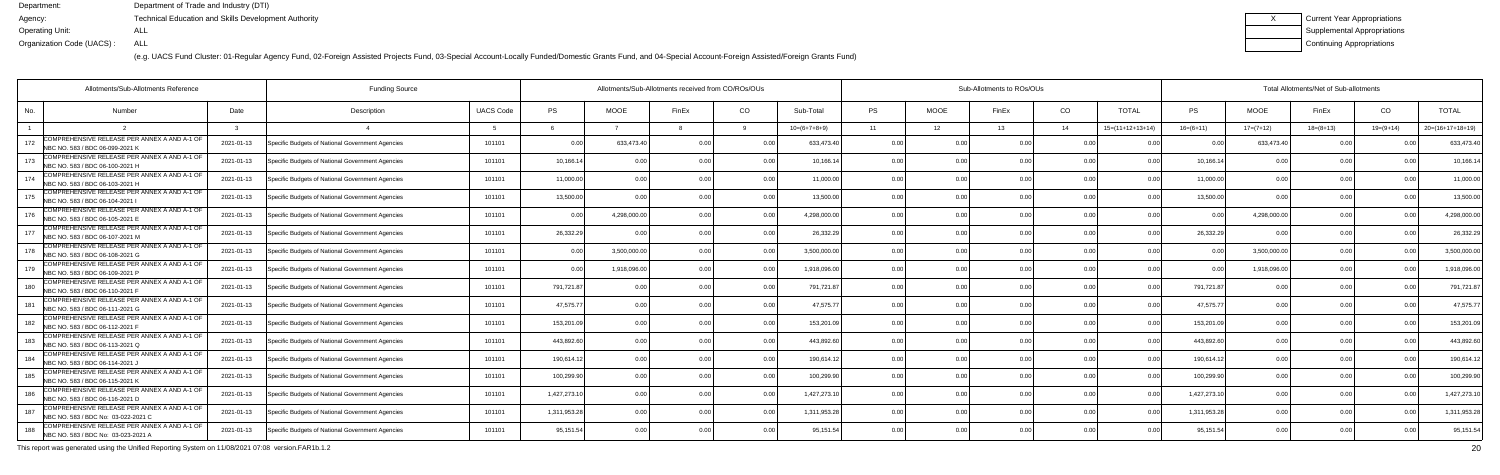(e.g. UACS Fund Cluster: 01-Regular Agency Fund, 02-Foreign Assisted Projects Fund, 03-Special Account-Locally Funded/Domestic Grants Fund, and 04-Special Account-Foreign Assisted/Foreign Grants Fund)

| Current Year Appropriations |
|-----------------------------|
| Supplemental Appropriations |
| Continuing Appropriations   |

|     | Allotments/Sub-Allotments Reference                                                 | <b>Funding Source</b> |                                                  |                  | Allotments/Sub-Allotments received from CO/ROs/OUs |                |                | Sub-Allotments to ROs/OUs |                |           |                |       |                | Total Allotments/Net of Sub-allotments |              |              |             |             |                    |  |
|-----|-------------------------------------------------------------------------------------|-----------------------|--------------------------------------------------|------------------|----------------------------------------------------|----------------|----------------|---------------------------|----------------|-----------|----------------|-------|----------------|----------------------------------------|--------------|--------------|-------------|-------------|--------------------|--|
| No. | <b>Number</b>                                                                       | Date                  | Description                                      | <b>UACS Code</b> | <b>PS</b>                                          | <b>MOOE</b>    | FinEx          | CO                        | Sub-Total      | <b>PS</b> | <b>MOOE</b>    | FinEx | CO             | <b>TOTAL</b>                           | PS           | <b>MOOE</b>  | FinEx       | CO          | <b>TOTAL</b>       |  |
|     |                                                                                     |                       |                                                  |                  |                                                    |                |                |                           | $10=(6+7+8+9)$ | 11        | 12             | 13    | - 14           | $15=(11+12+13+14)$                     | $16=(6+11)$  | $17=(7+12)$  | $18=(8+13)$ | $19=(9+14)$ | $20=(16+17+18+19)$ |  |
| 172 | COMPREHENSIVE RELEASE PER ANNEX A AND A-1 OF<br>NBC NO. 583 / BDC 06-099-2021 K     | 2021-01-13            | Specific Budgets of National Government Agencies | 101101           | 0.00                                               | 633,473.4      | 0 0            | 0 O                       | 633,473.4      | 0.00      | 0 <sub>0</sub> |       | 0 <sub>0</sub> |                                        | n c          | 633,473.40   | 0.00        |             | 633,473.4          |  |
| 173 | COMPREHENSIVE RELEASE PER ANNEX A AND A-1 OF<br>NBC NO. 583 / BDC 06-100-2021 H     | 2021-01-13            | Specific Budgets of National Government Agencies | 101101           | 10,166.14                                          | 0.00           |                | 0.00                      | 10,166.14      | 0.00      | 0.00           |       | 0.00           | 0 <sub>0</sub>                         | 10,166.1     | 0.00         | 0.00        |             | 10,166.1           |  |
| 174 | COMPREHENSIVE RELEASE PER ANNEX A AND A-1 OF<br>NBC NO. 583 / BDC 06-103-2021 H     | 2021-01-13            | Specific Budgets of National Government Agencies | 101101           | 11,000.00                                          | 0.00           |                | 0.00                      | 11,000.00      | 0.00      | 0.00           |       | 0.00           | 0 <sub>0</sub>                         | 11,000.00    | 0.00         | 0.00        |             | 11,000.00          |  |
| 175 | COMPREHENSIVE RELEASE PER ANNEX A AND A-1 OF<br>NBC NO. 583 / BDC 06-104-2021       | 2021-01-13            | Specific Budgets of National Government Agencies | 101101           | 13,500.00                                          | 0.0            |                | 0.0                       | 13,500.00      | 0.00      | 0.00           |       | 0.00           |                                        | 13,500.0     | 0.00         | 0.00        |             | 13,500.0           |  |
| 176 | COMPREHENSIVE RELEASE PER ANNEX A AND A-1 OF<br>NBC NO. 583 / BDC 06-105-2021 E     | 2021-01-13            | Specific Budgets of National Government Agencies | 101101           | 0.00                                               | 4,298,000.00   |                | 0.00                      | 4,298,000.00   | 0.00      | 0.00           |       | 0.00           | 0.00                                   | n c          | 4,298,000.00 | 0.00        |             | 4,298,000.0        |  |
| 177 | COMPREHENSIVE RELEASE PER ANNEX A AND A-1 OF<br>NBC NO. 583 / BDC 06-107-2021 M     | 2021-01-13            | Specific Budgets of National Government Agencies | 101101           | 26,332.29                                          | 0 <sub>0</sub> |                | 0.00                      | 26,332.29      | 0.00      | 0.00           |       | 0.00           | 0 <sub>0</sub>                         | 26,332.29    | 0.00         | 0.00        |             | 26,332.29          |  |
| 178 | COMPREHENSIVE RELEASE PER ANNEX A AND A-1 OF<br>NBC NO. 583 / BDC 06-108-2021 G     | 2021-01-13            | Specific Budgets of National Government Agencies | 101101           | 0.00                                               | 3,500,000.0    |                | 0 <sub>0</sub>            | 3,500,000.00   | 0.00      | 0.00           |       | 0.00           | 0 <sub>0</sub>                         | 0 Q          | 3,500,000.00 | 0.00        |             | 3,500,000.00       |  |
| 179 | COMPREHENSIVE RELEASE PER ANNEX A AND A-1 OF<br>NBC NO. 583 / BDC 06-109-2021 P     | 2021-01-13            | Specific Budgets of National Government Agencies | 101101           | 0.00                                               | 1.918.096.0    | 0 <sub>0</sub> | 0 <sub>0</sub>            | 1.918.096.00   | 0.00      | 0.00           |       | 0.00           | 0.0(                                   | n n          | 1,918,096.00 | 0.00        |             | 1,918,096.0        |  |
| 180 | COMPREHENSIVE RELEASE PER ANNEX A AND A-1 OF<br>NBC NO. 583 / BDC 06-110-2021 F     | 2021-01-13            | Specific Budgets of National Government Agencies | 101101           | 791,721.87                                         | 0.00           |                | 0.00                      | 791,721.87     | 0.00      | 0.00           |       | 0.00           | 0 <sub>0</sub>                         | 791,721.87   | 0.00         | 0.00        |             | 791,721.8          |  |
| 181 | COMPREHENSIVE RELEASE PER ANNEX A AND A-1 OF<br>NBC NO. 583 / BDC 06-111-2021 G     | 2021-01-13            | Specific Budgets of National Government Agencies | 101101           | 47,575.77                                          | 0.00           |                | 0.00                      | 47,575.7       | 0.00      | 0.00           |       | 0.00           | 0 <sub>0</sub>                         | 47,575.7     | 0.00         | 0.00        |             | 47,575.7           |  |
| 182 | COMPREHENSIVE RELEASE PER ANNEX A AND A-1 OF<br>NBC NO. 583 / BDC 06-112-2021 F     | 2021-01-13            | Specific Budgets of National Government Agencies | 101101           | 153,201.09                                         | 0.00           |                | 0.0                       | 153,201.09     | 0.00      | 0.00           |       | 0.00           |                                        | 153,201.0    | 0.00         | 0.00        |             | 153,201.           |  |
| 183 | COMPREHENSIVE RELEASE PER ANNEX A AND A-1 OF<br>NBC NO. 583 / BDC 06-113-2021 Q     | 2021-01-13            | Specific Budgets of National Government Agencies | 101101           | 443,892.60                                         | 0.00           |                | 0.00                      | 443.892.60     | 0.00      | 0.00           |       | 0.00           | . N Q                                  | 443,892.6    | 0.00         | 0.00        |             | 443,892.6          |  |
| 184 | COMPREHENSIVE RELEASE PER ANNEX A AND A-1 OF<br>NBC NO. 583 / BDC 06-114-2021 J     | 2021-01-13            | Specific Budgets of National Government Agencies | 101101           | 190,614.12                                         | 0.00           |                | 0.00                      | 190,614.12     | 0.00      | 0.00           |       | 0.00           | 0 <sub>0</sub>                         | 190,614.1    | 0.00         | 0.00        |             | 190,614.1          |  |
| 185 | COMPREHENSIVE RELEASE PER ANNEX A AND A-1 OF<br>NBC NO. 583 / BDC 06-115-2021 K     | 2021-01-13            | Specific Budgets of National Government Agencies | 101101           | 100,299.90                                         | 0 <sub>0</sub> |                | 0.0                       | 100,299.90     | 0.00      | 0.00           |       | 0 <sub>0</sub> |                                        | 100,299.90   | 0.00         | 0.00        |             | 100,299.9          |  |
| 186 | COMPREHENSIVE RELEASE PER ANNEX A AND A-1 OF<br>NBC NO. 583 / BDC 06-116-2021 D     | 2021-01-13            | Specific Budgets of National Government Agencies | 101101           | 1,427,273.10                                       | 0.00           |                | <u>ሰ</u>                  | 1,427,273.10   | 0.00      | 0.00           |       | 0 <sub>0</sub> |                                        | 1,427,273.10 | 0.00         | 0.00        |             | 1,427,273.1        |  |
| 187 | COMPREHENSIVE RELEASE PER ANNEX A AND A-1 OF<br>NBC NO. 583 / BDC No: 03-022-2021 C | 2021-01-13            | Specific Budgets of National Government Agencies | 101101           | 1,311,953.28                                       | 0.00           |                | 0.00                      | 1.311.953.2    | 0.00      | 0.00           |       | 0.00           | 0.0(                                   | 1,311,953.2  | 0.00         | 0.00        |             | 1,311,953.2        |  |
| 188 | COMPREHENSIVE RELEASE PER ANNEX A AND A-1 OF<br>NBC NO. 583 / BDC No: 03-023-2021 A | 2021-01-13            | Specific Budgets of National Government Agencies | 101101           | 95,151.54                                          | 0.00           |                | 0.00                      | 95,151.54      | 0.00      | 0.00           | n nr  | 0 <sub>0</sub> |                                        | 95,151.54    | 0.00         | 0.00        |             | 95,151.5           |  |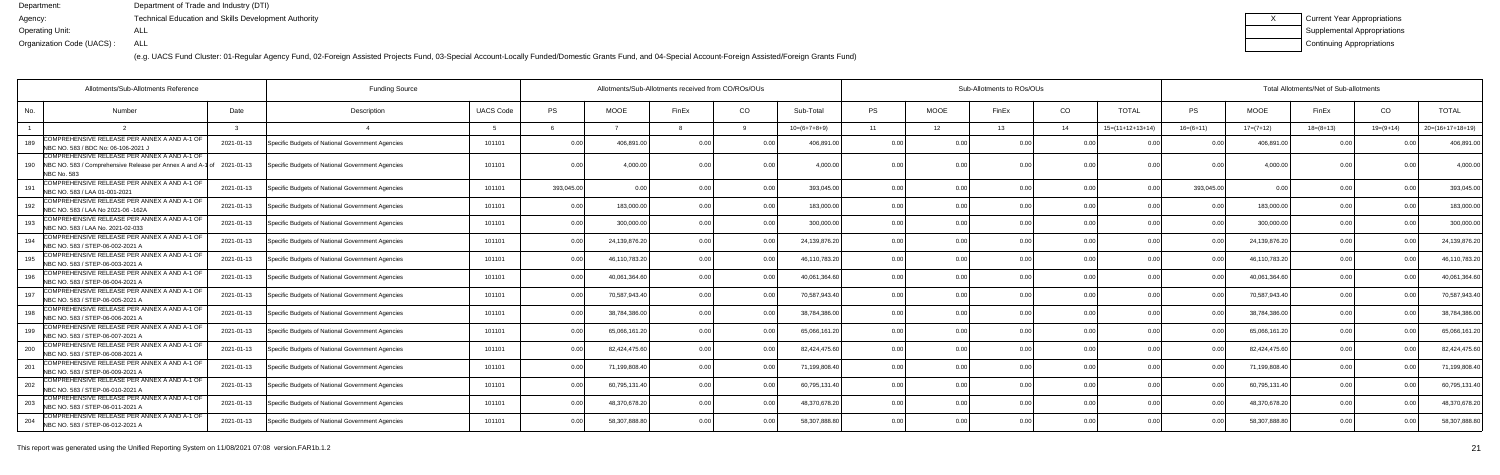(e.g. UACS Fund Cluster: 01-Regular Agency Fund, 02-Foreign Assisted Projects Fund, 03-Special Account-Locally Funded/Domestic Grants Fund, and 04-Special Account-Foreign Assisted/Foreign Grants Fund)

| Current Year Appropriations |
|-----------------------------|
| Supplemental Appropriations |
| Continuing Appropriations   |

|                           | Allotments/Sub-Allotments Reference                                                                                   | <b>Funding Source</b> |                                                  | Allotments/Sub-Allotments received from CO/ROs/OUs |                |               |                | Sub-Allotments to ROs/OUs |                |                |             |       |                | Total Allotments/Net of Sub-allotments |             |                |             |             |                    |
|---------------------------|-----------------------------------------------------------------------------------------------------------------------|-----------------------|--------------------------------------------------|----------------------------------------------------|----------------|---------------|----------------|---------------------------|----------------|----------------|-------------|-------|----------------|----------------------------------------|-------------|----------------|-------------|-------------|--------------------|
| No.                       | Number                                                                                                                | Date                  | Description                                      | <b>UACS Code</b>                                   | <b>PS</b>      | <b>MOOE</b>   | FinEx          | CO                        | Sub-Total      | <b>PS</b>      | <b>MOOE</b> | FinEx | CO             | <b>TOTAL</b>                           | <b>PS</b>   | <b>MOOE</b>    | FinEx       | CO          | <b>TOTAL</b>       |
|                           |                                                                                                                       |                       |                                                  |                                                    |                |               |                |                           | $10=(6+7+8+9)$ | 11             | 12          | 13    | 14             | $15=(11+12+13+14)$                     | $16=(6+11)$ | $17=(7+12)$    | $18=(8+13)$ | $19=(9+14)$ | $20=(16+17+18+19)$ |
| 189                       | COMPREHENSIVE RELEASE PER ANNEX A AND A-1 OF<br>NBC NO. 583 / BDC No: 06-106-2021                                     | 2021-01-13            | Specific Budgets of National Government Agencies | 101101                                             | 0.00           | 406,891.0     | 0.00           | 0.00                      | 406,891.00     | 0.00           | 0.0(        | 0.00  | 0 Q            |                                        |             | 406,891.0      | 0.00        | 0.OC        | 406,891.00         |
| 190<br><b>NBC No. 583</b> | COMPREHENSIVE RELEASE PER ANNEX A AND A-1 OF<br>NBC NO. 583 / Comprehensive Release per Annex A and A-1 of 2021-01-13 |                       | Specific Budgets of National Government Agencies | 101101                                             | 0.00           | 4,000.0       |                |                           | 4,000.00       |                | 0.0(        |       |                |                                        |             | 4,000.0        |             |             | 4,000.00           |
| 191                       | COMPREHENSIVE RELEASE PER ANNEX A AND A-1 OF<br>NBC NO. 583 / LAA 01-001-2021                                         | 2021-01-13            | Specific Budgets of National Government Agencies | 101101                                             | 393,045.00     | <u>ሰ በ</u>    |                | 0.00                      | 393,045.00     | 0.00           | 0.00        |       | 0 <sub>0</sub> | 0 <sub>0</sub>                         | 393,045.00  | 0 <sub>0</sub> | 0.00        | n nr        | 393,045.00         |
| 192                       | COMPREHENSIVE RELEASE PER ANNEX A AND A-1 OF<br>NBC NO. 583 / LAA No 2021-06 -162A                                    | 2021-01-13            | Specific Budgets of National Government Agencies | 101101                                             | 0.00           | 183,000.0     |                | 0.00                      | 183,000.00     | 0.00           | 0.00        |       | 0.00           | 0.00                                   |             | 183,000.00     | 0.00        | 0.OC        | 183,000.00         |
| 193                       | COMPREHENSIVE RELEASE PER ANNEX A AND A-1 OF<br>NBC NO. 583 / LAA No. 2021-02-033                                     | 2021-01-13            | Specific Budgets of National Government Agencies | 101101                                             | 0.00           | 300,000.00    | 0 <sub>0</sub> | 0.00                      | 300,000.00     | 0.00           | 0.00        | 0.00  | 0.00           | 0.00                                   | 0.00        | 300,000.00     | 0.00        | 0.OC        | 300,000.00         |
| 194                       | COMPREHENSIVE RELEASE PER ANNEX A AND A-1 OF<br>NBC NO. 583 / STEP-06-002-2021 A                                      | 2021-01-13            | Specific Budgets of National Government Agencies | 101101                                             | 0.00           | 24,139,876.2  |                | 0.00                      | 24,139,876.20  | 0 <sub>0</sub> | 0.0(        |       | 0.0            | 0.00                                   |             | 24,139,876.20  | 0.00        |             | 24,139,876.20      |
| 195                       | COMPREHENSIVE RELEASE PER ANNEX A AND A-1 OF<br>NBC NO. 583 / STEP-06-003-2021 A                                      | 2021-01-13            | Specific Budgets of National Government Agencies | 101101                                             | 0.00           | 46,110,783.2  | n nr           |                           | 46,110,783.20  | 0 <sub>0</sub> | 0.0(        |       | 0 Q            | 0.00                                   |             | 46,110,783.2   | 0.00        | 0 O         | 46,110,783.20      |
| 196                       | COMPREHENSIVE RELEASE PER ANNEX A AND A-1 OF<br>NBC NO. 583 / STEP-06-004-2021 A                                      | 2021-01-13            | Specific Budgets of National Government Agencies | 101101                                             | 0.00           | 40,061,364.6  |                |                           | 40,061,364.60  | 0.00           | 0.00        |       | 0.0            | 0.00                                   |             | 40,061,364.60  | 0.00        |             | 40,061,364.60      |
| 197                       | COMPREHENSIVE RELEASE PER ANNEX A AND A-1 OF<br>NBC NO. 583 / STEP-06-005-2021 A                                      | 2021-01-13            | Specific Budgets of National Government Agencies | 101101                                             | 0.00           | 70,587,943.4  |                | 0.00                      | 70,587,943.40  | 0.00           | 0.00        |       | 0.0            | 0.00                                   |             | 70,587,943.40  | 0.00        | 0.OC        | 70,587,943.40      |
| 198                       | COMPREHENSIVE RELEASE PER ANNEX A AND A-1 OF<br>NBC NO. 583 / STEP-06-006-2021 A                                      | 2021-01-13            | Specific Budgets of National Government Agencies | 101101                                             | 0.00           | 38,784,386.00 |                | 0.00                      | 38,784,386.00  | 0.00           | 0.00        | 0.00  | 0.00           | 0.00                                   | 0.00        | 38,784,386.00  | 0.00        | 0.00        | 38,784,386.00      |
| 199                       | COMPREHENSIVE RELEASE PER ANNEX A AND A-1 OF<br>NBC NO. 583 / STEP-06-007-2021 A                                      | 2021-01-13            | Specific Budgets of National Government Agencies | 101101                                             | 0.00           | 65,066,161.2  |                |                           | 65,066,161.20  | 0.00           | 0.00        |       | 0.00           | 0.00                                   |             | 65,066,161.2   | 0.00        |             | 65,066,161.20      |
| 200                       | COMPREHENSIVE RELEASE PER ANNEX A AND A-1 OF<br>NBC NO. 583 / STEP-06-008-2021 A                                      | 2021-01-13            | Specific Budgets of National Government Agencies | 101101                                             | 0 <sub>0</sub> | 82,424,475.6  |                |                           | 82,424,475.60  | 0 <sub>0</sub> | 0.00        |       | 0.0            | 0.00                                   |             | 82,424,475.60  | 0.00        |             | 82,424,475.60      |
| 201                       | COMPREHENSIVE RELEASE PER ANNEX A AND A-1 OF<br>NBC NO. 583 / STEP-06-009-2021 A                                      | 2021-01-13            | Specific Budgets of National Government Agencies | 101101                                             | 0.00           | 71,199,808.4  |                |                           | 71,199,808.40  | 0.00           | 0.0(        |       | 0.00           | 0.00                                   |             | 71,199,808.4   | 0.00        |             | 71,199,808.40      |
| 202                       | COMPREHENSIVE RELEASE PER ANNEX A AND A-1 OF<br>NBC NO. 583 / STEP-06-010-2021 A                                      | 2021-01-13            | Specific Budgets of National Government Agencies | 101101                                             | 0.00           | 60,795,131.4  |                | 0.00                      | 60,795,131.40  | 0.00           | 0.00        |       | 0.00           | 0.00                                   |             | 60,795,131.40  | 0.00        | 0 OC        | 60,795,131.40      |
| 203                       | COMPREHENSIVE RELEASE PER ANNEX A AND A-1 OF<br>NBC NO. 583 / STEP-06-011-2021 A                                      | 2021-01-13            | Specific Budgets of National Government Agencies | 101101                                             | 0.00           | 48,370,678.2  |                | 0.00                      | 48,370,678.20  | 0.00           | 0.00        |       | 0.00           | 0.00                                   |             | 48,370,678.2   | 0.00        | 0.OC        | 48,370,678.20      |
| 204                       | COMPREHENSIVE RELEASE PER ANNEX A AND A-1 OF<br>NBC NO. 583 / STEP-06-012-2021 A                                      | 2021-01-13            | Specific Budgets of National Government Agencies | 101101                                             | 0.00           | 58,307,888.8  |                | 0.00                      | 58,307,888.80  | 0 <sub>0</sub> | 0.00        |       | 0 <sub>0</sub> | 0.00                                   |             | 58,307,888.80  | 0.00        |             | 58,307,888.80      |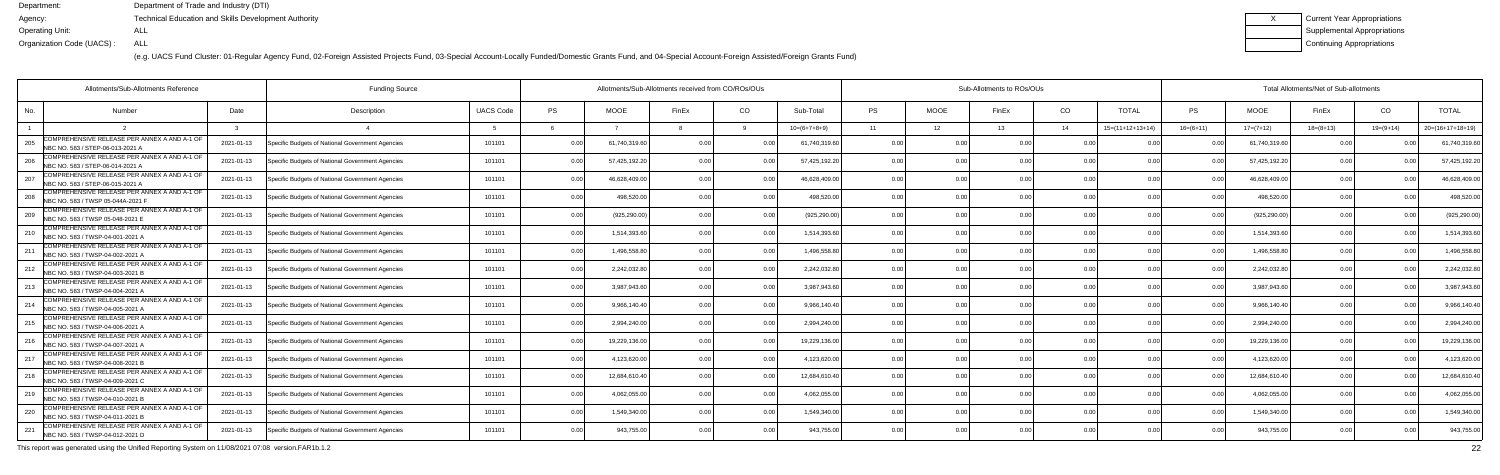(e.g. UACS Fund Cluster: 01-Regular Agency Fund, 02-Foreign Assisted Projects Fund, 03-Special Account-Locally Funded/Domestic Grants Fund, and 04-Special Account-Foreign Assisted/Foreign Grants Fund)

| Current Year Appropriations        |
|------------------------------------|
| <b>Supplemental Appropriations</b> |
| Continuing Appropriations          |

|     | Allotments/Sub-Allotments Reference                                               |            | <b>Funding Source</b>                            |                  |      | Allotments/Sub-Allotments received from CO/ROs/OUs |                |                | Sub-Allotments to ROs/OUs |                |             |       |                |                    | Total Allotments/Net of Sub-allotments |               |             |                |                    |  |  |
|-----|-----------------------------------------------------------------------------------|------------|--------------------------------------------------|------------------|------|----------------------------------------------------|----------------|----------------|---------------------------|----------------|-------------|-------|----------------|--------------------|----------------------------------------|---------------|-------------|----------------|--------------------|--|--|
| No. | Number                                                                            | Date       | Description                                      | <b>UACS Code</b> | PS   | <b>MOOE</b>                                        | FinEx          | CO             | Sub-Total                 | <b>PS</b>      | <b>MOOE</b> | FinEx | CO             | <b>TOTAL</b>       | PS                                     | <b>MOOE</b>   | FinEx       | CO             | <b>TOTAL</b>       |  |  |
|     |                                                                                   |            |                                                  |                  |      |                                                    |                |                | $10=(6+7+8+9)$            | 11             | 12          | 13    | 14             | $15=(11+12+13+14)$ | $16=(6+11)$                            | $17=(7+12)$   | $18=(8+13)$ | $19=(9+14)$    | $20=(16+17+18+19)$ |  |  |
| 205 | COMPREHENSIVE RELEASE PER ANNEX A AND A-1 OF<br>NBC NO. 583 / STEP-06-013-2021 A  | 2021-01-13 | Specific Budgets of National Government Agencies | 101101           | 0.00 | 61,740,319.60                                      | 0.00           |                | 61,740,319.60             | 0.00           |             | 0 OC  | n no           |                    |                                        | 61,740,319.60 | 0.00        |                | 61,740,319.6       |  |  |
| 206 | COMPREHENSIVE RELEASE PER ANNEX A AND A-1 OF<br>NBC NO. 583 / STEP-06-014-2021 A  | 2021-01-13 | Specific Budgets of National Government Agencies | 101101           | 0.00 | 57,425,192.20                                      | 0.00           | 0.00           | 57,425,192.20             | 0.00           | 0.00        |       | 0.00           | 0.00               | 0.00                                   | 57,425,192.20 | 0.00        |                | 57,425,192.2       |  |  |
| 207 | COMPREHENSIVE RELEASE PER ANNEX A AND A-1 OF<br>NBC NO. 583 / STEP-06-015-2021 A  | 2021-01-13 | Specific Budgets of National Government Agencies | 101101           | 0.00 | 46,628,409.0                                       | 0 <sub>0</sub> | 0.00           | 46,628,409.00             | 0.00           | 0.00        |       | 0.00           | 0.00               |                                        | 46,628,409.00 | 0.00        |                | 46,628,409.0       |  |  |
| 208 | COMPREHENSIVE RELEASE PER ANNEX A AND A-1 OF<br>NBC NO. 583 / TWSP 05-044A-2021 F | 2021-01-13 | Specific Budgets of National Government Agencies | 101101           | 0.00 | 498,520.0                                          | 0 <sub>0</sub> | 0.00           | 498,520.0                 | 0.00           | 0.00        |       | 0 <sub>0</sub> |                    |                                        | 498,520.00    | 0.00        |                | 498,520.0          |  |  |
| 209 | COMPREHENSIVE RELEASE PER ANNEX A AND A-1 OF<br>NBC NO. 583 / TWSP 05-048-2021 E  | 2021-01-13 | Specific Budgets of National Government Agencies | 101101           | 0.00 | (925, 290.00)                                      |                | 0 <sub>0</sub> | (925, 290.00)             | 0.00           | 0.00        |       | 0 <sub>0</sub> | 0.00               |                                        | (925, 290.00) | 0.00        |                | (925, 290.00)      |  |  |
| 210 | COMPREHENSIVE RELEASE PER ANNEX A AND A-1 OF<br>NBC NO. 583 / TWSP-04-001-2021 A  | 2021-01-13 | Specific Budgets of National Government Agencies | 101101           | 0.00 | 1,514,393.6                                        | 0 <sub>0</sub> | 0.00           | 1,514,393.6               | 0.00           | 0.00        |       | 0 <sub>0</sub> | 0.00               | $\cap$ $\cap$                          | 1,514,393.60  | 0.00        |                | 1,514,393.6        |  |  |
|     | COMPREHENSIVE RELEASE PER ANNEX A AND A-1 OF<br>NBC NO. 583 / TWSP-04-002-2021 A  | 2021-01-13 | Specific Budgets of National Government Agencies | 101101           | 0.00 | 1,496,558.8                                        |                | 0 <sub>0</sub> | 1,496,558.8               | 0.00           | 0.00        |       | 0.00           |                    |                                        | 1,496,558.80  | 0.00        |                | 1,496,558.8        |  |  |
| 212 | COMPREHENSIVE RELEASE PER ANNEX A AND A-1 OF<br>NBC NO. 583 / TWSP-04-003-2021 B  | 2021-01-13 | Specific Budgets of National Government Agencies | 101101           | 0.00 | 2,242,032.8                                        | 0 <sub>0</sub> |                | 2,242,032.80              | 0.00           | 0.00        |       | 0 <sub>0</sub> | 0.00               |                                        | 2,242,032.80  | 0.00        |                | 2,242,032.8        |  |  |
| 213 | COMPREHENSIVE RELEASE PER ANNEX A AND A-1 OF<br>NBC NO. 583 / TWSP-04-004-2021 A  | 2021-01-13 | Specific Budgets of National Government Agencies | 101101           | 0.00 | 3.987.943.6                                        | 0 <sub>0</sub> | 0.00           | 3.987.943.6               | 0.00           | 0.00        |       | 0.00           | 0.00               | 0 <sub>0</sub>                         | 3,987,943.60  | 0.00        | n nr           | 3.987.943.6        |  |  |
| 214 | COMPREHENSIVE RELEASE PER ANNEX A AND A-1 OF<br>NBC NO. 583 / TWSP-04-005-2021 A  | 2021-01-13 | Specific Budgets of National Government Agencies | 101101           | 0.00 | 9,966,140.40                                       | 0 <sub>0</sub> | 0.00           | 9,966,140.40              | 0.00           | 0.00        |       | 0.00           | 0.00               |                                        | 9,966,140.40  | 0.00        |                | 9,966,140.4        |  |  |
| 215 | COMPREHENSIVE RELEASE PER ANNEX A AND A-1 OF<br>NBC NO. 583 / TWSP-04-006-2021 A  | 2021-01-13 | Specific Budgets of National Government Agencies | 101101           | 0.00 | 2,994,240.0                                        | 0 <sub>0</sub> |                | 2,994,240.00              | 0.00           | 0.00        |       | 0 <sub>0</sub> | 0 <sub>0</sub>     |                                        | 2,994,240.00  | 0.00        |                | 2,994,240.00       |  |  |
| 216 | COMPREHENSIVE RELEASE PER ANNEX A AND A-1 OF<br>NBC NO. 583 / TWSP-04-007-2021 A  | 2021-01-13 | Specific Budgets of National Government Agencies | 101101           | 0.00 | 19,229,136.00                                      |                | 0 <sub>0</sub> | 19,229,136.00             | 0.00           | 0.00        |       | 0.00           | 0.00               | 0 <sub>0</sub>                         | 19,229,136.00 | 0.00        |                | 19,229,136.00      |  |  |
| 217 | COMPREHENSIVE RELEASE PER ANNEX A AND A-1 OF<br>NBC NO. 583 / TWSP-04-008-2021 B  | 2021-01-13 | Specific Budgets of National Government Agencies | 101101           | 0.00 | 4,123,620.0                                        | 0 <sub>0</sub> | 0.00           | 4,123,620.00              | 0.00           | 0.00        | 0 OC  | 0.00           | 0.00               | 0 U                                    | 4,123,620.00  | 0.00        |                | 4,123,620.0        |  |  |
| 218 | COMPREHENSIVE RELEASE PER ANNEX A AND A-1 OF<br>NBC NO. 583 / TWSP-04-009-2021 C  | 2021-01-13 | Specific Budgets of National Government Agencies | 101101           | 0.00 | 12,684,610.4                                       |                |                | 12,684,610.4              | 0.00           | 0.00        |       | 0 <sub>0</sub> |                    |                                        | 12,684,610.40 | 0.00        |                | 12,684,610.4       |  |  |
| 219 | COMPREHENSIVE RELEASE PER ANNEX A AND A-1 OF<br>NBC NO. 583 / TWSP-04-010-2021 B  | 2021-01-13 | Specific Budgets of National Government Agencies | 101101           | 0.00 | 4,062,055.0                                        | 0 <sub>0</sub> | 0 <sub>0</sub> | 4.062.055.00              | 0.00           | 0.00        |       | 0.00           | 0.00               |                                        | 4,062,055.00  | 0.00        |                | 4,062,055.0        |  |  |
| 220 | COMPREHENSIVE RELEASE PER ANNEX A AND A-1 OF<br>NBC NO. 583 / TWSP-04-011-2021 B  | 2021-01-13 | Specific Budgets of National Government Agencies | 101101           | 0.00 | 1,549,340.00                                       | 0.00           | 0.00           | 1,549,340.00              | 0.00           | 0.00        | 0.00  | 0.00           | 0.00               | 0 <sub>0</sub>                         | 1,549,340.00  | 0.00        | 0 <sub>0</sub> | 1,549,340.00       |  |  |
|     | COMPREHENSIVE RELEASE PER ANNEX A AND A-1 OF<br>NBC NO. 583 / TWSP-04-012-2021 D  | 2021-01-13 | Specific Budgets of National Government Agencies | 101101           | 0.00 | 943,755.00                                         |                | 0.00           | 943,755.00                | 0 <sub>0</sub> | 0.OC        |       | 0 <sub>0</sub> |                    |                                        | 943,755.00    | 0.00        |                | 943,755.00         |  |  |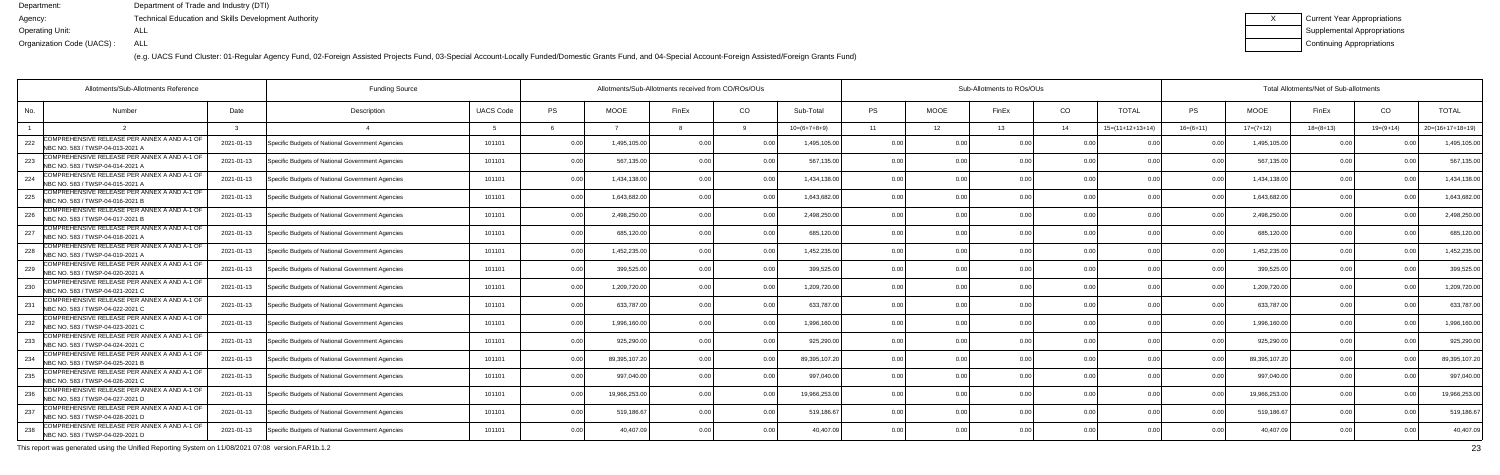(e.g. UACS Fund Cluster: 01-Regular Agency Fund, 02-Foreign Assisted Projects Fund, 03-Special Account-Locally Funded/Domestic Grants Fund, and 04-Special Account-Foreign Assisted/Foreign Grants Fund)

| Current Year Appropriations |
|-----------------------------|
| Supplemental Appropriations |
| Continuing Appropriations   |

| Allotments/Sub-Allotments Reference                                                     |            |                                                  |                  | Allotments/Sub-Allotments received from CO/ROs/OUs |               |                | Sub-Allotments to ROs/OUs |                |                |             |       |                | Total Allotments/Net of Sub-allotments |                |               |             |               |                    |
|-----------------------------------------------------------------------------------------|------------|--------------------------------------------------|------------------|----------------------------------------------------|---------------|----------------|---------------------------|----------------|----------------|-------------|-------|----------------|----------------------------------------|----------------|---------------|-------------|---------------|--------------------|
| No.<br><b>Number</b>                                                                    | Date       | Description                                      | <b>UACS Code</b> | PS                                                 | <b>MOOE</b>   | FinEx          | CO                        | Sub-Total      | <b>PS</b>      | <b>MOOE</b> | FinEx | CO             | <b>TOTAL</b>                           | PS             | <b>MOOE</b>   | FinEx       | CO            | <b>TOTAL</b>       |
|                                                                                         |            |                                                  |                  |                                                    |               |                |                           | $10=(6+7+8+9)$ | 11             | 12          | 13    | 14             | $15=(11+12+13+14)$                     | $16=(6+11)$    | $17=(7+12)$   | $18=(8+13)$ | $19=(9+14)$   | $20=(16+17+18+19)$ |
| COMPREHENSIVE RELEASE PER ANNEX A AND A-1 OF<br>222<br>NBC NO. 583 / TWSP-04-013-2021 A | 2021-01-13 | Specific Budgets of National Government Agencies | 101101           | 0.00                                               | 1,495,105.00  | n nr           |                           | 1,495,105.00   | 0.00           | 0 O         | 0.00  | 0 <sub>0</sub> |                                        |                | 1,495,105.00  | n n         |               | 1,495,105.0        |
| COMPREHENSIVE RELEASE PER ANNEX A AND A-1 OF<br>223<br>NBC NO. 583 / TWSP-04-014-2021 A | 2021-01-13 | Specific Budgets of National Government Agencies | 101101           | 0.00                                               | 567,135.0     | 0 <sub>0</sub> | 0.00                      | 567,135.00     | 0.00           | 0.00        |       | 0.00           | 0.00                                   | 0 <sub>0</sub> | 567,135.00    | 0.00        | 0.00          | 567,135.0          |
| COMPREHENSIVE RELEASE PER ANNEX A AND A-1 OF<br>224<br>NBC NO. 583 / TWSP-04-015-2021 A | 2021-01-13 | Specific Budgets of National Government Agencies | 101101           | 0.00                                               | 1,434,138.0   | 0 <sub>0</sub> | 0.00                      | 1,434,138.00   | 0.00           | 0.00        |       | 0.00           | 0.00                                   | 0 <sub>0</sub> | 1,434,138.00  | 0.00        |               | 1,434,138.0        |
| COMPREHENSIVE RELEASE PER ANNEX A AND A-1 OF<br>225<br>NBC NO. 583 / TWSP-04-016-2021 B | 2021-01-13 | Specific Budgets of National Government Agencies | 101101           | 0.00                                               | 1,643,682.0   | 0 <sub>0</sub> | 0.00                      | 1,643,682.0    | 0.00           | 0.00        |       | 0.00           | 0 <sub>0</sub>                         | 0 <sub>0</sub> | 1,643,682.0   | 0.00        |               | 1,643,682.0        |
| COMPREHENSIVE RELEASE PER ANNEX A AND A-1 OF<br>226<br>NBC NO. 583 / TWSP-04-017-2021 B | 2021-01-13 | Specific Budgets of National Government Agencies | 101101           | 0.00                                               | 2,498,250.00  | 0 <sub>0</sub> | 0 <sub>0</sub>            | 2,498,250.00   | 0.00           | 0.00        |       | 0.00           | 0.00                                   | 0 <sub>0</sub> | 2,498,250.00  | 0.00        |               | 2,498,250.0        |
| COMPREHENSIVE RELEASE PER ANNEX A AND A-1 OF<br>227<br>NBC NO. 583 / TWSP-04-018-2021 A | 2021-01-13 | Specific Budgets of National Government Agencies | 101101           | 0.00                                               | 685,120.00    | 0 <sub>0</sub> | 0.00                      | 685,120.00     | 0.00           | 0.00        | 0.00  | 0.00           | 0.00                                   | $\cap$ $\cap$  | 685,120.00    | 0.00        | 0.00          | 685,120.0          |
| COMPREHENSIVE RELEASE PER ANNEX A AND A-1 OF<br>228<br>NBC NO. 583 / TWSP-04-019-2021 A | 2021-01-13 | Specific Budgets of National Government Agencies | 101101           | 0.00                                               | 1,452,235.00  |                | 0.00                      | 1,452,235.00   | 0.00           | 0.00        |       | 0.00           |                                        | $\Omega$       | 1,452,235.0   | 0.00        |               | 1,452,235.0        |
| COMPREHENSIVE RELEASE PER ANNEX A AND A-1 OF<br>229<br>NBC NO. 583 / TWSP-04-020-2021 A | 2021-01-13 | Specific Budgets of National Government Agencies | 101101           | 0.00                                               | 399,525.0     |                | 0 <sub>0</sub>            | 399,525.00     | 0.00           | 0.00        |       | 0 <sub>0</sub> | 0.00                                   |                | 399,525.00    | 0.00        | $\cap$ $\cap$ | 399,525.0          |
| COMPREHENSIVE RELEASE PER ANNEX A AND A-1 OF<br>230<br>NBC NO. 583 / TWSP-04-021-2021 C | 2021-01-13 | Specific Budgets of National Government Agencies | 101101           | 0.00                                               | 1,209,720.00  | 0 <sub>0</sub> | 0.00                      | 1,209,720.00   | 0.00           | 0.00        | 0.OC  | 0.00           | 0.00                                   | 0.00           | 1,209,720.00  | 0.00        | 0.00          | 1,209,720.0        |
| COMPREHENSIVE RELEASE PER ANNEX A AND A-1 OF<br>231<br>NBC NO. 583 / TWSP-04-022-2021 C | 2021-01-13 | Specific Budgets of National Government Agencies | 101101           | 0.00                                               | 633,787.00    | n n            | 0.00                      | 633,787.00     | 0.00           | 0.00        | 0.OC  | 0.00           | 0.00                                   | 0 <sub>0</sub> | 633,787.0     | 0.00        |               | 633,787.0          |
| COMPREHENSIVE RELEASE PER ANNEX A AND A-1 OF<br>232<br>NBC NO. 583 / TWSP-04-023-2021 C | 2021-01-13 | Specific Budgets of National Government Agencies | 101101           | 0.00                                               | 1,996,160.0   | n n            |                           | 1,996,160.00   | 0.00           | 0.00        |       | 0 <sub>0</sub> | 0 <sub>0</sub>                         |                | 1,996,160.00  | 0.00        | $\cap$ $\cap$ | 1,996,160.0        |
| COMPREHENSIVE RELEASE PER ANNEX A AND A-1 OF<br>233<br>NBC NO. 583 / TWSP-04-024-2021 C | 2021-01-13 | Specific Budgets of National Government Agencies | 101101           | 0.00                                               | 925,290.00    |                | 0.00                      | 925,290.00     | 0.00           | 0.00        |       | 0.00           | 0.00                                   | 0 <sub>0</sub> | 925.290.00    | 0.00        |               | 925,290.0          |
| COMPREHENSIVE RELEASE PER ANNEX A AND A-1 OF<br>234<br>NBC NO. 583 / TWSP-04-025-2021 B | 2021-01-13 | Specific Budgets of National Government Agencies | 101101           | 0.00                                               | 89,395,107.20 | 0 <sub>0</sub> | 0.00                      | 89,395,107.20  | 0.00           | 0.00        | 0.00  | 0.00           | 0.00                                   | $\Omega$       | 89,395,107.20 | 0.00        |               | 89,395,107.2       |
| COMPREHENSIVE RELEASE PER ANNEX A AND A-1 OF<br>235<br>NBC NO. 583 / TWSP-04-026-2021 C | 2021-01-13 | Specific Budgets of National Government Agencies | 101101           | 0.00                                               | 997,040.0     |                |                           | 997,040.0      | 0.00           | 0.00        |       | 0 <sub>0</sub> |                                        |                | 997,040.0     | 0.00        |               | 997,040.0          |
| COMPREHENSIVE RELEASE PER ANNEX A AND A-1 OF<br>236<br>NBC NO. 583 / TWSP-04-027-2021 D | 2021-01-13 | Specific Budgets of National Government Agencies | 101101           | 0.00                                               | 19,966,253.00 | 0 <sub>0</sub> | 0 <sub>0</sub>            | 19,966,253.00  | 0.00           | 0.00        |       | 0.00           | 0.00                                   | 0 <sub>0</sub> | 19,966,253.0  | 0.00        |               | 19,966,253.0       |
| COMPREHENSIVE RELEASE PER ANNEX A AND A-1 OF<br>237<br>NBC NO. 583 / TWSP-04-028-2021 D | 2021-01-13 | Specific Budgets of National Government Agencies | 101101           | 0.00                                               | 519,186.6     | 0.00           | 0.00                      | 519,186.67     | 0.00           | 0.00        | 0.00  | 0.00           | 0.00                                   | 0 <sub>0</sub> | 519,186.67    | 0.00        | 0.00          | 519,186.6          |
| COMPREHENSIVE RELEASE PER ANNEX A AND A-1 OF<br>238<br>NBC NO. 583 / TWSP-04-029-2021 D | 2021-01-13 | Specific Budgets of National Government Agencies | 101101           | 0.00                                               | 40,407.0      |                | 0 <sub>0</sub>            | 40.407.09      | 0 <sub>0</sub> | 0.00        |       | 0 <sub>0</sub> | 0 <sub>0</sub>                         |                | 40,407.0      | 0.00        |               | 40,407.0           |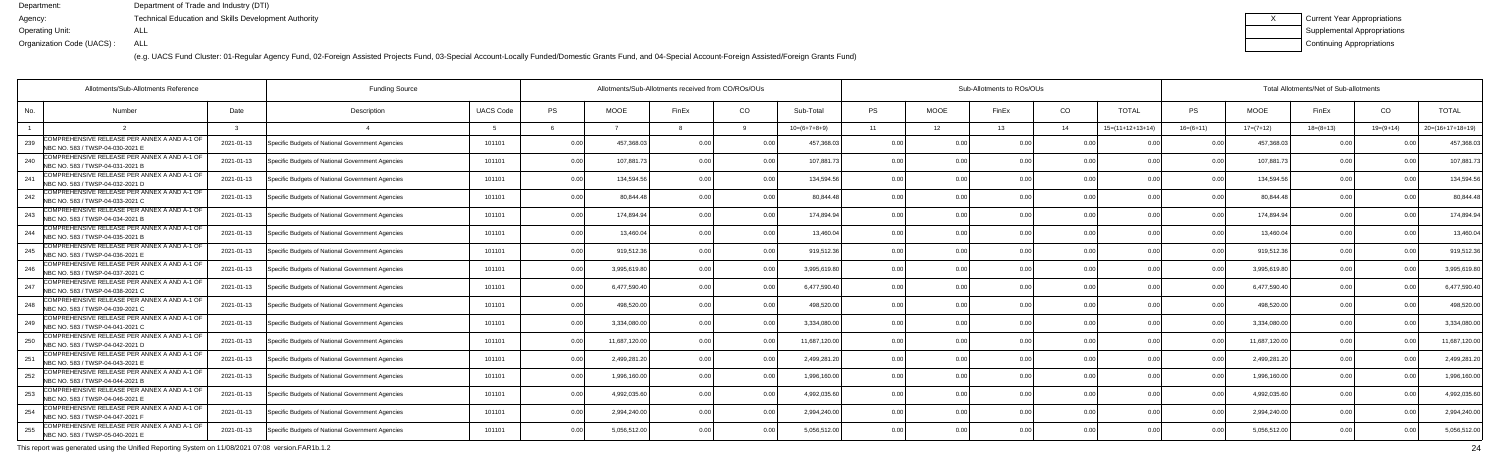(e.g. UACS Fund Cluster: 01-Regular Agency Fund, 02-Foreign Assisted Projects Fund, 03-Special Account-Locally Funded/Domestic Grants Fund, and 04-Special Account-Foreign Assisted/Foreign Grants Fund)

| Current Year Appropriations |
|-----------------------------|
| Supplemental Appropriations |
| Continuing Appropriations   |

|     | Allotments/Sub-Allotments Reference                                              | <b>Funding Source</b> |                                                  |                  | Allotments/Sub-Allotments received from CO/ROs/OUs |              |                |                |                | Sub-Allotments to ROs/OUs |                |                | Total Allotments/Net of Sub-allotments |                    |                |               |             |                |                    |
|-----|----------------------------------------------------------------------------------|-----------------------|--------------------------------------------------|------------------|----------------------------------------------------|--------------|----------------|----------------|----------------|---------------------------|----------------|----------------|----------------------------------------|--------------------|----------------|---------------|-------------|----------------|--------------------|
| No. | <b>Number</b>                                                                    | Date                  | Description                                      | <b>UACS Code</b> | <b>PS</b>                                          | <b>MOOE</b>  | FinEx          | CO             | Sub-Total      | <b>PS</b>                 | <b>MOOE</b>    | FinEx          | CO                                     | <b>TOTAL</b>       | PS.            | <b>MOOE</b>   | FinEx       | CO             | <b>TOTAL</b>       |
|     |                                                                                  |                       |                                                  |                  |                                                    |              |                |                | $10=(6+7+8+9)$ | 11                        | 12             | 13             | 14                                     | $15=(11+12+13+14)$ | $16=(6+11)$    | $17=(7+12)$   | $18=(8+13)$ | $19=(9+14)$    | $20=(16+17+18+19)$ |
| 239 | COMPREHENSIVE RELEASE PER ANNEX A AND A-1 OF<br>NBC NO. 583 / TWSP-04-030-2021 E | 2021-01-13            | Specific Budgets of National Government Agencies | 101101           | 0.00                                               | 457,368.0    |                | 0 O            | 457.368.0      | 0.00                      | 0 OC           | n nr           | 0 <sub>0</sub>                         |                    |                | 457,368.03    | . O O       |                | 457,368.0          |
| 240 | COMPREHENSIVE RELEASE PER ANNEX A AND A-1 OF<br>NBC NO. 583 / TWSP-04-031-2021 B | 2021-01-13            | Specific Budgets of National Government Agencies | 101101           | 0.00                                               | 107,881.7    |                | 0.00           | 107,881.7      | 0.00                      | 0.00           |                | 0.00                                   | 0.00               | 0.00           | 107,881.73    | 0.00        |                | 107,881.           |
| 241 | COMPREHENSIVE RELEASE PER ANNEX A AND A-1 OF<br>NBC NO. 583 / TWSP-04-032-2021 D | 2021-01-13            | Specific Budgets of National Government Agencies | 101101           | 0.00                                               | 134,594.56   |                | 0.00           | 134,594.56     | 0.00                      | 0.00           | 0 <sub>0</sub> | 0.00                                   | 0.00               | 0 <sub>0</sub> | 134,594.56    | 0.00        |                | 134,594.5          |
| 242 | COMPREHENSIVE RELEASE PER ANNEX A AND A-1 OF<br>NBC NO. 583 / TWSP-04-033-2021 C | 2021-01-13            | Specific Budgets of National Government Agencies | 101101           | 0.00                                               | 80,844.48    |                | 0.00           | 80,844.48      | 0.00                      | 0.00           |                | 0.00                                   |                    | 0 <sub>0</sub> | 80,844.48     | 0.00        |                | 80,844.4           |
| 243 | COMPREHENSIVE RELEASE PER ANNEX A AND A-1 OF<br>NBC NO. 583 / TWSP-04-034-2021 B | 2021-01-13            | Specific Budgets of National Government Agencies | 101101           | 0.00                                               | 174.894.94   |                | 0.00           | 174.894.94     | 0.00                      | 0.00           |                | 0.00                                   | 0 <sub>0</sub>     |                | 174,894.94    | 0.00        |                | 174,894.9          |
| 244 | COMPREHENSIVE RELEASE PER ANNEX A AND A-1 OF<br>NBC NO. 583 / TWSP-04-035-2021 B | 2021-01-13            | Specific Budgets of National Government Agencies | 101101           | 0.00                                               | 13.460.04    |                | 0.00           | 13.460.04      | 0.00                      | 0.00           |                | 0.00                                   | 0.00               | 0 <sup>0</sup> | 13,460.04     | 0.00        |                | 13,460.04          |
| 245 | COMPREHENSIVE RELEASE PER ANNEX A AND A-1 OF<br>NBC NO. 583 / TWSP-04-036-2021 E | 2021-01-13            | Specific Budgets of National Government Agencies | 101101           | 0.00                                               | 919,512.36   |                | 0.00           | 919,512.36     | 0.00                      | 0.00           |                | 0.00                                   |                    |                | 919,512.36    | 0.00        |                | 919,512.3          |
| 246 | COMPREHENSIVE RELEASE PER ANNEX A AND A-1 OF<br>NBC NO. 583 / TWSP-04-037-2021 C | 2021-01-13            | Specific Budgets of National Government Agencies | 101101           | 0.00                                               | 3,995,619.80 |                | 0 <sub>0</sub> | 3,995,619.80   | 0.00                      | 0.00           |                | 0.00                                   | 0.00               |                | 3,995,619.80  | 0.00        |                | 3,995,619.8        |
| 247 | COMPREHENSIVE RELEASE PER ANNEX A AND A-1 OF<br>NBC NO. 583 / TWSP-04-038-2021 C | 2021-01-13            | Specific Budgets of National Government Agencies | 101101           | 0.00                                               | 6,477,590.4  |                | 0.00           | 6.477.590.40   | 0.00                      | 0.00           |                | 0.00                                   | 0.00               | 0.00           | 6,477,590.40  | 0.00        |                | 6,477,590.4        |
| 248 | COMPREHENSIVE RELEASE PER ANNEX A AND A-1 OF<br>NBC NO. 583 / TWSP-04-039-2021 C | 2021-01-13            | Specific Budgets of National Government Agencies | 101101           | 0.00                                               | 498,520.0    |                | 0.00           | 498,520.00     | 0.00                      | 0.00           | n no           | 0.00                                   | 0.0(               |                | 498,520.00    | 0.00        |                | 498,520.0          |
| 249 | COMPREHENSIVE RELEASE PER ANNEX A AND A-1 OF<br>NBC NO. 583 / TWSP-04-041-2021 C | 2021-01-13            | Specific Budgets of National Government Agencies | 101101           | 0.00                                               | 3,334,080.0  |                | 0 O            | 3,334,080.00   | 0.00                      | 0.00           |                | 0 <sub>0</sub>                         |                    |                | 3,334,080.00  | 0.00        |                | 3,334,080.0        |
| 250 | COMPREHENSIVE RELEASE PER ANNEX A AND A-1 OF<br>NBC NO. 583 / TWSP-04-042-2021 D | 2021-01-13            | Specific Budgets of National Government Agencies | 101101           | 0.00                                               | 11,687,120.0 |                | 0.00           | 11,687,120.00  | 0.00                      | 0.00           |                | 0.00                                   | 0.0(               | 0 Q            | 11,687,120.00 | 0.00        |                | 11,687,120.0       |
| 251 | COMPREHENSIVE RELEASE PER ANNEX A AND A-1 OF<br>NBC NO. 583 / TWSP-04-043-2021 E | 2021-01-13            | Specific Budgets of National Government Agencies | 101101           | 0.00                                               | 2,499,281.2  |                | 0.00           | 2,499,281.20   | 0.00                      | 0.00           | 0 <sub>0</sub> | 0.00                                   | 0 <sub>0</sub>     | n n            | 2,499,281.20  | 0.00        |                | 2,499,281.2        |
| 252 | COMPREHENSIVE RELEASE PER ANNEX A AND A-1 OF<br>NBC NO. 583 / TWSP-04-044-2021 B | 2021-01-13            | Specific Budgets of National Government Agencies | 101101           | 0.00                                               | 1,996,160.0  |                | 0 <sub>0</sub> | 1.996.160.00   | 0.00                      | 0.00           |                | 0 <sub>0</sub>                         |                    |                | 1,996,160.00  | 0.00        |                | 1,996,160.0        |
| 253 | COMPREHENSIVE RELEASE PER ANNEX A AND A-1 OF<br>NBC NO. 583 / TWSP-04-046-2021 E | 2021-01-13            | Specific Budgets of National Government Agencies | 101101           | 0.00                                               | 4,992,035.6  |                | 0 O            | 4.992.035.60   | 0.00                      | 0.00           |                | 0.00                                   | 0 <sub>0</sub>     | n n            | 4,992,035.60  | 0.00        |                | 4,992,035.6        |
| 254 | COMPREHENSIVE RELEASE PER ANNEX A AND A-1 OF<br>NBC NO. 583 / TWSP-04-047-2021 F | 2021-01-13            | Specific Budgets of National Government Agencies | 101101           | 0.00                                               | 2,994,240.00 | 0 <sub>0</sub> | 0.00           | 2,994,240.00   | 0.00                      | 0.00           | 0.00           | 0.00                                   | 0.00               | 0.00           | 2,994,240.00  | 0.00        | 0 <sub>0</sub> | 2,994,240.00       |
| 255 | COMPREHENSIVE RELEASE PER ANNEX A AND A-1 OF<br>NBC NO. 583 / TWSP-05-040-2021 E | 2021-01-13            | Specific Budgets of National Government Agencies | 101101           | 0.00                                               | 5,056,512.00 |                | 0 <sub>0</sub> | 5,056,512.00   | 0.00                      | 0 <sub>0</sub> |                | 0 <sub>0</sub>                         |                    |                | 5,056,512.00  | 0.00        |                | 5,056,512.00       |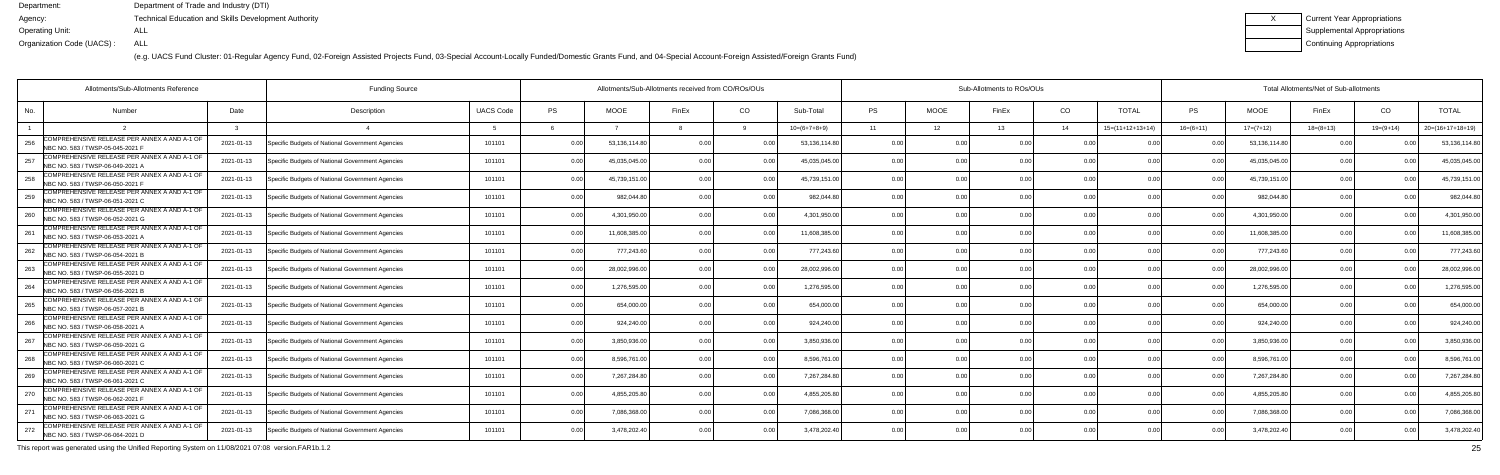(e.g. UACS Fund Cluster: 01-Regular Agency Fund, 02-Foreign Assisted Projects Fund, 03-Special Account-Locally Funded/Domestic Grants Fund, and 04-Special Account-Foreign Assisted/Foreign Grants Fund)

| Current Year Appropriations        |
|------------------------------------|
| <b>Supplemental Appropriations</b> |
| Continuing Appropriations          |

|     | Allotments/Sub-Allotments Reference                                              |            |                                                  |                  | Allotments/Sub-Allotments received from CO/ROs/OUs |               |                | Sub-Allotments to ROs/OUs |                |           |                 |                |                | Total Allotments/Net of Sub-allotments |                |               |                 |             |                    |
|-----|----------------------------------------------------------------------------------|------------|--------------------------------------------------|------------------|----------------------------------------------------|---------------|----------------|---------------------------|----------------|-----------|-----------------|----------------|----------------|----------------------------------------|----------------|---------------|-----------------|-------------|--------------------|
| No. | Number                                                                           | Date       | Description                                      | <b>UACS Code</b> | <b>PS</b>                                          | <b>MOOE</b>   | FinEx          | CO                        | Sub-Total      | <b>PS</b> | <b>MOOE</b>     | FinEx          | CO             | <b>TOTAL</b>                           | <b>PS</b>      | <b>MOOE</b>   | FinEx           | CO          | <b>TOTAL</b>       |
|     |                                                                                  |            |                                                  |                  |                                                    |               |                |                           | $10=(6+7+8+9)$ | 11        | 12 <sup>°</sup> | 13             | 14             | $15=(11+12+13+14)$                     | $16=(6+11)$    | $17=(7+12)$   | $18 = (8 + 13)$ | $19=(9+14)$ | $20=(16+17+18+19)$ |
| 256 | COMPREHENSIVE RELEASE PER ANNEX A AND A-1 OF<br>NBC NO. 583 / TWSP-05-045-2021 F | 2021-01-13 | Specific Budgets of National Government Agencies | 101101           | 0.00                                               | 53,136,114.80 | 0 <sub>0</sub> |                           | 53,136,114.80  | 0.00      |                 | 0 <sub>0</sub> | 0 <sub>0</sub> |                                        |                | 53,136,114.80 | n n             |             | 53,136,114.8       |
| 257 | COMPREHENSIVE RELEASE PER ANNEX A AND A-1 OF<br>NBC NO. 583 / TWSP-06-049-2021 A | 2021-01-13 | Specific Budgets of National Government Agencies | 101101           | 0.00                                               | 45.035.045.0  |                | 0.00                      | 45,035,045.00  | 0.00      | 0.00            |                | 0.00           | 0.00                                   | 0.00           | 45,035,045.00 | 0.00            |             | 45,035,045.00      |
| 258 | COMPREHENSIVE RELEASE PER ANNEX A AND A-1 OF<br>NBC NO. 583 / TWSP-06-050-2021 F | 2021-01-13 | Specific Budgets of National Government Agencies | 101101           | 0.00                                               | 45,739,151.00 | 0 <sub>0</sub> | 0 <sub>0</sub>            | 45,739,151.00  | 0.00      | 0.00            | 0.00           | 0.0(           | 0.00                                   |                | 45,739,151.00 | 0.00            |             | 45,739,151.0       |
| 259 | COMPREHENSIVE RELEASE PER ANNEX A AND A-1 OF<br>NBC NO. 583 / TWSP-06-051-2021 C | 2021-01-13 | Specific Budgets of National Government Agencies | 101101           | 0.00                                               | 982,044.80    | n n            | 0.00                      | 982,044.80     | 0.00      | 0.00            |                | 0.0(           |                                        |                | 982,044.80    | 0.00            |             | 982,044.8          |
| 260 | COMPREHENSIVE RELEASE PER ANNEX A AND A-1 OF<br>NBC NO. 583 / TWSP-06-052-2021 G | 2021-01-13 | Specific Budgets of National Government Agencies | 101101           | 0.00                                               | 4,301,950.00  |                | 0.00                      | 4,301,950.00   | 0.00      | 0.00            |                | 0.0(           | 0.00                                   |                | 4,301,950.00  | 0.00            |             | 4,301,950.0        |
| 261 | COMPREHENSIVE RELEASE PER ANNEX A AND A-1 OF<br>NBC NO. 583 / TWSP-06-053-2021 A | 2021-01-13 | Specific Budgets of National Government Agencies | 101101           | 0.00                                               | 11,608,385.0  | 0.00           | 0.00                      | 11,608,385.00  | 0.00      | 0.00            | 0.00           | 0.0(           | 0.00                                   | 0.00           | 11,608,385.00 | 0.00            |             | 11,608,385.0       |
| 262 | COMPREHENSIVE RELEASE PER ANNEX A AND A-1 OF<br>NBC NO. 583 / TWSP-06-054-2021 B | 2021-01-13 | Specific Budgets of National Government Agencies | 101101           | 0.00                                               | 777,243.60    |                | 0.00                      | 777,243.60     | 0.00      | 0.00            |                | 0.0(           |                                        |                | 777,243.60    | 0.0             |             | 777,243.6          |
| 263 | COMPREHENSIVE RELEASE PER ANNEX A AND A-1 OF<br>NBC NO. 583 / TWSP-06-055-2021 D | 2021-01-13 | Specific Budgets of National Government Agencies | 101101           | 0.00                                               | 28,002,996.0  |                | 0 <sub>0</sub>            | 28,002,996.00  | 0.00      | 0.00            |                | 0.0(           | 0.00                                   |                | 28,002,996.00 | 0.00            |             | 28,002,996.0       |
| 264 | COMPREHENSIVE RELEASE PER ANNEX A AND A-1 OF<br>NBC NO. 583 / TWSP-06-056-2021 B | 2021-01-13 | Specific Budgets of National Government Agencies | 101101           | 0.00                                               | 1,276,595.0   | n n            | 0.00                      | 1,276,595.00   | 0.00      | 0.00            |                | 0.00           | 0.00                                   | 0.00           | 1,276,595.00  | 0.00            |             | 1,276,595.0        |
| 265 | COMPREHENSIVE RELEASE PER ANNEX A AND A-1 OF<br>NBC NO. 583 / TWSP-06-057-2021 E | 2021-01-13 | Specific Budgets of National Government Agencies | 101101           | 0.00                                               | 654,000.00    | n nr           | 0.00                      | 654,000.00     | 0.00      | 0.00            | 0.00           | 0.0(           | 0.00                                   |                | 654,000.00    | 0.00            |             | 654,000.0          |
| 266 | COMPREHENSIVE RELEASE PER ANNEX A AND A-1 OF<br>NBC NO. 583 / TWSP-06-058-2021 A | 2021-01-13 | Specific Budgets of National Government Agencies | 101101           | 0.00                                               | 924,240.00    |                | . 0.0                     | 924,240.00     | 0.00      | 0.00            |                | 0 <sub>0</sub> |                                        |                | 924,240.00    | 0 Q             |             | 924,240.00         |
| 267 | COMPREHENSIVE RELEASE PER ANNEX A AND A-1 OF<br>NBC NO. 583 / TWSP-06-059-2021 G | 2021-01-13 | Specific Budgets of National Government Agencies | 101101           | 0.00                                               | 3.850.936.0   |                | 0.00                      | 3.850.936.00   | 0.00      | 0.00            |                | 0.0(           | 0 <sub>0</sub>                         | 0.00           | 3.850.936.00  | 0.00            |             | 3,850,936.00       |
| 268 | COMPREHENSIVE RELEASE PER ANNEX A AND A-1 OF<br>NBC NO. 583 / TWSP-06-060-2021 C | 2021-01-13 | Specific Budgets of National Government Agencies | 101101           | 0.00                                               | 8,596,761.00  | n nr           | 0 <sub>0</sub>            | 8,596,761.00   | 0.00      | 0.00            | 0.00           | 0.00           | 0.00                                   | 0 <sub>0</sub> | 8,596,761.00  | 0.00            |             | 8,596,761.00       |
| 269 | COMPREHENSIVE RELEASE PER ANNEX A AND A-1 OF<br>NBC NO. 583 / TWSP-06-061-2021 C | 2021-01-13 | Specific Budgets of National Government Agencies | 101101           | 0.00                                               | 7,267,284.8   |                | 0 <sup>0</sup>            | 7,267,284.80   | 0.00      | 0.00            |                | 0.0(           |                                        |                | 7,267,284.80  | 0.00            |             | 7,267,284.8        |
| 270 | COMPREHENSIVE RELEASE PER ANNEX A AND A-1 OF<br>NBC NO. 583 / TWSP-06-062-2021 F | 2021-01-13 | Specific Budgets of National Government Agencies | 101101           | 0.00                                               | 4,855,205.80  | n n            | 0.00                      | 4,855,205.80   | 0.00      | 0.00            |                | 0.00           | 0.00                                   |                | 4,855,205.80  | 0.00            |             | 4,855,205.8        |
| 271 | COMPREHENSIVE RELEASE PER ANNEX A AND A-1 OF<br>NBC NO. 583 / TWSP-06-063-2021 G | 2021-01-13 | Specific Budgets of National Government Agencies | 101101           | 0.00                                               | 7,086,368.0   | 0.00           | 0.00                      | 7,086,368.00   | 0.00      | 0.00            | 0.00           | 0.00           | 0.00                                   | 0.00           | 7,086,368.00  | 0.00            | n n         | 7,086,368.0        |
| 272 | COMPREHENSIVE RELEASE PER ANNEX A AND A-1 OF<br>NBC NO. 583 / TWSP-06-064-2021 D | 2021-01-13 | Specific Budgets of National Government Agencies | 101101           | 0.00                                               | 3,478,202.40  |                | 00                        | 3,478,202.40   | 0.00      | 0 <sub>0</sub>  |                | 0 <sub>0</sub> | n nn                                   |                | 3,478,202.40  | 0.00            |             | 3,478,202.40       |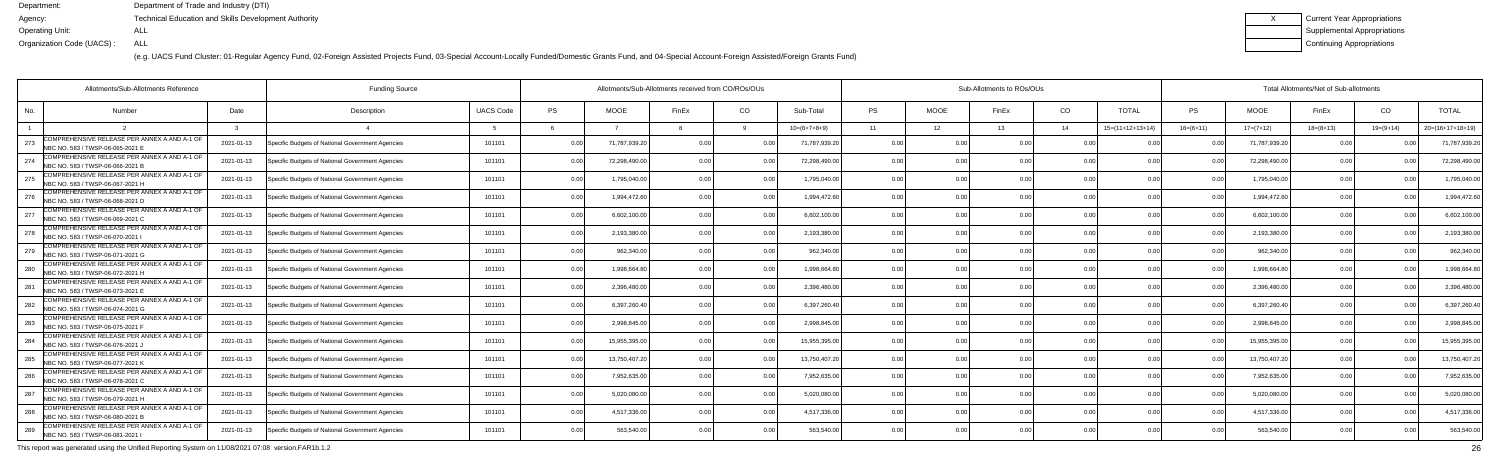(e.g. UACS Fund Cluster: 01-Regular Agency Fund, 02-Foreign Assisted Projects Fund, 03-Special Account-Locally Funded/Domestic Grants Fund, and 04-Special Account-Foreign Assisted/Foreign Grants Fund)

| Current Year Appropriations |
|-----------------------------|
| Supplemental Appropriations |
| Continuing Appropriations   |

| Allotments/Sub-Allotments Reference                                                     |            |                                                  |                  | Allotments/Sub-Allotments received from CO/ROs/OUs |               |                | Sub-Allotments to ROs/OUs |                |                |             |       |                | Total Allotments/Net of Sub-allotments |                |               |             |               |                    |  |
|-----------------------------------------------------------------------------------------|------------|--------------------------------------------------|------------------|----------------------------------------------------|---------------|----------------|---------------------------|----------------|----------------|-------------|-------|----------------|----------------------------------------|----------------|---------------|-------------|---------------|--------------------|--|
| No.<br><b>Number</b>                                                                    | Date       | Description                                      | <b>UACS Code</b> | PS                                                 | <b>MOOE</b>   | FinEx          | CO                        | Sub-Total      | <b>PS</b>      | <b>MOOE</b> | FinEx | CO             | <b>TOTAL</b>                           | PS             | <b>MOOE</b>   | FinEx       | CO            | <b>TOTAL</b>       |  |
|                                                                                         |            |                                                  |                  |                                                    |               |                |                           | $10=(6+7+8+9)$ | 11             | 12          | 13    | 14             | $15=(11+12+13+14)$                     | $16=(6+11)$    | $17=(7+12)$   | $18=(8+13)$ | $19=(9+14)$   | $20=(16+17+18+19)$ |  |
| COMPREHENSIVE RELEASE PER ANNEX A AND A-1 OF<br>273<br>NBC NO. 583 / TWSP-06-065-2021 E | 2021-01-13 | Specific Budgets of National Government Agencies | 101101           | 0.00                                               | 71,787,939.2  | 0.00           |                           | 71,787,939.20  | 0.0            |             |       | 0.00           |                                        |                | 71,787,939.20 | 0 Q         |               | 71,787,939.2       |  |
| COMPREHENSIVE RELEASE PER ANNEX A AND A-1 OF<br>274<br>NBC NO. 583 / TWSP-06-066-2021 B | 2021-01-13 | Specific Budgets of National Government Agencies | 101101           | 0.00                                               | 72,298,490.0  | 0.00           | 0.00                      | 72,298,490.00  | 0.00           | 0.00        |       | 0.00           | 0.00                                   | 0.00           | 72,298,490.0  | 0.00        |               | 72,298,490.0       |  |
| COMPREHENSIVE RELEASE PER ANNEX A AND A-1 OF<br>275<br>NBC NO. 583 / TWSP-06-067-2021 H | 2021-01-13 | Specific Budgets of National Government Agencies | 101101           | 0.00                                               | 1,795,040.0   | 0 OC           | 0.00                      | 1,795,040.00   | 0.00           | 0.00        |       | 0.00           | 0.00                                   | 0 <sub>0</sub> | 1,795,040.00  | 0.00        |               | 1,795,040.0        |  |
| COMPREHENSIVE RELEASE PER ANNEX A AND A-1 OF<br>276<br>NBC NO. 583 / TWSP-06-068-2021 D | 2021-01-13 | Specific Budgets of National Government Agencies | 101101           | 0.00                                               | 1,994,472.6   | 0 <sub>0</sub> | 0.0                       | 1,994,472.60   | 0.00           | 0.00        |       | 0.00           | 0 <sub>0</sub>                         |                | 1,994,472.6   | 0.00        |               | 1,994,472.6        |  |
| COMPREHENSIVE RELEASE PER ANNEX A AND A-1 OF<br>277<br>NBC NO. 583 / TWSP-06-069-2021 C | 2021-01-13 | Specific Budgets of National Government Agencies | 101101           | 0.00                                               | 6,602,100.00  | 0 OC           | 0 <sub>0</sub>            | 6,602,100.00   | 0.00           | 0.00        |       | 0.00           | 0.00                                   |                | 6,602,100.00  | 0.00        |               | 6,602,100.0        |  |
| COMPREHENSIVE RELEASE PER ANNEX A AND A-1 OF<br>278<br>NBC NO. 583 / TWSP-06-070-2021 I | 2021-01-13 | Specific Budgets of National Government Agencies | 101101           | 0.00                                               | 2,193,380.0   | 0.00           | 0.00                      | 2,193,380.00   | 0.00           | 0.00        |       | 0.00           | 0.00                                   | 0.00           | 2,193,380.0   | 0.00        | 0.00          | 2,193,380.0        |  |
| COMPREHENSIVE RELEASE PER ANNEX A AND A-1 OF<br>279<br>NBC NO. 583 / TWSP-06-071-2021 G | 2021-01-13 | Specific Budgets of National Government Agencies | 101101           | 0.00                                               | 962,340.00    |                |                           | 962,340.0      | 0.0            | 0.00        |       | 0.00           | n nr                                   |                | 962,340.0     | 0.00        |               | 962,340.0          |  |
| COMPREHENSIVE RELEASE PER ANNEX A AND A-1 OF<br>280<br>NBC NO. 583 / TWSP-06-072-2021 H | 2021-01-13 | Specific Budgets of National Government Agencies | 101101           | 0.00                                               | 1,998,664.8   | 0 <sub>0</sub> |                           | 1,998,664.80   | 0.00           | 0.00        |       | 0.00           | 0.00                                   |                | 1,998,664.8   | 0.00        |               | 1,998,664.8        |  |
| COMPREHENSIVE RELEASE PER ANNEX A AND A-1 OF<br>281<br>NBC NO. 583 / TWSP-06-073-2021 E | 2021-01-13 | Specific Budgets of National Government Agencies | 101101           | 0.00                                               | 2.396.480.0   | 0.00           | 0.00                      | 2,396,480.0    | 0.00           | 0.00        |       | 0.00           | 0.00                                   | 0.00           | 2.396.480.0   | 0.00        | 0.00          | 2,396,480.0        |  |
| COMPREHENSIVE RELEASE PER ANNEX A AND A-1 OF<br>282<br>NBC NO. 583 / TWSP-06-074-2021 G | 2021-01-13 | Specific Budgets of National Government Agencies | 101101           | 0.00                                               | 6,397,260.40  | 0 <sub>0</sub> | 0.00                      | 6,397,260.40   | 0.00           | 0.00        |       | 0.00           | 0.00                                   | n no           | 6,397,260.40  | 0.00        |               | 6,397,260.4        |  |
| COMPREHENSIVE RELEASE PER ANNEX A AND A-1 OF<br>283<br>NBC NO. 583 / TWSP-06-075-2021 F | 2021-01-13 | Specific Budgets of National Government Agencies | 101101           | 0.00                                               | 2,998,845.0   | 0 OC           |                           | 2,998,845.0    | 0 <sub>0</sub> | ი იი        |       | 0.00           | 0 <sup>0<sup>c</sup></sup>             |                | 2,998,845.0   | n n         |               | 2,998,845.0        |  |
| COMPREHENSIVE RELEASE PER ANNEX A AND A-1 OF<br>284<br>NBC NO. 583 / TWSP-06-076-2021,  | 2021-01-13 | Specific Budgets of National Government Agencies | 101101           | 0.00                                               | 15.955.395.0  | 0 <sub>0</sub> | 0 <sub>0</sub>            | 15,955,395.0   | 0.00           | 0.00        |       | 0.00           | 0.00                                   | 0 <sub>0</sub> | 15.955.395.0  | 0.00        |               | 15,955,395.0       |  |
| COMPREHENSIVE RELEASE PER ANNEX A AND A-1 OF<br>285<br>NBC NO. 583 / TWSP-06-077-2021 K | 2021-01-13 | Specific Budgets of National Government Agencies | 101101           | 0.00                                               | 13,750,407.20 | $0.00 -$       | $\cap$ $\cap$             | 13,750,407.20  | 0.00           | 0.00        |       | 0.00           | 0.00                                   | 0 <sub>0</sub> | 13,750,407.20 | 0.00        | $\cap$ $\cap$ | 13,750,407.2       |  |
| COMPREHENSIVE RELEASE PER ANNEX A AND A-1 OF<br>286<br>NBC NO. 583 / TWSP-06-078-2021 C | 2021-01-13 | Specific Budgets of National Government Agencies | 101101           | 0.00                                               | 7,952,635.0   | 0 <sub>0</sub> |                           | 7,952,635.0    | 0.00           | ი იი        |       | 0.00           |                                        |                | 7,952,635.0   | 0.00        |               | 7,952,635.0        |  |
| COMPREHENSIVE RELEASE PER ANNEX A AND A-1 OF<br>287<br>NBC NO. 583 / TWSP-06-079-2021 H | 2021-01-13 | Specific Budgets of National Government Agencies | 101101           | 0.00                                               | 5,020,080.0   | 0 <sub>0</sub> | 0 <sub>0</sub>            | 5,020,080.00   | 0.00           | 0.00        |       | 0.00           | 0.00                                   | 0 <sub>0</sub> | 5,020,080.0   | 0.00        | n no          | 5,020,080.0        |  |
| COMPREHENSIVE RELEASE PER ANNEX A AND A-1 OF<br>288<br>NBC NO. 583 / TWSP-06-080-2021 B | 2021-01-13 | Specific Budgets of National Government Agencies | 101101           | 0.00                                               | 4,517,336.00  | 0.00           | 0.00                      | 4,517,336.00   | 0.00           | 0.00        | 0.00  | 0.00           | 0.00                                   | 0.00           | 4,517,336.0   | 0.00        | 0.00          | 4,517,336.0        |  |
| COMPREHENSIVE RELEASE PER ANNEX A AND A-1 OF<br>289<br>NBC NO. 583 / TWSP-06-081-2021   | 2021-01-13 | Specific Budgets of National Government Agencies | 101101           | 0.00                                               | 563,540.00    |                | 0.00                      | 563,540.0      | 0 <sub>0</sub> | 0.OO        |       | 0 <sub>0</sub> | 0 <sub>0</sub>                         |                | 563,540.0     | 0.00        |               | 563,540.0          |  |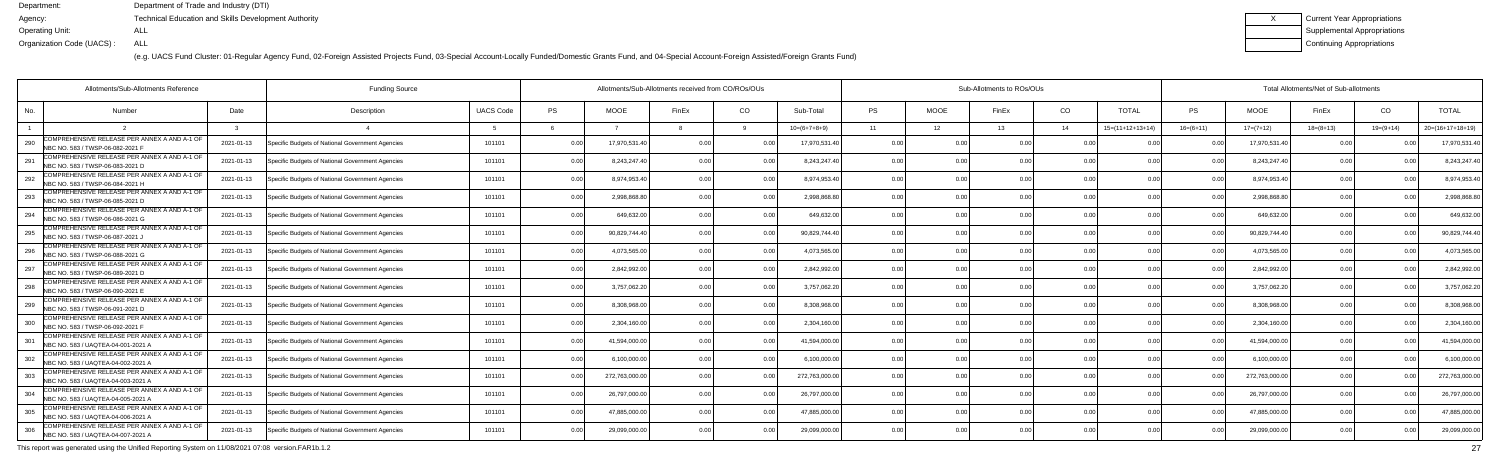(e.g. UACS Fund Cluster: 01-Regular Agency Fund, 02-Foreign Assisted Projects Fund, 03-Special Account-Locally Funded/Domestic Grants Fund, and 04-Special Account-Foreign Assisted/Foreign Grants Fund)

| Current Year Appropriations |
|-----------------------------|
| Supplemental Appropriations |
| Continuing Appropriations   |

|     | Allotments/Sub-Allotments Reference                                                |            |                                                  |                  | Allotments/Sub-Allotments received from CO/ROs/OUs |               |                | Sub-Allotments to ROs/OUs |                |           |                 |                |                | Total Allotments/Net of Sub-allotments |               |                |                 |             |                    |
|-----|------------------------------------------------------------------------------------|------------|--------------------------------------------------|------------------|----------------------------------------------------|---------------|----------------|---------------------------|----------------|-----------|-----------------|----------------|----------------|----------------------------------------|---------------|----------------|-----------------|-------------|--------------------|
| No. | Number                                                                             | Date       | Description                                      | <b>UACS Code</b> | <b>PS</b>                                          | <b>MOOE</b>   | FinEx          | CO                        | Sub-Total      | <b>PS</b> | <b>MOOE</b>     | FinEx          | CO             | <b>TOTAL</b>                           | <b>PS</b>     | <b>MOOE</b>    | FinEx           | CO          | <b>TOTAL</b>       |
|     |                                                                                    |            |                                                  |                  |                                                    |               |                |                           | $10=(6+7+8+9)$ | 11        | 12 <sup>7</sup> | 13             | 14             | $15=(11+12+13+14)$                     | $16=(6+11)$   | $17=(7+12)$    | $18 = (8 + 13)$ | $19=(9+14)$ | $20=(16+17+18+19)$ |
| 290 | COMPREHENSIVE RELEASE PER ANNEX A AND A-1 OF<br>NBC NO. 583 / TWSP-06-082-2021 F   | 2021-01-13 | Specific Budgets of National Government Agencies | 101101           | 0.00                                               | 17,970,531.4  | 0.00           |                           | 17,970,531.40  | 0.00      |                 | 0 <sub>0</sub> | 0 <sub>0</sub> |                                        |               | 17,970,531.40  | n n             |             | 17,970,531.4       |
| 291 | COMPREHENSIVE RELEASE PER ANNEX A AND A-1 OF<br>NBC NO. 583 / TWSP-06-083-2021 D   | 2021-01-13 | Specific Budgets of National Government Agencies | 101101           | 0.00                                               | 8,243,247.40  | 0 U            | 0.00                      | 8,243,247.40   | 0.00      | 0.00            |                | 0.00           | 0.00                                   | 0.00          | 8,243,247.40   | 0.00            |             | 8,243,247.4        |
| 292 | COMPREHENSIVE RELEASE PER ANNEX A AND A-1 OF<br>NBC NO. 583 / TWSP-06-084-2021 H   | 2021-01-13 | Specific Budgets of National Government Agencies | 101101           | 0.00                                               | 8,974,953.40  | 0.00           | 0.0                       | 8,974,953.40   | 0.00      | 0.00            | 0.00           | 0.0(           | 0.00                                   |               | 8,974,953.40   | 0.00            |             | 8,974,953.4        |
| 293 | COMPREHENSIVE RELEASE PER ANNEX A AND A-1 OF<br>NBC NO. 583 / TWSP-06-085-2021 D   | 2021-01-13 | Specific Budgets of National Government Agencies | 101101           | 0.00                                               | 2,998,868.8   | n n            | 0.0                       | 2,998,868.80   | 0.00      | 0.00            |                | 0.0(           |                                        |               | 2,998,868.80   | 0.00            |             | 2,998,868.8        |
| 294 | COMPREHENSIVE RELEASE PER ANNEX A AND A-1 OF<br>NBC NO. 583 / TWSP-06-086-2021 G   | 2021-01-13 | Specific Budgets of National Government Agencies | 101101           | 0.00                                               | 649.632.00    |                | 0.00                      | 649.632.00     | 0.00      | 0.00            |                | 0.0(           | 0.00                                   |               | 649,632.00     | 0.00            |             | 649,632.0          |
| 295 | COMPREHENSIVE RELEASE PER ANNEX A AND A-1 OF<br>NBC NO. 583 / TWSP-06-087-2021 J   | 2021-01-13 | Specific Budgets of National Government Agencies | 101101           | 0.00                                               | 90,829,744.40 | 0.00           | 0.00                      | 90,829,744.40  | 0.00      | 0.00            | 0.00           | 0.00           | 0.00                                   | 0.00          | 90,829,744.40  | 0.00            |             | 90,829,744.4       |
| 296 | COMPREHENSIVE RELEASE PER ANNEX A AND A-1 OF<br>NBC NO. 583 / TWSP-06-088-2021 G   | 2021-01-13 | Specific Budgets of National Government Agencies | 101101           | 0.00                                               | 4,073,565.00  |                | . በ በ                     | 4,073,565.00   | 0.00      | 0.00            |                | 0.0(           |                                        |               | 4,073,565.00   | 0.00            |             | 4,073,565.0        |
| 297 | COMPREHENSIVE RELEASE PER ANNEX A AND A-1 OF<br>NBC NO. 583 / TWSP-06-089-2021 D   | 2021-01-13 | Specific Budgets of National Government Agencies | 101101           | 0.00                                               | 2,842,992.0   |                | 0 <sub>0</sub>            | 2,842,992.00   | 0.00      | 0.00            |                | 0.0(           | 0.00                                   |               | 2,842,992.00   | 0.00            |             | 2,842,992.0        |
| 298 | COMPREHENSIVE RELEASE PER ANNEX A AND A-1 OF<br>NBC NO. 583 / TWSP-06-090-2021 E   | 2021-01-13 | Specific Budgets of National Government Agencies | 101101           | 0.00                                               | 3,757,062.20  | n n            | 0.00                      | 3,757,062.20   | 0.00      | 0.00            |                | 0.00           | 0.00                                   | 0.00          | 3,757,062.20   | 0.00            |             | 3,757,062.2        |
| 299 | COMPREHENSIVE RELEASE PER ANNEX A AND A-1 OF<br>NBC NO. 583 / TWSP-06-091-2021 D   | 2021-01-13 | Specific Budgets of National Government Agencies | 101101           | 0.00                                               | 8,308,968.0   | 0 O            | 0.00                      | 8,308,968.00   | 0.00      | 0.00            | 0.00           | 0.0(           | 0.00                                   |               | 8,308,968.00   | 0.00            |             | 8,308,968.0        |
| 300 | COMPREHENSIVE RELEASE PER ANNEX A AND A-1 OF<br>NBC NO. 583 / TWSP-06-092-2021 F   | 2021-01-13 | Specific Budgets of National Government Agencies | 101101           | 0.00                                               | 2,304,160.0   |                |                           | 2,304,160.00   | 0.00      | 0.00            |                | 0 <sub>0</sub> |                                        |               | 2,304,160.00   | 0.00            |             | 2,304,160.0        |
| 301 | COMPREHENSIVE RELEASE PER ANNEX A AND A-1 OF<br>NBC NO. 583 / UAQTEA-04-001-2021 A | 2021-01-13 | Specific Budgets of National Government Agencies | 101101           | 0.00                                               | 41.594.000.0  |                | 0.00                      | 41,594,000.00  | 0.00      | 0.00            |                | 0.0(           | 0 <sub>0</sub>                         | 0.00          | 41,594,000.00  | 0.00            |             | 41,594,000.0       |
| 302 | COMPREHENSIVE RELEASE PER ANNEX A AND A-1 OF<br>NBC NO. 583 / UAOTEA-04-002-2021 A | 2021-01-13 | Specific Budgets of National Government Agencies | 101101           | 0.00                                               | 6,100,000.00  | n nr           | $\cap$ $\cap$             | 6,100,000.00   | 0.00      | 0.00            | 0.00           | 0.00           | 0.00                                   | $\cap$ $\cap$ | 6,100,000.00   | 0.00            |             | 6,100,000.00       |
| 303 | COMPREHENSIVE RELEASE PER ANNEX A AND A-1 OF<br>NBC NO. 583 / UAOTEA-04-003-2021 A | 2021-01-13 | Specific Budgets of National Government Agencies | 101101           | 0.00                                               | 272,763,000.0 |                |                           | 272,763,000.00 | 0.00      | 0.00            |                | 0.0(           |                                        |               | 272,763,000.00 | 0.00            |             | 272,763,000.0      |
| 304 | COMPREHENSIVE RELEASE PER ANNEX A AND A-1 OF<br>NBC NO. 583 / UAQTEA-04-005-2021 A | 2021-01-13 | Specific Budgets of National Government Agencies | 101101           | 0.00                                               | 26,797,000.00 | 0 <sub>0</sub> | 0 <sup>0</sup>            | 26,797,000.00  | 0.00      | 0.00            |                | 0.00           | 0.00                                   |               | 26,797,000.00  | 0.00            |             | 26,797,000.0       |
| 305 | COMPREHENSIVE RELEASE PER ANNEX A AND A-1 OF<br>NBC NO. 583 / UAQTEA-04-006-2021 A | 2021-01-13 | Specific Budgets of National Government Agencies | 101101           | 0.00                                               | 47,885,000.0  | 0.00           | 0.00                      | 47,885,000.00  | 0.00      | 0.00            | 0.00           | 0.00           | 0.00                                   | 0.00          | 47,885,000.00  | 0.00            |             | 47,885,000.00      |
| 306 | COMPREHENSIVE RELEASE PER ANNEX A AND A-1 OF<br>NBC NO. 583 / UAQTEA-04-007-2021 A | 2021-01-13 | Specific Budgets of National Government Agencies | 101101           | 0.00                                               | 29,099,000.00 |                | 0 <sub>0</sub>            | 29,099,000.00  |           | 0 <sub>0</sub>  |                | 0 <sub>0</sub> | n nn                                   |               | 29,099,000.00  | 0.00            |             | 29,099,000.00      |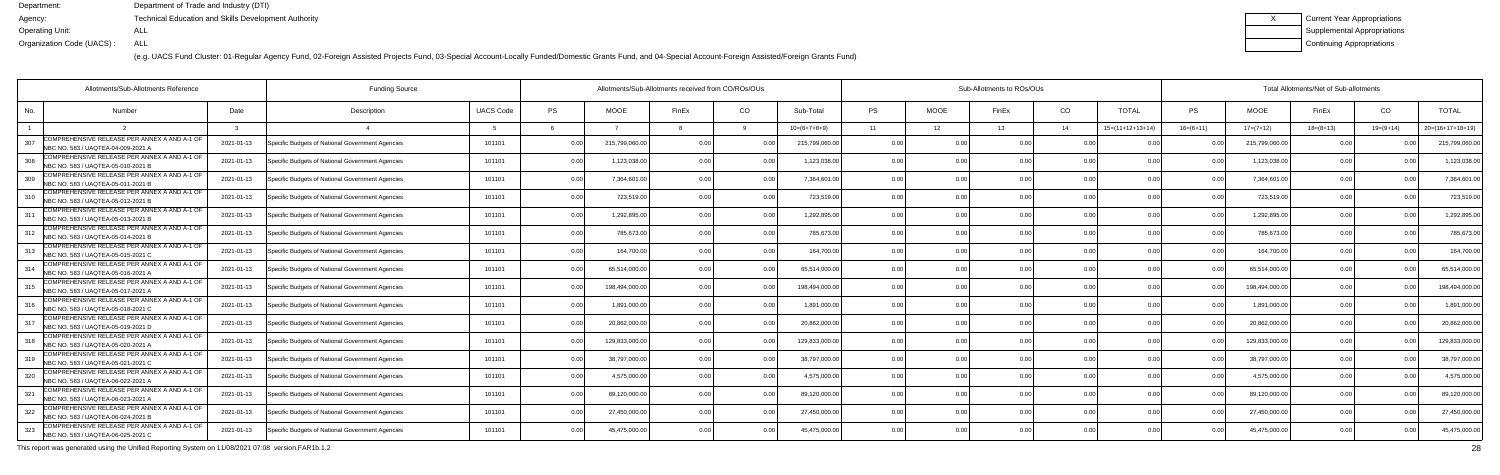(e.g. UACS Fund Cluster: 01-Regular Agency Fund, 02-Foreign Assisted Projects Fund, 03-Special Account-Locally Funded/Domestic Grants Fund, and 04-Special Account-Foreign Assisted/Foreign Grants Fund)

| Current Year Appropriations |
|-----------------------------|
| Supplemental Appropriations |
| Continuing Appropriations   |

|     | Allotments/Sub-Allotments Reference                                                 |            | <b>Funding Source</b>                            |                  | Allotments/Sub-Allotments received from CO/ROs/OUs |               |                |                |                |           | Sub-Allotments to ROs/OUs |       |                |                    |             |                | Total Allotments/Net of Sub-allotments |               |                    |  |  |  |  |
|-----|-------------------------------------------------------------------------------------|------------|--------------------------------------------------|------------------|----------------------------------------------------|---------------|----------------|----------------|----------------|-----------|---------------------------|-------|----------------|--------------------|-------------|----------------|----------------------------------------|---------------|--------------------|--|--|--|--|
| No. | Number                                                                              | Date       | Description                                      | <b>UACS Code</b> | <b>PS</b>                                          | <b>MOOE</b>   | FinEx          | CO             | Sub-Total      | <b>PS</b> | <b>MOOE</b>               | FinEx | CO             | <b>TOTAL</b>       | <b>PS</b>   | <b>MOOE</b>    | FinEx                                  | CO            | <b>TOTAL</b>       |  |  |  |  |
|     |                                                                                     |            |                                                  |                  |                                                    |               |                |                | $10=(6+7+8+9)$ | 11        | 12 <sup>°</sup>           | 13    | 14             | $15=(11+12+13+14)$ | $16=(6+11)$ | $17=(7+12)$    | $18 = (8 + 13)$                        | $19=(9+14)$   | $20=(16+17+18+19)$ |  |  |  |  |
| 307 | COMPREHENSIVE RELEASE PER ANNEX A AND A-1 OF<br>NBC NO. 583 / UAQTEA-04-009-2021 A  | 2021-01-13 | Specific Budgets of National Government Agencies | 101101           | 0.00                                               | 215,799,060.0 | 0.00           |                | 215,799,060.00 | 0.00      |                           | 0.00  | 00             |                    |             | 215,799,060.00 | <u>ሰሰ</u>                              |               | 215,799,060.00     |  |  |  |  |
| 308 | COMPREHENSIVE RELEASE PER ANNEX A AND A-1 OF<br>NBC NO. 583 / UAOTEA-05-010-2021 B  | 2021-01-13 | Specific Budgets of National Government Agencies | 101101           | 0.00                                               | 1,123,038.0   | 0 U            | 0.00           | 1,123,038.00   | 0.00      | 0.00                      |       | 0.00           | 0.00               | 0.00        | 1,123,038.00   | 0.00                                   |               | 1,123,038.00       |  |  |  |  |
| 309 | COMPREHENSIVE RELEASE PER ANNEX A AND A-1 OF<br>NBC NO. 583 / UAQTEA-05-011-2021 B  | 2021-01-13 | Specific Budgets of National Government Agencies | 101101           | 0.00                                               | 7,364,601.0   | O O            | 0 <sub>0</sub> | 7,364,601.00   | 0.00      | 0.00                      | 0.00  | 0.0            | 0.00               |             | 7,364,601.00   | 0.00                                   |               | 7,364,601.00       |  |  |  |  |
| 310 | COMPREHENSIVE RELEASE PER ANNEX A AND A-1 OF<br>NBC NO. 583 / UAQTEA-05-012-2021 B  | 2021-01-13 | Specific Budgets of National Government Agencies | 101101           | 0.00                                               | 723,519.00    | O O            | 0.00           | 723,519.00     | 0.00      | 0.00                      |       | 0.0            | 0.00               | . വ         | 723,519.00     | 0.0                                    |               | 723,519.00         |  |  |  |  |
| 311 | COMPREHENSIVE RELEASE PER ANNEX A AND A-1 OF<br>NBC NO. 583 / UAQTEA-05-013-2021 B  | 2021-01-13 | Specific Budgets of National Government Agencies | 101101           | 0.00                                               | 1,292,895.0   |                | 0.00           | 1,292,895.00   | 0.00      | 0.00                      |       | 0.0            | 0.00               |             | 1,292,895.00   | 0.00                                   |               | 1,292,895.00       |  |  |  |  |
| 312 | COMPREHENSIVE RELEASE PER ANNEX A AND A-1 OF<br>NBC NO. 583 / UAQTEA-05-014-2021 B  | 2021-01-13 | Specific Budgets of National Government Agencies | 101101           | 0.00                                               | 785,673.00    | 0 <sub>0</sub> | 0.00           | 785,673.00     | 0.00      | 0.00                      | 0.00  | 0.0            | 0.00               | 0.00        | 785,673.00     | 0.00                                   | $\cap$ $\cap$ | 785,673.00         |  |  |  |  |
|     | COMPREHENSIVE RELEASE PER ANNEX A AND A-1 OF<br>NBC NO. 583 / UAQTEA-05-015-2021 C  | 2021-01-13 | Specific Budgets of National Government Agencies | 101101           | 0.00                                               | 164,700.00    |                | 0.00           | 164,700.00     | 0.00      | 0.00                      |       | 0.0            |                    |             | 164,700.00     | 0 O                                    |               | 164,700.00         |  |  |  |  |
| 314 | COMPREHENSIVE RELEASE PER ANNEX A AND A-1 OF<br>NBC NO. 583 / UAQTEA-05-016-2021 A  | 2021-01-13 | Specific Budgets of National Government Agencies | 101101           | 0.00                                               | 65,514,000.0  |                |                | 65,514,000.00  | 0.00      | 0.00                      |       | 0.0            | 0.00               |             | 65,514,000.00  | 0.00                                   |               | 65,514,000.0       |  |  |  |  |
| 315 | COMPREHENSIVE RELEASE PER ANNEX A AND A-1 OF<br>NBC NO. 583 / UAQTEA-05-017-2021 A  | 2021-01-13 | Specific Budgets of National Government Agencies | 101101           | 0.00                                               | 198.494.000.0 | n nr           | 0.00           | 198.494.000.00 | 0.00      | 0.00                      | n nn  | 0.0            | 0.00               | 0.00        | 198.494.000.00 | 0.00                                   |               | 198.494.000.0      |  |  |  |  |
| 316 | COMPREHENSIVE RELEASE PER ANNEX A AND A-1 OF<br>NBC NO. 583 / UAQTEA-05-018-2021 C  | 2021-01-13 | Specific Budgets of National Government Agencies | 101101           | 0.00                                               | 1,891,000.00  | 0 O            | 0.0            | 1,891,000.00   | 0.00      | 0.00                      | 0.00  | 0.0            | 0.00               |             | 1,891,000.00   | 0.00                                   |               | 1,891,000.0        |  |  |  |  |
| 317 | COMPREHENSIVE RELEASE PER ANNEX A AND A-1 OF<br>INBC NO. 583 / UAQTEA-05-019-2021 D | 2021-01-13 | Specific Budgets of National Government Agencies | 101101           | 0.00                                               | 20,862,000.0  | $\cap$ $\cap$  |                | 20,862,000.00  | 0.00      | 0 <sub>0</sub>            |       | 0 <sub>0</sub> | 0.00               |             | 20,862,000.00  | 0 O                                    |               | 20,862,000.00      |  |  |  |  |
| 318 | COMPREHENSIVE RELEASE PER ANNEX A AND A-1 OF<br>NBC NO. 583 / UAQTEA-05-020-2021 A  | 2021-01-13 | Specific Budgets of National Government Agencies | 101101           | 0.00                                               | 129.833.000.0 | 0 Q            | 0 <sub>0</sub> | 129.833.000.00 | 0.00      | 0.00                      |       | 0.0            | 0.00               | 0.00        | 129.833.000.00 | 0.00                                   |               | 129,833,000.0      |  |  |  |  |
| 319 | COMPREHENSIVE RELEASE PER ANNEX A AND A-1 OF<br>NBC NO. 583 / UAOTEA-05-021-2021 C  | 2021-01-13 | Specific Budgets of National Government Agencies | 101101           | 0.00                                               | 38,797,000.00 | n nr           | $\cap$ $\cap$  | 38,797,000.00  | 0.00      | 0.00                      | 0.00  | 0.0            | 0.00               | . 0 OC      | 38,797,000.00  | 0.00                                   |               | 38,797,000.00      |  |  |  |  |
| 320 | COMPREHENSIVE RELEASE PER ANNEX A AND A-1 OF<br>NBC NO. 583 / UAOTEA-06-022-2021 A  | 2021-01-13 | Specific Budgets of National Government Agencies | 101101           | 0.00                                               | 4,575,000.0   |                |                | 4,575,000.00   | 0.00      | 0 <sub>0</sub>            |       | 0 <sub>0</sub> |                    |             | 4,575,000.00   | 0 <sub>0</sub>                         |               | 4,575,000.00       |  |  |  |  |
| 321 | COMPREHENSIVE RELEASE PER ANNEX A AND A-1 OF<br>NBC NO. 583 / UAQTEA-06-023-2021 A  | 2021-01-13 | Specific Budgets of National Government Agencies | 101101           | 0.00                                               | 89,120,000.0  | 0 Q            |                | 89,120,000.00  | 0.00      | 0.00                      |       | 0.0            | 0.00               |             | 89,120,000.00  | 0.00                                   |               | 89,120,000.0       |  |  |  |  |
| 322 | COMPREHENSIVE RELEASE PER ANNEX A AND A-1 OF<br>NBC NO. 583 / UAQTEA-06-024-2021 B  | 2021-01-13 | Specific Budgets of National Government Agencies | 101101           | 0.00                                               | 27,450,000.0  | 0.00           | 0.00           | 27,450,000.00  | 0.00      | 0.00                      | 0.00  | 0.00           | 0.00               | 0.00        | 27,450,000.00  | 0.00                                   | 0.OC          | 27,450,000.00      |  |  |  |  |
| 323 | COMPREHENSIVE RELEASE PER ANNEX A AND A-1 OF<br>NBC NO. 583 / UAQTEA-06-025-2021 C  | 2021-01-13 | Specific Budgets of National Government Agencies | 101101           | 0.00                                               | 45,475,000.00 |                |                | 45,475,000.00  | 0.00      | 0 <sub>0</sub>            |       | 0 <sub>0</sub> | 0.00               |             | 45,475,000.00  | 0 <sub>0</sub>                         |               | 45,475,000.00      |  |  |  |  |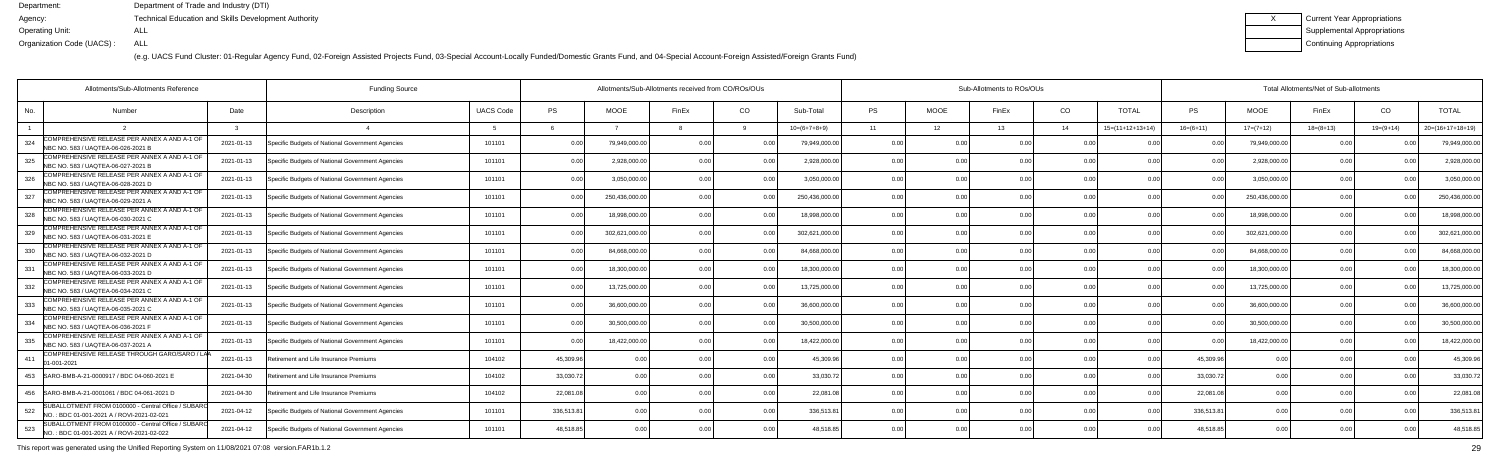(e.g. UACS Fund Cluster: 01-Regular Agency Fund, 02-Foreign Assisted Projects Fund, 03-Special Account-Locally Funded/Domestic Grants Fund, and 04-Special Account-Foreign Assisted/Foreign Grants Fund)

| <b>Current Year Appropriations</b> |
|------------------------------------|
| <b>Supplemental Appropriations</b> |
| Continuing Appropriations          |

|     | Allotments/Sub-Allotments Reference                                                              |            | <b>Funding Source</b>                            |                  |            | Allotments/Sub-Allotments received from CO/ROs/OUs |       |                |                | Sub-Allotments to ROs/OUs |                |       |                |                    |                | Total Allotments/Net of Sub-allotments |                |                |                    |  |  |  |
|-----|--------------------------------------------------------------------------------------------------|------------|--------------------------------------------------|------------------|------------|----------------------------------------------------|-------|----------------|----------------|---------------------------|----------------|-------|----------------|--------------------|----------------|----------------------------------------|----------------|----------------|--------------------|--|--|--|
| No. | Number                                                                                           | Date       | Description                                      | <b>UACS Code</b> | <b>PS</b>  | <b>MOOE</b>                                        | FinEx | CO             | Sub-Total      | <b>PS</b>                 | <b>MOOE</b>    | FinEx | CO             | <b>TOTAL</b>       | <b>PS</b>      | MOOE                                   | FinEx          | CO             | <b>TOTAL</b>       |  |  |  |
|     |                                                                                                  |            |                                                  |                  |            |                                                    |       |                | $10=(6+7+8+9)$ | 11                        | 12             | 13    | 14             | $15=(11+12+13+14)$ | $16=(6+11)$    | $17=(7+12)$                            | $18=(8+13)$    | $19=(9+14)$    | $20=(16+17+18+19)$ |  |  |  |
| 324 | COMPREHENSIVE RELEASE PER ANNEX A AND A-1 OF<br>NBC NO. 583 / UAQTEA-06-026-2021 B               | 2021-01-13 | Specific Budgets of National Government Agencies | 101101           | 0.00       | 79,949,000.0                                       | 0 Q   |                | 79,949,000.00  | 0.00                      |                |       | . N Q          |                    |                | 79,949,000.00                          |                |                | 79,949,000.00      |  |  |  |
| 325 | COMPREHENSIVE RELEASE PER ANNEX A AND A-1 OF<br>NBC NO. 583 / UAQTEA-06-027-2021 B               | 2021-01-13 | Specific Budgets of National Government Agencies | 101101           | 0.00       | 2,928,000.0                                        | 0 O   | 0.00           | 2,928,000.00   | 0.00                      | 0.00           |       | 0.0            | 0.00               |                | 2,928,000.00                           | 0.00           |                | 2,928,000.0        |  |  |  |
| 326 | COMPREHENSIVE RELEASE PER ANNEX A AND A-1 OF<br>NBC NO. 583 / UAQTEA-06-028-2021 D               | 2021-01-13 | Specific Budgets of National Government Agencies | 101101           | 0.00       | 3,050,000.0                                        | 0.00  | 0.00           | 3,050,000.00   | 0.00                      | 0.00           | 0.00  | 0.0            | 0.00               | 0.00           | 3,050,000.00                           | 0.00           | 0 <sub>0</sub> | 3,050,000.00       |  |  |  |
| 327 | COMPREHENSIVE RELEASE PER ANNEX A AND A-1 OF<br>NBC NO. 583 / UAQTEA-06-029-2021 A               | 2021-01-13 | Specific Budgets of National Government Agencies | 101101           | 0.00       | 250,436,000.0                                      |       | 0.0            | 250,436,000.00 | 0.00                      | 0.00           |       | 0.0            |                    |                | 250,436,000.00                         | 0.00           |                | 250,436,000.00     |  |  |  |
| 328 | COMPREHENSIVE RELEASE PER ANNEX A AND A-1 OF<br>NBC NO. 583 / UAQTEA-06-030-2021 C               | 2021-01-13 | Specific Budgets of National Government Agencies | 101101           | 0.00       | 18,998,000.0                                       |       |                | 18,998,000.00  | 0.00                      | 0 <sub>0</sub> |       | 0 <sub>0</sub> | n nr               |                | 18,998,000.00                          | 0 <sub>0</sub> |                | 18,998,000.0       |  |  |  |
| 329 | COMPREHENSIVE RELEASE PER ANNEX A AND A-1 OF<br>NBC NO. 583 / UAQTEA-06-031-2021 E               | 2021-01-13 | Specific Budgets of National Government Agencies | 101101           | 0.00       | 302,621,000.0                                      | O O   | 0.00           | 302,621,000.00 | 0.00                      | 0.00           |       | 0.0            | 0.00               | 0.00           | 302,621,000.00                         | 0.00           |                | 302,621,000.00     |  |  |  |
| 330 | COMPREHENSIVE RELEASE PER ANNEX A AND A-1 OF<br>NBC NO. 583 / UAQTEA-06-032-2021 D               | 2021-01-13 | Specific Budgets of National Government Agencies | 101101           | 0.00       | 84,668,000.0                                       | O O   | 0 <sub>0</sub> | 84,668,000.00  | 0.00                      | 0.00           | 0.00  | 0.0            | 0.00               | 0 <sub>0</sub> | 84,668,000.00                          | 0.00           |                | 84,668,000.00      |  |  |  |
| 331 | COMPREHENSIVE RELEASE PER ANNEX A AND A-1 OF<br>NBC NO. 583 / UAQTEA-06-033-2021 D               | 2021-01-13 | Specific Budgets of National Government Agencies | 101101           | 0.00       | 18,300,000.0                                       |       |                | 18.300.000.00  | 0.00                      | 0 <sub>0</sub> |       | 0 <sub>0</sub> | 0 <sub>0</sub>     |                | 18,300,000.00                          | 0.00           |                | 18,300,000.0       |  |  |  |
| 332 | COMPREHENSIVE RELEASE PER ANNEX A AND A-1 OF<br>NBC NO. 583 / UAQTEA-06-034-2021 C               | 2021-01-13 | Specific Budgets of National Government Agencies | 101101           | 0.00       | 13,725,000.0                                       | n n   | $\Omega$       | 13,725,000.00  | 0.00                      | 0.00           |       | 0.0            | 0.00               |                | 13,725,000.00                          | 0.00           |                | 13,725,000.0       |  |  |  |
| 333 | COMPREHENSIVE RELEASE PER ANNEX A AND A-1 OF<br>NBC NO. 583 / UAQTEA-06-035-2021 C               | 2021-01-13 | Specific Budgets of National Government Agencies | 101101           | 0.00       | 36.600.000.0                                       | n nr  | 0.00           | 36,600,000.00  | 0.00                      | 0.00           |       | 0.0            | 0.00               | 0.00           | 36.600.000.00                          | 0.00           |                | 36,600,000.00      |  |  |  |
| 334 | COMPREHENSIVE RELEASE PER ANNEX A AND A-1 OF<br>NBC NO. 583 / UAQTEA-06-036-2021 F               | 2021-01-13 | Specific Budgets of National Government Agencies | 101101           | 0.00       | 30.500.000.0                                       |       | 0.0            | 30.500.000.00  | 0.00                      | 0.00           |       | 0.0            |                    |                | 30.500.000.00                          | 0.00           |                | 30.500.000.00      |  |  |  |
| 335 | COMPREHENSIVE RELEASE PER ANNEX A AND A-1 OF<br>NBC NO. 583 / UAQTEA-06-037-2021 A               | 2021-01-13 | Specific Budgets of National Government Agencies | 101101           | 0.00       | 18,422,000.0                                       | n n   |                | 18,422,000.00  | 0.00                      | 0.00           |       | 0.0            | 0.00               |                | 18,422,000.00                          | 0.0            | n ni           | 18,422,000.0       |  |  |  |
| 411 | COMPREHENSIVE RELEASE THROUGH GARO/SARO / LAA<br>01-001-2021                                     | 2021-01-13 | Retirement and Life Insurance Premiums           | 104102           | 45,309.96  | 0 <sub>0</sub>                                     |       | 0.00           | 45.309.96      | 0.00                      | 0.00           |       | 0 <sub>0</sub> |                    | 45,309.96      | 0.00                                   | 0 <sub>0</sub> |                | 45,309.9           |  |  |  |
|     | 453   SARO-BMB-A-21-0000917 / BDC 04-060-2021 E                                                  | 2021-04-30 | Retirement and Life Insurance Premiums           | 104102           | 33,030.72  | 0.00                                               |       | 0.00           | 33,030.72      | 0.00                      | 0.00           | 0.00  | 0.0            | 0.00               | 33,030.72      | 0.00                                   | 0.00           | 0 <sub>0</sub> | 33,030.72          |  |  |  |
| 456 | SARO-BMB-A-21-0001061 / BDC 04-061-2021 D                                                        | 2021-04-30 | Retirement and Life Insurance Premiums           | 104102           | 22,081.08  | 0.00                                               |       | 0.00           | 22,081.08      | 0.00                      | 0.00           |       | 0.0            | 0.00               | 22,081.08      | 0.00                                   | 0.00           |                | 22,081.0           |  |  |  |
| 522 | SUBALLOTMENT FROM 0100000 - Central Office / SUBARO<br>NO.: BDC 01-001-2021 A / ROVI-2021-02-021 | 2021-04-12 | Specific Budgets of National Government Agencies | 101101           | 336,513.81 | 0.00                                               |       | 0.00           | 336,513.81     | 0.00                      | 0.00           | 0.00  | 0.0            | 0.00               | 336,513.81     | 0.00                                   | 0.00           | 0.OC           | 336,513.8          |  |  |  |
| 523 | SUBALLOTMENT FROM 0100000 - Central Office / SUBARO<br>NO.: BDC 01-001-2021 A / ROVI-2021-02-022 | 2021-04-12 | Specific Budgets of National Government Agencies | 101101           | 48,518.85  | 0.00                                               |       | 0.00           | 48,518.85      | 0.00                      | 0 <sub>0</sub> |       | 0 <sub>0</sub> |                    | 48.518.8       | 0.00                                   | 0.00           |                | 48,518.85          |  |  |  |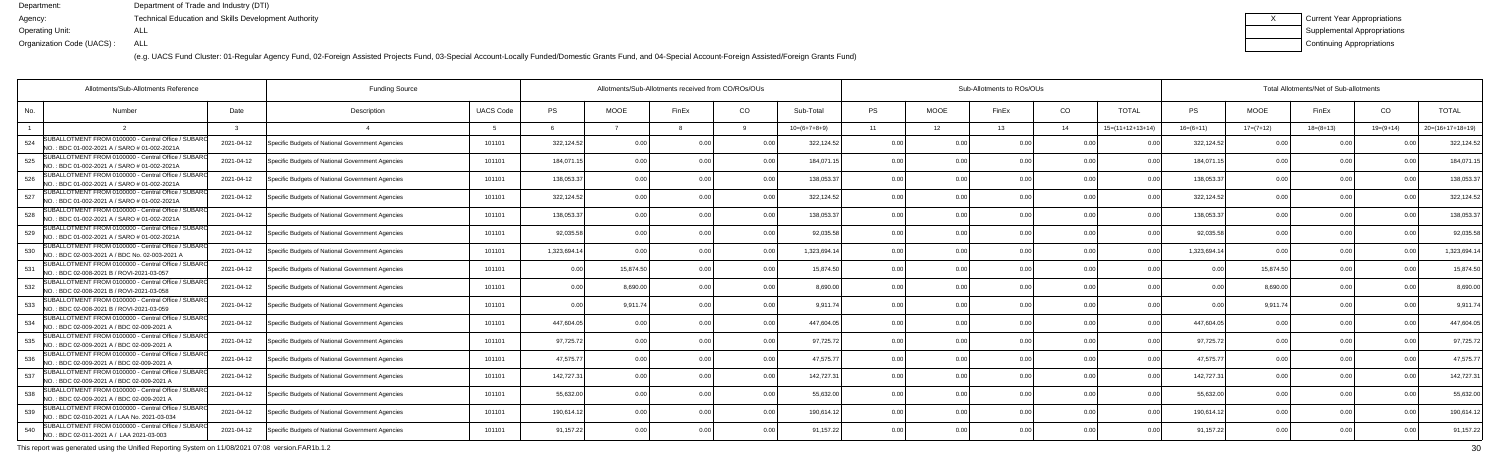(e.g. UACS Fund Cluster: 01-Regular Agency Fund, 02-Foreign Assisted Projects Fund, 03-Special Account-Locally Funded/Domestic Grants Fund, and 04-Special Account-Foreign Assisted/Foreign Grants Fund)

| Current Year Appropriations |
|-----------------------------|
| Supplemental Appropriations |
| Continuing Appropriations   |

|     | Allotments/Sub-Allotments Reference                                                                   | <b>Funding Source</b> |                                                  |                  | Allotments/Sub-Allotments received from CO/ROs/OUs |                |       |      |                | Sub-Allotments to ROs/OUs |             |       | Total Allotments/Net of Sub-allotments |                    |                |             |             |             |                    |
|-----|-------------------------------------------------------------------------------------------------------|-----------------------|--------------------------------------------------|------------------|----------------------------------------------------|----------------|-------|------|----------------|---------------------------|-------------|-------|----------------------------------------|--------------------|----------------|-------------|-------------|-------------|--------------------|
| No. | <b>Number</b>                                                                                         | Date                  | Description                                      | <b>UACS Code</b> | <b>PS</b>                                          | <b>MOOE</b>    | FinEx | CO   | Sub-Total      | <b>PS</b>                 | <b>MOOE</b> | FinEx | CO.                                    | <b>TOTAL</b>       | PS             | <b>MOOE</b> | FinEx       | CO          | <b>TOTAL</b>       |
|     |                                                                                                       |                       |                                                  |                  |                                                    |                |       |      | $10=(6+7+8+9)$ | 11                        | 12          | 13    | 14                                     | $15=(11+12+13+14)$ | $16=(6+11)$    | $17=(7+12)$ | $18=(8+13)$ | $19=(9+14)$ | $20=(16+17+18+19)$ |
| 524 | SUBALLOTMENT FROM 0100000 - Central Office / SUBARO<br>NO.: BDC 01-002-2021 A / SARO # 01-002-2021A   | 2021-04-12            | Specific Budgets of National Government Agencies | 101101           | 322,124.52                                         | 0 <sub>0</sub> |       | 0 O  | 322,124.52     | 0.00                      | 0 OC        |       | 0 <sub>0</sub>                         |                    | 322,124.52     | 0.00        |             |             | 322,124.5          |
| 525 | SUBALLOTMENT FROM 0100000 - Central Office / SUBARO<br>INO.: BDC 01-002-2021 A / SARO # 01-002-2021A  | 2021-04-12            | Specific Budgets of National Government Agencies | 101101           | 184,071.15                                         | 0.00           |       | 0.00 | 184,071.1      | 0.00                      | 0.00        |       | 0.00                                   | 0.0(               | 184,071.1      | 0.00        | 0.00        |             | 184,071.           |
| 526 | SUBALLOTMENT FROM 0100000 - Central Office / SUBARO<br>NO.: BDC 01-002-2021 A / SARO # 01-002-2021A   | 2021-04-12            | Specific Budgets of National Government Agencies | 101101           | 138,053.37                                         | 0.00           |       | 0.00 | 138,053.3      | 0.00                      | 0.00        |       | 0.00                                   | 0 <sub>0</sub>     | 138,053.37     | 0.00        | 0.00        |             | 138,053.3          |
| 527 | SUBALLOTMENT FROM 0100000 - Central Office / SUBARO<br>NO.: BDC 01-002-2021 A / SARO # 01-002-2021A   | 2021-04-12            | Specific Budgets of National Government Agencies | 101101           | 322,124.52                                         | 0.00           |       | 0.0  | 322,124.52     | 0.00                      | 0.00        |       | 0.00                                   |                    | 322,124.52     | 0.00        | 0.00        |             | 322,124.5          |
| 528 | SUBALLOTMENT FROM 0100000 - Central Office / SUBARO<br>NO.: BDC 01-002-2021 A / SARO # 01-002-2021A   | 2021-04-12            | Specific Budgets of National Government Agencies | 101101           | 138,053.37                                         | 0.00           |       | 0.00 | 138,053.3      | 0.00                      | 0.00        |       | 0 <sub>0</sub>                         | .N 0               | 138,053.37     | 0.00        | 0.00        |             | 138,053.3          |
| 529 | SUBALLOTMENT FROM 0100000 - Central Office / SUBAR<br>NO.: BDC 01-002-2021 A / SARO # 01-002-2021A    | 2021-04-12            | Specific Budgets of National Government Agencies | 101101           | 92,035.58                                          | 0.00           |       | 0.00 | 92,035.58      | 0.00                      | 0.00        |       | 0.00                                   |                    | 92,035.58      | 0.00        | 0.00        |             | 92,035.58          |
| 530 | SUBALLOTMENT FROM 0100000 - Central Office / SUBARO<br>NO.: BDC 02-003-2021 A / BDC No. 02-003-2021 A | 2021-04-12            | Specific Budgets of National Government Agencies | 101101           | 1,323,694.14                                       | 0.00           |       | 0.0  | 1,323,694.14   | 0.00                      | 0.00        |       | 0.00                                   |                    | 1,323,694.1    | 0.00        | 0.00        |             | 1,323,694.1        |
| 531 | SUBALLOTMENT FROM 0100000 - Central Office / SUBARO<br>NO.: BDC 02-008-2021 B / ROVI-2021-03-057      | 2021-04-12            | Specific Budgets of National Government Agencies | 101101           | 0.00                                               | 15.874.50      |       | 0.00 | 15.874.50      | 0.00                      | 0.00        |       | 0.00                                   |                    |                | 15,874.50   | 0.00        |             | 15,874.5           |
| 532 | SUBALLOTMENT FROM 0100000 - Central Office / SUBAR<br>NO.: BDC 02-008-2021 B / ROVI-2021-03-058       | 2021-04-12            | Specific Budgets of National Government Agencies | 101101           | 0.00                                               | 8,690.00       |       | 0.00 | 8.690.00       | 0.00                      | 0.00        |       | 0.00                                   | 0.00               | 0 <sub>0</sub> | 8,690.00    | 0.00        |             | 8,690.00           |
| 533 | SUBALLOTMENT FROM 0100000 - Central Office / SUBARO<br>NO.: BDC 02-008-2021 B / ROVI-2021-03-059      | 2021-04-12            | Specific Budgets of National Government Agencies | 101101           | 0.00                                               | 9,911.74       |       | 0.00 | 9.911.74       | 0.00                      | 0.00        | n nr  | 0.00                                   | 0.00               | 0 Q            | 9,911.74    | 0.00        |             | 9,911.7            |
| 534 | SUBALLOTMENT FROM 0100000 - Central Office / SUBARO<br>NO.: BDC 02-009-2021 A / BDC 02-009-2021 A     | 2021-04-12            | Specific Budgets of National Government Agencies | 101101           | 447,604.05                                         | 0.00           |       | 0.00 | 447,604.05     | 0.00                      | 0.00        |       | 0.00                                   |                    | 447,604.05     | 0.00        | 0.00        |             | 447,604.0          |
| 535 | SUBALLOTMENT FROM 0100000 - Central Office / SUBARO<br>NO.: BDC 02-009-2021 A / BDC 02-009-2021 A     | 2021-04-12            | Specific Budgets of National Government Agencies | 101101           | 97,725.72                                          | 0.00           |       | 0.00 | 97,725.72      | 0.00                      | 0.00        |       | 0.00                                   |                    | 97,725.72      | 0.00        | 0.00        |             | 97,725.72          |
| 536 | SUBALLOTMENT FROM 0100000 - Central Office / SUBARO<br>NO.: BDC 02-009-2021 A / BDC 02-009-2021 A     | 2021-04-12            | Specific Budgets of National Government Agencies | 101101           | 47,575.77                                          | 0.00           |       | 0.00 | 47.575.77      | 0.00                      | 0.00        |       | 0.00                                   | 0 <sub>0</sub>     | 47,575.77      | 0.00        | 0.00        |             | 47,575.77          |
| 537 | SUBALLOTMENT FROM 0100000 - Central Office / SUBARO<br>NO.: BDC 02-009-2021 A / BDC 02-009-2021 A     | 2021-04-12            | Specific Budgets of National Government Agencies | 101101           | 142,727.31                                         | 0.00           |       | 0.00 | 142,727.3      | 0.00                      | 0.00        |       | 0 <sub>0</sub>                         |                    | 142,727.3      | 0.00        | 0.00        |             | 142,727.3          |
| 538 | SUBALLOTMENT FROM 0100000 - Central Office / SUBARO<br>NO.: BDC 02-009-2021 A / BDC 02-009-2021 A     | 2021-04-12            | Specific Budgets of National Government Agencies | 101101           | 55,632.00                                          | 0.00           |       | 0 O  | 55.632.00      | 0.00                      | 0.00        |       | 0 <sub>0</sub>                         |                    | 55.632.00      | 0.00        | 0.00        |             | 55,632.0           |
| 539 | SUBALLOTMENT FROM 0100000 - Central Office / SUBAR<br>NO.: BDC 02-010-2021 A / LAA No. 2021-03-034    | 2021-04-12            | Specific Budgets of National Government Agencies | 101101           | 190,614.12                                         | 0.00           |       | 0.00 | 190,614.1      | 0.00                      | 0.00        |       | 0.00                                   | 0.0(               | 190,614.1      | 0.00        | 0.00        |             | 190,614.1          |
| 540 | SUBALLOTMENT FROM 0100000 - Central Office / SUBARO<br>NO.: BDC 02-011-2021 A / LAA 2021-03-003       | 2021-04-12            | Specific Budgets of National Government Agencies | 101101           | 91,157.22                                          | 0.00           |       | 0.00 | 91,157.22      | 0.00                      | 0.00        |       | 0.00                                   |                    | 91,157.22      | 0.00        | 0.00        |             | 91,157.22          |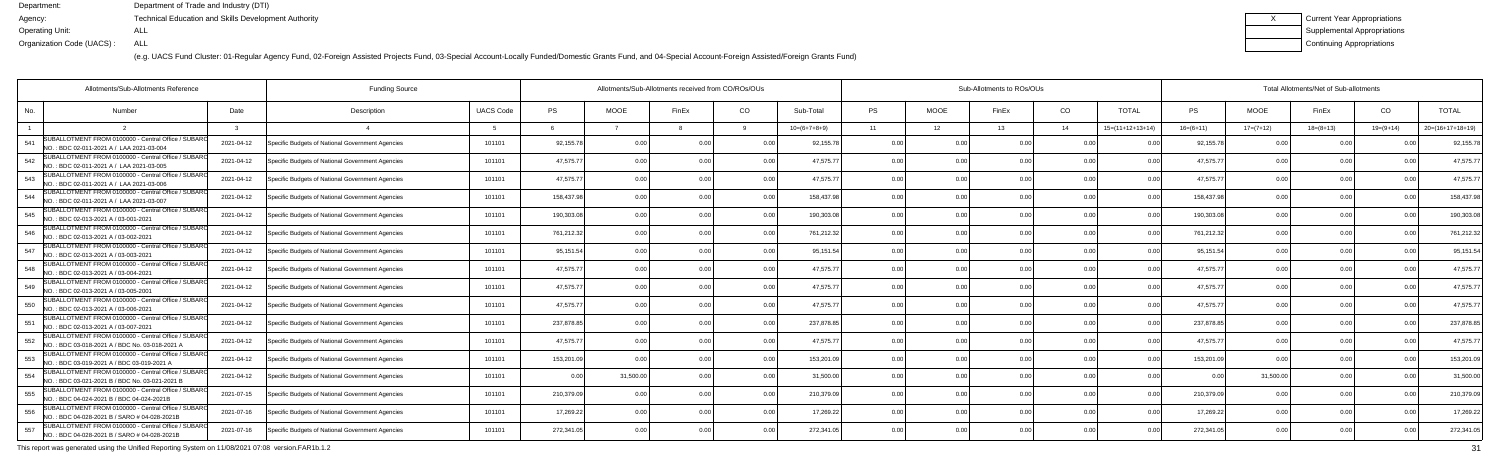(e.g. UACS Fund Cluster: 01-Regular Agency Fund, 02-Foreign Assisted Projects Fund, 03-Special Account-Locally Funded/Domestic Grants Fund, and 04-Special Account-Foreign Assisted/Foreign Grants Fund)

| Current Year Appropriations |
|-----------------------------|
| Supplemental Appropriations |
| Continuing Appropriations   |

| Allotments/Sub-Allotments Reference                                                                          |            |                                                  |                  | Allotments/Sub-Allotments received from CO/ROs/OUs |             |       |                |                | Sub-Allotments to ROs/OUs |             |       | Total Allotments/Net of Sub-allotments |                    |                |             |               |             |                    |
|--------------------------------------------------------------------------------------------------------------|------------|--------------------------------------------------|------------------|----------------------------------------------------|-------------|-------|----------------|----------------|---------------------------|-------------|-------|----------------------------------------|--------------------|----------------|-------------|---------------|-------------|--------------------|
| No.<br><b>Number</b>                                                                                         | Date       | Description                                      | <b>UACS Code</b> | PS                                                 | <b>MOOE</b> | FinEx | CO             | Sub-Total      | <b>PS</b>                 | <b>MOOE</b> | FinEx | CO                                     | <b>TOTAL</b>       | <b>PS</b>      | <b>MOOE</b> | FinEx         | CO          | <b>TOTAL</b>       |
|                                                                                                              |            |                                                  |                  |                                                    |             |       |                | $10=(6+7+8+9)$ | 11                        | 12          | 13    | 14                                     | $15=(11+12+13+14)$ | $16=(6+11)$    | $17=(7+12)$ | $18=(8+13)$   | $19=(9+14)$ | $20=(16+17+18+19)$ |
| SUBALLOTMENT FROM 0100000 - Central Office / SUBARO<br>541<br>NO.: BDC 02-011-2021 A / LAA 2021-03-004       | 2021-04-12 | Specific Budgets of National Government Agencies | 101101           | 92,155.78                                          | 0.00        |       | 0 <sub>0</sub> | 92,155.78      | 0.00                      |             |       |                                        |                    | 92,155.7       |             |               |             | 92,155.7           |
| SUBALLOTMENT FROM 0100000 - Central Office / SUBARO<br>542<br>NO.: BDC 02-011-2021 A / LAA 2021-03-005       | 2021-04-12 | Specific Budgets of National Government Agencies | 101101           | 47,575.77                                          | 0.00        |       | 0.00           | 47,575.77      | 0.00                      | 0.00        |       | 0.00                                   |                    | 47,575.7       | 0.00        | 0.00          | 0.00        | 47,575.7           |
| SUBALLOTMENT FROM 0100000 - Central Office / SUBARO<br>543<br>NO.: BDC 02-011-2021 A / LAA 2021-03-006       | 2021-04-12 | Specific Budgets of National Government Agencies | 101101           | 47,575.77                                          | 0.00        |       | 0.00           | 47,575.77      | 0.00                      | 0.00        |       | 0.00                                   | 0.00               | 47,575.7       | 0.00        | 0.00          | 0.00        | 47,575.7           |
| SUBALLOTMENT FROM 0100000 - Central Office / SUBARO<br>544<br>NO.: BDC 02-011-2021 A / LAA 2021-03-007       | 2021-04-12 | Specific Budgets of National Government Agencies | 101101           | 158,437.98                                         | 0.00        |       | 0.00           | 158,437.9      | 0.00                      | 0.00        |       | 0.00                                   |                    | 158,437.9      |             | 0.00          |             | 158,437.9          |
| SUBALLOTMENT FROM 0100000 - Central Office / SUBARO<br>545<br>INO.: BDC 02-013-2021 A / 03-001-2021          | 2021-04-12 | Specific Budgets of National Government Agencies | 101101           | 190,303.08                                         | 0.00        |       | 0.00           | 190,303.08     | 0.00                      | 0.00        |       | 0 <sub>0</sub>                         | n no               | 190,303.0      | 0.00        | 0.00          | $\Omega$    | 190,303.0          |
| SUBALLOTMENT FROM 0100000 - Central Office / SUBARO<br>546<br>NO.: BDC 02-013-2021 A / 03-002-2021           | 2021-04-12 | Specific Budgets of National Government Agencies | 101101           | 761,212.32                                         | 0.00        |       | 0.00           | 761,212.32     | 0.00                      | 0.00        |       | 0 <sub>0</sub>                         | 0.00               | 761,212.32     | 0.00        | 0.00          | 0.00        | 761,212.32         |
| SUBALLOTMENT FROM 0100000 - Central Office / SUBARO<br>547<br>NO.: BDC 02-013-2021 A / 03-003-2021           | 2021-04-12 | Specific Budgets of National Government Agencies | 101101           | 95,151.54                                          | 0.00        |       | 0.00           | 95,151.54      | 0.00                      | 0.00        |       | 0.00                                   |                    | 95,151.54      | 0.00        | 0.00          |             | 95,151.5           |
| SUBALLOTMENT FROM 0100000 - Central Office / SUBARO<br>548<br>NO.: BDC 02-013-2021 A / 03-004-2021           | 2021-04-12 | Specific Budgets of National Government Agencies | 101101           | 47,575.77                                          | 0.00        |       | 0.00           | 47.575.77      | 0.00                      | 0.00        |       | 0.00                                   |                    | 47.575.7       | 0.00        | 0.00          | 0.00        | 47,575.7           |
| SUBALLOTMENT FROM 0100000 - Central Office / SUBAR<br>549<br>NO.: BDC 02-013-2021 A / 03-005-2001            | 2021-04-12 | Specific Budgets of National Government Agencies | 101101           | 47,575.77                                          | 0.00        |       | 0.00           | 47,575.77      | 0.00                      | 0.00        |       | 0 <sub>0</sub>                         |                    | 47,575.7       | 0.00        | 0.00          | 0.00        | 47,575.7           |
| SUBALLOTMENT FROM 0100000 - Central Office / SUBARO<br>550<br>NO.: BDC 02-013-2021 A / 03-006-2021           | 2021-04-12 | Specific Budgets of National Government Agencies | 101101           | 47,575.77                                          | 0.00        |       | 0.00           | 47,575.7       | 0.00                      | 0.00        |       | 0.00                                   | 0 <sub>0</sub>     | 47,575.7       | 0.00        | 0.00          |             | 47,575.7           |
| SUBALLOTMENT FROM 0100000 - Central Office / SUBARO<br>551<br>NO.: BDC 02-013-2021 A / 03-007-2021           | 2021-04-12 | Specific Budgets of National Government Agencies | 101101           | 237,878.85                                         | 0.00        |       | 0.00           | 237,878.8      | 0.00                      | 0.00        |       | 0.00                                   |                    | 237,878.8      | 0.0         | 0.00          |             | 237,878.8          |
| SUBALLOTMENT FROM 0100000 - Central Office / SUBARO<br>552<br>NO.: BDC 03-018-2021 A / BDC No. 03-018-2021 A | 2021-04-12 | Specific Budgets of National Government Agencies | 101101           | 47,575.77                                          | 0.00        |       | 0.00           | 47,575.7       | 0.00                      | 0.00        |       | 0.00                                   |                    | 47,575.7       | 0.00        | 0.00          |             | 47,575.7           |
| SUBALLOTMENT FROM 0100000 - Central Office / SUBARO<br>553<br>NO.: BDC 03-019-2021 A / BDC 03-019-2021 A     | 2021-04-12 | Specific Budgets of National Government Agencies | 101101           | 153,201.09                                         | 0.00        |       | 0.00           | 153,201.09     | 0.00                      | 0.00        | n nr  | 0 <sub>0</sub>                         | 0.00               | 153,201.0      | 0.00        | 0.00          | 0.00        | 153,201.0          |
| SUBALLOTMENT FROM 0100000 - Central Office / SUBARO<br>554<br>NO.: BDC 03-021-2021 B / BDC No. 03-021-2021 B | 2021-04-12 | Specific Budgets of National Government Agencies | 101101           | 0.00                                               | 31,500.00   |       | 0.00           | 31,500.00      | 0.00                      | 0.00        |       | 0 <sub>0</sub>                         |                    | 0 <sub>0</sub> | 31,500.00   | $\cap$ $\cap$ |             | 31,500.0           |
| SUBALLOTMENT FROM 0100000 - Central Office / SUBAR<br>555<br>INO.: BDC 04-024-2021 B / BDC 04-024-2021B      | 2021-07-15 | Specific Budgets of National Government Agencies | 101101           | 210,379.09                                         | 0.00        |       | 0 <sub>0</sub> | 210,379.09     | 0.00                      | 0.00        |       | 0 <sub>0</sub>                         |                    | 210,379.0      | 0.00        |               |             | 210,379.0          |
| SUBALLOTMENT FROM 0100000 - Central Office / SUBAR<br>556<br>NO.: BDC 04-028-2021 B / SARO # 04-028-2021B    | 2021-07-16 | Specific Budgets of National Government Agencies | 101101           | 17,269.22                                          | 0.00        |       | 0.00           | 17,269.22      | 0.00                      | 0.00        |       | 0.00                                   | 0.00               | 17,269.2       | 0.00        | 0.00          | 0.00        | 17,269.22          |
| SUBALLOTMENT FROM 0100000 - Central Office / SUBARO<br>557<br>NO.: BDC 04-028-2021 B / SARO # 04-028-2021B   | 2021-07-16 | Specific Budgets of National Government Agencies | 101101           | 272,341.05                                         | 0.00        |       | 0.00           | 272,341.05     | 0.00                      | 0.00        |       | 0 <sub>0</sub>                         | n no               | 272,341.0      | 0.00        | 0.00          |             | 272,341.0          |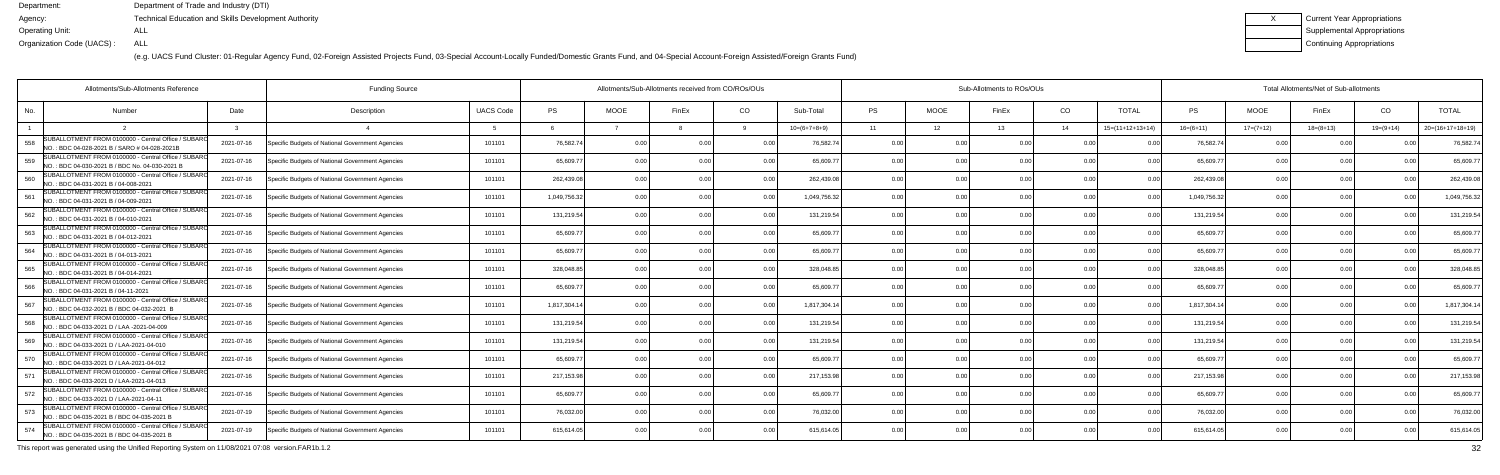(e.g. UACS Fund Cluster: 01-Regular Agency Fund, 02-Foreign Assisted Projects Fund, 03-Special Account-Locally Funded/Domestic Grants Fund, and 04-Special Account-Foreign Assisted/Foreign Grants Fund)

| Current Year Appropriations |
|-----------------------------|
| Supplemental Appropriations |
| Continuing Appropriations   |

| Allotments/Sub-Allotments Reference                                                                          |            |                                                  |                  | Allotments/Sub-Allotments received from CO/ROs/OUs |             |       | Sub-Allotments to ROs/OUs |                |           |             |       |                | Total Allotments/Net of Sub-allotments |              |             |             |             |                    |
|--------------------------------------------------------------------------------------------------------------|------------|--------------------------------------------------|------------------|----------------------------------------------------|-------------|-------|---------------------------|----------------|-----------|-------------|-------|----------------|----------------------------------------|--------------|-------------|-------------|-------------|--------------------|
| No.<br><b>Number</b>                                                                                         | Date       | Description                                      | <b>UACS Code</b> | PS                                                 | <b>MOOE</b> | FinEx | CO                        | Sub-Total      | <b>PS</b> | <b>MOOE</b> | FinEx | CO             | <b>TOTAL</b>                           | <b>PS</b>    | <b>MOOE</b> | FinEx       | CO          | <b>TOTAL</b>       |
|                                                                                                              |            |                                                  |                  |                                                    |             |       |                           | $10=(6+7+8+9)$ | 11        | 12          | 13    | 14             | $15=(11+12+13+14)$                     | $16=(6+11)$  | $17=(7+12)$ | $18=(8+13)$ | $19=(9+14)$ | $20=(16+17+18+19)$ |
| SUBALLOTMENT FROM 0100000 - Central Office / SUBARO<br>558<br>NO.: BDC 04-028-2021 B / SARO # 04-028-2021B   | 2021-07-16 | Specific Budgets of National Government Agencies | 101101           | 76,582.74                                          | 0.00        |       |                           | 76,582.7       | 0.00      |             |       |                |                                        | 76,582.7     |             |             |             | 76,582.7           |
| SUBALLOTMENT FROM 0100000 - Central Office / SUBARO<br>559<br>NO.: BDC 04-030-2021 B / BDC No. 04-030-2021 B | 2021-07-16 | Specific Budgets of National Government Agencies | 101101           | 65,609.77                                          | 0.00        |       | 0.00                      | 65,609.7       | 0.00      | 0.00        |       | 0.00           |                                        | 65,609.7     | 0.00        | 0.00        | 0.00        | 65,609.7           |
| SUBALLOTMENT FROM 0100000 - Central Office / SUBARO<br>560<br>NO.: BDC 04-031-2021 B / 04-008-2021           | 2021-07-16 | Specific Budgets of National Government Agencies | 101101           | 262,439.08                                         | 0.00        |       | 0.00                      | 262,439.08     | 0.00      | 0.00        | n nr  | 0.00           | 0.00                                   | 262,439.0    | 0.00        | 0.00        | 0.00        | 262,439.0          |
| SUBALLOTMENT FROM 0100000 - Central Office / SUBARO<br>561<br>NO.: BDC 04-031-2021 B / 04-009-2021           | 2021-07-16 | Specific Budgets of National Government Agencies | 101101           | 1,049,756.32                                       | 0.00        |       | 0.00                      | 1,049,756.32   | 0.00      | 0.00        |       | 0.00           |                                        | 1,049,756.3  |             | 0.00        |             | 1,049,756.3        |
| SUBALLOTMENT FROM 0100000 - Central Office / SUBARO<br>562<br>NO.: BDC 04-031-2021 B / 04-010-2021           | 2021-07-16 | Specific Budgets of National Government Agencies | 101101           | 131,219.54                                         | 0.00        |       | 0 <sub>0</sub>            | 131,219.54     | 0.00      | 0.00        |       | 0 <sub>0</sub> |                                        | 131,219.54   | 0.00        | 0.00        | $\Omega$    | 131,219.5          |
| SUBALLOTMENT FROM 0100000 - Central Office / SUBARO<br>563<br>NO.: BDC 04-031-2021 B / 04-012-2021           | 2021-07-16 | Specific Budgets of National Government Agencies | 101101           | 65,609.77                                          | 0.00        |       | 0.00                      | 65,609.7       | 0.00      | 0.00        |       | 0 <sub>0</sub> |                                        | 65,609.7     | 0.00        | 0.00        | 0.00        | 65,609.7           |
| SUBALLOTMENT FROM 0100000 - Central Office / SUBARO<br>564<br>NO.: BDC 04-031-2021 B / 04-013-2021           | 2021-07-16 | Specific Budgets of National Government Agencies | 101101           | 65,609.77                                          | 0.00        |       | 0.00                      | 65,609.7       | 0.00      | 0.00        |       | 0.00           |                                        | 65,609.7     | 0.00        | 0.00        |             | 65,609.7           |
| SUBALLOTMENT FROM 0100000 - Central Office / SUBARO<br>565<br>NO.: BDC 04-031-2021 B / 04-014-2021           | 2021-07-16 | Specific Budgets of National Government Agencies | 101101           | 328,048.85                                         | 0.00        |       | 0 <sub>0</sub>            | 328,048.8      | 0.00      | 0.00        |       | 0.00           | n no                                   | 328,048.8    | 0.00        | 0.00        | 0.00        | 328,048.8          |
| SUBALLOTMENT FROM 0100000 - Central Office / SUBAR<br>566<br>NO.: BDC 04-031-2021 B / 04-11-2021             | 2021-07-16 | Specific Budgets of National Government Agencies | 101101           | 65,609.77                                          | 0.00        |       | 0.00                      | 65,609.7       | 0.00      | 0.00        |       | 0 <sub>0</sub> |                                        | 65,609.7     | 0.00        | 0.00        |             | 65,609.7           |
| SUBALLOTMENT FROM 0100000 - Central Office / SUBARO<br>567<br>NO.: BDC 04-032-2021 B / BDC 04-032-2021 B     | 2021-07-16 | Specific Budgets of National Government Agencies | 101101           | 1,817,304.14                                       | 0.00        |       | 0.00                      | 1,817,304.14   | 0.00      | 0.00        |       | 0.00           | 0 <sub>0</sub>                         | 1,817,304.14 | 0.00        | 0.00        |             | 1,817,304.         |
| SUBALLOTMENT FROM 0100000 - Central Office / SUBARO<br>568<br>NO.: BDC 04-033-2021 D / LAA -2021-04-009      | 2021-07-16 | Specific Budgets of National Government Agencies | 101101           | 131,219.54                                         | 0.00        |       | 0.00                      | 131,219.54     | 0.00      | 0.00        |       | 0.00           |                                        | 131,219.54   | 0.00        | 0.00        |             | 131,219.5          |
| SUBALLOTMENT FROM 0100000 - Central Office / SUBARO<br>569<br>NO.: BDC 04-033-2021 D / LAA-2021-04-010       | 2021-07-16 | Specific Budgets of National Government Agencies | 101101           | 131,219.54                                         | 0.00        |       | 0.00                      | 131,219.54     | 0.00      | 0.00        |       | 0.00           |                                        | 131,219.54   | 0.00        | 0.00        |             | 131,219.54         |
| SUBALLOTMENT FROM 0100000 - Central Office / SUBARO<br>570<br>NO.: BDC 04-033-2021 D / LAA-2021-04-012       | 2021-07-16 | Specific Budgets of National Government Agencies | 101101           | 65,609.77                                          | 0.00        |       | 0.00                      | 65,609.7       | 0.00      | 0.00        | n nr  | 0 <sub>0</sub> | 0.00                                   | 65,609.7     | 0.00        | 0.00        | 0.00        | 65,609.7           |
| SUBALLOTMENT FROM 0100000 - Central Office / SUBARO<br>571<br>NO.: BDC 04-033-2021 D / LAA-2021-04-013       | 2021-07-16 | Specific Budgets of National Government Agencies | 101101           | 217,153.98                                         | 0.00        |       | 0.00                      | 217,153.98     | 0.00      | 0.00        |       | 0.00           |                                        | 217,153.9    | 0.00        |             |             | 217,153.9          |
| SUBALLOTMENT FROM 0100000 - Central Office / SUBAR<br>572<br>NO.: BDC 04-033-2021 D / LAA-2021-04-11         | 2021-07-16 | Specific Budgets of National Government Agencies | 101101           | 65,609.77                                          | 0.00        |       | 0 <sub>0</sub>            | 65,609.7       | 0.00      | 0.00        |       | 0 <sub>0</sub> |                                        | 65,609.7     | 0.00        | 0.00        |             | 65,609.7           |
| SUBALLOTMENT FROM 0100000 - Central Office / SUBAR<br>573<br>NO.: BDC 04-035-2021 B / BDC 04-035-2021 B      | 2021-07-19 | Specific Budgets of National Government Agencies | 101101           | 76,032.00                                          | 0.00        |       | 0.00                      | 76,032.00      | 0.00      | 0.00        |       | 0.00           | 0.00                                   | 76,032.00    | 0.00        | 0.00        | 0.00        | 76,032.0           |
| SUBALLOTMENT FROM 0100000 - Central Office / SUBARO<br>574<br>NO.: BDC 04-035-2021 B / BDC 04-035-2021 B     | 2021-07-19 | Specific Budgets of National Government Agencies | 101101           | 615,614.05                                         | 0.00        |       | 0.00                      | 615,614.05     | 0.00      | 0.00        | 0.00  | 0 <sub>0</sub> | n no                                   | 615,614.05   | 0.00        | 0.00        |             | 615,614.05         |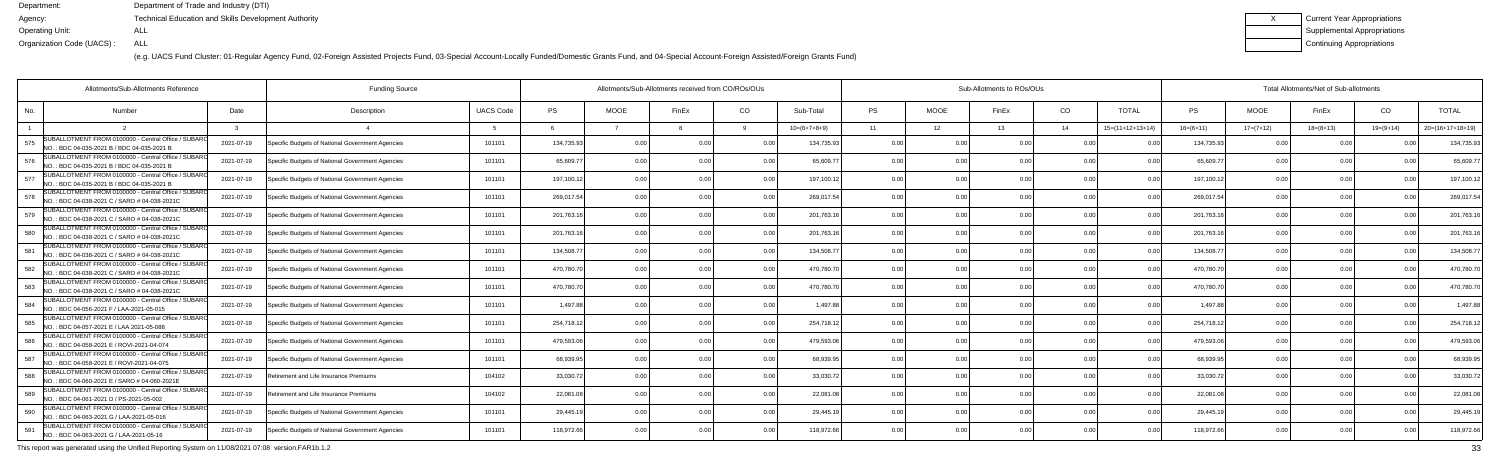(e.g. UACS Fund Cluster: 01-Regular Agency Fund, 02-Foreign Assisted Projects Fund, 03-Special Account-Locally Funded/Domestic Grants Fund, and 04-Special Account-Foreign Assisted/Foreign Grants Fund)

| Current Year Appropriations |
|-----------------------------|
| Supplemental Appropriations |
| Continuing Appropriations   |

|     | Allotments/Sub-Allotments Reference                                                                 | <b>Funding Source</b> |                                                  |                  | Allotments/Sub-Allotments received from CO/ROs/OUs |                |       |      |                | Sub-Allotments to ROs/OUs |             |       | Total Allotments/Net of Sub-allotments |                    |             |             |             |             |                    |
|-----|-----------------------------------------------------------------------------------------------------|-----------------------|--------------------------------------------------|------------------|----------------------------------------------------|----------------|-------|------|----------------|---------------------------|-------------|-------|----------------------------------------|--------------------|-------------|-------------|-------------|-------------|--------------------|
| No. | <b>Number</b>                                                                                       | Date                  | Description                                      | <b>UACS Code</b> | <b>PS</b>                                          | <b>MOOE</b>    | FinEx | CO   | Sub-Total      | <b>PS</b>                 | <b>MOOE</b> | FinEx | CO.                                    | <b>TOTAL</b>       | PS          | <b>MOOE</b> | FinEx       | CO          | <b>TOTAL</b>       |
|     |                                                                                                     |                       |                                                  |                  |                                                    |                |       |      | $10=(6+7+8+9)$ | 11                        | 12          | 13    | - 14                                   | $15=(11+12+13+14)$ | $16=(6+11)$ | $17=(7+12)$ | $18=(8+13)$ | $19=(9+14)$ | $20=(16+17+18+19)$ |
| 575 | SUBALLOTMENT FROM 0100000 - Central Office / SUBARO<br>NO.: BDC 04-035-2021 B / BDC 04-035-2021 B   | 2021-07-19            | Specific Budgets of National Government Agencies | 101101           | 134,735.93                                         | 0 <sub>0</sub> |       | 0 O  | 134,735.93     | 0.00                      | 0 OC        |       | 0 <sub>0</sub>                         |                    | 134,735.93  | 0.00        |             |             | 134,735.9          |
| 576 | SUBALLOTMENT FROM 0100000 - Central Office / SUBARO<br>NO.: BDC 04-035-2021 B / BDC 04-035-2021 B   | 2021-07-19            | Specific Budgets of National Government Agencies | 101101           | 65,609.77                                          | 0.00           |       | 0.00 | 65,609.7       | 0.00                      | 0.00        |       | 0.00                                   | .N 0               | 65,609.7    | 0.00        | 0.00        |             | 65,609.7           |
| 577 | SUBALLOTMENT FROM 0100000 - Central Office / SUBARO<br>NO.: BDC 04-035-2021 B / BDC 04-035-2021 B   | 2021-07-19            | Specific Budgets of National Government Agencies | 101101           | 197,100.12                                         | 0.00           |       | 0.00 | 197,100.12     | 0.00                      | 0.00        |       | 0.00                                   | 0 <sub>0</sub>     | 197,100.12  | 0.00        | 0.00        |             | 197,100.1          |
| 578 | SUBALLOTMENT FROM 0100000 - Central Office / SUBARO<br>NO.: BDC 04-038-2021 C / SARO # 04-038-2021C | 2021-07-19            | Specific Budgets of National Government Agencies | 101101           | 269,017.54                                         | 0.00           |       | 0.0  | 269,017.54     | 0.00                      | 0.00        |       | 0.00                                   |                    | 269,017.54  | 0.00        | 0.00        |             | 269,017.5          |
| 579 | SUBALLOTMENT FROM 0100000 - Central Office / SUBARO<br>NO.: BDC 04-038-2021 C / SARO # 04-038-2021C | 2021-07-19            | Specific Budgets of National Government Agencies | 101101           | 201,763.16                                         | 0.00           |       | 0.00 | 201,763.16     | 0.00                      | 0.00        |       | 0.00                                   | .N 0               | 201,763.16  | 0.00        | 0.00        |             | 201,763.1          |
| 580 | SUBALLOTMENT FROM 0100000 - Central Office / SUBAR<br>NO.: BDC 04-038-2021 C / SARO # 04-038-2021C  | 2021-07-19            | Specific Budgets of National Government Agencies | 101101           | 201,763.16                                         | 0.00           |       | 0.00 | 201,763.16     | 0.00                      | 0.00        |       | 0.00                                   | 0 <sub>0</sub>     | 201,763.16  | 0.00        | 0.00        |             | 201,763.16         |
| 581 | SUBALLOTMENT FROM 0100000 - Central Office / SUBARO<br>NO.: BDC 04-038-2021 C / SARO # 04-038-2021C | 2021-07-19            | Specific Budgets of National Government Agencies | 101101           | 134,508.77                                         | 0.00           |       | 0.00 | 134,508.7      | 0.00                      | 0.00        |       | 0.00                                   |                    | 134,508.7   | 0.00        | 0.00        |             | 134,508.7          |
| 582 | SUBALLOTMENT FROM 0100000 - Central Office / SUBARO<br>NO.: BDC 04-038-2021 C / SARO # 04-038-2021C | 2021-07-19            | Specific Budgets of National Government Agencies | 101101           | 470,780.70                                         | 0.00           |       | 0.00 | 470.780.70     | 0.00                      | 0.00        |       | 0.00                                   |                    | 470,780.70  | 0.00        | 0.00        |             | 470,780.7          |
| 583 | SUBALLOTMENT FROM 0100000 - Central Office / SUBAR<br>INO.: BDC 04-038-2021 C / SARO # 04-038-2021C | 2021-07-19            | Specific Budgets of National Government Agencies | 101101           | 470,780.70                                         | 0.00           |       | 0.00 | 470,780.70     | 0.00                      | 0.00        |       | 0.00                                   | 0 <sub>0</sub>     | 470,780.70  | 0.00        | 0.00        |             | 470,780.7          |
| 584 | SUBALLOTMENT FROM 0100000 - Central Office / SUBARO<br>NO.: BDC 04-056-2021 F / LAA-2021-05-015     | 2021-07-19            | Specific Budgets of National Government Agencies | 101101           | 1,497.88                                           | 0.00           |       | 0.00 | 1.497.88       | 0.00                      | 0.00        |       | 0.00                                   | 0 <sub>0</sub>     | 1.497.88    | 0.00        | 0.00        |             | 1,497.88           |
| 585 | SUBALLOTMENT FROM 0100000 - Central Office / SUBARO<br>NO.: BDC 04-057-2021 E / LAA 2021-05-088     | 2021-07-19            | Specific Budgets of National Government Agencies | 101101           | 254,718.12                                         | 0.00           |       | 0.00 | 254,718.12     | 0.00                      | 0.00        |       | 0.00                                   | . N Q              | 254,718.12  | 0.00        | 0.00        |             | 254,718.1          |
| 586 | SUBALLOTMENT FROM 0100000 - Central Office / SUBARO<br>NO.: BDC 04-058-2021 E / ROVI-2021-04-074    | 2021-07-19            | Specific Budgets of National Government Agencies | 101101           | 479,593.06                                         | 0.00           |       | 0.00 | 479.593.06     | 0.00                      | 0.00        |       | 0.00                                   |                    | 479,593.06  | 0.00        | 0.00        |             | 479,593.0          |
| 587 | SUBALLOTMENT FROM 0100000 - Central Office / SUBARO<br>NO.: BDC 04-058-2021 E / ROVI-2021-04-075    | 2021-07-19            | Specific Budgets of National Government Agencies | 101101           | 68,939.95                                          | 0.00           |       | 0.00 | 68.939.95      | 0.00                      | 0.00        |       | 0.00                                   | 0 <sub>0</sub>     | 68,939.95   | 0.00        | 0.00        |             | 68,939.9           |
| 588 | SUBALLOTMENT FROM 0100000 - Central Office / SUBARO<br>NO.: BDC 04-060-2021 E / SARO # 04-060-2021E | 2021-07-19            | Retirement and Life Insurance Premiums           | 104102           | 33,030.72                                          | 0 <sub>0</sub> |       | 0.00 | 33,030.72      | 0.00                      | 0.00        |       | 0 <sub>0</sub>                         |                    | 33,030.7    | 0.00        | 0.00        |             | 33,030.72          |
| 589 | SUBALLOTMENT FROM 0100000 - Central Office / SUBARO<br>NO.: BDC 04-061-2021 D / PS-2021-05-002      | 2021-07-19            | Retirement and Life Insurance Premiums           | 104102           | 22,081.08                                          | 0.00           |       | 0 O  | 22,081.08      | 0.00                      | 0.00        |       | 0 <sub>0</sub>                         |                    | 22,081.0    | 0.00        | 0.00        |             | 22,081.            |
| 590 | SUBALLOTMENT FROM 0100000 - Central Office / SUBAR<br>NO.: BDC 04-063-2021 G / LAA-2021-05-016      | 2021-07-19            | Specific Budgets of National Government Agencies | 101101           | 29,445.19                                          | 0.00           |       | 0.00 | 29,445.19      | 0.00                      | 0.00        |       | 0.00                                   | 0.00               | 29,445.19   | 0.00        | 0.00        |             | 29,445.1           |
| 591 | SUBALLOTMENT FROM 0100000 - Central Office / SUBARO<br>NO.: BDC 04-063-2021 G / LAA-2021-05-16      | 2021-07-19            | Specific Budgets of National Government Agencies | 101101           | 118,972.66                                         | 0.00           |       | 0.00 | 118,972.66     | 0.00                      | 0.00        | 0.00  | 0.00                                   |                    | 118,972.66  | 0.00        | 0.00        |             | 118,972.66         |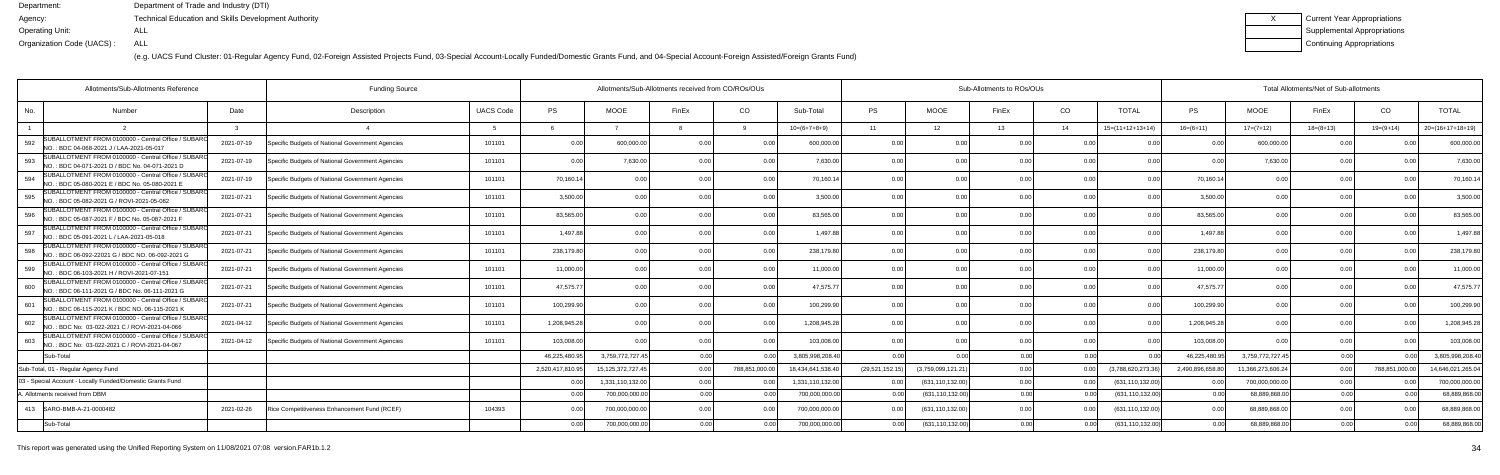| Current Year Appropriations        |
|------------------------------------|
| <b>Supplemental Appropriations</b> |
| Continuing Appropriations          |

|     | Allotments/Sub-Allotments Reference                                                                     |            | <b>Funding Source</b>                            |                  |                  | Allotments/Sub-Allotments received from CO/ROs/OUs |                |               |                   |                 |                    | Sub-Allotments to ROs/OUs |                |                    | Total Allotments/Net of Sub-allotments |                   |                 |                |                    |  |
|-----|---------------------------------------------------------------------------------------------------------|------------|--------------------------------------------------|------------------|------------------|----------------------------------------------------|----------------|---------------|-------------------|-----------------|--------------------|---------------------------|----------------|--------------------|----------------------------------------|-------------------|-----------------|----------------|--------------------|--|
| No. | Number                                                                                                  | Date       | Description                                      | <b>UACS Code</b> | <b>PS</b>        | <b>MOOE</b>                                        | FinEx          | CO.           | Sub-Total         | <b>PS</b>       | <b>MOOE</b>        | FinEx                     | CO             | TOTAL              | PS                                     | <b>MOOE</b>       | FinEx           | CO.            | <b>TOTAL</b>       |  |
|     |                                                                                                         |            |                                                  |                  |                  |                                                    |                |               | $10=(6+7+8+9)$    | 11              | 12 <sub>1</sub>    | 13                        | 14             | $15=(11+12+13+14)$ | $16=(6+11)$                            | $17=(7+12)$       | $18 = (8 + 13)$ | $19=(9+14)$    | $20=(16+17+18+19)$ |  |
| 592 | UBALLOTMENT FROM 0100000 - Central Office / SUBARO<br>NO.: BDC 04-068-2021 J / LAA-2021-05-017          | 2021-07-19 | Specific Budgets of National Government Agencies | 101101           | 0.00             | 600,000.00                                         | 0 <sub>0</sub> | 0.00          | 600,000.00        | 0.00            | 0.00               | 0.00                      | 0.0(           |                    | 0 O                                    | 600,000.00        | 0.00            |                | 600,000.00         |  |
| 593 | UBALLOTMENT FROM 0100000 - Central Office / SUBARO<br>INO. : BDC 04-071-2021 D / BDC No. 04-071-2021 D  | 2021-07-19 | Specific Budgets of National Government Agencies | 101101           | 0.00             | 7,630.00                                           |                | 0.00          | 7.630.00          | 0.00            | 0.00               |                           | 0.0(           |                    | 0 <sub>0</sub>                         | 7,630.00          | 0.00            |                | 7,630.00           |  |
| 594 | SUBALLOTMENT FROM 0100000 - Central Office / SUBARO<br>NO.: BDC 05-080-2021 E / BDC No. 05-080-2021 E   | 2021-07-19 | Specific Budgets of National Government Agencies | 101101           | 70,160.14        | 0.00                                               |                | 0.00          | 70.160.14         | 0.00            | 0 <sub>0</sub>     |                           | 0 <sub>0</sub> | 0.00               | 70.160.14                              | 0.00              | 0.00            |                | 70,160.1           |  |
| 595 | SUBALLOTMENT FROM 0100000 - Central Office / SUBARO<br>NO.: BDC 05-082-2021 G / ROVI-2021-05-082        | 2021-07-21 | Specific Budgets of National Government Agencies | 101101           | 3,500.00         | 0.00                                               |                | 0.00          | 3.500.00          | 0.00            | 0.00               |                           | 0.00           | 0.00               | 3,500.00                               | 0.00              | 0.00            |                | 3,500.00           |  |
| 596 | SUBALLOTMENT FROM 0100000 - Central Office / SUBAR<br>NO.: BDC 05-087-2021 F / BDC No. 05-087-2021 F    | 2021-07-21 | Specific Budgets of National Government Agencies | 101101           | 83,565.00        | 0.00                                               |                | 0.00          | 83,565.00         | 0.00            | 0.00               |                           | 0.00           | 0.00               | 83,565.00                              | 0.00              | 0.00            |                | 83,565.00          |  |
| 597 | SUBALLOTMENT FROM 0100000 - Central Office / SUBARO<br>NO.: BDC 05-091-2021 L / LAA-2021-05-018         | 2021-07-21 | Specific Budgets of National Government Agencies | 101101           | 1,497.88         | 0.00                                               |                | 0.00          | 1.497.88          | 0.00            | 0.00               | 0.00                      | 0.0(           | $\Omega$           | 1.497.88                               | 0.00              | 0.00            |                | 1,497.88           |  |
| 598 | UBALLOTMENT FROM 0100000 - Central Office / SUBARO<br>INO. : BDC 06-092-22021 G / BDC NO. 06-092-2021 G | 2021-07-21 | Specific Budgets of National Government Agencies | 101101           | 238,179.80       | 0.00                                               |                | 0.00          | 238,179.80        | 0.00            | 0.00               |                           | 0.0(           |                    | 238,179.80                             | 0.00              | 0.00            |                | 238,179.80         |  |
| 599 | SUBALLOTMENT FROM 0100000 - Central Office / SUBARO<br>NO.: BDC 06-103-2021 H / ROVI-2021-07-151        | 2021-07-21 | Specific Budgets of National Government Agencies | 101101           | 11,000.00        | 0 <sub>0</sub>                                     |                | 0.00          | 11.000.00         | 0.00            | 0.00               |                           | 0 <sub>0</sub> |                    | 11.000.00                              | 0.00              | 0.00            |                | 11,000.00          |  |
| 600 | SUBALLOTMENT FROM 0100000 - Central Office / SUBARO<br>INO. : BDC 06-111-2021 G / BDC No. 06-111-2021 G | 2021-07-21 | Specific Budgets of National Government Agencies | 101101           | 47,575.77        | 0.00                                               |                | 0.00          | 47,575.77         | 0.00            | 0.00               |                           | 0.00           | 00                 | 47,575.77                              | 0.00              | 0.00            |                | 47,575.77          |  |
| 601 | SUBALLOTMENT FROM 0100000 - Central Office / SUBAR<br>NO.: BDC 06-115-2021 K / BDC NO. 06-115-2021 K    | 2021-07-21 | Specific Budgets of National Government Agencies | 101101           | 100,299.90       | 0.00                                               |                | 0.00          | 100,299.90        | 0.00            | 0.00               |                           | 0.00           | 0.00               | 100,299.90                             | 0.00              | 0.00            |                | 100,299.90         |  |
| 602 | SUBALLOTMENT FROM 0100000 - Central Office / SUBARO<br>NO.: BDC No: 03-022-2021 C / ROVI-2021-04-066    | 2021-04-12 | Specific Budgets of National Government Agencies | 101101           | 1,208,945.28     | 0.00                                               |                | 0.00          | 1,208,945.28      | 0.00            | 0.00               |                           | 0.00           |                    | 1,208,945.28                           | 0.00              | 0.00            |                | 1,208,945.28       |  |
| 603 | SUBALLOTMENT FROM 0100000 - Central Office / SUBARO<br>INO. : BDC No: 03-022-2021 C / ROVI-2021-04-067  | 2021-04-12 | Specific Budgets of National Government Agencies | 101101           | 103,008.00       | <u>ሰ በ</u>                                         |                | . O OO        | 103.008.00        | 0.00            | 0 <sub>0</sub>     |                           | 0 <sub>0</sub> |                    | 103,008.00                             |                   | 0.00            |                | 103,008.0          |  |
|     | Sub-Total                                                                                               |            |                                                  |                  | 46,225,480.95    | 3,759,772,727.4                                    |                |               | 3.805.998.208.40  | 0.00            |                    | 0.00                      | 0.00           |                    | 46,225,480.95                          | 3,759,772,727.45  | 0.00            |                | 3,805,998,208.4    |  |
|     | Sub-Total, 01 - Regular Agency Fund                                                                     |            |                                                  |                  | 2,520,417,810.95 | 15,125,372,727.4                                   | 0.00           | 788,851,000.0 | 18.434.641.538.40 | (29,521,152.15) | (3,759,099,121.21) | 0.00                      | 0.00           | (3,788,620,273.36  | 2,490,896,658.80                       | 11,366,273,606.24 | 0.00            | 788,851,000.00 | 14,646,021,265.0   |  |
|     | 03 - Special Account - Locally Funded/Domestic Grants Fund                                              |            |                                                  |                  | 0.00             | 1,331,110,132.00                                   | 0.00           |               | 1,331,110,132.00  | 0.00            | (631, 110, 132.00) | 0.00                      | 0.00           | (631,110,132.00)   | 0.00                                   | 700.000.000.00    | 0.00            |                | 700,000,000.0      |  |
|     | A. Allotments received from DBM                                                                         |            |                                                  |                  | 0.00             | 700,000,000.00                                     | 0.00           | 0.00          | 700,000,000.00    | 0.00            | (631,110,132.00)   | 0.00                      | 0.00           | (631,110,132.00    | 0.00                                   | 68,889,868.00     | 0.00            | n nr           | 68,889,868.0       |  |
|     | 413 SARO-BMB-A-21-0000482                                                                               | 2021-02-26 | Rice Competitiveness Enhancement Fund (RCEF)     | 104393           | 0.00             | 700,000,000.00                                     |                | 0.00          | 700,000,000.00    | 0.00            | (631, 110, 132.00) | በ በበ                      | 0.0(           | (631,110,132.00)   | 0.00                                   | 68,889,868.00     | 0.00            |                | 68.889.868.0       |  |
|     | Sub-Total                                                                                               |            |                                                  |                  | 0.00             | 700,000,000.00                                     |                | 0.00          | 700,000,000.00    | 0.00            | (631,110,132.00)   | 0.00                      | 0.00           | (631,110,132.00)   | 0.00                                   | 68.889.868.00     | 0.00            |                | 68,889,868.0       |  |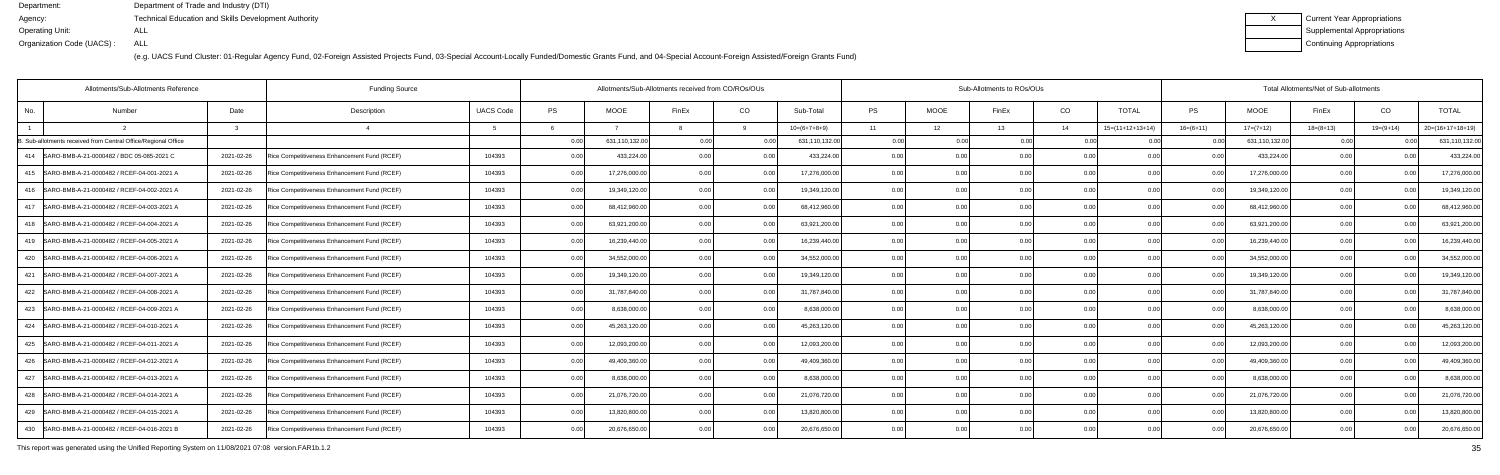(e.g. UACS Fund Cluster: 01-Regular Agency Fund, 02-Foreign Assisted Projects Fund, 03-Special Account-Locally Funded/Domestic Grants Fund, and 04-Special Account-Foreign Assisted/Foreign Grants Fund)

| Current Year Appropriations        |
|------------------------------------|
| <b>Supplemental Appropriations</b> |
| Continuing Appropriations          |

| Allotments/Sub-Allotments Reference                            |            | <b>Funding Source</b>                        |                  |          |                | Allotments/Sub-Allotments received from CO/ROs/OUs |                |                |           |                 | Sub-Allotments to ROs/OUs |      | Total Allotments/Net of Sub-allotments |                |                |             |                |                    |  |
|----------------------------------------------------------------|------------|----------------------------------------------|------------------|----------|----------------|----------------------------------------------------|----------------|----------------|-----------|-----------------|---------------------------|------|----------------------------------------|----------------|----------------|-------------|----------------|--------------------|--|
| No.<br>Number                                                  | Date       | Description                                  | <b>UACS Code</b> | PS       | <b>MOOE</b>    | FinEx                                              | CO.            | Sub-Total      | <b>PS</b> | <b>MOOE</b>     | FinEx                     | CO   | <b>TOTAL</b>                           | <b>PS</b>      | <b>MOOE</b>    | FinEx       | CO             | <b>TOTAL</b>       |  |
|                                                                |            | $\overline{a}$                               |                  | <b>6</b> |                |                                                    |                | $10=(6+7+8+9)$ | 11        | 12 <sup>7</sup> | 13                        | 14   | $15=(11+12+13+14)$                     | $16=(6+11)$    | $17=(7+12)$    | $18=(8+13)$ | $19=(9+14)$    | $20=(16+17+18+19)$ |  |
| 3. Sub-allotments received from Central Office/Regional Office |            |                                              |                  | 0.00     | 631,110,132.00 | 0.00                                               | 0.00           | 631,110,132.00 | 0.00      | 0.00            | 0.00                      | 0.00 | 0.00                                   | 0.00           | 631,110,132.00 | 0.00        | 0.00           | 631,110,132.0      |  |
| SARO-BMB-A-21-0000482 / BDC 05-085-2021 C<br>414               | 2021-02-26 | Rice Competitiveness Enhancement Fund (RCEF) | 104393           | 0.00     | 433,224.00     | 0.00                                               | 0.00           | 433,224.00     | 0.00      | 0.00            | 0.00                      | 0.00 |                                        | 0 <sub>0</sub> | 433,224.0      | 0.00        |                | 433,224.0          |  |
| SARO-BMB-A-21-0000482 / RCEF-04-001-2021 A<br>415              | 2021-02-26 | Rice Competitiveness Enhancement Fund (RCEF) | 104393           | 0.00     | 17,276,000.00  | 0.00                                               | 0.00           | 17,276,000.00  | 0.00      | 0.00            | 0.00                      | 0.00 | 0 <sub>0</sub>                         | 0 <sub>0</sub> | 17,276,000.00  | 0.00        |                | 17,276,000.0       |  |
| 416   SARO-BMB-A-21-0000482 / RCEF-04-002-2021 A               | 2021-02-26 | Rice Competitiveness Enhancement Fund (RCEF) | 104393           | 0.00     | 19,349,120.00  | 0.00                                               | 0.00           | 19,349,120.00  | 0.00      | 0.00            | 0.00                      | 0.00 | 0.00                                   | 0.0(           | 19,349,120.00  | 0.00        |                | 19,349,120.0       |  |
| 417   SARO-BMB-A-21-0000482 / RCEF-04-003-2021 A               | 2021-02-26 | Rice Competitiveness Enhancement Fund (RCEF) | 104393           | 0.00     | 68,412,960.0   | 0.00                                               | 0.00           | 68,412,960.00  | 0.00      | 0.00            | 0.00                      | 0.00 | 0.00                                   | 0 <sub>0</sub> | 68,412,960.0   | 0.00        |                | 68,412,960.0       |  |
| 418   SARO-BMB-A-21-0000482 / RCEF-04-004-2021 A               | 2021-02-26 | Rice Competitiveness Enhancement Fund (RCEF) | 104393           | 0.00     | 63,921,200.0   | 0.00                                               | 0.00           | 63,921,200.00  | 0.00      | 0.00            | 0.00                      | 0.00 | 0.00                                   | 0.0(           | 63,921,200.00  | 0.00        | 0 <sub>0</sub> | 63,921,200.0       |  |
| 419   SARO-BMB-A-21-0000482 / RCEF-04-005-2021 A               | 2021-02-26 | Rice Competitiveness Enhancement Fund (RCEF) | 104393           | 0.00     | 16,239,440.00  | 0.00                                               | 0.00           | 16,239,440.00  | 0.00      | 0.00            | 0.00                      | 0.00 | 0.00                                   | 0.00           | 16,239,440.0   | 0.00        | 0.00           | 16,239,440.0       |  |
| 420   SARO-BMB-A-21-0000482 / RCEF-04-006-2021 A               | 2021-02-26 | Rice Competitiveness Enhancement Fund (RCEF) | 104393           | 0.00     | 34,552,000.0   | 0.00                                               | 0.00           | 34,552,000.00  | 0.00      | 0.00            | 0.00                      | 0.00 | 0.00                                   | 0.00           | 34,552,000.0   | 0.00        | 0 <sub>0</sub> | 34,552,000.0       |  |
| SARO-BMB-A-21-0000482 / RCEF-04-007-2021 A<br>421              | 2021-02-26 | Rice Competitiveness Enhancement Fund (RCEF) | 104393           | 0.00     | 19,349,120.00  | 0.00                                               | 0.00           | 19,349,120.00  | 0.00      | 0.00            | 0.00                      | 0.00 | 0.00                                   | 0.00           | 19,349,120.00  | 0.00        | 0.00           | 19,349,120.0       |  |
| 422<br>SARO-BMB-A-21-0000482 / RCEF-04-008-2021 A              | 2021-02-26 | Rice Competitiveness Enhancement Fund (RCEF) | 104393           | 0.00     | 31,787,840.0   | 0 <sub>0</sub>                                     | 0.0            | 31,787,840.0   | 0.00      | 0.00            |                           | 0.00 | 0.00                                   | 0 <sub>0</sub> | 31,787,840.0   | 0.00        |                | 31,787,840.0       |  |
| SARO-BMB-A-21-0000482 / RCEF-04-009-2021 A<br>423              | 2021-02-26 | Rice Competitiveness Enhancement Fund (RCEF) | 104393           | 0.00     | 8,638,000.0    | 0.00                                               | 0.00           | 8,638,000.00   | 0.00      | 0.00            | 0.00                      | 0.00 | 0.00                                   | 0.00           | 8,638,000.0    | 0.00        | 0.00           | 8,638,000.0        |  |
| SARO-BMB-A-21-0000482 / RCEF-04-010-2021 A<br>424              | 2021-02-26 | Rice Competitiveness Enhancement Fund (RCEF) | 104393           | 0.00     | 45,263,120.00  | 0.00                                               | 0.00           | 45,263,120.00  | 0.00      | 0.00            | 0.00                      | 0.00 | 0.00                                   | 0 <sub>0</sub> | 45,263,120.00  | 0.00        |                | 45,263,120.0       |  |
| SARO-BMB-A-21-0000482 / RCEF-04-011-2021 A<br>425              | 2021-02-26 | Rice Competitiveness Enhancement Fund (RCEF) | 104393           | 0.00     | 12,093,200.00  | 0.00                                               | 0.00           | 12,093,200.00  | 0.00      | 0.00            | 0.00                      | 0.00 | 0.00                                   | 0.00           | 12,093,200.0   | 0.00        | 0.00           | 12,093,200.0       |  |
| SARO-BMB-A-21-0000482 / RCEF-04-012-2021 A<br>426              | 2021-02-26 | Rice Competitiveness Enhancement Fund (RCEF) | 104393           | 0.00     | 49,409,360.00  | 0.00                                               | 0.00           | 49,409,360.00  | 0.00      | 0.00            | 0.00                      | 0.00 | 0.00                                   | 0.0(           | 49,409,360.0   | 0.00        |                | 49,409,360.0       |  |
| SARO-BMB-A-21-0000482 / RCEF-04-013-2021 A<br>427              | 2021-02-26 | Rice Competitiveness Enhancement Fund (RCEF) | 104393           | 0.00     | 8,638,000.0    | 0 <sub>0</sub>                                     | 0 <sub>0</sub> | 8,638,000.00   | 0.00      | 0.00            | 0.00                      | 0.00 | 0.00                                   | 0 <sub>0</sub> | 8,638,000.0    | 0.00        | 0.00           | 8,638,000.0        |  |
| 428   SARO-BMB-A-21-0000482 / RCEF-04-014-2021 A               | 2021-02-26 | Rice Competitiveness Enhancement Fund (RCEF) | 104393           | 0.00     | 21,076,720.00  | 0.00                                               | 0.00           | 21,076,720.00  | 0.00      | 0.00            | 0.00                      | 0.00 | 0.00                                   | 0.00           | 21,076,720.00  | 0.00        | 0.00           | 21,076,720.0       |  |
| 429 SARO-BMB-A-21-0000482 / RCEF-04-015-2021 A                 | 2021-02-26 | Rice Competitiveness Enhancement Fund (RCEF) | 104393           | 0.00     | 13,820,800.0   | 0.00                                               |                | 13,820,800.00  | 0.00      | 0.00            |                           | 0.00 | 0 <sub>0</sub>                         |                | 13,820,800.00  | 0.00        |                | 13,820,800.0       |  |
| 430   SARO-BMB-A-21-0000482 / RCEF-04-016-2021 B               | 2021-02-26 | Rice Competitiveness Enhancement Fund (RCEF) | 104393           | 0.00     | 20,676,650.00  | 0 <sub>0</sub>                                     | n nn           | 20,676,650.00  | 0.00      | 0.00            | n nr                      | 0.00 | 0.00                                   | 0.00           | 20,676,650.00  | 0.00        |                | 20,676,650.0       |  |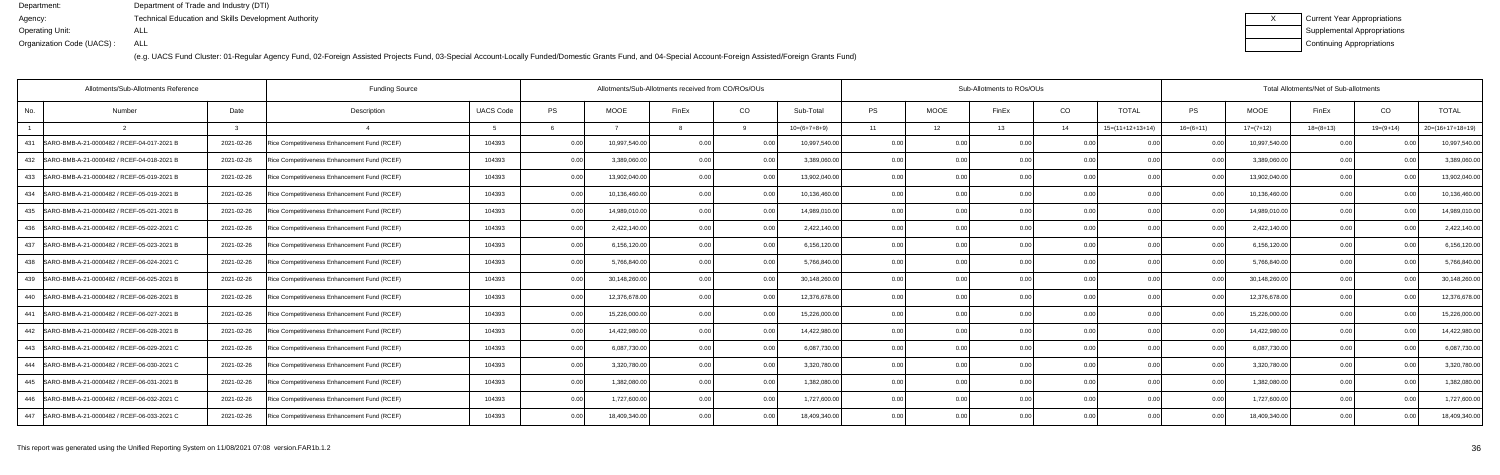| Current Year Appropriations |
|-----------------------------|
| Supplemental Appropriations |
| Continuing Appropriations   |

| Allotments/Sub-Allotments Reference               | <b>Funding Source</b>                                      |                  |           |               | Allotments/Sub-Allotments received from CO/ROs/OUs |                |                | Sub-Allotments to ROs/OUs |             |       |      |                    |                | Total Allotments/Net of Sub-allotments |             |                |                    |  |  |
|---------------------------------------------------|------------------------------------------------------------|------------------|-----------|---------------|----------------------------------------------------|----------------|----------------|---------------------------|-------------|-------|------|--------------------|----------------|----------------------------------------|-------------|----------------|--------------------|--|--|
| Number<br>No.                                     | Date<br>Description                                        | <b>UACS Code</b> | <b>PS</b> | <b>MOOE</b>   | FinEx                                              | CO             | Sub-Total      | <b>PS</b>                 | <b>MOOE</b> | FinEx | CO   | <b>TOTAL</b>       | <b>PS</b>      | <b>MOOE</b>                            | FinEx       | CO             | <b>TOTAL</b>       |  |  |
|                                                   |                                                            |                  |           |               |                                                    |                | $10=(6+7+8+9)$ | 11                        | 12          | 13    | 14   | $15=(11+12+13+14)$ | $16=(6+11)$    | $17=(7+12)$                            | $18=(8+13)$ | $19=(9+14)$    | $20=(16+17+18+19)$ |  |  |
| SARO-BMB-A-21-0000482 / RCEF-04-017-2021 B<br>431 | 2021-02-26<br>Rice Competitiveness Enhancement Fund (RCEF) | 104393           | 0.00      | 10,997,540.0  | 0.00                                               | 0.00           | 10,997,540.0   | 0.00                      | 0.00        | 0.00  | 0.00 | 0.00               | 0.0(           | 10,997,540.00                          | 0.00        |                | 10,997,540.0       |  |  |
| SARO-BMB-A-21-0000482 / RCEF-04-018-2021 B<br>432 | 2021-02-26<br>Rice Competitiveness Enhancement Fund (RCEF) | 104393           | 0.00      | 3,389,060.0   | 0.00                                               | 0.00           | 3,389,060.00   | 0.00                      | 0.00        | 0.00  | 0.00 |                    | 0 <sub>0</sub> | 3,389,060.0                            | 0.00        |                | 3,389,060.0        |  |  |
| 433   SARO-BMB-A-21-0000482 / RCEF-05-019-2021 B  | 2021-02-26<br>Rice Competitiveness Enhancement Fund (RCEF) | 104393           | 0.00      | 13,902,040.0  | 0.00                                               | 0 <sub>0</sub> | 13,902,040.00  | 0.00                      | 0.00        | n nr  | 0.00 | 0.00               | 0 <sub>0</sub> | 13,902,040.00                          | 0.00        | 0 <sub>0</sub> | 13,902,040.0       |  |  |
| SARO-BMB-A-21-0000482 / RCEF-05-019-2021 B<br>434 | 2021-02-26<br>Rice Competitiveness Enhancement Fund (RCEF) | 104393           | 0.00      | 10,136,460.0  | 0.00                                               | 0.00           | 10,136,460.00  | 0.00                      | 0.00        | 0.00  | 0.00 | 0.00               | 0.0(           | 10,136,460.0                           | 0.00        | 0.00           | 10,136,460.0       |  |  |
| 435<br>SARO-BMB-A-21-0000482 / RCEF-05-021-2021 B | Rice Competitiveness Enhancement Fund (RCEF)<br>2021-02-26 | 104393           | 0.00      | 14,989,010.00 | 0 <sub>0</sub>                                     | 0 <sub>0</sub> | 14,989,010.00  | 0.00                      | 0.00        |       | 0.00 |                    |                | 14,989,010.00                          | 0.00        |                | 14,989,010.0       |  |  |
| SARO-BMB-A-21-0000482 / RCEF-05-022-2021 C<br>436 | 2021-02-26<br>Rice Competitiveness Enhancement Fund (RCEF) | 104393           | 0.00      | 2,422,140.0   | 0 <sub>0</sub>                                     |                | 2,422,140.00   | 0.00                      | 0.00        | n nr  | 0.00 | 0 <sub>0</sub>     |                | 2,422,140.00                           | 0.00        | $\Omega$       | 2,422,140.0        |  |  |
| SARO-BMB-A-21-0000482 / RCEF-05-023-2021 B<br>437 | 2021-02-26<br>Rice Competitiveness Enhancement Fund (RCEF) | 104393           | 0.00      | 6,156,120.00  | 0 <sub>0</sub>                                     | 0.00           | 6,156,120.00   | 0.00                      | 0.00        | 0.00  | 0.00 | 0.00               | 0 <sub>0</sub> | 6,156,120.00                           | 0.00        | 0.00           | 6,156,120.0        |  |  |
| SARO-BMB-A-21-0000482 / RCEF-06-024-2021 C<br>438 | 2021-02-26<br>Rice Competitiveness Enhancement Fund (RCEF) | 104393           | 0.00      | 5,766,840.0   | 0 <sub>0</sub>                                     | 0 <sub>0</sub> | 5,766,840.00   | 0.00                      | 0.00        |       | 0.00 |                    |                | 5,766,840.0                            | 0.00        |                | 5,766,840.0        |  |  |
| SARO-BMB-A-21-0000482 / RCEF-06-025-2021 B<br>439 | 2021-02-26<br>Rice Competitiveness Enhancement Fund (RCEF) | 104393           | 0.00      | 30,148,260.0  | 0.00                                               | 0 <sub>0</sub> | 30,148,260.00  | 0.00                      | 0.00        | 0.00  | 0.00 | 0.00               | 0 <sub>0</sub> | 30,148,260.00                          | 0.00        |                | 30,148,260.0       |  |  |
| SARO-BMB-A-21-0000482 / RCEF-06-026-2021 B<br>440 | 2021-02-26<br>Rice Competitiveness Enhancement Fund (RCEF) | 104393           | 0.00      | 12,376,678.00 | 0.00                                               | 0.00           | 12,376,678.00  | 0.00                      | 0.00        | 0.00  | 0.00 | 0.00               | 0.00           | 12,376,678.00                          | 0.00        | 0.00           | 12,376,678.0       |  |  |
| SARO-BMB-A-21-0000482 / RCEF-06-027-2021 B<br>441 | 2021-02-26<br>Rice Competitiveness Enhancement Fund (RCEF) | 104393           | 0.00      | 15,226,000.0  |                                                    | 0 <sub>0</sub> | 15,226,000.00  | 0.00                      | 0.00        |       | 0.00 | 0.00               |                | 15,226,000.0                           | 0.00        |                | 15,226,000.0       |  |  |
| SARO-BMB-A-21-0000482 / RCEF-06-028-2021 B<br>442 | 2021-02-26<br>Rice Competitiveness Enhancement Fund (RCEF) | 104393           | 0.00      | 14,422,980.0  | 0 <sub>0</sub>                                     | 0 <sub>0</sub> | 14,422,980.00  | 0.00                      | 0.00        | 0.OC  | 0.00 | 0.00               | 0 <sub>0</sub> | 14,422,980.0                           | 0.00        | 0 <sub>0</sub> | 14,422,980.0       |  |  |
| 443 SARO-BMB-A-21-0000482 / RCEF-06-029-2021 C    | 2021-02-26<br>Rice Competitiveness Enhancement Fund (RCEF) | 104393           | 0.00      | 6,087,730.0   | 0.00                                               | 0.00           | 6,087,730.00   | 0.00                      | 0.00        | 0.00  | 0.00 | 0.00               | 0.0(           | 6,087,730.00                           | 0.00        | 0.00           | 6,087,730.0        |  |  |
| SARO-BMB-A-21-0000482 / RCEF-06-030-2021 C<br>444 | 2021-02-26<br>Rice Competitiveness Enhancement Fund (RCEF) | 104393           | 0.00      | 3,320,780.00  | 0 <sub>0</sub>                                     | 0.00           | 3,320,780.00   | 0.00                      | 0.00        | 0.00  | 0.00 | 0 <sub>0</sub>     | 0 <sub>0</sub> | 3,320,780.00                           | 0.00        |                | 3,320,780.0        |  |  |
| 445   SARO-BMB-A-21-0000482 / RCEF-06-031-2021 B  | 2021-02-26<br>Rice Competitiveness Enhancement Fund (RCEF) | 104393           | 0.00      | 1,382,080.0   | 0.00                                               | 0 <sub>0</sub> | 1,382,080.00   | 0.00                      | 0.00        | 0.00  | 0.00 | 0.00               | 0 <sub>0</sub> | 1,382,080.0                            | 0.00        | 0.00           | 1,382,080.0        |  |  |
| SARO-BMB-A-21-0000482 / RCEF-06-032-2021 C<br>446 | 2021-02-26<br>Rice Competitiveness Enhancement Fund (RCEF) | 104393           | 0.00      | 1,727,600.0   | 0.00                                               | 0.00           | 1,727,600.00   | 0.00                      | 0.00        | 0.00  | 0.00 | 0.00               | 0.00           | 1,727,600.00                           | 0.00        | 0.00           | 1,727,600.0        |  |  |
| 447<br>SARO-BMB-A-21-0000482 / RCEF-06-033-2021 C | 2021-02-26<br>Rice Competitiveness Enhancement Fund (RCEF) | 104393           | 0.00      | 18,409,340.00 |                                                    | 0 <sub>0</sub> | 18,409,340.00  | 0.00                      | 0.00        |       | 0.00 |                    |                | 18,409,340.0                           | 0.00        |                | 18,409,340.0       |  |  |